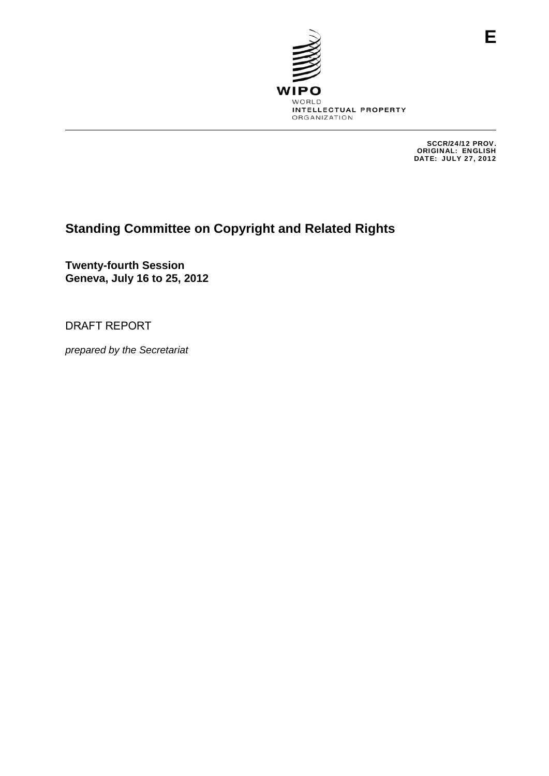

SCCR/24/12 PROV. ORIGINAL: ENGLISH DATE: JULY 27, 2012

# **Standing Committee on Copyright and Related Rights**

**Twenty-fourth Session Geneva, July 16 to 25, 2012** 

DRAFT REPORT

*prepared by the Secretariat*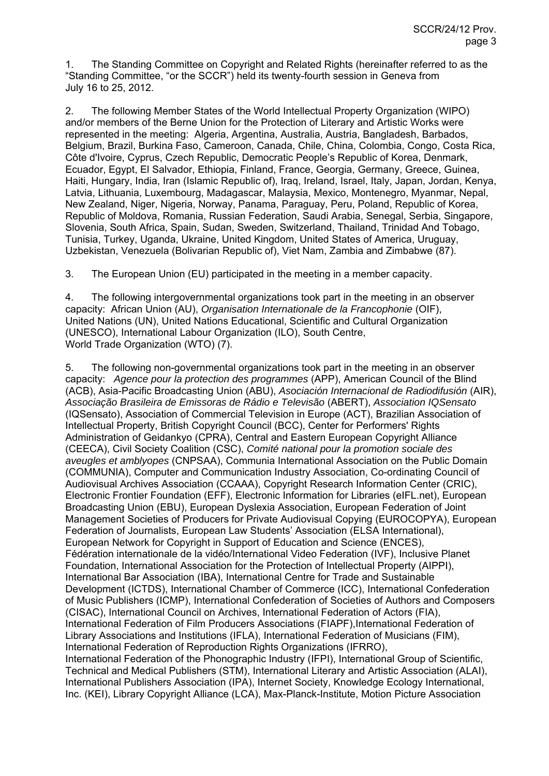1. The Standing Committee on Copyright and Related Rights (hereinafter referred to as the "Standing Committee, "or the SCCR") held its twenty-fourth session in Geneva from July 16 to 25, 2012.

2. The following Member States of the World Intellectual Property Organization (WIPO) and/or members of the Berne Union for the Protection of Literary and Artistic Works were represented in the meeting: Algeria, Argentina, Australia, Austria, Bangladesh, Barbados, Belgium, Brazil, Burkina Faso, Cameroon, Canada, Chile, China, Colombia, Congo, Costa Rica, Côte d'Ivoire, Cyprus, Czech Republic, Democratic People's Republic of Korea, Denmark, Ecuador, Egypt, El Salvador, Ethiopia, Finland, France, Georgia, Germany, Greece, Guinea, Haiti, Hungary, India, Iran (Islamic Republic of), Iraq, Ireland, Israel, Italy, Japan, Jordan, Kenya, Latvia, Lithuania, Luxembourg, Madagascar, Malaysia, Mexico, Montenegro, Myanmar, Nepal, New Zealand, Niger, Nigeria, Norway, Panama, Paraguay, Peru, Poland, Republic of Korea, Republic of Moldova, Romania, Russian Federation, Saudi Arabia, Senegal, Serbia, Singapore, Slovenia, South Africa, Spain, Sudan, Sweden, Switzerland, Thailand, Trinidad And Tobago, Tunisia, Turkey, Uganda, Ukraine, United Kingdom, United States of America, Uruguay, Uzbekistan, Venezuela (Bolivarian Republic of), Viet Nam, Zambia and Zimbabwe (87).

3. The European Union (EU) participated in the meeting in a member capacity.

4. The following intergovernmental organizations took part in the meeting in an observer capacity: African Union (AU), *Organisation Internationale de la Francophonie* (OIF), United Nations (UN), United Nations Educational, Scientific and Cultural Organization (UNESCO), International Labour Organization (ILO), South Centre, World Trade Organization (WTO) (7).

5. The following non-governmental organizations took part in the meeting in an observer capacity: *Agence pour la protection des programmes* (APP), American Council of the Blind (ACB), Asia-Pacific Broadcasting Union (ABU), *Asociación Internacional de Radiodifusión* (AIR), *Associação Brasileira de Emissoras de Rádio e Televisão* (ABERT), *Association IQSensato* (IQSensato), Association of Commercial Television in Europe (ACT), Brazilian Association of Intellectual Property, British Copyright Council (BCC), Center for Performers' Rights Administration of Geidankyo (CPRA), Central and Eastern European Copyright Alliance (CEECA), Civil Society Coalition (CSC), *Comité national pour la promotion sociale des aveugles et amblyopes* (CNPSAA), Communia International Association on the Public Domain (COMMUNIA), Computer and Communication Industry Association, Co-ordinating Council of Audiovisual Archives Association (CCAAA), Copyright Research Information Center (CRIC), Electronic Frontier Foundation (EFF), Electronic Information for Libraries (eIFL.net), European Broadcasting Union (EBU), European Dyslexia Association, European Federation of Joint Management Societies of Producers for Private Audiovisual Copying (EUROCOPYA), European Federation of Journalists, European Law Students' Association (ELSA International), European Network for Copyright in Support of Education and Science (ENCES), Fédération internationale de la vidéo/International Video Federation (IVF), Inclusive Planet Foundation, International Association for the Protection of Intellectual Property (AIPPI), International Bar Association (IBA), International Centre for Trade and Sustainable Development (ICTDS), International Chamber of Commerce (ICC), International Confederation of Music Publishers (ICMP), International Confederation of Societies of Authors and Composers (CISAC), International Council on Archives, International Federation of Actors (FIA), International Federation of Film Producers Associations (FIAPF),International Federation of Library Associations and Institutions (IFLA), International Federation of Musicians (FIM), International Federation of Reproduction Rights Organizations (IFRRO), International Federation of the Phonographic Industry (IFPI), International Group of Scientific, Technical and Medical Publishers (STM), International Literary and Artistic Association (ALAI), International Publishers Association (IPA), Internet Society, Knowledge Ecology International, Inc. (KEI), Library Copyright Alliance (LCA), Max-Planck-Institute, Motion Picture Association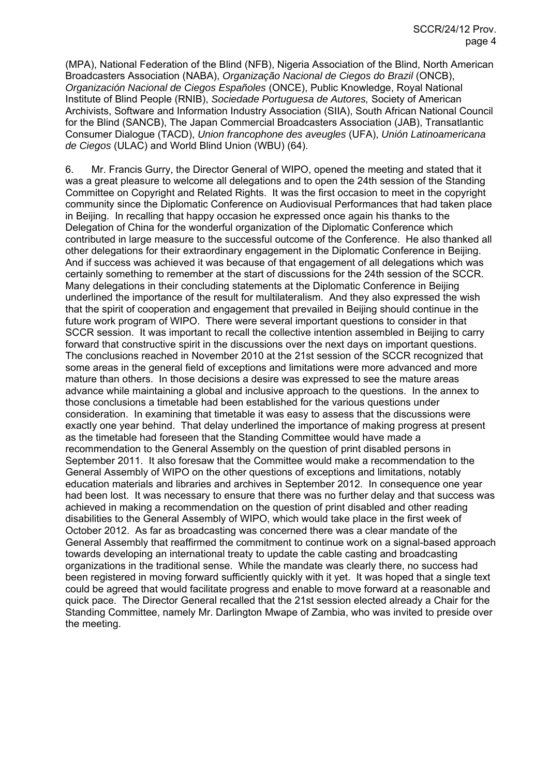(MPA), National Federation of the Blind (NFB), Nigeria Association of the Blind, North American Broadcasters Association (NABA), *Organização Nacional de Ciegos do Brazil* (ONCB), *Organización Nacional de Ciegos Españoles* (ONCE), Public Knowledge, Royal National Institute of Blind People (RNIB), *Sociedade Portuguesa de Autores,* Society of American Archivists, Software and Information Industry Association (SIIA), South African National Council for the Blind (SANCB), The Japan Commercial Broadcasters Association (JAB), Transatlantic Consumer Dialogue (TACD), *Union francophone des aveugles* (UFA), *Unión Latinoamericana de Ciegos* (ULAC) and World Blind Union (WBU) (64).

6. Mr. Francis Gurry, the Director General of WIPO, opened the meeting and stated that it was a great pleasure to welcome all delegations and to open the 24th session of the Standing Committee on Copyright and Related Rights. It was the first occasion to meet in the copyright community since the Diplomatic Conference on Audiovisual Performances that had taken place in Beijing. In recalling that happy occasion he expressed once again his thanks to the Delegation of China for the wonderful organization of the Diplomatic Conference which contributed in large measure to the successful outcome of the Conference. He also thanked all other delegations for their extraordinary engagement in the Diplomatic Conference in Beijing. And if success was achieved it was because of that engagement of all delegations which was certainly something to remember at the start of discussions for the 24th session of the SCCR. Many delegations in their concluding statements at the Diplomatic Conference in Beijing underlined the importance of the result for multilateralism. And they also expressed the wish that the spirit of cooperation and engagement that prevailed in Beijing should continue in the future work program of WIPO. There were several important questions to consider in that SCCR session. It was important to recall the collective intention assembled in Beijing to carry forward that constructive spirit in the discussions over the next days on important questions. The conclusions reached in November 2010 at the 21st session of the SCCR recognized that some areas in the general field of exceptions and limitations were more advanced and more mature than others. In those decisions a desire was expressed to see the mature areas advance while maintaining a global and inclusive approach to the questions. In the annex to those conclusions a timetable had been established for the various questions under consideration. In examining that timetable it was easy to assess that the discussions were exactly one year behind. That delay underlined the importance of making progress at present as the timetable had foreseen that the Standing Committee would have made a recommendation to the General Assembly on the question of print disabled persons in September 2011. It also foresaw that the Committee would make a recommendation to the General Assembly of WIPO on the other questions of exceptions and limitations, notably education materials and libraries and archives in September 2012. In consequence one year had been lost. It was necessary to ensure that there was no further delay and that success was achieved in making a recommendation on the question of print disabled and other reading disabilities to the General Assembly of WIPO, which would take place in the first week of October 2012. As far as broadcasting was concerned there was a clear mandate of the General Assembly that reaffirmed the commitment to continue work on a signal-based approach towards developing an international treaty to update the cable casting and broadcasting organizations in the traditional sense. While the mandate was clearly there, no success had been registered in moving forward sufficiently quickly with it yet. It was hoped that a single text could be agreed that would facilitate progress and enable to move forward at a reasonable and quick pace. The Director General recalled that the 21st session elected already a Chair for the Standing Committee, namely Mr. Darlington Mwape of Zambia, who was invited to preside over the meeting.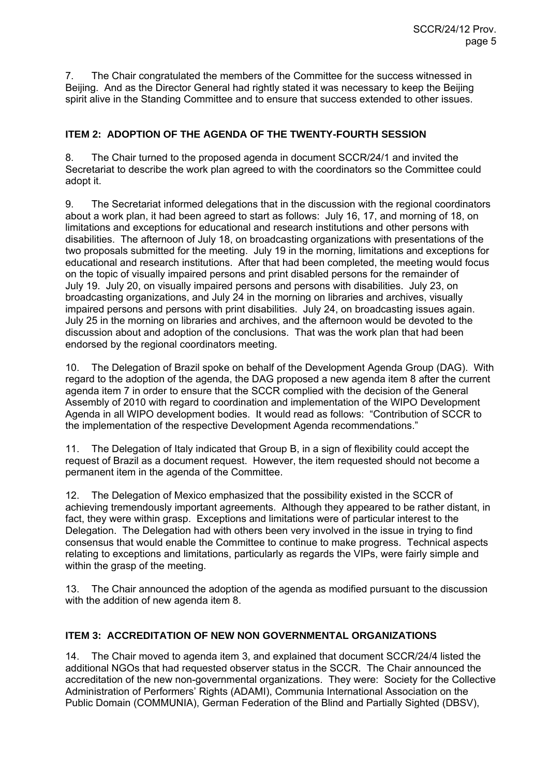7. The Chair congratulated the members of the Committee for the success witnessed in Beijing. And as the Director General had rightly stated it was necessary to keep the Beijing spirit alive in the Standing Committee and to ensure that success extended to other issues.

## **ITEM 2: ADOPTION OF THE AGENDA OF THE TWENTY-FOURTH SESSION**

8. The Chair turned to the proposed agenda in document SCCR/24/1 and invited the Secretariat to describe the work plan agreed to with the coordinators so the Committee could adopt it.

9. The Secretariat informed delegations that in the discussion with the regional coordinators about a work plan, it had been agreed to start as follows: July 16, 17, and morning of 18, on limitations and exceptions for educational and research institutions and other persons with disabilities. The afternoon of July 18, on broadcasting organizations with presentations of the two proposals submitted for the meeting. July 19 in the morning, limitations and exceptions for educational and research institutions. After that had been completed, the meeting would focus on the topic of visually impaired persons and print disabled persons for the remainder of July 19. July 20, on visually impaired persons and persons with disabilities. July 23, on broadcasting organizations, and July 24 in the morning on libraries and archives, visually impaired persons and persons with print disabilities. July 24, on broadcasting issues again. July 25 in the morning on libraries and archives, and the afternoon would be devoted to the discussion about and adoption of the conclusions. That was the work plan that had been endorsed by the regional coordinators meeting.

10. The Delegation of Brazil spoke on behalf of the Development Agenda Group (DAG). With regard to the adoption of the agenda, the DAG proposed a new agenda item 8 after the current agenda item 7 in order to ensure that the SCCR complied with the decision of the General Assembly of 2010 with regard to coordination and implementation of the WIPO Development Agenda in all WIPO development bodies. It would read as follows: "Contribution of SCCR to the implementation of the respective Development Agenda recommendations."

11. The Delegation of Italy indicated that Group B, in a sign of flexibility could accept the request of Brazil as a document request. However, the item requested should not become a permanent item in the agenda of the Committee.

12. The Delegation of Mexico emphasized that the possibility existed in the SCCR of achieving tremendously important agreements. Although they appeared to be rather distant, in fact, they were within grasp. Exceptions and limitations were of particular interest to the Delegation. The Delegation had with others been very involved in the issue in trying to find consensus that would enable the Committee to continue to make progress. Technical aspects relating to exceptions and limitations, particularly as regards the VIPs, were fairly simple and within the grasp of the meeting.

13. The Chair announced the adoption of the agenda as modified pursuant to the discussion with the addition of new agenda item 8.

# **ITEM 3: ACCREDITATION OF NEW NON GOVERNMENTAL ORGANIZATIONS**

14. The Chair moved to agenda item 3, and explained that document SCCR/24/4 listed the additional NGOs that had requested observer status in the SCCR. The Chair announced the accreditation of the new non-governmental organizations. They were: Society for the Collective Administration of Performers' Rights (ADAMI), Communia International Association on the Public Domain (COMMUNIA), German Federation of the Blind and Partially Sighted (DBSV),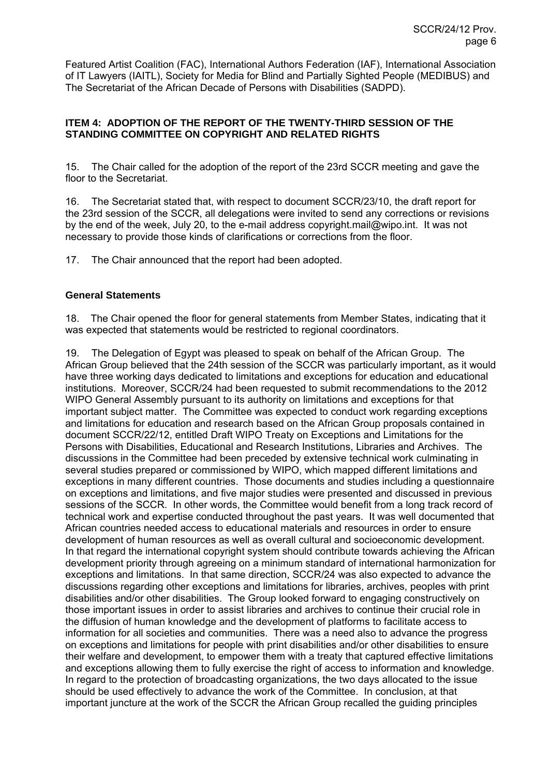Featured Artist Coalition (FAC), International Authors Federation (IAF), International Association of IT Lawyers (IAITL), Society for Media for Blind and Partially Sighted People (MEDIBUS) and The Secretariat of the African Decade of Persons with Disabilities (SADPD).

## **ITEM 4: ADOPTION OF THE REPORT OF THE TWENTY-THIRD SESSION OF THE STANDING COMMITTEE ON COPYRIGHT AND RELATED RIGHTS**

15. The Chair called for the adoption of the report of the 23rd SCCR meeting and gave the floor to the Secretariat.

16. The Secretariat stated that, with respect to document SCCR/23/10, the draft report for the 23rd session of the SCCR, all delegations were invited to send any corrections or revisions by the end of the week, July 20, to the e-mail address copyright.mail@wipo.int. It was not necessary to provide those kinds of clarifications or corrections from the floor.

17. The Chair announced that the report had been adopted.

### **General Statements**

18. The Chair opened the floor for general statements from Member States, indicating that it was expected that statements would be restricted to regional coordinators.

19. The Delegation of Egypt was pleased to speak on behalf of the African Group. The African Group believed that the 24th session of the SCCR was particularly important, as it would have three working days dedicated to limitations and exceptions for education and educational institutions. Moreover, SCCR/24 had been requested to submit recommendations to the 2012 WIPO General Assembly pursuant to its authority on limitations and exceptions for that important subject matter. The Committee was expected to conduct work regarding exceptions and limitations for education and research based on the African Group proposals contained in document SCCR/22/12, entitled Draft WIPO Treaty on Exceptions and Limitations for the Persons with Disabilities, Educational and Research Institutions, Libraries and Archives. The discussions in the Committee had been preceded by extensive technical work culminating in several studies prepared or commissioned by WIPO, which mapped different limitations and exceptions in many different countries. Those documents and studies including a questionnaire on exceptions and limitations, and five major studies were presented and discussed in previous sessions of the SCCR. In other words, the Committee would benefit from a long track record of technical work and expertise conducted throughout the past years. It was well documented that African countries needed access to educational materials and resources in order to ensure development of human resources as well as overall cultural and socioeconomic development. In that regard the international copyright system should contribute towards achieving the African development priority through agreeing on a minimum standard of international harmonization for exceptions and limitations. In that same direction, SCCR/24 was also expected to advance the discussions regarding other exceptions and limitations for libraries, archives, peoples with print disabilities and/or other disabilities. The Group looked forward to engaging constructively on those important issues in order to assist libraries and archives to continue their crucial role in the diffusion of human knowledge and the development of platforms to facilitate access to information for all societies and communities. There was a need also to advance the progress on exceptions and limitations for people with print disabilities and/or other disabilities to ensure their welfare and development, to empower them with a treaty that captured effective limitations and exceptions allowing them to fully exercise the right of access to information and knowledge. In regard to the protection of broadcasting organizations, the two days allocated to the issue should be used effectively to advance the work of the Committee. In conclusion, at that important juncture at the work of the SCCR the African Group recalled the guiding principles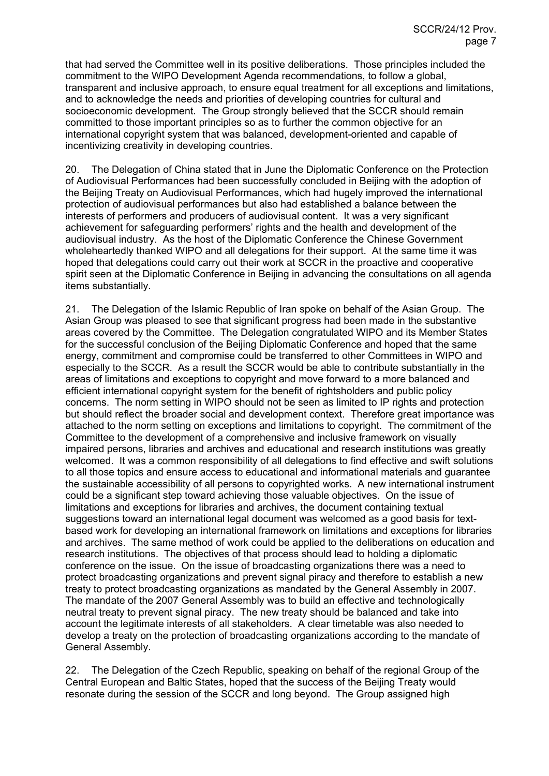that had served the Committee well in its positive deliberations. Those principles included the commitment to the WIPO Development Agenda recommendations, to follow a global, transparent and inclusive approach, to ensure equal treatment for all exceptions and limitations, and to acknowledge the needs and priorities of developing countries for cultural and socioeconomic development. The Group strongly believed that the SCCR should remain committed to those important principles so as to further the common objective for an international copyright system that was balanced, development-oriented and capable of incentivizing creativity in developing countries.

20. The Delegation of China stated that in June the Diplomatic Conference on the Protection of Audiovisual Performances had been successfully concluded in Beijing with the adoption of the Beijing Treaty on Audiovisual Performances, which had hugely improved the international protection of audiovisual performances but also had established a balance between the interests of performers and producers of audiovisual content. It was a very significant achievement for safeguarding performers' rights and the health and development of the audiovisual industry. As the host of the Diplomatic Conference the Chinese Government wholeheartedly thanked WIPO and all delegations for their support. At the same time it was hoped that delegations could carry out their work at SCCR in the proactive and cooperative spirit seen at the Diplomatic Conference in Beijing in advancing the consultations on all agenda items substantially.

21. The Delegation of the Islamic Republic of Iran spoke on behalf of the Asian Group. The Asian Group was pleased to see that significant progress had been made in the substantive areas covered by the Committee. The Delegation congratulated WIPO and its Member States for the successful conclusion of the Beijing Diplomatic Conference and hoped that the same energy, commitment and compromise could be transferred to other Committees in WIPO and especially to the SCCR. As a result the SCCR would be able to contribute substantially in the areas of limitations and exceptions to copyright and move forward to a more balanced and efficient international copyright system for the benefit of rightsholders and public policy concerns. The norm setting in WIPO should not be seen as limited to IP rights and protection but should reflect the broader social and development context. Therefore great importance was attached to the norm setting on exceptions and limitations to copyright. The commitment of the Committee to the development of a comprehensive and inclusive framework on visually impaired persons, libraries and archives and educational and research institutions was greatly welcomed. It was a common responsibility of all delegations to find effective and swift solutions to all those topics and ensure access to educational and informational materials and guarantee the sustainable accessibility of all persons to copyrighted works. A new international instrument could be a significant step toward achieving those valuable objectives. On the issue of limitations and exceptions for libraries and archives, the document containing textual suggestions toward an international legal document was welcomed as a good basis for textbased work for developing an international framework on limitations and exceptions for libraries and archives. The same method of work could be applied to the deliberations on education and research institutions. The objectives of that process should lead to holding a diplomatic conference on the issue. On the issue of broadcasting organizations there was a need to protect broadcasting organizations and prevent signal piracy and therefore to establish a new treaty to protect broadcasting organizations as mandated by the General Assembly in 2007. The mandate of the 2007 General Assembly was to build an effective and technologically neutral treaty to prevent signal piracy. The new treaty should be balanced and take into account the legitimate interests of all stakeholders. A clear timetable was also needed to develop a treaty on the protection of broadcasting organizations according to the mandate of General Assembly.

22. The Delegation of the Czech Republic, speaking on behalf of the regional Group of the Central European and Baltic States, hoped that the success of the Beijing Treaty would resonate during the session of the SCCR and long beyond. The Group assigned high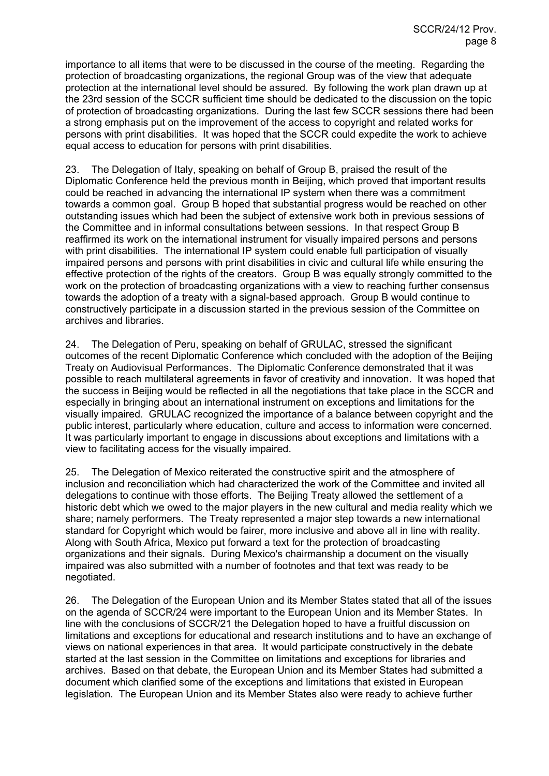importance to all items that were to be discussed in the course of the meeting. Regarding the protection of broadcasting organizations, the regional Group was of the view that adequate protection at the international level should be assured. By following the work plan drawn up at the 23rd session of the SCCR sufficient time should be dedicated to the discussion on the topic of protection of broadcasting organizations. During the last few SCCR sessions there had been a strong emphasis put on the improvement of the access to copyright and related works for persons with print disabilities. It was hoped that the SCCR could expedite the work to achieve equal access to education for persons with print disabilities.

23. The Delegation of Italy, speaking on behalf of Group B, praised the result of the Diplomatic Conference held the previous month in Beijing, which proved that important results could be reached in advancing the international IP system when there was a commitment towards a common goal. Group B hoped that substantial progress would be reached on other outstanding issues which had been the subject of extensive work both in previous sessions of the Committee and in informal consultations between sessions. In that respect Group B reaffirmed its work on the international instrument for visually impaired persons and persons with print disabilities. The international IP system could enable full participation of visually impaired persons and persons with print disabilities in civic and cultural life while ensuring the effective protection of the rights of the creators. Group B was equally strongly committed to the work on the protection of broadcasting organizations with a view to reaching further consensus towards the adoption of a treaty with a signal-based approach. Group B would continue to constructively participate in a discussion started in the previous session of the Committee on archives and libraries.

24. The Delegation of Peru, speaking on behalf of GRULAC, stressed the significant outcomes of the recent Diplomatic Conference which concluded with the adoption of the Beijing Treaty on Audiovisual Performances. The Diplomatic Conference demonstrated that it was possible to reach multilateral agreements in favor of creativity and innovation. It was hoped that the success in Beijing would be reflected in all the negotiations that take place in the SCCR and especially in bringing about an international instrument on exceptions and limitations for the visually impaired. GRULAC recognized the importance of a balance between copyright and the public interest, particularly where education, culture and access to information were concerned. It was particularly important to engage in discussions about exceptions and limitations with a view to facilitating access for the visually impaired.

25. The Delegation of Mexico reiterated the constructive spirit and the atmosphere of inclusion and reconciliation which had characterized the work of the Committee and invited all delegations to continue with those efforts. The Beijing Treaty allowed the settlement of a historic debt which we owed to the major players in the new cultural and media reality which we share; namely performers. The Treaty represented a major step towards a new international standard for Copyright which would be fairer, more inclusive and above all in line with reality. Along with South Africa, Mexico put forward a text for the protection of broadcasting organizations and their signals. During Mexico's chairmanship a document on the visually impaired was also submitted with a number of footnotes and that text was ready to be negotiated.

26. The Delegation of the European Union and its Member States stated that all of the issues on the agenda of SCCR/24 were important to the European Union and its Member States. In line with the conclusions of SCCR/21 the Delegation hoped to have a fruitful discussion on limitations and exceptions for educational and research institutions and to have an exchange of views on national experiences in that area. It would participate constructively in the debate started at the last session in the Committee on limitations and exceptions for libraries and archives. Based on that debate, the European Union and its Member States had submitted a document which clarified some of the exceptions and limitations that existed in European legislation. The European Union and its Member States also were ready to achieve further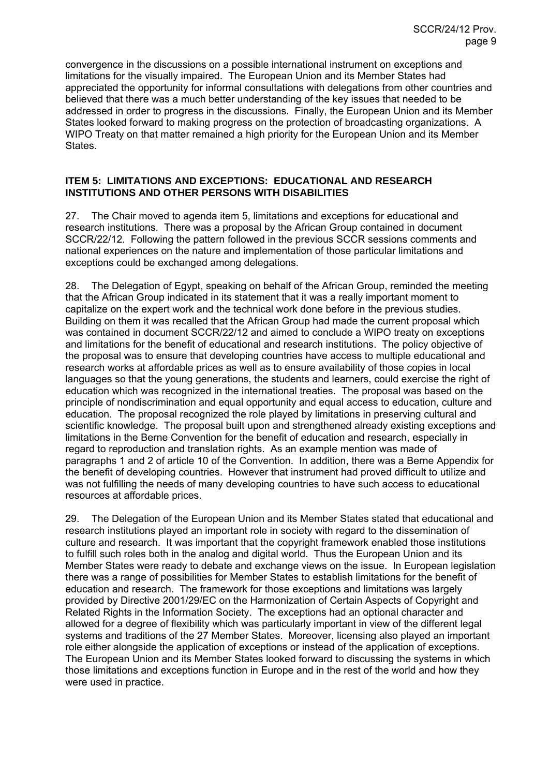convergence in the discussions on a possible international instrument on exceptions and limitations for the visually impaired. The European Union and its Member States had appreciated the opportunity for informal consultations with delegations from other countries and believed that there was a much better understanding of the key issues that needed to be addressed in order to progress in the discussions. Finally, the European Union and its Member States looked forward to making progress on the protection of broadcasting organizations. A WIPO Treaty on that matter remained a high priority for the European Union and its Member States.

### **ITEM 5: LIMITATIONS AND EXCEPTIONS: EDUCATIONAL AND RESEARCH INSTITUTIONS AND OTHER PERSONS WITH DISABILITIES**

27. The Chair moved to agenda item 5, limitations and exceptions for educational and research institutions. There was a proposal by the African Group contained in document SCCR/22/12. Following the pattern followed in the previous SCCR sessions comments and national experiences on the nature and implementation of those particular limitations and exceptions could be exchanged among delegations.

28. The Delegation of Egypt, speaking on behalf of the African Group, reminded the meeting that the African Group indicated in its statement that it was a really important moment to capitalize on the expert work and the technical work done before in the previous studies. Building on them it was recalled that the African Group had made the current proposal which was contained in document SCCR/22/12 and aimed to conclude a WIPO treaty on exceptions and limitations for the benefit of educational and research institutions. The policy objective of the proposal was to ensure that developing countries have access to multiple educational and research works at affordable prices as well as to ensure availability of those copies in local languages so that the young generations, the students and learners, could exercise the right of education which was recognized in the international treaties. The proposal was based on the principle of nondiscrimination and equal opportunity and equal access to education, culture and education. The proposal recognized the role played by limitations in preserving cultural and scientific knowledge. The proposal built upon and strengthened already existing exceptions and limitations in the Berne Convention for the benefit of education and research, especially in regard to reproduction and translation rights. As an example mention was made of paragraphs 1 and 2 of article 10 of the Convention. In addition, there was a Berne Appendix for the benefit of developing countries. However that instrument had proved difficult to utilize and was not fulfilling the needs of many developing countries to have such access to educational resources at affordable prices.

29. The Delegation of the European Union and its Member States stated that educational and research institutions played an important role in society with regard to the dissemination of culture and research. It was important that the copyright framework enabled those institutions to fulfill such roles both in the analog and digital world. Thus the European Union and its Member States were ready to debate and exchange views on the issue. In European legislation there was a range of possibilities for Member States to establish limitations for the benefit of education and research. The framework for those exceptions and limitations was largely provided by Directive 2001/29/EC on the Harmonization of Certain Aspects of Copyright and Related Rights in the Information Society. The exceptions had an optional character and allowed for a degree of flexibility which was particularly important in view of the different legal systems and traditions of the 27 Member States. Moreover, licensing also played an important role either alongside the application of exceptions or instead of the application of exceptions. The European Union and its Member States looked forward to discussing the systems in which those limitations and exceptions function in Europe and in the rest of the world and how they were used in practice.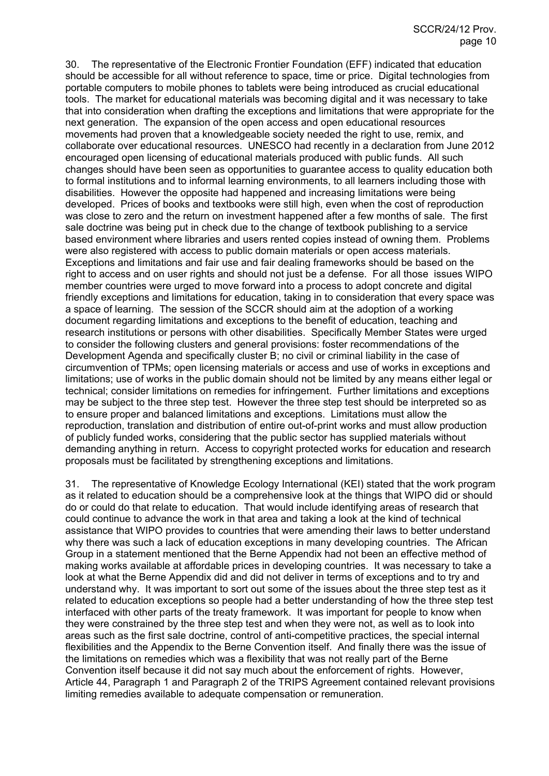30. The representative of the Electronic Frontier Foundation (EFF) indicated that education should be accessible for all without reference to space, time or price. Digital technologies from portable computers to mobile phones to tablets were being introduced as crucial educational tools. The market for educational materials was becoming digital and it was necessary to take that into consideration when drafting the exceptions and limitations that were appropriate for the next generation. The expansion of the open access and open educational resources movements had proven that a knowledgeable society needed the right to use, remix, and collaborate over educational resources. UNESCO had recently in a declaration from June 2012 encouraged open licensing of educational materials produced with public funds. All such changes should have been seen as opportunities to guarantee access to quality education both to formal institutions and to informal learning environments, to all learners including those with disabilities. However the opposite had happened and increasing limitations were being developed. Prices of books and textbooks were still high, even when the cost of reproduction was close to zero and the return on investment happened after a few months of sale. The first sale doctrine was being put in check due to the change of textbook publishing to a service based environment where libraries and users rented copies instead of owning them. Problems were also registered with access to public domain materials or open access materials. Exceptions and limitations and fair use and fair dealing frameworks should be based on the right to access and on user rights and should not just be a defense. For all those issues WIPO member countries were urged to move forward into a process to adopt concrete and digital friendly exceptions and limitations for education, taking in to consideration that every space was a space of learning. The session of the SCCR should aim at the adoption of a working document regarding limitations and exceptions to the benefit of education, teaching and research institutions or persons with other disabilities. Specifically Member States were urged to consider the following clusters and general provisions: foster recommendations of the Development Agenda and specifically cluster B; no civil or criminal liability in the case of circumvention of TPMs; open licensing materials or access and use of works in exceptions and limitations; use of works in the public domain should not be limited by any means either legal or technical; consider limitations on remedies for infringement. Further limitations and exceptions may be subject to the three step test. However the three step test should be interpreted so as to ensure proper and balanced limitations and exceptions. Limitations must allow the reproduction, translation and distribution of entire out-of-print works and must allow production of publicly funded works, considering that the public sector has supplied materials without demanding anything in return. Access to copyright protected works for education and research proposals must be facilitated by strengthening exceptions and limitations.

31. The representative of Knowledge Ecology International (KEI) stated that the work program as it related to education should be a comprehensive look at the things that WIPO did or should do or could do that relate to education. That would include identifying areas of research that could continue to advance the work in that area and taking a look at the kind of technical assistance that WIPO provides to countries that were amending their laws to better understand why there was such a lack of education exceptions in many developing countries. The African Group in a statement mentioned that the Berne Appendix had not been an effective method of making works available at affordable prices in developing countries. It was necessary to take a look at what the Berne Appendix did and did not deliver in terms of exceptions and to try and understand why. It was important to sort out some of the issues about the three step test as it related to education exceptions so people had a better understanding of how the three step test interfaced with other parts of the treaty framework. It was important for people to know when they were constrained by the three step test and when they were not, as well as to look into areas such as the first sale doctrine, control of anti-competitive practices, the special internal flexibilities and the Appendix to the Berne Convention itself. And finally there was the issue of the limitations on remedies which was a flexibility that was not really part of the Berne Convention itself because it did not say much about the enforcement of rights. However, Article 44, Paragraph 1 and Paragraph 2 of the TRIPS Agreement contained relevant provisions limiting remedies available to adequate compensation or remuneration.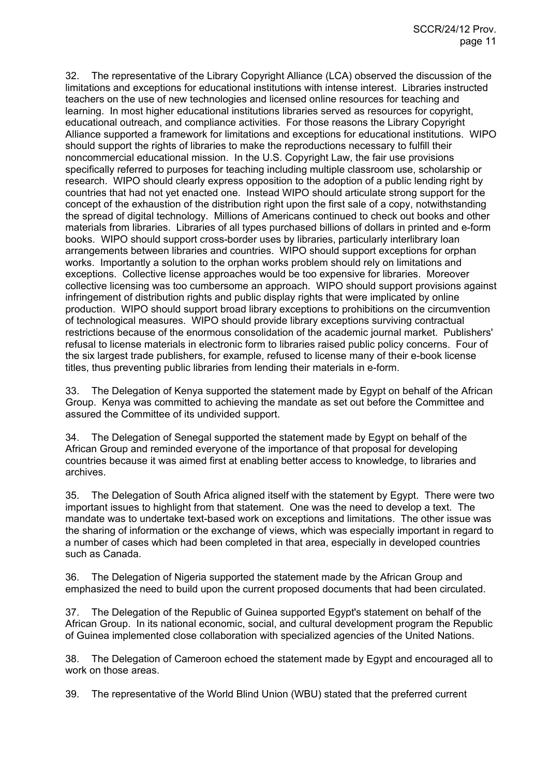32. The representative of the Library Copyright Alliance (LCA) observed the discussion of the limitations and exceptions for educational institutions with intense interest. Libraries instructed teachers on the use of new technologies and licensed online resources for teaching and learning. In most higher educational institutions libraries served as resources for copyright, educational outreach, and compliance activities. For those reasons the Library Copyright Alliance supported a framework for limitations and exceptions for educational institutions. WIPO should support the rights of libraries to make the reproductions necessary to fulfill their noncommercial educational mission. In the U.S. Copyright Law, the fair use provisions specifically referred to purposes for teaching including multiple classroom use, scholarship or research. WIPO should clearly express opposition to the adoption of a public lending right by countries that had not yet enacted one. Instead WIPO should articulate strong support for the concept of the exhaustion of the distribution right upon the first sale of a copy, notwithstanding the spread of digital technology. Millions of Americans continued to check out books and other materials from libraries. Libraries of all types purchased billions of dollars in printed and e-form books. WIPO should support cross-border uses by libraries, particularly interlibrary loan arrangements between libraries and countries. WIPO should support exceptions for orphan works. Importantly a solution to the orphan works problem should rely on limitations and exceptions. Collective license approaches would be too expensive for libraries. Moreover collective licensing was too cumbersome an approach. WIPO should support provisions against infringement of distribution rights and public display rights that were implicated by online production. WIPO should support broad library exceptions to prohibitions on the circumvention of technological measures. WIPO should provide library exceptions surviving contractual restrictions because of the enormous consolidation of the academic journal market. Publishers' refusal to license materials in electronic form to libraries raised public policy concerns. Four of the six largest trade publishers, for example, refused to license many of their e-book license titles, thus preventing public libraries from lending their materials in e-form.

33. The Delegation of Kenya supported the statement made by Egypt on behalf of the African Group. Kenya was committed to achieving the mandate as set out before the Committee and assured the Committee of its undivided support.

34. The Delegation of Senegal supported the statement made by Egypt on behalf of the African Group and reminded everyone of the importance of that proposal for developing countries because it was aimed first at enabling better access to knowledge, to libraries and archives.

35. The Delegation of South Africa aligned itself with the statement by Egypt. There were two important issues to highlight from that statement. One was the need to develop a text. The mandate was to undertake text-based work on exceptions and limitations. The other issue was the sharing of information or the exchange of views, which was especially important in regard to a number of cases which had been completed in that area, especially in developed countries such as Canada.

36. The Delegation of Nigeria supported the statement made by the African Group and emphasized the need to build upon the current proposed documents that had been circulated.

37. The Delegation of the Republic of Guinea supported Egypt's statement on behalf of the African Group. In its national economic, social, and cultural development program the Republic of Guinea implemented close collaboration with specialized agencies of the United Nations.

38. The Delegation of Cameroon echoed the statement made by Egypt and encouraged all to work on those areas.

39. The representative of the World Blind Union (WBU) stated that the preferred current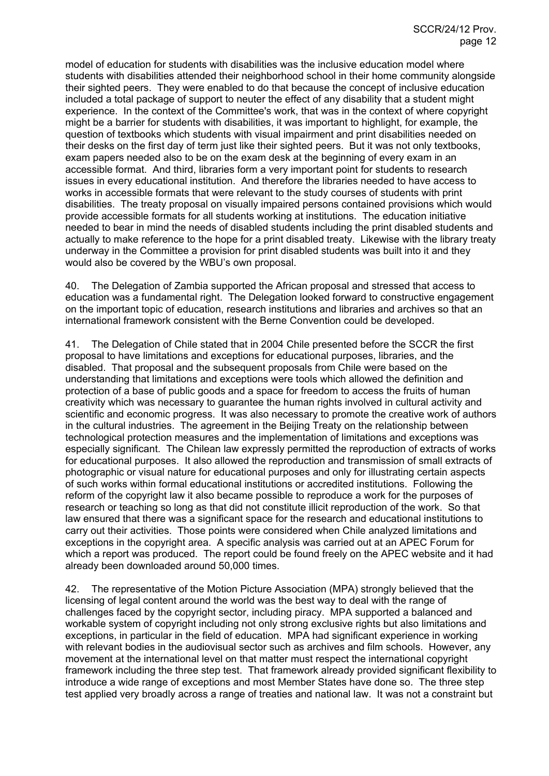model of education for students with disabilities was the inclusive education model where students with disabilities attended their neighborhood school in their home community alongside their sighted peers. They were enabled to do that because the concept of inclusive education included a total package of support to neuter the effect of any disability that a student might experience. In the context of the Committee's work, that was in the context of where copyright might be a barrier for students with disabilities, it was important to highlight, for example, the question of textbooks which students with visual impairment and print disabilities needed on their desks on the first day of term just like their sighted peers. But it was not only textbooks, exam papers needed also to be on the exam desk at the beginning of every exam in an accessible format. And third, libraries form a very important point for students to research issues in every educational institution. And therefore the libraries needed to have access to works in accessible formats that were relevant to the study courses of students with print disabilities. The treaty proposal on visually impaired persons contained provisions which would provide accessible formats for all students working at institutions. The education initiative needed to bear in mind the needs of disabled students including the print disabled students and actually to make reference to the hope for a print disabled treaty. Likewise with the library treaty underway in the Committee a provision for print disabled students was built into it and they would also be covered by the WBU's own proposal.

40. The Delegation of Zambia supported the African proposal and stressed that access to education was a fundamental right. The Delegation looked forward to constructive engagement on the important topic of education, research institutions and libraries and archives so that an international framework consistent with the Berne Convention could be developed.

41. The Delegation of Chile stated that in 2004 Chile presented before the SCCR the first proposal to have limitations and exceptions for educational purposes, libraries, and the disabled. That proposal and the subsequent proposals from Chile were based on the understanding that limitations and exceptions were tools which allowed the definition and protection of a base of public goods and a space for freedom to access the fruits of human creativity which was necessary to guarantee the human rights involved in cultural activity and scientific and economic progress. It was also necessary to promote the creative work of authors in the cultural industries. The agreement in the Beijing Treaty on the relationship between technological protection measures and the implementation of limitations and exceptions was especially significant. The Chilean law expressly permitted the reproduction of extracts of works for educational purposes. It also allowed the reproduction and transmission of small extracts of photographic or visual nature for educational purposes and only for illustrating certain aspects of such works within formal educational institutions or accredited institutions. Following the reform of the copyright law it also became possible to reproduce a work for the purposes of research or teaching so long as that did not constitute illicit reproduction of the work. So that law ensured that there was a significant space for the research and educational institutions to carry out their activities. Those points were considered when Chile analyzed limitations and exceptions in the copyright area. A specific analysis was carried out at an APEC Forum for which a report was produced. The report could be found freely on the APEC website and it had already been downloaded around 50,000 times.

42. The representative of the Motion Picture Association (MPA) strongly believed that the licensing of legal content around the world was the best way to deal with the range of challenges faced by the copyright sector, including piracy. MPA supported a balanced and workable system of copyright including not only strong exclusive rights but also limitations and exceptions, in particular in the field of education. MPA had significant experience in working with relevant bodies in the audiovisual sector such as archives and film schools. However, any movement at the international level on that matter must respect the international copyright framework including the three step test. That framework already provided significant flexibility to introduce a wide range of exceptions and most Member States have done so. The three step test applied very broadly across a range of treaties and national law. It was not a constraint but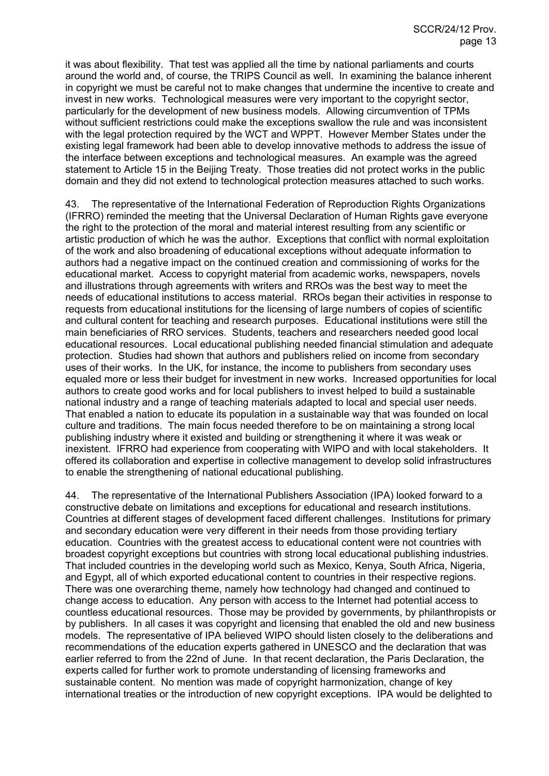it was about flexibility. That test was applied all the time by national parliaments and courts around the world and, of course, the TRIPS Council as well. In examining the balance inherent in copyright we must be careful not to make changes that undermine the incentive to create and invest in new works. Technological measures were very important to the copyright sector, particularly for the development of new business models. Allowing circumvention of TPMs without sufficient restrictions could make the exceptions swallow the rule and was inconsistent with the legal protection required by the WCT and WPPT. However Member States under the existing legal framework had been able to develop innovative methods to address the issue of the interface between exceptions and technological measures. An example was the agreed statement to Article 15 in the Beijing Treaty. Those treaties did not protect works in the public domain and they did not extend to technological protection measures attached to such works.

43. The representative of the International Federation of Reproduction Rights Organizations (IFRRO) reminded the meeting that the Universal Declaration of Human Rights gave everyone the right to the protection of the moral and material interest resulting from any scientific or artistic production of which he was the author. Exceptions that conflict with normal exploitation of the work and also broadening of educational exceptions without adequate information to authors had a negative impact on the continued creation and commissioning of works for the educational market. Access to copyright material from academic works, newspapers, novels and illustrations through agreements with writers and RROs was the best way to meet the needs of educational institutions to access material. RROs began their activities in response to requests from educational institutions for the licensing of large numbers of copies of scientific and cultural content for teaching and research purposes. Educational institutions were still the main beneficiaries of RRO services. Students, teachers and researchers needed good local educational resources. Local educational publishing needed financial stimulation and adequate protection. Studies had shown that authors and publishers relied on income from secondary uses of their works. In the UK, for instance, the income to publishers from secondary uses equaled more or less their budget for investment in new works. Increased opportunities for local authors to create good works and for local publishers to invest helped to build a sustainable national industry and a range of teaching materials adapted to local and special user needs. That enabled a nation to educate its population in a sustainable way that was founded on local culture and traditions. The main focus needed therefore to be on maintaining a strong local publishing industry where it existed and building or strengthening it where it was weak or inexistent. IFRRO had experience from cooperating with WIPO and with local stakeholders. It offered its collaboration and expertise in collective management to develop solid infrastructures to enable the strengthening of national educational publishing.

44. The representative of the International Publishers Association (IPA) looked forward to a constructive debate on limitations and exceptions for educational and research institutions. Countries at different stages of development faced different challenges. Institutions for primary and secondary education were very different in their needs from those providing tertiary education. Countries with the greatest access to educational content were not countries with broadest copyright exceptions but countries with strong local educational publishing industries. That included countries in the developing world such as Mexico, Kenya, South Africa, Nigeria, and Egypt, all of which exported educational content to countries in their respective regions. There was one overarching theme, namely how technology had changed and continued to change access to education. Any person with access to the Internet had potential access to countless educational resources. Those may be provided by governments, by philanthropists or by publishers. In all cases it was copyright and licensing that enabled the old and new business models. The representative of IPA believed WIPO should listen closely to the deliberations and recommendations of the education experts gathered in UNESCO and the declaration that was earlier referred to from the 22nd of June. In that recent declaration, the Paris Declaration, the experts called for further work to promote understanding of licensing frameworks and sustainable content. No mention was made of copyright harmonization, change of key international treaties or the introduction of new copyright exceptions. IPA would be delighted to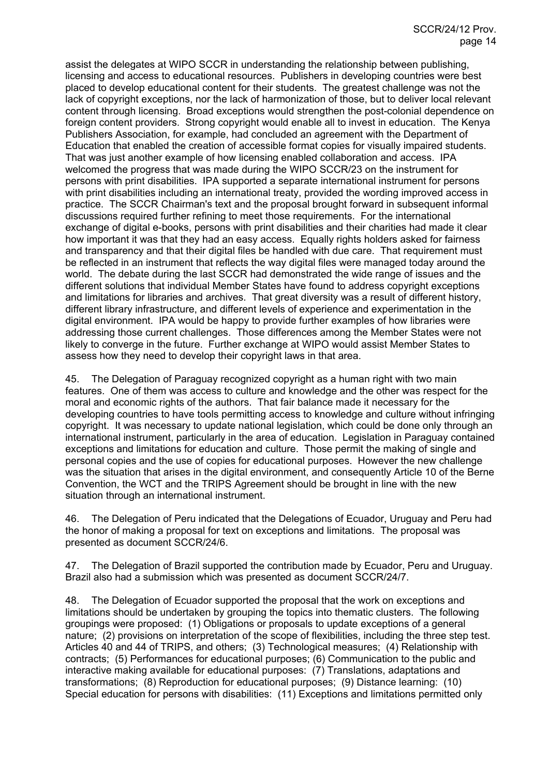assist the delegates at WIPO SCCR in understanding the relationship between publishing, licensing and access to educational resources. Publishers in developing countries were best placed to develop educational content for their students. The greatest challenge was not the lack of copyright exceptions, nor the lack of harmonization of those, but to deliver local relevant content through licensing. Broad exceptions would strengthen the post-colonial dependence on foreign content providers. Strong copyright would enable all to invest in education. The Kenya Publishers Association, for example, had concluded an agreement with the Department of Education that enabled the creation of accessible format copies for visually impaired students. That was just another example of how licensing enabled collaboration and access. IPA welcomed the progress that was made during the WIPO SCCR/23 on the instrument for persons with print disabilities. IPA supported a separate international instrument for persons with print disabilities including an international treaty, provided the wording improved access in practice. The SCCR Chairman's text and the proposal brought forward in subsequent informal discussions required further refining to meet those requirements. For the international exchange of digital e-books, persons with print disabilities and their charities had made it clear how important it was that they had an easy access. Equally rights holders asked for fairness and transparency and that their digital files be handled with due care. That requirement must be reflected in an instrument that reflects the way digital files were managed today around the world. The debate during the last SCCR had demonstrated the wide range of issues and the different solutions that individual Member States have found to address copyright exceptions and limitations for libraries and archives. That great diversity was a result of different history, different library infrastructure, and different levels of experience and experimentation in the digital environment. IPA would be happy to provide further examples of how libraries were addressing those current challenges. Those differences among the Member States were not likely to converge in the future. Further exchange at WIPO would assist Member States to assess how they need to develop their copyright laws in that area.

45. The Delegation of Paraguay recognized copyright as a human right with two main features. One of them was access to culture and knowledge and the other was respect for the moral and economic rights of the authors. That fair balance made it necessary for the developing countries to have tools permitting access to knowledge and culture without infringing copyright. It was necessary to update national legislation, which could be done only through an international instrument, particularly in the area of education. Legislation in Paraguay contained exceptions and limitations for education and culture. Those permit the making of single and personal copies and the use of copies for educational purposes. However the new challenge was the situation that arises in the digital environment, and consequently Article 10 of the Berne Convention, the WCT and the TRIPS Agreement should be brought in line with the new situation through an international instrument.

46. The Delegation of Peru indicated that the Delegations of Ecuador, Uruguay and Peru had the honor of making a proposal for text on exceptions and limitations. The proposal was presented as document SCCR/24/6.

47. The Delegation of Brazil supported the contribution made by Ecuador, Peru and Uruguay. Brazil also had a submission which was presented as document SCCR/24/7.

48. The Delegation of Ecuador supported the proposal that the work on exceptions and limitations should be undertaken by grouping the topics into thematic clusters. The following groupings were proposed: (1) Obligations or proposals to update exceptions of a general nature; (2) provisions on interpretation of the scope of flexibilities, including the three step test. Articles 40 and 44 of TRIPS, and others; (3) Technological measures; (4) Relationship with contracts; (5) Performances for educational purposes; (6) Communication to the public and interactive making available for educational purposes: (7) Translations, adaptations and transformations; (8) Reproduction for educational purposes; (9) Distance learning: (10) Special education for persons with disabilities: (11) Exceptions and limitations permitted only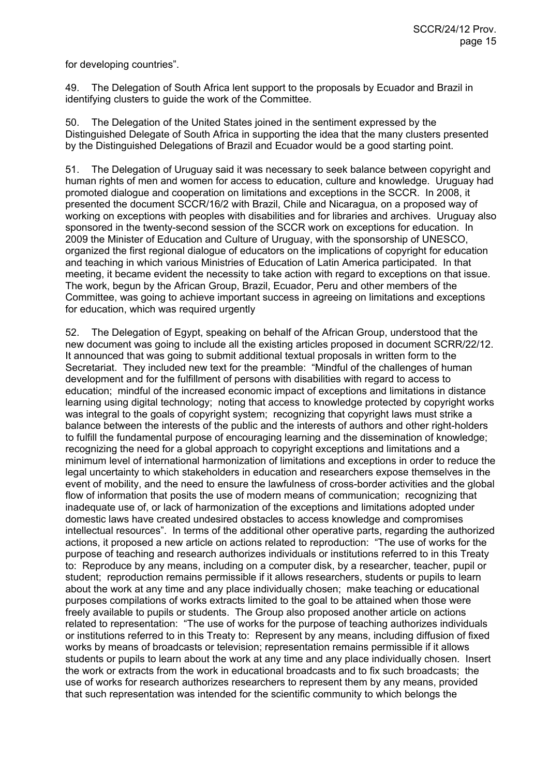for developing countries".

49. The Delegation of South Africa lent support to the proposals by Ecuador and Brazil in identifying clusters to guide the work of the Committee.

50. The Delegation of the United States joined in the sentiment expressed by the Distinguished Delegate of South Africa in supporting the idea that the many clusters presented by the Distinguished Delegations of Brazil and Ecuador would be a good starting point.

51. The Delegation of Uruguay said it was necessary to seek balance between copyright and human rights of men and women for access to education, culture and knowledge. Uruguay had promoted dialogue and cooperation on limitations and exceptions in the SCCR. In 2008, it presented the document SCCR/16/2 with Brazil, Chile and Nicaragua, on a proposed way of working on exceptions with peoples with disabilities and for libraries and archives. Uruguay also sponsored in the twenty-second session of the SCCR work on exceptions for education. In 2009 the Minister of Education and Culture of Uruguay, with the sponsorship of UNESCO, organized the first regional dialogue of educators on the implications of copyright for education and teaching in which various Ministries of Education of Latin America participated. In that meeting, it became evident the necessity to take action with regard to exceptions on that issue. The work, begun by the African Group, Brazil, Ecuador, Peru and other members of the Committee, was going to achieve important success in agreeing on limitations and exceptions for education, which was required urgently

52. The Delegation of Egypt, speaking on behalf of the African Group, understood that the new document was going to include all the existing articles proposed in document SCRR/22/12. It announced that was going to submit additional textual proposals in written form to the Secretariat. They included new text for the preamble: "Mindful of the challenges of human development and for the fulfillment of persons with disabilities with regard to access to education; mindful of the increased economic impact of exceptions and limitations in distance learning using digital technology; noting that access to knowledge protected by copyright works was integral to the goals of copyright system; recognizing that copyright laws must strike a balance between the interests of the public and the interests of authors and other right-holders to fulfill the fundamental purpose of encouraging learning and the dissemination of knowledge; recognizing the need for a global approach to copyright exceptions and limitations and a minimum level of international harmonization of limitations and exceptions in order to reduce the legal uncertainty to which stakeholders in education and researchers expose themselves in the event of mobility, and the need to ensure the lawfulness of cross-border activities and the global flow of information that posits the use of modern means of communication; recognizing that inadequate use of, or lack of harmonization of the exceptions and limitations adopted under domestic laws have created undesired obstacles to access knowledge and compromises intellectual resources". In terms of the additional other operative parts, regarding the authorized actions, it proposed a new article on actions related to reproduction: "The use of works for the purpose of teaching and research authorizes individuals or institutions referred to in this Treaty to: Reproduce by any means, including on a computer disk, by a researcher, teacher, pupil or student; reproduction remains permissible if it allows researchers, students or pupils to learn about the work at any time and any place individually chosen; make teaching or educational purposes compilations of works extracts limited to the goal to be attained when those were freely available to pupils or students. The Group also proposed another article on actions related to representation: "The use of works for the purpose of teaching authorizes individuals or institutions referred to in this Treaty to: Represent by any means, including diffusion of fixed works by means of broadcasts or television; representation remains permissible if it allows students or pupils to learn about the work at any time and any place individually chosen. Insert the work or extracts from the work in educational broadcasts and to fix such broadcasts; the use of works for research authorizes researchers to represent them by any means, provided that such representation was intended for the scientific community to which belongs the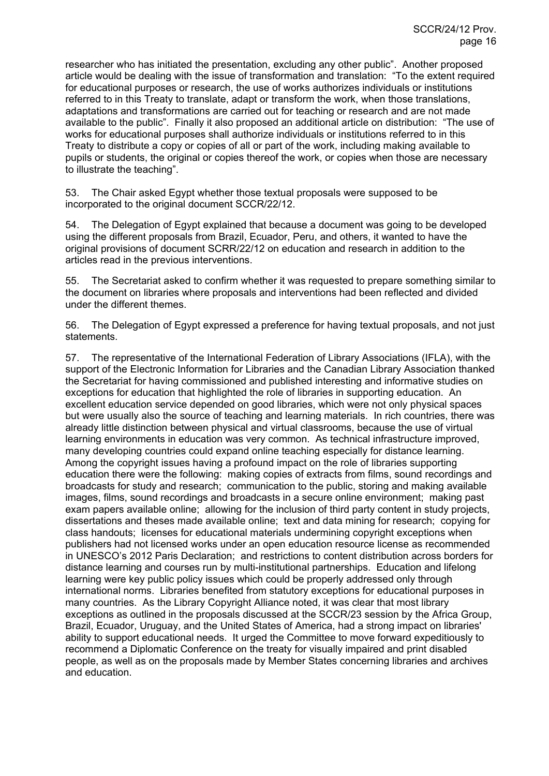researcher who has initiated the presentation, excluding any other public". Another proposed article would be dealing with the issue of transformation and translation: "To the extent required for educational purposes or research, the use of works authorizes individuals or institutions referred to in this Treaty to translate, adapt or transform the work, when those translations, adaptations and transformations are carried out for teaching or research and are not made available to the public". Finally it also proposed an additional article on distribution: "The use of works for educational purposes shall authorize individuals or institutions referred to in this Treaty to distribute a copy or copies of all or part of the work, including making available to pupils or students, the original or copies thereof the work, or copies when those are necessary to illustrate the teaching".

53. The Chair asked Egypt whether those textual proposals were supposed to be incorporated to the original document SCCR/22/12.

54. The Delegation of Egypt explained that because a document was going to be developed using the different proposals from Brazil, Ecuador, Peru, and others, it wanted to have the original provisions of document SCRR/22/12 on education and research in addition to the articles read in the previous interventions.

55. The Secretariat asked to confirm whether it was requested to prepare something similar to the document on libraries where proposals and interventions had been reflected and divided under the different themes.

56. The Delegation of Egypt expressed a preference for having textual proposals, and not just statements.

57. The representative of the International Federation of Library Associations (IFLA), with the support of the Electronic Information for Libraries and the Canadian Library Association thanked the Secretariat for having commissioned and published interesting and informative studies on exceptions for education that highlighted the role of libraries in supporting education. An excellent education service depended on good libraries, which were not only physical spaces but were usually also the source of teaching and learning materials. In rich countries, there was already little distinction between physical and virtual classrooms, because the use of virtual learning environments in education was very common. As technical infrastructure improved, many developing countries could expand online teaching especially for distance learning. Among the copyright issues having a profound impact on the role of libraries supporting education there were the following: making copies of extracts from films, sound recordings and broadcasts for study and research; communication to the public, storing and making available images, films, sound recordings and broadcasts in a secure online environment; making past exam papers available online; allowing for the inclusion of third party content in study projects, dissertations and theses made available online; text and data mining for research; copying for class handouts; licenses for educational materials undermining copyright exceptions when publishers had not licensed works under an open education resource license as recommended in UNESCO's 2012 Paris Declaration; and restrictions to content distribution across borders for distance learning and courses run by multi-institutional partnerships. Education and lifelong learning were key public policy issues which could be properly addressed only through international norms. Libraries benefited from statutory exceptions for educational purposes in many countries. As the Library Copyright Alliance noted, it was clear that most library exceptions as outlined in the proposals discussed at the SCCR/23 session by the Africa Group, Brazil, Ecuador, Uruguay, and the United States of America, had a strong impact on libraries' ability to support educational needs. It urged the Committee to move forward expeditiously to recommend a Diplomatic Conference on the treaty for visually impaired and print disabled people, as well as on the proposals made by Member States concerning libraries and archives and education.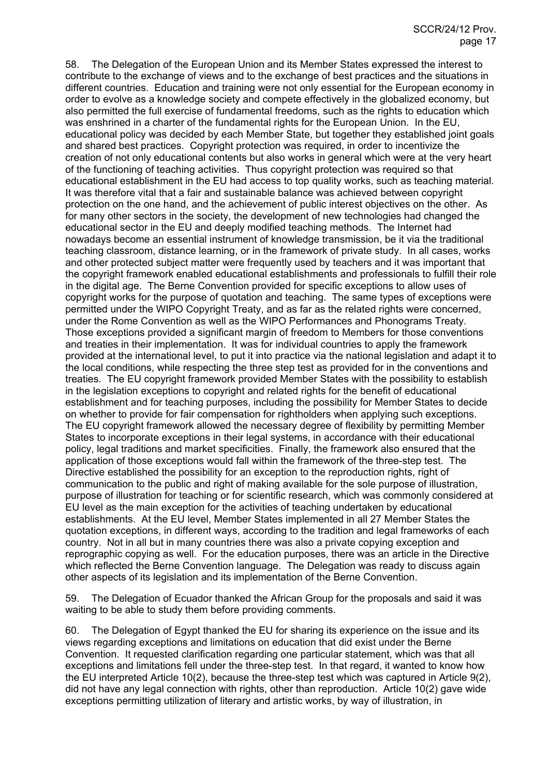58. The Delegation of the European Union and its Member States expressed the interest to contribute to the exchange of views and to the exchange of best practices and the situations in different countries. Education and training were not only essential for the European economy in order to evolve as a knowledge society and compete effectively in the globalized economy, but also permitted the full exercise of fundamental freedoms, such as the rights to education which was enshrined in a charter of the fundamental rights for the European Union. In the EU, educational policy was decided by each Member State, but together they established joint goals and shared best practices. Copyright protection was required, in order to incentivize the creation of not only educational contents but also works in general which were at the very heart of the functioning of teaching activities. Thus copyright protection was required so that educational establishment in the EU had access to top quality works, such as teaching material. It was therefore vital that a fair and sustainable balance was achieved between copyright protection on the one hand, and the achievement of public interest objectives on the other. As for many other sectors in the society, the development of new technologies had changed the educational sector in the EU and deeply modified teaching methods. The Internet had nowadays become an essential instrument of knowledge transmission, be it via the traditional teaching classroom, distance learning, or in the framework of private study. In all cases, works and other protected subject matter were frequently used by teachers and it was important that the copyright framework enabled educational establishments and professionals to fulfill their role in the digital age. The Berne Convention provided for specific exceptions to allow uses of copyright works for the purpose of quotation and teaching. The same types of exceptions were permitted under the WIPO Copyright Treaty, and as far as the related rights were concerned, under the Rome Convention as well as the WIPO Performances and Phonograms Treaty. Those exceptions provided a significant margin of freedom to Members for those conventions and treaties in their implementation. It was for individual countries to apply the framework provided at the international level, to put it into practice via the national legislation and adapt it to the local conditions, while respecting the three step test as provided for in the conventions and treaties. The EU copyright framework provided Member States with the possibility to establish in the legislation exceptions to copyright and related rights for the benefit of educational establishment and for teaching purposes, including the possibility for Member States to decide on whether to provide for fair compensation for rightholders when applying such exceptions. The EU copyright framework allowed the necessary degree of flexibility by permitting Member States to incorporate exceptions in their legal systems, in accordance with their educational policy, legal traditions and market specificities. Finally, the framework also ensured that the application of those exceptions would fall within the framework of the three-step test. The Directive established the possibility for an exception to the reproduction rights, right of communication to the public and right of making available for the sole purpose of illustration, purpose of illustration for teaching or for scientific research, which was commonly considered at EU level as the main exception for the activities of teaching undertaken by educational establishments. At the EU level, Member States implemented in all 27 Member States the quotation exceptions, in different ways, according to the tradition and legal frameworks of each country. Not in all but in many countries there was also a private copying exception and reprographic copying as well. For the education purposes, there was an article in the Directive which reflected the Berne Convention language. The Delegation was ready to discuss again other aspects of its legislation and its implementation of the Berne Convention.

59. The Delegation of Ecuador thanked the African Group for the proposals and said it was waiting to be able to study them before providing comments.

60. The Delegation of Egypt thanked the EU for sharing its experience on the issue and its views regarding exceptions and limitations on education that did exist under the Berne Convention. It requested clarification regarding one particular statement, which was that all exceptions and limitations fell under the three-step test. In that regard, it wanted to know how the EU interpreted Article 10(2), because the three-step test which was captured in Article 9(2), did not have any legal connection with rights, other than reproduction. Article 10(2) gave wide exceptions permitting utilization of literary and artistic works, by way of illustration, in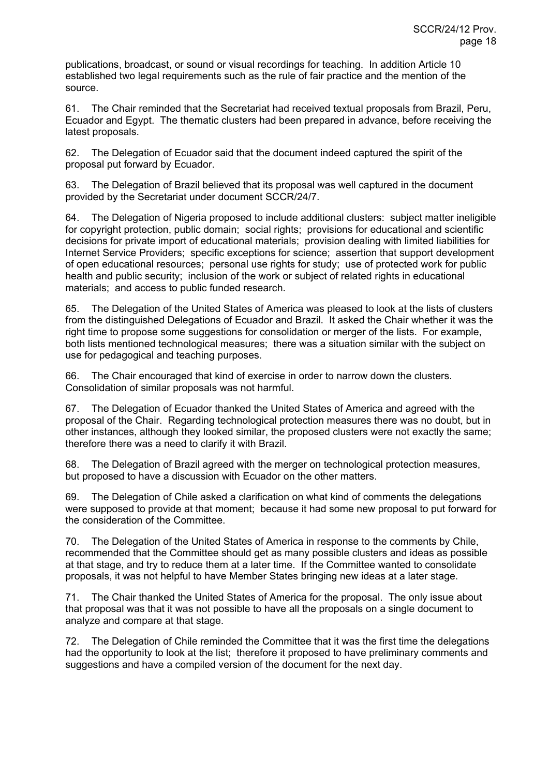publications, broadcast, or sound or visual recordings for teaching. In addition Article 10 established two legal requirements such as the rule of fair practice and the mention of the source.

61. The Chair reminded that the Secretariat had received textual proposals from Brazil, Peru, Ecuador and Egypt. The thematic clusters had been prepared in advance, before receiving the latest proposals.

62. The Delegation of Ecuador said that the document indeed captured the spirit of the proposal put forward by Ecuador.

63. The Delegation of Brazil believed that its proposal was well captured in the document provided by the Secretariat under document SCCR/24/7.

64. The Delegation of Nigeria proposed to include additional clusters: subject matter ineligible for copyright protection, public domain; social rights; provisions for educational and scientific decisions for private import of educational materials; provision dealing with limited liabilities for Internet Service Providers; specific exceptions for science; assertion that support development of open educational resources; personal use rights for study; use of protected work for public health and public security; inclusion of the work or subject of related rights in educational materials; and access to public funded research.

65. The Delegation of the United States of America was pleased to look at the lists of clusters from the distinguished Delegations of Ecuador and Brazil. It asked the Chair whether it was the right time to propose some suggestions for consolidation or merger of the lists. For example, both lists mentioned technological measures; there was a situation similar with the subject on use for pedagogical and teaching purposes.

66. The Chair encouraged that kind of exercise in order to narrow down the clusters. Consolidation of similar proposals was not harmful.

67. The Delegation of Ecuador thanked the United States of America and agreed with the proposal of the Chair. Regarding technological protection measures there was no doubt, but in other instances, although they looked similar, the proposed clusters were not exactly the same; therefore there was a need to clarify it with Brazil.

68. The Delegation of Brazil agreed with the merger on technological protection measures, but proposed to have a discussion with Ecuador on the other matters.

69. The Delegation of Chile asked a clarification on what kind of comments the delegations were supposed to provide at that moment; because it had some new proposal to put forward for the consideration of the Committee.

70. The Delegation of the United States of America in response to the comments by Chile, recommended that the Committee should get as many possible clusters and ideas as possible at that stage, and try to reduce them at a later time. If the Committee wanted to consolidate proposals, it was not helpful to have Member States bringing new ideas at a later stage.

71. The Chair thanked the United States of America for the proposal. The only issue about that proposal was that it was not possible to have all the proposals on a single document to analyze and compare at that stage.

72. The Delegation of Chile reminded the Committee that it was the first time the delegations had the opportunity to look at the list; therefore it proposed to have preliminary comments and suggestions and have a compiled version of the document for the next day.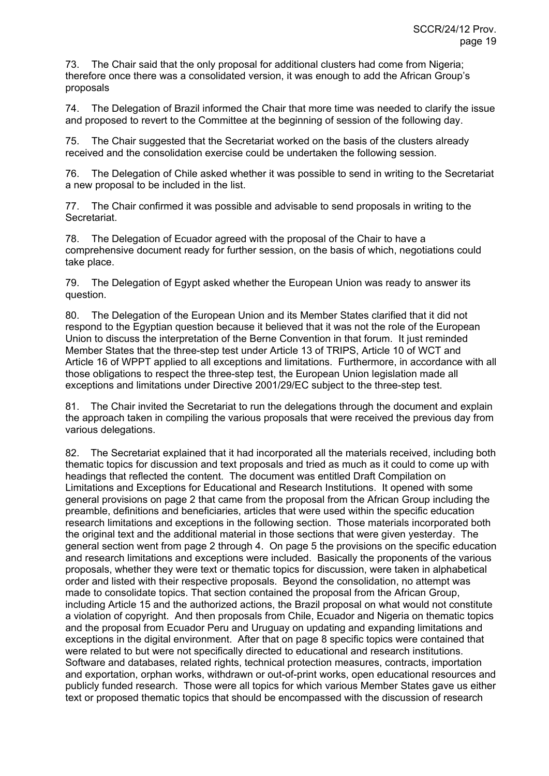73. The Chair said that the only proposal for additional clusters had come from Nigeria; therefore once there was a consolidated version, it was enough to add the African Group's proposals

74. The Delegation of Brazil informed the Chair that more time was needed to clarify the issue and proposed to revert to the Committee at the beginning of session of the following day.

75. The Chair suggested that the Secretariat worked on the basis of the clusters already received and the consolidation exercise could be undertaken the following session.

76. The Delegation of Chile asked whether it was possible to send in writing to the Secretariat a new proposal to be included in the list.

77. The Chair confirmed it was possible and advisable to send proposals in writing to the Secretariat.

78. The Delegation of Ecuador agreed with the proposal of the Chair to have a comprehensive document ready for further session, on the basis of which, negotiations could take place.

79. The Delegation of Egypt asked whether the European Union was ready to answer its question.

80. The Delegation of the European Union and its Member States clarified that it did not respond to the Egyptian question because it believed that it was not the role of the European Union to discuss the interpretation of the Berne Convention in that forum. It just reminded Member States that the three-step test under Article 13 of TRIPS, Article 10 of WCT and Article 16 of WPPT applied to all exceptions and limitations. Furthermore, in accordance with all those obligations to respect the three-step test, the European Union legislation made all exceptions and limitations under Directive 2001/29/EC subject to the three-step test.

81. The Chair invited the Secretariat to run the delegations through the document and explain the approach taken in compiling the various proposals that were received the previous day from various delegations.

82. The Secretariat explained that it had incorporated all the materials received, including both thematic topics for discussion and text proposals and tried as much as it could to come up with headings that reflected the content. The document was entitled Draft Compilation on Limitations and Exceptions for Educational and Research Institutions. It opened with some general provisions on page 2 that came from the proposal from the African Group including the preamble, definitions and beneficiaries, articles that were used within the specific education research limitations and exceptions in the following section. Those materials incorporated both the original text and the additional material in those sections that were given yesterday. The general section went from page 2 through 4. On page 5 the provisions on the specific education and research limitations and exceptions were included. Basically the proponents of the various proposals, whether they were text or thematic topics for discussion, were taken in alphabetical order and listed with their respective proposals. Beyond the consolidation, no attempt was made to consolidate topics. That section contained the proposal from the African Group, including Article 15 and the authorized actions, the Brazil proposal on what would not constitute a violation of copyright. And then proposals from Chile, Ecuador and Nigeria on thematic topics and the proposal from Ecuador Peru and Uruguay on updating and expanding limitations and exceptions in the digital environment. After that on page 8 specific topics were contained that were related to but were not specifically directed to educational and research institutions. Software and databases, related rights, technical protection measures, contracts, importation and exportation, orphan works, withdrawn or out-of-print works, open educational resources and publicly funded research. Those were all topics for which various Member States gave us either text or proposed thematic topics that should be encompassed with the discussion of research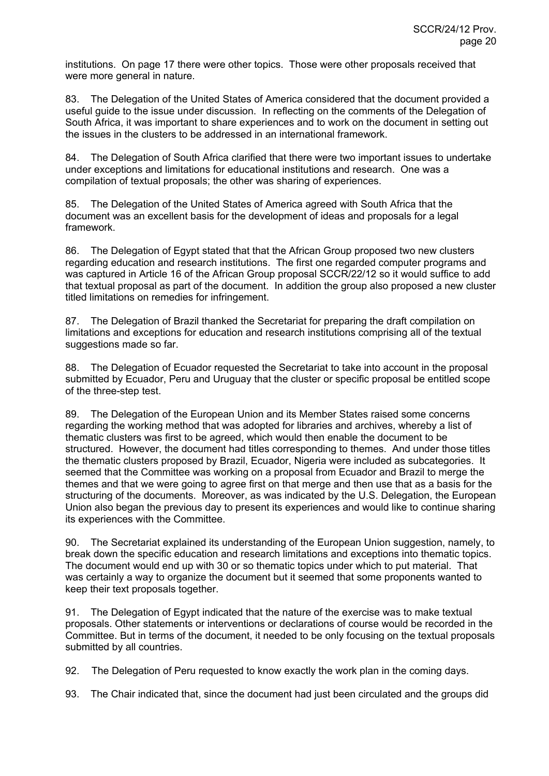institutions. On page 17 there were other topics. Those were other proposals received that were more general in nature.

83. The Delegation of the United States of America considered that the document provided a useful guide to the issue under discussion. In reflecting on the comments of the Delegation of South Africa, it was important to share experiences and to work on the document in setting out the issues in the clusters to be addressed in an international framework.

84. The Delegation of South Africa clarified that there were two important issues to undertake under exceptions and limitations for educational institutions and research. One was a compilation of textual proposals; the other was sharing of experiences.

85. The Delegation of the United States of America agreed with South Africa that the document was an excellent basis for the development of ideas and proposals for a legal framework.

86. The Delegation of Egypt stated that that the African Group proposed two new clusters regarding education and research institutions. The first one regarded computer programs and was captured in Article 16 of the African Group proposal SCCR/22/12 so it would suffice to add that textual proposal as part of the document. In addition the group also proposed a new cluster titled limitations on remedies for infringement.

87. The Delegation of Brazil thanked the Secretariat for preparing the draft compilation on limitations and exceptions for education and research institutions comprising all of the textual suggestions made so far.

88. The Delegation of Ecuador requested the Secretariat to take into account in the proposal submitted by Ecuador, Peru and Uruguay that the cluster or specific proposal be entitled scope of the three-step test.

89. The Delegation of the European Union and its Member States raised some concerns regarding the working method that was adopted for libraries and archives, whereby a list of thematic clusters was first to be agreed, which would then enable the document to be structured. However, the document had titles corresponding to themes. And under those titles the thematic clusters proposed by Brazil, Ecuador, Nigeria were included as subcategories. It seemed that the Committee was working on a proposal from Ecuador and Brazil to merge the themes and that we were going to agree first on that merge and then use that as a basis for the structuring of the documents. Moreover, as was indicated by the U.S. Delegation, the European Union also began the previous day to present its experiences and would like to continue sharing its experiences with the Committee.

90. The Secretariat explained its understanding of the European Union suggestion, namely, to break down the specific education and research limitations and exceptions into thematic topics. The document would end up with 30 or so thematic topics under which to put material. That was certainly a way to organize the document but it seemed that some proponents wanted to keep their text proposals together.

91. The Delegation of Egypt indicated that the nature of the exercise was to make textual proposals. Other statements or interventions or declarations of course would be recorded in the Committee. But in terms of the document, it needed to be only focusing on the textual proposals submitted by all countries.

92. The Delegation of Peru requested to know exactly the work plan in the coming days.

93. The Chair indicated that, since the document had just been circulated and the groups did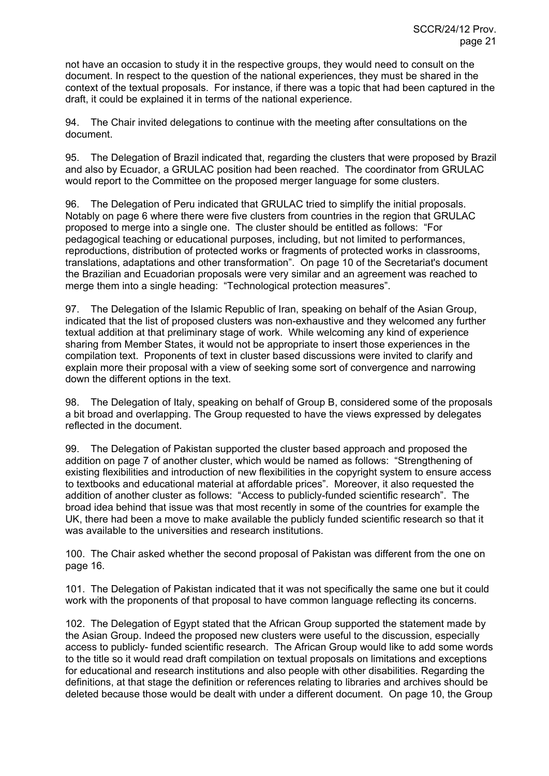not have an occasion to study it in the respective groups, they would need to consult on the document. In respect to the question of the national experiences, they must be shared in the context of the textual proposals. For instance, if there was a topic that had been captured in the draft, it could be explained it in terms of the national experience.

94. The Chair invited delegations to continue with the meeting after consultations on the document.

95. The Delegation of Brazil indicated that, regarding the clusters that were proposed by Brazil and also by Ecuador, a GRULAC position had been reached. The coordinator from GRULAC would report to the Committee on the proposed merger language for some clusters.

96. The Delegation of Peru indicated that GRULAC tried to simplify the initial proposals. Notably on page 6 where there were five clusters from countries in the region that GRULAC proposed to merge into a single one. The cluster should be entitled as follows: "For pedagogical teaching or educational purposes, including, but not limited to performances, reproductions, distribution of protected works or fragments of protected works in classrooms, translations, adaptations and other transformation". On page 10 of the Secretariat's document the Brazilian and Ecuadorian proposals were very similar and an agreement was reached to merge them into a single heading: "Technological protection measures".

97. The Delegation of the Islamic Republic of Iran, speaking on behalf of the Asian Group, indicated that the list of proposed clusters was non-exhaustive and they welcomed any further textual addition at that preliminary stage of work. While welcoming any kind of experience sharing from Member States, it would not be appropriate to insert those experiences in the compilation text. Proponents of text in cluster based discussions were invited to clarify and explain more their proposal with a view of seeking some sort of convergence and narrowing down the different options in the text.

98. The Delegation of Italy, speaking on behalf of Group B, considered some of the proposals a bit broad and overlapping. The Group requested to have the views expressed by delegates reflected in the document.

99. The Delegation of Pakistan supported the cluster based approach and proposed the addition on page 7 of another cluster, which would be named as follows: "Strengthening of existing flexibilities and introduction of new flexibilities in the copyright system to ensure access to textbooks and educational material at affordable prices". Moreover, it also requested the addition of another cluster as follows: "Access to publicly-funded scientific research". The broad idea behind that issue was that most recently in some of the countries for example the UK, there had been a move to make available the publicly funded scientific research so that it was available to the universities and research institutions.

100. The Chair asked whether the second proposal of Pakistan was different from the one on page 16.

101. The Delegation of Pakistan indicated that it was not specifically the same one but it could work with the proponents of that proposal to have common language reflecting its concerns.

102. The Delegation of Egypt stated that the African Group supported the statement made by the Asian Group. Indeed the proposed new clusters were useful to the discussion, especially access to publicly- funded scientific research. The African Group would like to add some words to the title so it would read draft compilation on textual proposals on limitations and exceptions for educational and research institutions and also people with other disabilities. Regarding the definitions, at that stage the definition or references relating to libraries and archives should be deleted because those would be dealt with under a different document. On page 10, the Group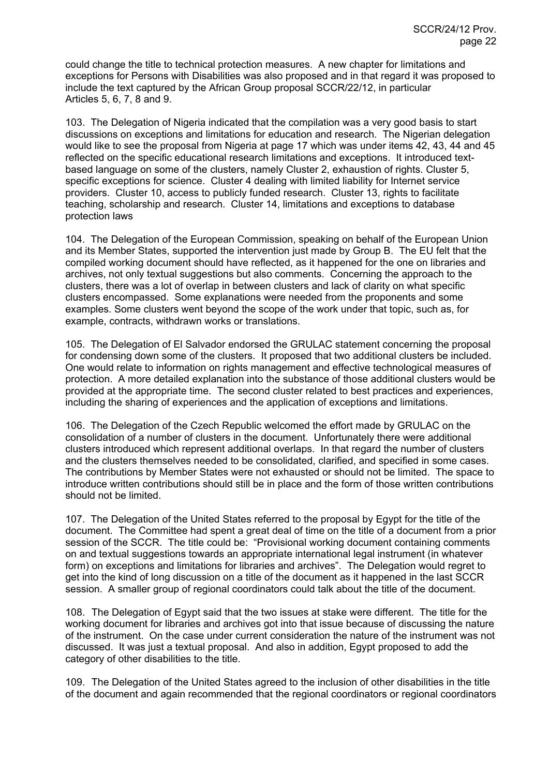could change the title to technical protection measures. A new chapter for limitations and exceptions for Persons with Disabilities was also proposed and in that regard it was proposed to include the text captured by the African Group proposal SCCR/22/12, in particular Articles 5, 6, 7, 8 and 9.

103. The Delegation of Nigeria indicated that the compilation was a very good basis to start discussions on exceptions and limitations for education and research. The Nigerian delegation would like to see the proposal from Nigeria at page 17 which was under items 42, 43, 44 and 45 reflected on the specific educational research limitations and exceptions. It introduced textbased language on some of the clusters, namely Cluster 2, exhaustion of rights. Cluster 5, specific exceptions for science. Cluster 4 dealing with limited liability for Internet service providers. Cluster 10, access to publicly funded research. Cluster 13, rights to facilitate teaching, scholarship and research. Cluster 14, limitations and exceptions to database protection laws

104. The Delegation of the European Commission, speaking on behalf of the European Union and its Member States, supported the intervention just made by Group B. The EU felt that the compiled working document should have reflected, as it happened for the one on libraries and archives, not only textual suggestions but also comments. Concerning the approach to the clusters, there was a lot of overlap in between clusters and lack of clarity on what specific clusters encompassed. Some explanations were needed from the proponents and some examples. Some clusters went beyond the scope of the work under that topic, such as, for example, contracts, withdrawn works or translations.

105. The Delegation of El Salvador endorsed the GRULAC statement concerning the proposal for condensing down some of the clusters. It proposed that two additional clusters be included. One would relate to information on rights management and effective technological measures of protection. A more detailed explanation into the substance of those additional clusters would be provided at the appropriate time. The second cluster related to best practices and experiences, including the sharing of experiences and the application of exceptions and limitations.

106. The Delegation of the Czech Republic welcomed the effort made by GRULAC on the consolidation of a number of clusters in the document. Unfortunately there were additional clusters introduced which represent additional overlaps. In that regard the number of clusters and the clusters themselves needed to be consolidated, clarified, and specified in some cases. The contributions by Member States were not exhausted or should not be limited. The space to introduce written contributions should still be in place and the form of those written contributions should not be limited.

107. The Delegation of the United States referred to the proposal by Egypt for the title of the document. The Committee had spent a great deal of time on the title of a document from a prior session of the SCCR. The title could be: "Provisional working document containing comments on and textual suggestions towards an appropriate international legal instrument (in whatever form) on exceptions and limitations for libraries and archives". The Delegation would regret to get into the kind of long discussion on a title of the document as it happened in the last SCCR session. A smaller group of regional coordinators could talk about the title of the document.

108. The Delegation of Egypt said that the two issues at stake were different. The title for the working document for libraries and archives got into that issue because of discussing the nature of the instrument. On the case under current consideration the nature of the instrument was not discussed. It was just a textual proposal. And also in addition, Egypt proposed to add the category of other disabilities to the title.

109. The Delegation of the United States agreed to the inclusion of other disabilities in the title of the document and again recommended that the regional coordinators or regional coordinators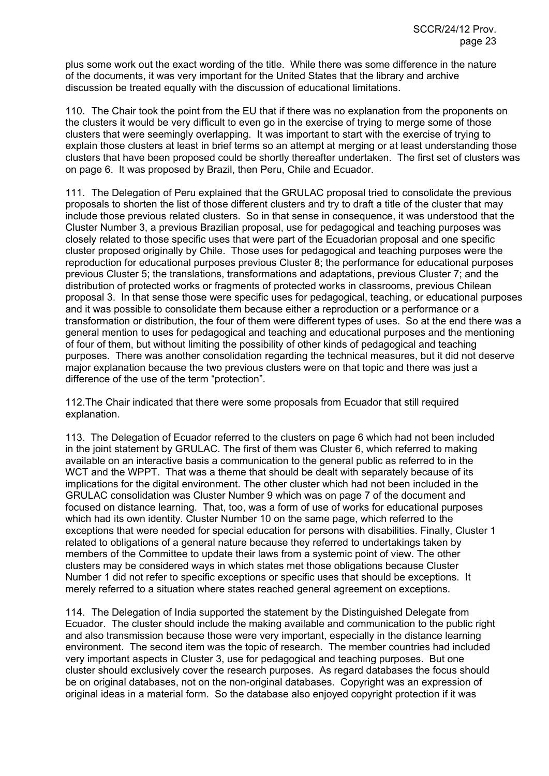plus some work out the exact wording of the title. While there was some difference in the nature of the documents, it was very important for the United States that the library and archive discussion be treated equally with the discussion of educational limitations.

110. The Chair took the point from the EU that if there was no explanation from the proponents on the clusters it would be very difficult to even go in the exercise of trying to merge some of those clusters that were seemingly overlapping. It was important to start with the exercise of trying to explain those clusters at least in brief terms so an attempt at merging or at least understanding those clusters that have been proposed could be shortly thereafter undertaken. The first set of clusters was on page 6. It was proposed by Brazil, then Peru, Chile and Ecuador.

111. The Delegation of Peru explained that the GRULAC proposal tried to consolidate the previous proposals to shorten the list of those different clusters and try to draft a title of the cluster that may include those previous related clusters. So in that sense in consequence, it was understood that the Cluster Number 3, a previous Brazilian proposal, use for pedagogical and teaching purposes was closely related to those specific uses that were part of the Ecuadorian proposal and one specific cluster proposed originally by Chile. Those uses for pedagogical and teaching purposes were the reproduction for educational purposes previous Cluster 8; the performance for educational purposes previous Cluster 5; the translations, transformations and adaptations, previous Cluster 7; and the distribution of protected works or fragments of protected works in classrooms, previous Chilean proposal 3. In that sense those were specific uses for pedagogical, teaching, or educational purposes and it was possible to consolidate them because either a reproduction or a performance or a transformation or distribution, the four of them were different types of uses. So at the end there was a general mention to uses for pedagogical and teaching and educational purposes and the mentioning of four of them, but without limiting the possibility of other kinds of pedagogical and teaching purposes. There was another consolidation regarding the technical measures, but it did not deserve major explanation because the two previous clusters were on that topic and there was just a difference of the use of the term "protection".

112. The Chair indicated that there were some proposals from Ecuador that still required explanation.

113. The Delegation of Ecuador referred to the clusters on page 6 which had not been included in the joint statement by GRULAC. The first of them was Cluster 6, which referred to making available on an interactive basis a communication to the general public as referred to in the WCT and the WPPT. That was a theme that should be dealt with separately because of its implications for the digital environment. The other cluster which had not been included in the GRULAC consolidation was Cluster Number 9 which was on page 7 of the document and focused on distance learning. That, too, was a form of use of works for educational purposes which had its own identity. Cluster Number 10 on the same page, which referred to the exceptions that were needed for special education for persons with disabilities. Finally, Cluster 1 related to obligations of a general nature because they referred to undertakings taken by members of the Committee to update their laws from a systemic point of view. The other clusters may be considered ways in which states met those obligations because Cluster Number 1 did not refer to specific exceptions or specific uses that should be exceptions. It merely referred to a situation where states reached general agreement on exceptions.

114. The Delegation of India supported the statement by the Distinguished Delegate from Ecuador. The cluster should include the making available and communication to the public right and also transmission because those were very important, especially in the distance learning environment. The second item was the topic of research. The member countries had included very important aspects in Cluster 3, use for pedagogical and teaching purposes. But one cluster should exclusively cover the research purposes. As regard databases the focus should be on original databases, not on the non-original databases. Copyright was an expression of original ideas in a material form. So the database also enjoyed copyright protection if it was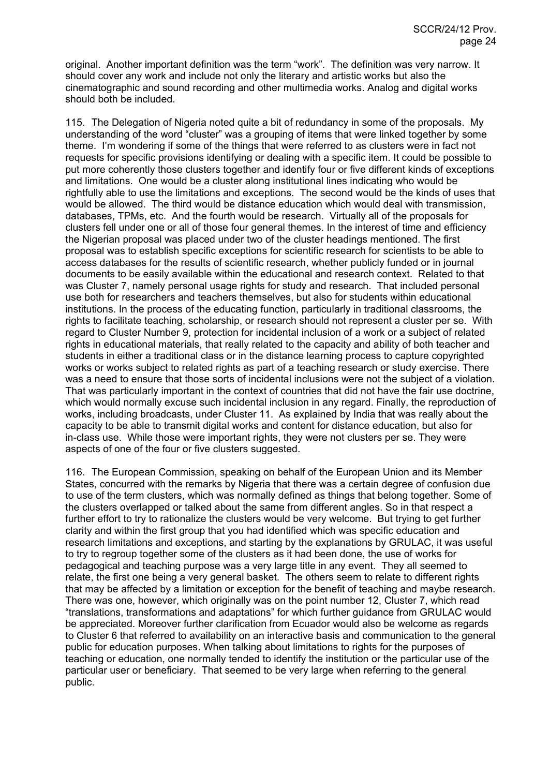original. Another important definition was the term "work". The definition was very narrow. It should cover any work and include not only the literary and artistic works but also the cinematographic and sound recording and other multimedia works. Analog and digital works should both be included.

115. The Delegation of Nigeria noted quite a bit of redundancy in some of the proposals. My understanding of the word "cluster" was a grouping of items that were linked together by some theme. I'm wondering if some of the things that were referred to as clusters were in fact not requests for specific provisions identifying or dealing with a specific item. It could be possible to put more coherently those clusters together and identify four or five different kinds of exceptions and limitations. One would be a cluster along institutional lines indicating who would be rightfully able to use the limitations and exceptions. The second would be the kinds of uses that would be allowed. The third would be distance education which would deal with transmission, databases, TPMs, etc. And the fourth would be research. Virtually all of the proposals for clusters fell under one or all of those four general themes. In the interest of time and efficiency the Nigerian proposal was placed under two of the cluster headings mentioned. The first proposal was to establish specific exceptions for scientific research for scientists to be able to access databases for the results of scientific research, whether publicly funded or in journal documents to be easily available within the educational and research context. Related to that was Cluster 7, namely personal usage rights for study and research. That included personal use both for researchers and teachers themselves, but also for students within educational institutions. In the process of the educating function, particularly in traditional classrooms, the rights to facilitate teaching, scholarship, or research should not represent a cluster per se. With regard to Cluster Number 9, protection for incidental inclusion of a work or a subject of related rights in educational materials, that really related to the capacity and ability of both teacher and students in either a traditional class or in the distance learning process to capture copyrighted works or works subject to related rights as part of a teaching research or study exercise. There was a need to ensure that those sorts of incidental inclusions were not the subject of a violation. That was particularly important in the context of countries that did not have the fair use doctrine, which would normally excuse such incidental inclusion in any regard. Finally, the reproduction of works, including broadcasts, under Cluster 11. As explained by India that was really about the capacity to be able to transmit digital works and content for distance education, but also for in-class use. While those were important rights, they were not clusters per se. They were aspects of one of the four or five clusters suggested.

116. The European Commission, speaking on behalf of the European Union and its Member States, concurred with the remarks by Nigeria that there was a certain degree of confusion due to use of the term clusters, which was normally defined as things that belong together. Some of the clusters overlapped or talked about the same from different angles. So in that respect a further effort to try to rationalize the clusters would be very welcome. But trying to get further clarity and within the first group that you had identified which was specific education and research limitations and exceptions, and starting by the explanations by GRULAC, it was useful to try to regroup together some of the clusters as it had been done, the use of works for pedagogical and teaching purpose was a very large title in any event. They all seemed to relate, the first one being a very general basket. The others seem to relate to different rights that may be affected by a limitation or exception for the benefit of teaching and maybe research. There was one, however, which originally was on the point number 12, Cluster 7, which read "translations, transformations and adaptations" for which further guidance from GRULAC would be appreciated. Moreover further clarification from Ecuador would also be welcome as regards to Cluster 6 that referred to availability on an interactive basis and communication to the general public for education purposes. When talking about limitations to rights for the purposes of teaching or education, one normally tended to identify the institution or the particular use of the particular user or beneficiary. That seemed to be very large when referring to the general public.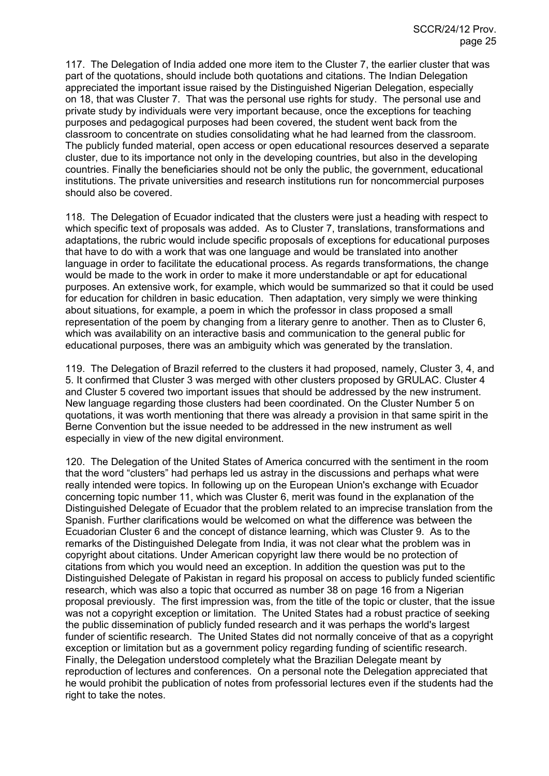117. The Delegation of India added one more item to the Cluster 7, the earlier cluster that was part of the quotations, should include both quotations and citations. The Indian Delegation appreciated the important issue raised by the Distinguished Nigerian Delegation, especially on 18, that was Cluster 7. That was the personal use rights for study. The personal use and private study by individuals were very important because, once the exceptions for teaching purposes and pedagogical purposes had been covered, the student went back from the classroom to concentrate on studies consolidating what he had learned from the classroom. The publicly funded material, open access or open educational resources deserved a separate cluster, due to its importance not only in the developing countries, but also in the developing countries. Finally the beneficiaries should not be only the public, the government, educational institutions. The private universities and research institutions run for noncommercial purposes should also be covered.

118. The Delegation of Ecuador indicated that the clusters were just a heading with respect to which specific text of proposals was added. As to Cluster 7, translations, transformations and adaptations, the rubric would include specific proposals of exceptions for educational purposes that have to do with a work that was one language and would be translated into another language in order to facilitate the educational process. As regards transformations, the change would be made to the work in order to make it more understandable or apt for educational purposes. An extensive work, for example, which would be summarized so that it could be used for education for children in basic education. Then adaptation, very simply we were thinking about situations, for example, a poem in which the professor in class proposed a small representation of the poem by changing from a literary genre to another. Then as to Cluster 6, which was availability on an interactive basis and communication to the general public for educational purposes, there was an ambiguity which was generated by the translation.

119. The Delegation of Brazil referred to the clusters it had proposed, namely, Cluster 3, 4, and 5. It confirmed that Cluster 3 was merged with other clusters proposed by GRULAC. Cluster 4 and Cluster 5 covered two important issues that should be addressed by the new instrument. New language regarding those clusters had been coordinated. On the Cluster Number 5 on quotations, it was worth mentioning that there was already a provision in that same spirit in the Berne Convention but the issue needed to be addressed in the new instrument as well especially in view of the new digital environment.

120. The Delegation of the United States of America concurred with the sentiment in the room that the word "clusters" had perhaps led us astray in the discussions and perhaps what were really intended were topics. In following up on the European Union's exchange with Ecuador concerning topic number 11, which was Cluster 6, merit was found in the explanation of the Distinguished Delegate of Ecuador that the problem related to an imprecise translation from the Spanish. Further clarifications would be welcomed on what the difference was between the Ecuadorian Cluster 6 and the concept of distance learning, which was Cluster 9. As to the remarks of the Distinguished Delegate from India, it was not clear what the problem was in copyright about citations. Under American copyright law there would be no protection of citations from which you would need an exception. In addition the question was put to the Distinguished Delegate of Pakistan in regard his proposal on access to publicly funded scientific research, which was also a topic that occurred as number 38 on page 16 from a Nigerian proposal previously. The first impression was, from the title of the topic or cluster, that the issue was not a copyright exception or limitation. The United States had a robust practice of seeking the public dissemination of publicly funded research and it was perhaps the world's largest funder of scientific research. The United States did not normally conceive of that as a copyright exception or limitation but as a government policy regarding funding of scientific research. Finally, the Delegation understood completely what the Brazilian Delegate meant by reproduction of lectures and conferences. On a personal note the Delegation appreciated that he would prohibit the publication of notes from professorial lectures even if the students had the right to take the notes.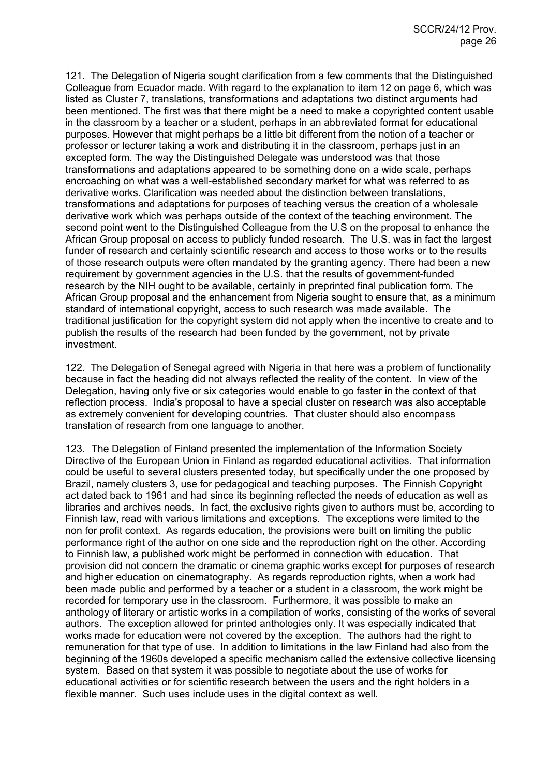121. The Delegation of Nigeria sought clarification from a few comments that the Distinguished Colleague from Ecuador made. With regard to the explanation to item 12 on page 6, which was listed as Cluster 7, translations, transformations and adaptations two distinct arguments had been mentioned. The first was that there might be a need to make a copyrighted content usable in the classroom by a teacher or a student, perhaps in an abbreviated format for educational purposes. However that might perhaps be a little bit different from the notion of a teacher or professor or lecturer taking a work and distributing it in the classroom, perhaps just in an excepted form. The way the Distinguished Delegate was understood was that those transformations and adaptations appeared to be something done on a wide scale, perhaps encroaching on what was a well-established secondary market for what was referred to as derivative works. Clarification was needed about the distinction between translations, transformations and adaptations for purposes of teaching versus the creation of a wholesale derivative work which was perhaps outside of the context of the teaching environment. The second point went to the Distinguished Colleague from the U.S on the proposal to enhance the African Group proposal on access to publicly funded research. The U.S. was in fact the largest funder of research and certainly scientific research and access to those works or to the results of those research outputs were often mandated by the granting agency. There had been a new requirement by government agencies in the U.S. that the results of government-funded research by the NIH ought to be available, certainly in preprinted final publication form. The African Group proposal and the enhancement from Nigeria sought to ensure that, as a minimum standard of international copyright, access to such research was made available. The traditional justification for the copyright system did not apply when the incentive to create and to publish the results of the research had been funded by the government, not by private investment.

122. The Delegation of Senegal agreed with Nigeria in that here was a problem of functionality because in fact the heading did not always reflected the reality of the content. In view of the Delegation, having only five or six categories would enable to go faster in the context of that reflection process. India's proposal to have a special cluster on research was also acceptable as extremely convenient for developing countries. That cluster should also encompass translation of research from one language to another.

123. The Delegation of Finland presented the implementation of the Information Society Directive of the European Union in Finland as regarded educational activities. That information could be useful to several clusters presented today, but specifically under the one proposed by Brazil, namely clusters 3, use for pedagogical and teaching purposes. The Finnish Copyright act dated back to 1961 and had since its beginning reflected the needs of education as well as libraries and archives needs. In fact, the exclusive rights given to authors must be, according to Finnish law, read with various limitations and exceptions. The exceptions were limited to the non for profit context. As regards education, the provisions were built on limiting the public performance right of the author on one side and the reproduction right on the other. According to Finnish law, a published work might be performed in connection with education. That provision did not concern the dramatic or cinema graphic works except for purposes of research and higher education on cinematography. As regards reproduction rights, when a work had been made public and performed by a teacher or a student in a classroom, the work might be recorded for temporary use in the classroom. Furthermore, it was possible to make an anthology of literary or artistic works in a compilation of works, consisting of the works of several authors. The exception allowed for printed anthologies only. It was especially indicated that works made for education were not covered by the exception. The authors had the right to remuneration for that type of use. In addition to limitations in the law Finland had also from the beginning of the 1960s developed a specific mechanism called the extensive collective licensing system. Based on that system it was possible to negotiate about the use of works for educational activities or for scientific research between the users and the right holders in a flexible manner. Such uses include uses in the digital context as well.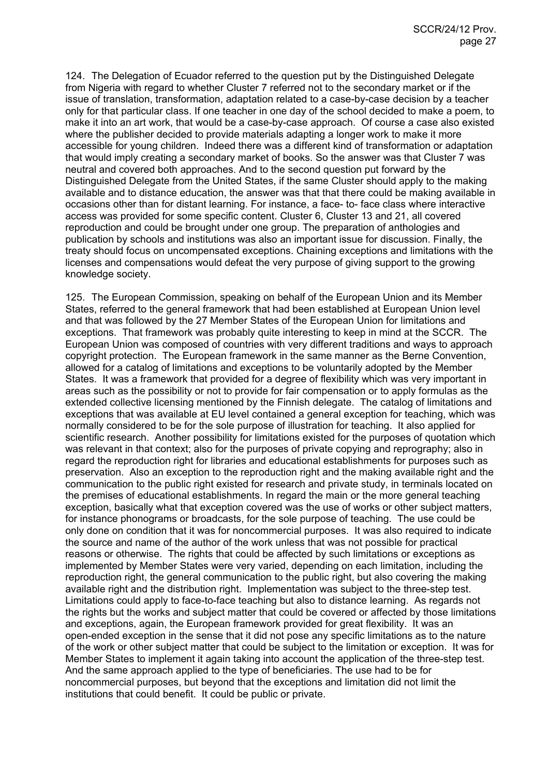124. The Delegation of Ecuador referred to the question put by the Distinguished Delegate from Nigeria with regard to whether Cluster 7 referred not to the secondary market or if the issue of translation, transformation, adaptation related to a case-by-case decision by a teacher only for that particular class. If one teacher in one day of the school decided to make a poem, to make it into an art work, that would be a case-by-case approach. Of course a case also existed where the publisher decided to provide materials adapting a longer work to make it more accessible for young children. Indeed there was a different kind of transformation or adaptation that would imply creating a secondary market of books. So the answer was that Cluster 7 was neutral and covered both approaches. And to the second question put forward by the Distinguished Delegate from the United States, if the same Cluster should apply to the making available and to distance education, the answer was that that there could be making available in occasions other than for distant learning. For instance, a face- to- face class where interactive access was provided for some specific content. Cluster 6, Cluster 13 and 21, all covered reproduction and could be brought under one group. The preparation of anthologies and publication by schools and institutions was also an important issue for discussion. Finally, the treaty should focus on uncompensated exceptions. Chaining exceptions and limitations with the licenses and compensations would defeat the very purpose of giving support to the growing knowledge society.

125. The European Commission, speaking on behalf of the European Union and its Member States, referred to the general framework that had been established at European Union level and that was followed by the 27 Member States of the European Union for limitations and exceptions. That framework was probably quite interesting to keep in mind at the SCCR. The European Union was composed of countries with very different traditions and ways to approach copyright protection. The European framework in the same manner as the Berne Convention, allowed for a catalog of limitations and exceptions to be voluntarily adopted by the Member States. It was a framework that provided for a degree of flexibility which was very important in areas such as the possibility or not to provide for fair compensation or to apply formulas as the extended collective licensing mentioned by the Finnish delegate. The catalog of limitations and exceptions that was available at EU level contained a general exception for teaching, which was normally considered to be for the sole purpose of illustration for teaching. It also applied for scientific research. Another possibility for limitations existed for the purposes of quotation which was relevant in that context; also for the purposes of private copying and reprography; also in regard the reproduction right for libraries and educational establishments for purposes such as preservation. Also an exception to the reproduction right and the making available right and the communication to the public right existed for research and private study, in terminals located on the premises of educational establishments. In regard the main or the more general teaching exception, basically what that exception covered was the use of works or other subject matters, for instance phonograms or broadcasts, for the sole purpose of teaching. The use could be only done on condition that it was for noncommercial purposes. It was also required to indicate the source and name of the author of the work unless that was not possible for practical reasons or otherwise. The rights that could be affected by such limitations or exceptions as implemented by Member States were very varied, depending on each limitation, including the reproduction right, the general communication to the public right, but also covering the making available right and the distribution right. Implementation was subject to the three-step test. Limitations could apply to face-to-face teaching but also to distance learning. As regards not the rights but the works and subject matter that could be covered or affected by those limitations and exceptions, again, the European framework provided for great flexibility. It was an open-ended exception in the sense that it did not pose any specific limitations as to the nature of the work or other subject matter that could be subject to the limitation or exception. It was for Member States to implement it again taking into account the application of the three-step test. And the same approach applied to the type of beneficiaries. The use had to be for noncommercial purposes, but beyond that the exceptions and limitation did not limit the institutions that could benefit. It could be public or private.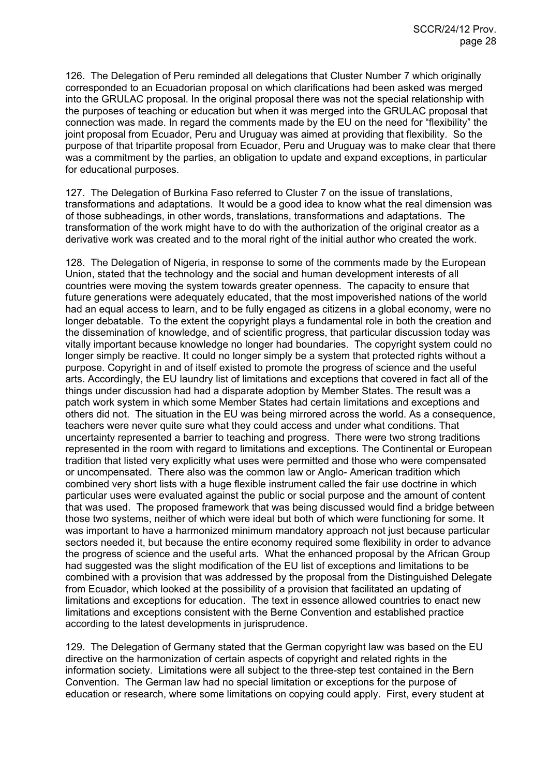126. The Delegation of Peru reminded all delegations that Cluster Number 7 which originally corresponded to an Ecuadorian proposal on which clarifications had been asked was merged into the GRULAC proposal. In the original proposal there was not the special relationship with the purposes of teaching or education but when it was merged into the GRULAC proposal that connection was made. In regard the comments made by the EU on the need for "flexibility" the joint proposal from Ecuador, Peru and Uruguay was aimed at providing that flexibility. So the purpose of that tripartite proposal from Ecuador, Peru and Uruguay was to make clear that there was a commitment by the parties, an obligation to update and expand exceptions, in particular for educational purposes.

127. The Delegation of Burkina Faso referred to Cluster 7 on the issue of translations, transformations and adaptations. It would be a good idea to know what the real dimension was of those subheadings, in other words, translations, transformations and adaptations. The transformation of the work might have to do with the authorization of the original creator as a derivative work was created and to the moral right of the initial author who created the work.

128. The Delegation of Nigeria, in response to some of the comments made by the European Union, stated that the technology and the social and human development interests of all countries were moving the system towards greater openness. The capacity to ensure that future generations were adequately educated, that the most impoverished nations of the world had an equal access to learn, and to be fully engaged as citizens in a global economy, were no longer debatable. To the extent the copyright plays a fundamental role in both the creation and the dissemination of knowledge, and of scientific progress, that particular discussion today was vitally important because knowledge no longer had boundaries. The copyright system could no longer simply be reactive. It could no longer simply be a system that protected rights without a purpose. Copyright in and of itself existed to promote the progress of science and the useful arts. Accordingly, the EU laundry list of limitations and exceptions that covered in fact all of the things under discussion had had a disparate adoption by Member States. The result was a patch work system in which some Member States had certain limitations and exceptions and others did not. The situation in the EU was being mirrored across the world. As a consequence, teachers were never quite sure what they could access and under what conditions. That uncertainty represented a barrier to teaching and progress. There were two strong traditions represented in the room with regard to limitations and exceptions. The Continental or European tradition that listed very explicitly what uses were permitted and those who were compensated or uncompensated. There also was the common law or Anglo- American tradition which combined very short lists with a huge flexible instrument called the fair use doctrine in which particular uses were evaluated against the public or social purpose and the amount of content that was used. The proposed framework that was being discussed would find a bridge between those two systems, neither of which were ideal but both of which were functioning for some. It was important to have a harmonized minimum mandatory approach not just because particular sectors needed it, but because the entire economy required some flexibility in order to advance the progress of science and the useful arts. What the enhanced proposal by the African Group had suggested was the slight modification of the EU list of exceptions and limitations to be combined with a provision that was addressed by the proposal from the Distinguished Delegate from Ecuador, which looked at the possibility of a provision that facilitated an updating of limitations and exceptions for education. The text in essence allowed countries to enact new limitations and exceptions consistent with the Berne Convention and established practice according to the latest developments in jurisprudence.

129. The Delegation of Germany stated that the German copyright law was based on the EU directive on the harmonization of certain aspects of copyright and related rights in the information society. Limitations were all subject to the three-step test contained in the Bern Convention. The German law had no special limitation or exceptions for the purpose of education or research, where some limitations on copying could apply. First, every student at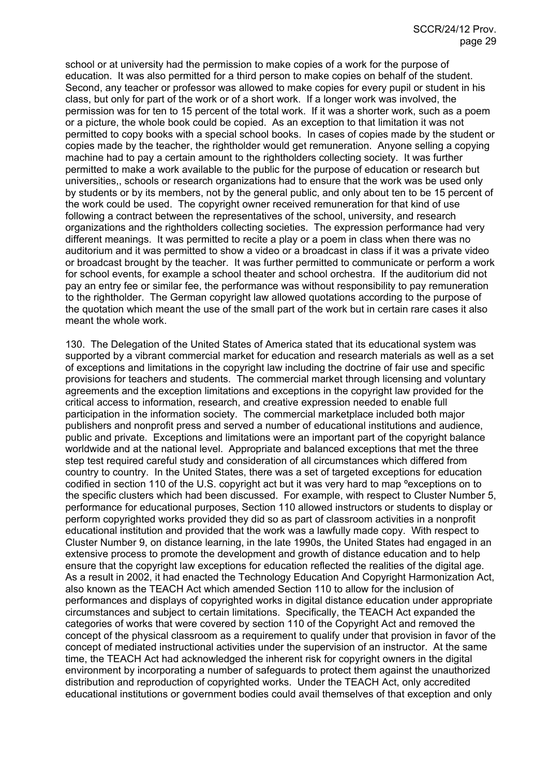school or at university had the permission to make copies of a work for the purpose of education. It was also permitted for a third person to make copies on behalf of the student. Second, any teacher or professor was allowed to make copies for every pupil or student in his class, but only for part of the work or of a short work. If a longer work was involved, the permission was for ten to 15 percent of the total work. If it was a shorter work, such as a poem or a picture, the whole book could be copied. As an exception to that limitation it was not permitted to copy books with a special school books. In cases of copies made by the student or copies made by the teacher, the rightholder would get remuneration. Anyone selling a copying machine had to pay a certain amount to the rightholders collecting society. It was further permitted to make a work available to the public for the purpose of education or research but universities,, schools or research organizations had to ensure that the work was be used only by students or by its members, not by the general public, and only about ten to be 15 percent of the work could be used. The copyright owner received remuneration for that kind of use following a contract between the representatives of the school, university, and research organizations and the rightholders collecting societies. The expression performance had very different meanings. It was permitted to recite a play or a poem in class when there was no auditorium and it was permitted to show a video or a broadcast in class if it was a private video or broadcast brought by the teacher. It was further permitted to communicate or perform a work for school events, for example a school theater and school orchestra. If the auditorium did not pay an entry fee or similar fee, the performance was without responsibility to pay remuneration to the rightholder. The German copyright law allowed quotations according to the purpose of the quotation which meant the use of the small part of the work but in certain rare cases it also meant the whole work.

130. The Delegation of the United States of America stated that its educational system was supported by a vibrant commercial market for education and research materials as well as a set of exceptions and limitations in the copyright law including the doctrine of fair use and specific provisions for teachers and students. The commercial market through licensing and voluntary agreements and the exception limitations and exceptions in the copyright law provided for the critical access to information, research, and creative expression needed to enable full participation in the information society. The commercial marketplace included both major publishers and nonprofit press and served a number of educational institutions and audience, public and private. Exceptions and limitations were an important part of the copyright balance worldwide and at the national level. Appropriate and balanced exceptions that met the three step test required careful study and consideration of all circumstances which differed from country to country. In the United States, there was a set of targeted exceptions for education codified in section 110 of the U.S. copyright act but it was very hard to map ºexceptions on to the specific clusters which had been discussed. For example, with respect to Cluster Number 5, performance for educational purposes, Section 110 allowed instructors or students to display or perform copyrighted works provided they did so as part of classroom activities in a nonprofit educational institution and provided that the work was a lawfully made copy. With respect to Cluster Number 9, on distance learning, in the late 1990s, the United States had engaged in an extensive process to promote the development and growth of distance education and to help ensure that the copyright law exceptions for education reflected the realities of the digital age. As a result in 2002, it had enacted the Technology Education And Copyright Harmonization Act, also known as the TEACH Act which amended Section 110 to allow for the inclusion of performances and displays of copyrighted works in digital distance education under appropriate circumstances and subject to certain limitations. Specifically, the TEACH Act expanded the categories of works that were covered by section 110 of the Copyright Act and removed the concept of the physical classroom as a requirement to qualify under that provision in favor of the concept of mediated instructional activities under the supervision of an instructor. At the same time, the TEACH Act had acknowledged the inherent risk for copyright owners in the digital environment by incorporating a number of safeguards to protect them against the unauthorized distribution and reproduction of copyrighted works. Under the TEACH Act, only accredited educational institutions or government bodies could avail themselves of that exception and only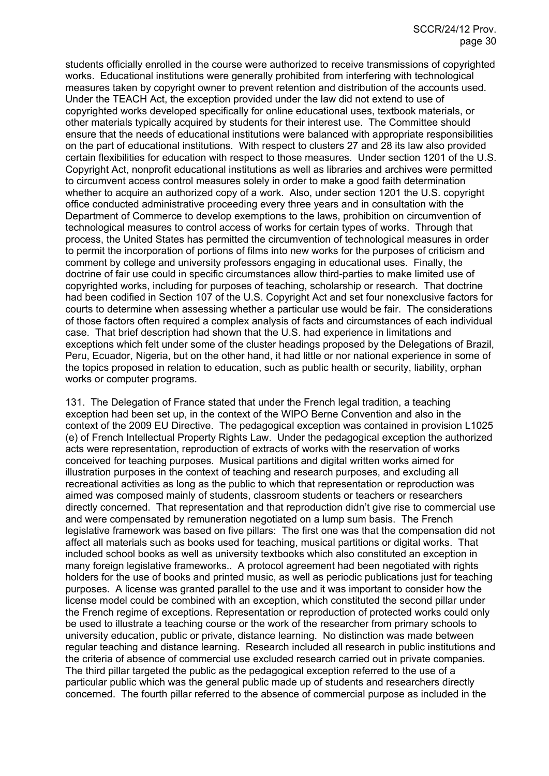students officially enrolled in the course were authorized to receive transmissions of copyrighted works. Educational institutions were generally prohibited from interfering with technological measures taken by copyright owner to prevent retention and distribution of the accounts used. Under the TEACH Act, the exception provided under the law did not extend to use of copyrighted works developed specifically for online educational uses, textbook materials, or other materials typically acquired by students for their interest use. The Committee should ensure that the needs of educational institutions were balanced with appropriate responsibilities on the part of educational institutions. With respect to clusters 27 and 28 its law also provided certain flexibilities for education with respect to those measures. Under section 1201 of the U.S. Copyright Act, nonprofit educational institutions as well as libraries and archives were permitted to circumvent access control measures solely in order to make a good faith determination whether to acquire an authorized copy of a work. Also, under section 1201 the U.S. copyright office conducted administrative proceeding every three years and in consultation with the Department of Commerce to develop exemptions to the laws, prohibition on circumvention of technological measures to control access of works for certain types of works. Through that process, the United States has permitted the circumvention of technological measures in order to permit the incorporation of portions of films into new works for the purposes of criticism and comment by college and university professors engaging in educational uses. Finally, the doctrine of fair use could in specific circumstances allow third-parties to make limited use of copyrighted works, including for purposes of teaching, scholarship or research. That doctrine had been codified in Section 107 of the U.S. Copyright Act and set four nonexclusive factors for courts to determine when assessing whether a particular use would be fair. The considerations of those factors often required a complex analysis of facts and circumstances of each individual case. That brief description had shown that the U.S. had experience in limitations and exceptions which felt under some of the cluster headings proposed by the Delegations of Brazil, Peru, Ecuador, Nigeria, but on the other hand, it had little or nor national experience in some of the topics proposed in relation to education, such as public health or security, liability, orphan works or computer programs.

131. The Delegation of France stated that under the French legal tradition, a teaching exception had been set up, in the context of the WIPO Berne Convention and also in the context of the 2009 EU Directive. The pedagogical exception was contained in provision L1025 (e) of French Intellectual Property Rights Law. Under the pedagogical exception the authorized acts were representation, reproduction of extracts of works with the reservation of works conceived for teaching purposes. Musical partitions and digital written works aimed for illustration purposes in the context of teaching and research purposes, and excluding all recreational activities as long as the public to which that representation or reproduction was aimed was composed mainly of students, classroom students or teachers or researchers directly concerned. That representation and that reproduction didn't give rise to commercial use and were compensated by remuneration negotiated on a lump sum basis. The French legislative framework was based on five pillars: The first one was that the compensation did not affect all materials such as books used for teaching, musical partitions or digital works. That included school books as well as university textbooks which also constituted an exception in many foreign legislative frameworks.. A protocol agreement had been negotiated with rights holders for the use of books and printed music, as well as periodic publications just for teaching purposes. A license was granted parallel to the use and it was important to consider how the license model could be combined with an exception, which constituted the second pillar under the French regime of exceptions. Representation or reproduction of protected works could only be used to illustrate a teaching course or the work of the researcher from primary schools to university education, public or private, distance learning. No distinction was made between regular teaching and distance learning. Research included all research in public institutions and the criteria of absence of commercial use excluded research carried out in private companies. The third pillar targeted the public as the pedagogical exception referred to the use of a particular public which was the general public made up of students and researchers directly concerned. The fourth pillar referred to the absence of commercial purpose as included in the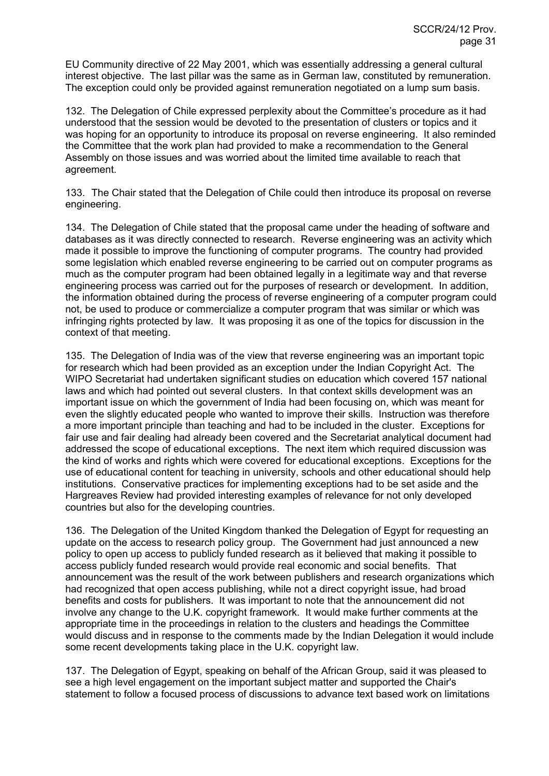EU Community directive of 22 May 2001, which was essentially addressing a general cultural interest objective. The last pillar was the same as in German law, constituted by remuneration. The exception could only be provided against remuneration negotiated on a lump sum basis.

132. The Delegation of Chile expressed perplexity about the Committee's procedure as it had understood that the session would be devoted to the presentation of clusters or topics and it was hoping for an opportunity to introduce its proposal on reverse engineering. It also reminded the Committee that the work plan had provided to make a recommendation to the General Assembly on those issues and was worried about the limited time available to reach that agreement.

133. The Chair stated that the Delegation of Chile could then introduce its proposal on reverse engineering.

134. The Delegation of Chile stated that the proposal came under the heading of software and databases as it was directly connected to research. Reverse engineering was an activity which made it possible to improve the functioning of computer programs. The country had provided some legislation which enabled reverse engineering to be carried out on computer programs as much as the computer program had been obtained legally in a legitimate way and that reverse engineering process was carried out for the purposes of research or development. In addition, the information obtained during the process of reverse engineering of a computer program could not, be used to produce or commercialize a computer program that was similar or which was infringing rights protected by law. It was proposing it as one of the topics for discussion in the context of that meeting.

135. The Delegation of India was of the view that reverse engineering was an important topic for research which had been provided as an exception under the Indian Copyright Act. The WIPO Secretariat had undertaken significant studies on education which covered 157 national laws and which had pointed out several clusters. In that context skills development was an important issue on which the government of India had been focusing on, which was meant for even the slightly educated people who wanted to improve their skills. Instruction was therefore a more important principle than teaching and had to be included in the cluster. Exceptions for fair use and fair dealing had already been covered and the Secretariat analytical document had addressed the scope of educational exceptions. The next item which required discussion was the kind of works and rights which were covered for educational exceptions. Exceptions for the use of educational content for teaching in university, schools and other educational should help institutions. Conservative practices for implementing exceptions had to be set aside and the Hargreaves Review had provided interesting examples of relevance for not only developed countries but also for the developing countries.

136. The Delegation of the United Kingdom thanked the Delegation of Egypt for requesting an update on the access to research policy group. The Government had just announced a new policy to open up access to publicly funded research as it believed that making it possible to access publicly funded research would provide real economic and social benefits. That announcement was the result of the work between publishers and research organizations which had recognized that open access publishing, while not a direct copyright issue, had broad benefits and costs for publishers. It was important to note that the announcement did not involve any change to the U.K. copyright framework. It would make further comments at the appropriate time in the proceedings in relation to the clusters and headings the Committee would discuss and in response to the comments made by the Indian Delegation it would include some recent developments taking place in the U.K. copyright law.

137. The Delegation of Egypt, speaking on behalf of the African Group, said it was pleased to see a high level engagement on the important subject matter and supported the Chair's statement to follow a focused process of discussions to advance text based work on limitations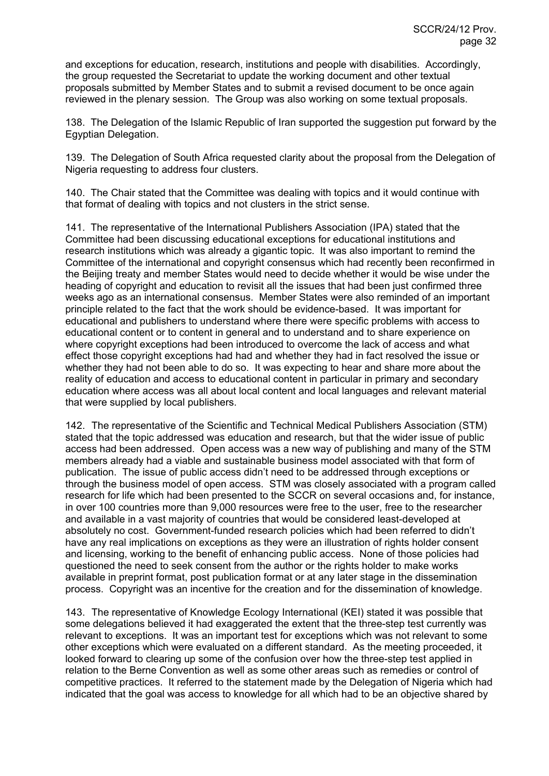and exceptions for education, research, institutions and people with disabilities. Accordingly, the group requested the Secretariat to update the working document and other textual proposals submitted by Member States and to submit a revised document to be once again reviewed in the plenary session. The Group was also working on some textual proposals.

138. The Delegation of the Islamic Republic of Iran supported the suggestion put forward by the Egyptian Delegation.

139. The Delegation of South Africa requested clarity about the proposal from the Delegation of Nigeria requesting to address four clusters.

140. The Chair stated that the Committee was dealing with topics and it would continue with that format of dealing with topics and not clusters in the strict sense.

141. The representative of the International Publishers Association (IPA) stated that the Committee had been discussing educational exceptions for educational institutions and research institutions which was already a gigantic topic. It was also important to remind the Committee of the international and copyright consensus which had recently been reconfirmed in the Beijing treaty and member States would need to decide whether it would be wise under the heading of copyright and education to revisit all the issues that had been just confirmed three weeks ago as an international consensus. Member States were also reminded of an important principle related to the fact that the work should be evidence-based. It was important for educational and publishers to understand where there were specific problems with access to educational content or to content in general and to understand and to share experience on where copyright exceptions had been introduced to overcome the lack of access and what effect those copyright exceptions had had and whether they had in fact resolved the issue or whether they had not been able to do so. It was expecting to hear and share more about the reality of education and access to educational content in particular in primary and secondary education where access was all about local content and local languages and relevant material that were supplied by local publishers.

142. The representative of the Scientific and Technical Medical Publishers Association (STM) stated that the topic addressed was education and research, but that the wider issue of public access had been addressed. Open access was a new way of publishing and many of the STM members already had a viable and sustainable business model associated with that form of publication. The issue of public access didn't need to be addressed through exceptions or through the business model of open access. STM was closely associated with a program called research for life which had been presented to the SCCR on several occasions and, for instance, in over 100 countries more than 9,000 resources were free to the user, free to the researcher and available in a vast majority of countries that would be considered least-developed at absolutely no cost. Government-funded research policies which had been referred to didn't have any real implications on exceptions as they were an illustration of rights holder consent and licensing, working to the benefit of enhancing public access. None of those policies had questioned the need to seek consent from the author or the rights holder to make works available in preprint format, post publication format or at any later stage in the dissemination process. Copyright was an incentive for the creation and for the dissemination of knowledge.

143. The representative of Knowledge Ecology International (KEI) stated it was possible that some delegations believed it had exaggerated the extent that the three-step test currently was relevant to exceptions. It was an important test for exceptions which was not relevant to some other exceptions which were evaluated on a different standard. As the meeting proceeded, it looked forward to clearing up some of the confusion over how the three-step test applied in relation to the Berne Convention as well as some other areas such as remedies or control of competitive practices. It referred to the statement made by the Delegation of Nigeria which had indicated that the goal was access to knowledge for all which had to be an objective shared by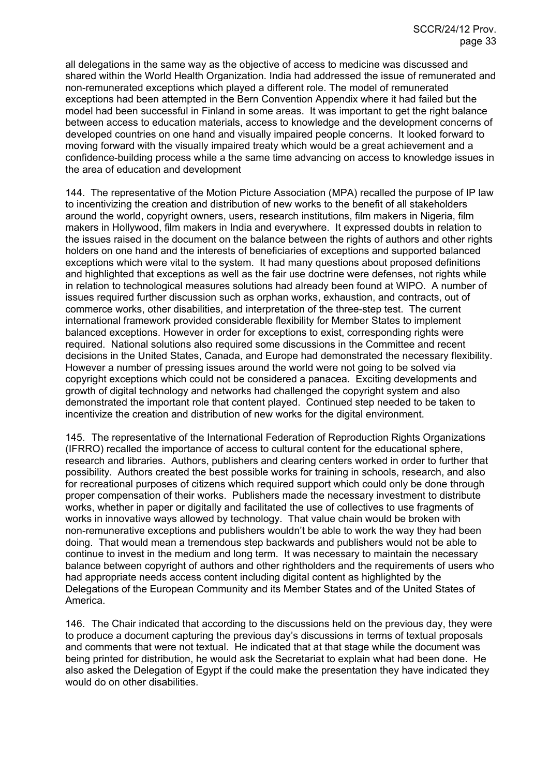all delegations in the same way as the objective of access to medicine was discussed and shared within the World Health Organization. India had addressed the issue of remunerated and non-remunerated exceptions which played a different role. The model of remunerated exceptions had been attempted in the Bern Convention Appendix where it had failed but the model had been successful in Finland in some areas. It was important to get the right balance between access to education materials, access to knowledge and the development concerns of developed countries on one hand and visually impaired people concerns. It looked forward to moving forward with the visually impaired treaty which would be a great achievement and a confidence-building process while a the same time advancing on access to knowledge issues in the area of education and development

144. The representative of the Motion Picture Association (MPA) recalled the purpose of IP law to incentivizing the creation and distribution of new works to the benefit of all stakeholders around the world, copyright owners, users, research institutions, film makers in Nigeria, film makers in Hollywood, film makers in India and everywhere. It expressed doubts in relation to the issues raised in the document on the balance between the rights of authors and other rights holders on one hand and the interests of beneficiaries of exceptions and supported balanced exceptions which were vital to the system. It had many questions about proposed definitions and highlighted that exceptions as well as the fair use doctrine were defenses, not rights while in relation to technological measures solutions had already been found at WIPO. A number of issues required further discussion such as orphan works, exhaustion, and contracts, out of commerce works, other disabilities, and interpretation of the three-step test. The current international framework provided considerable flexibility for Member States to implement balanced exceptions. However in order for exceptions to exist, corresponding rights were required. National solutions also required some discussions in the Committee and recent decisions in the United States, Canada, and Europe had demonstrated the necessary flexibility. However a number of pressing issues around the world were not going to be solved via copyright exceptions which could not be considered a panacea. Exciting developments and growth of digital technology and networks had challenged the copyright system and also demonstrated the important role that content played. Continued step needed to be taken to incentivize the creation and distribution of new works for the digital environment.

145. The representative of the International Federation of Reproduction Rights Organizations (IFRRO) recalled the importance of access to cultural content for the educational sphere, research and libraries. Authors, publishers and clearing centers worked in order to further that possibility. Authors created the best possible works for training in schools, research, and also for recreational purposes of citizens which required support which could only be done through proper compensation of their works. Publishers made the necessary investment to distribute works, whether in paper or digitally and facilitated the use of collectives to use fragments of works in innovative ways allowed by technology. That value chain would be broken with non-remunerative exceptions and publishers wouldn't be able to work the way they had been doing. That would mean a tremendous step backwards and publishers would not be able to continue to invest in the medium and long term. It was necessary to maintain the necessary balance between copyright of authors and other rightholders and the requirements of users who had appropriate needs access content including digital content as highlighted by the Delegations of the European Community and its Member States and of the United States of America.

146. The Chair indicated that according to the discussions held on the previous day, they were to produce a document capturing the previous day's discussions in terms of textual proposals and comments that were not textual. He indicated that at that stage while the document was being printed for distribution, he would ask the Secretariat to explain what had been done. He also asked the Delegation of Egypt if the could make the presentation they have indicated they would do on other disabilities.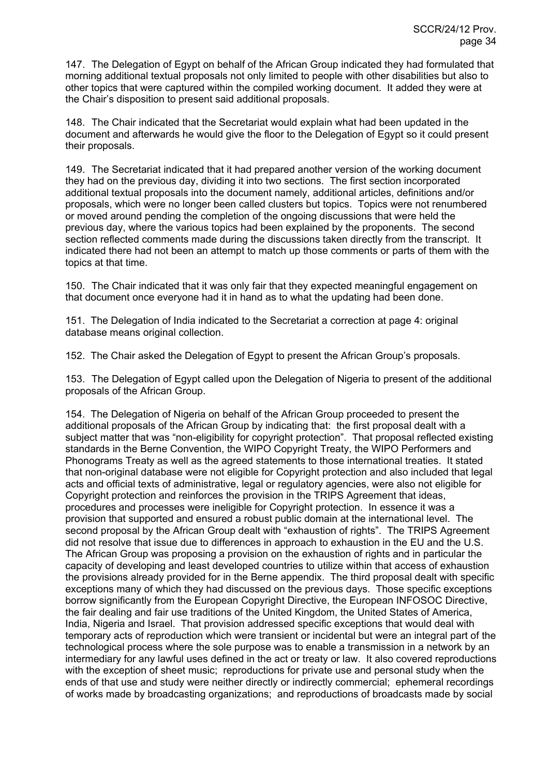147. The Delegation of Egypt on behalf of the African Group indicated they had formulated that morning additional textual proposals not only limited to people with other disabilities but also to other topics that were captured within the compiled working document. It added they were at the Chair's disposition to present said additional proposals.

148. The Chair indicated that the Secretariat would explain what had been updated in the document and afterwards he would give the floor to the Delegation of Egypt so it could present their proposals.

149. The Secretariat indicated that it had prepared another version of the working document they had on the previous day, dividing it into two sections. The first section incorporated additional textual proposals into the document namely, additional articles, definitions and/or proposals, which were no longer been called clusters but topics. Topics were not renumbered or moved around pending the completion of the ongoing discussions that were held the previous day, where the various topics had been explained by the proponents. The second section reflected comments made during the discussions taken directly from the transcript. It indicated there had not been an attempt to match up those comments or parts of them with the topics at that time.

150. The Chair indicated that it was only fair that they expected meaningful engagement on that document once everyone had it in hand as to what the updating had been done.

151. The Delegation of India indicated to the Secretariat a correction at page 4: original database means original collection.

152. The Chair asked the Delegation of Egypt to present the African Group's proposals.

153. The Delegation of Egypt called upon the Delegation of Nigeria to present of the additional proposals of the African Group.

154. The Delegation of Nigeria on behalf of the African Group proceeded to present the additional proposals of the African Group by indicating that: the first proposal dealt with a subject matter that was "non-eligibility for copyright protection". That proposal reflected existing standards in the Berne Convention, the WIPO Copyright Treaty, the WIPO Performers and Phonograms Treaty as well as the agreed statements to those international treaties. It stated that non-original database were not eligible for Copyright protection and also included that legal acts and official texts of administrative, legal or regulatory agencies, were also not eligible for Copyright protection and reinforces the provision in the TRIPS Agreement that ideas, procedures and processes were ineligible for Copyright protection. In essence it was a provision that supported and ensured a robust public domain at the international level. The second proposal by the African Group dealt with "exhaustion of rights". The TRIPS Agreement did not resolve that issue due to differences in approach to exhaustion in the EU and the U.S. The African Group was proposing a provision on the exhaustion of rights and in particular the capacity of developing and least developed countries to utilize within that access of exhaustion the provisions already provided for in the Berne appendix. The third proposal dealt with specific exceptions many of which they had discussed on the previous days. Those specific exceptions borrow significantly from the European Copyright Directive, the European INFOSOC Directive, the fair dealing and fair use traditions of the United Kingdom, the United States of America, India, Nigeria and Israel. That provision addressed specific exceptions that would deal with temporary acts of reproduction which were transient or incidental but were an integral part of the technological process where the sole purpose was to enable a transmission in a network by an intermediary for any lawful uses defined in the act or treaty or law. It also covered reproductions with the exception of sheet music; reproductions for private use and personal study when the ends of that use and study were neither directly or indirectly commercial; ephemeral recordings of works made by broadcasting organizations; and reproductions of broadcasts made by social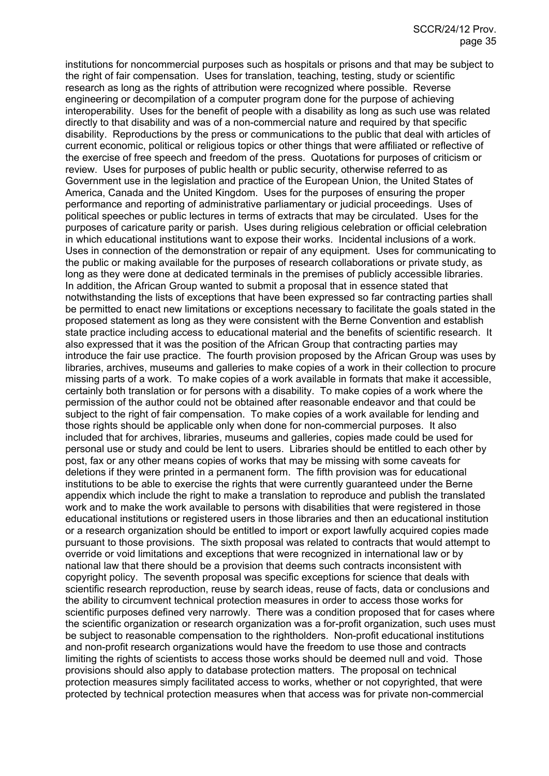institutions for noncommercial purposes such as hospitals or prisons and that may be subject to the right of fair compensation. Uses for translation, teaching, testing, study or scientific research as long as the rights of attribution were recognized where possible. Reverse engineering or decompilation of a computer program done for the purpose of achieving interoperability. Uses for the benefit of people with a disability as long as such use was related directly to that disability and was of a non-commercial nature and required by that specific disability. Reproductions by the press or communications to the public that deal with articles of current economic, political or religious topics or other things that were affiliated or reflective of the exercise of free speech and freedom of the press. Quotations for purposes of criticism or review. Uses for purposes of public health or public security, otherwise referred to as Government use in the legislation and practice of the European Union, the United States of America, Canada and the United Kingdom. Uses for the purposes of ensuring the proper performance and reporting of administrative parliamentary or judicial proceedings. Uses of political speeches or public lectures in terms of extracts that may be circulated. Uses for the purposes of caricature parity or parish. Uses during religious celebration or official celebration in which educational institutions want to expose their works. Incidental inclusions of a work. Uses in connection of the demonstration or repair of any equipment. Uses for communicating to the public or making available for the purposes of research collaborations or private study, as long as they were done at dedicated terminals in the premises of publicly accessible libraries. In addition, the African Group wanted to submit a proposal that in essence stated that notwithstanding the lists of exceptions that have been expressed so far contracting parties shall be permitted to enact new limitations or exceptions necessary to facilitate the goals stated in the proposed statement as long as they were consistent with the Berne Convention and establish state practice including access to educational material and the benefits of scientific research. It also expressed that it was the position of the African Group that contracting parties may introduce the fair use practice. The fourth provision proposed by the African Group was uses by libraries, archives, museums and galleries to make copies of a work in their collection to procure missing parts of a work. To make copies of a work available in formats that make it accessible, certainly both translation or for persons with a disability. To make copies of a work where the permission of the author could not be obtained after reasonable endeavor and that could be subject to the right of fair compensation. To make copies of a work available for lending and those rights should be applicable only when done for non-commercial purposes. It also included that for archives, libraries, museums and galleries, copies made could be used for personal use or study and could be lent to users. Libraries should be entitled to each other by post, fax or any other means copies of works that may be missing with some caveats for deletions if they were printed in a permanent form. The fifth provision was for educational institutions to be able to exercise the rights that were currently guaranteed under the Berne appendix which include the right to make a translation to reproduce and publish the translated work and to make the work available to persons with disabilities that were registered in those educational institutions or registered users in those libraries and then an educational institution or a research organization should be entitled to import or export lawfully acquired copies made pursuant to those provisions. The sixth proposal was related to contracts that would attempt to override or void limitations and exceptions that were recognized in international law or by national law that there should be a provision that deems such contracts inconsistent with copyright policy. The seventh proposal was specific exceptions for science that deals with scientific research reproduction, reuse by search ideas, reuse of facts, data or conclusions and the ability to circumvent technical protection measures in order to access those works for scientific purposes defined very narrowly. There was a condition proposed that for cases where the scientific organization or research organization was a for-profit organization, such uses must be subject to reasonable compensation to the rightholders. Non-profit educational institutions and non-profit research organizations would have the freedom to use those and contracts limiting the rights of scientists to access those works should be deemed null and void. Those provisions should also apply to database protection matters. The proposal on technical protection measures simply facilitated access to works, whether or not copyrighted, that were protected by technical protection measures when that access was for private non-commercial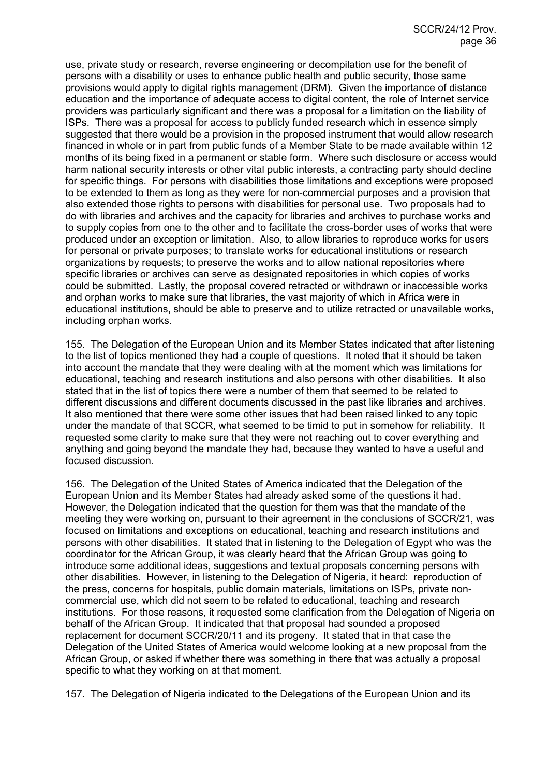use, private study or research, reverse engineering or decompilation use for the benefit of persons with a disability or uses to enhance public health and public security, those same provisions would apply to digital rights management (DRM). Given the importance of distance education and the importance of adequate access to digital content, the role of Internet service providers was particularly significant and there was a proposal for a limitation on the liability of ISPs. There was a proposal for access to publicly funded research which in essence simply suggested that there would be a provision in the proposed instrument that would allow research financed in whole or in part from public funds of a Member State to be made available within 12 months of its being fixed in a permanent or stable form. Where such disclosure or access would harm national security interests or other vital public interests, a contracting party should decline for specific things. For persons with disabilities those limitations and exceptions were proposed to be extended to them as long as they were for non-commercial purposes and a provision that also extended those rights to persons with disabilities for personal use. Two proposals had to do with libraries and archives and the capacity for libraries and archives to purchase works and to supply copies from one to the other and to facilitate the cross-border uses of works that were produced under an exception or limitation. Also, to allow libraries to reproduce works for users for personal or private purposes; to translate works for educational institutions or research organizations by requests; to preserve the works and to allow national repositories where specific libraries or archives can serve as designated repositories in which copies of works could be submitted. Lastly, the proposal covered retracted or withdrawn or inaccessible works and orphan works to make sure that libraries, the vast majority of which in Africa were in educational institutions, should be able to preserve and to utilize retracted or unavailable works, including orphan works.

155. The Delegation of the European Union and its Member States indicated that after listening to the list of topics mentioned they had a couple of questions. It noted that it should be taken into account the mandate that they were dealing with at the moment which was limitations for educational, teaching and research institutions and also persons with other disabilities. It also stated that in the list of topics there were a number of them that seemed to be related to different discussions and different documents discussed in the past like libraries and archives. It also mentioned that there were some other issues that had been raised linked to any topic under the mandate of that SCCR, what seemed to be timid to put in somehow for reliability. It requested some clarity to make sure that they were not reaching out to cover everything and anything and going beyond the mandate they had, because they wanted to have a useful and focused discussion.

156. The Delegation of the United States of America indicated that the Delegation of the European Union and its Member States had already asked some of the questions it had. However, the Delegation indicated that the question for them was that the mandate of the meeting they were working on, pursuant to their agreement in the conclusions of SCCR/21, was focused on limitations and exceptions on educational, teaching and research institutions and persons with other disabilities. It stated that in listening to the Delegation of Egypt who was the coordinator for the African Group, it was clearly heard that the African Group was going to introduce some additional ideas, suggestions and textual proposals concerning persons with other disabilities. However, in listening to the Delegation of Nigeria, it heard: reproduction of the press, concerns for hospitals, public domain materials, limitations on ISPs, private noncommercial use, which did not seem to be related to educational, teaching and research institutions. For those reasons, it requested some clarification from the Delegation of Nigeria on behalf of the African Group. It indicated that that proposal had sounded a proposed replacement for document SCCR/20/11 and its progeny. It stated that in that case the Delegation of the United States of America would welcome looking at a new proposal from the African Group, or asked if whether there was something in there that was actually a proposal specific to what they working on at that moment.

157. The Delegation of Nigeria indicated to the Delegations of the European Union and its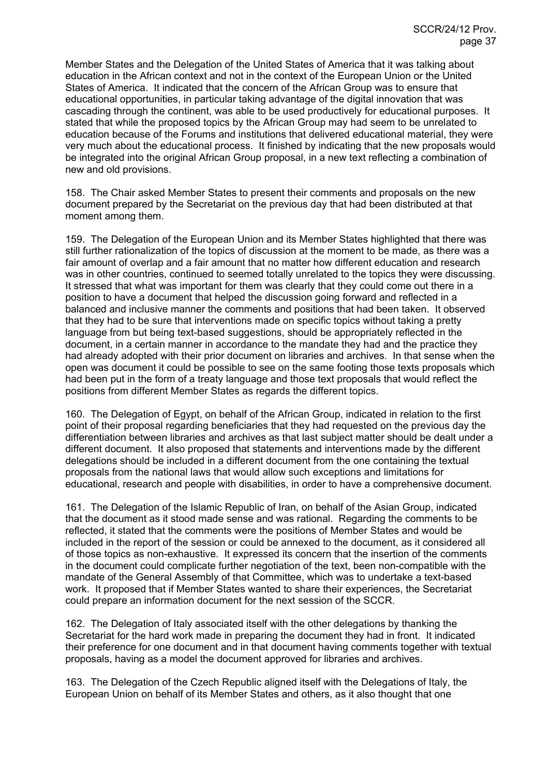Member States and the Delegation of the United States of America that it was talking about education in the African context and not in the context of the European Union or the United States of America. It indicated that the concern of the African Group was to ensure that educational opportunities, in particular taking advantage of the digital innovation that was cascading through the continent, was able to be used productively for educational purposes. It stated that while the proposed topics by the African Group may had seem to be unrelated to education because of the Forums and institutions that delivered educational material, they were very much about the educational process. It finished by indicating that the new proposals would be integrated into the original African Group proposal, in a new text reflecting a combination of new and old provisions.

158. The Chair asked Member States to present their comments and proposals on the new document prepared by the Secretariat on the previous day that had been distributed at that moment among them.

159. The Delegation of the European Union and its Member States highlighted that there was still further rationalization of the topics of discussion at the moment to be made, as there was a fair amount of overlap and a fair amount that no matter how different education and research was in other countries, continued to seemed totally unrelated to the topics they were discussing. It stressed that what was important for them was clearly that they could come out there in a position to have a document that helped the discussion going forward and reflected in a balanced and inclusive manner the comments and positions that had been taken. It observed that they had to be sure that interventions made on specific topics without taking a pretty language from but being text-based suggestions, should be appropriately reflected in the document, in a certain manner in accordance to the mandate they had and the practice they had already adopted with their prior document on libraries and archives. In that sense when the open was document it could be possible to see on the same footing those texts proposals which had been put in the form of a treaty language and those text proposals that would reflect the positions from different Member States as regards the different topics.

160. The Delegation of Egypt, on behalf of the African Group, indicated in relation to the first point of their proposal regarding beneficiaries that they had requested on the previous day the differentiation between libraries and archives as that last subject matter should be dealt under a different document. It also proposed that statements and interventions made by the different delegations should be included in a different document from the one containing the textual proposals from the national laws that would allow such exceptions and limitations for educational, research and people with disabilities, in order to have a comprehensive document.

161. The Delegation of the Islamic Republic of Iran, on behalf of the Asian Group, indicated that the document as it stood made sense and was rational. Regarding the comments to be reflected, it stated that the comments were the positions of Member States and would be included in the report of the session or could be annexed to the document, as it considered all of those topics as non-exhaustive. It expressed its concern that the insertion of the comments in the document could complicate further negotiation of the text, been non-compatible with the mandate of the General Assembly of that Committee, which was to undertake a text-based work. It proposed that if Member States wanted to share their experiences, the Secretariat could prepare an information document for the next session of the SCCR.

162. The Delegation of Italy associated itself with the other delegations by thanking the Secretariat for the hard work made in preparing the document they had in front. It indicated their preference for one document and in that document having comments together with textual proposals, having as a model the document approved for libraries and archives.

163. The Delegation of the Czech Republic aligned itself with the Delegations of Italy, the European Union on behalf of its Member States and others, as it also thought that one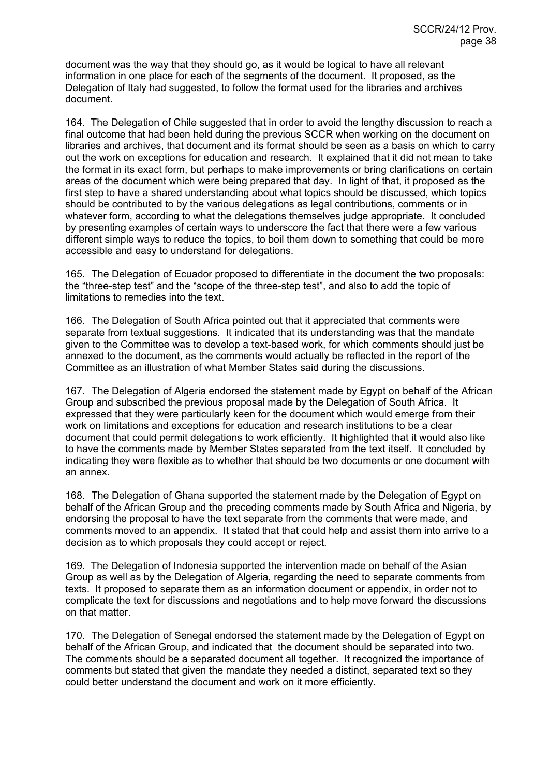document was the way that they should go, as it would be logical to have all relevant information in one place for each of the segments of the document. It proposed, as the Delegation of Italy had suggested, to follow the format used for the libraries and archives document.

164. The Delegation of Chile suggested that in order to avoid the lengthy discussion to reach a final outcome that had been held during the previous SCCR when working on the document on libraries and archives, that document and its format should be seen as a basis on which to carry out the work on exceptions for education and research. It explained that it did not mean to take the format in its exact form, but perhaps to make improvements or bring clarifications on certain areas of the document which were being prepared that day. In light of that, it proposed as the first step to have a shared understanding about what topics should be discussed, which topics should be contributed to by the various delegations as legal contributions, comments or in whatever form, according to what the delegations themselves judge appropriate. It concluded by presenting examples of certain ways to underscore the fact that there were a few various different simple ways to reduce the topics, to boil them down to something that could be more accessible and easy to understand for delegations.

165. The Delegation of Ecuador proposed to differentiate in the document the two proposals: the "three-step test" and the "scope of the three-step test", and also to add the topic of limitations to remedies into the text.

166. The Delegation of South Africa pointed out that it appreciated that comments were separate from textual suggestions. It indicated that its understanding was that the mandate given to the Committee was to develop a text-based work, for which comments should just be annexed to the document, as the comments would actually be reflected in the report of the Committee as an illustration of what Member States said during the discussions.

167. The Delegation of Algeria endorsed the statement made by Egypt on behalf of the African Group and subscribed the previous proposal made by the Delegation of South Africa. It expressed that they were particularly keen for the document which would emerge from their work on limitations and exceptions for education and research institutions to be a clear document that could permit delegations to work efficiently. It highlighted that it would also like to have the comments made by Member States separated from the text itself. It concluded by indicating they were flexible as to whether that should be two documents or one document with an annex.

168. The Delegation of Ghana supported the statement made by the Delegation of Egypt on behalf of the African Group and the preceding comments made by South Africa and Nigeria, by endorsing the proposal to have the text separate from the comments that were made, and comments moved to an appendix. It stated that that could help and assist them into arrive to a decision as to which proposals they could accept or reject.

169. The Delegation of Indonesia supported the intervention made on behalf of the Asian Group as well as by the Delegation of Algeria, regarding the need to separate comments from texts. It proposed to separate them as an information document or appendix, in order not to complicate the text for discussions and negotiations and to help move forward the discussions on that matter.

170. The Delegation of Senegal endorsed the statement made by the Delegation of Egypt on behalf of the African Group, and indicated that the document should be separated into two. The comments should be a separated document all together. It recognized the importance of comments but stated that given the mandate they needed a distinct, separated text so they could better understand the document and work on it more efficiently.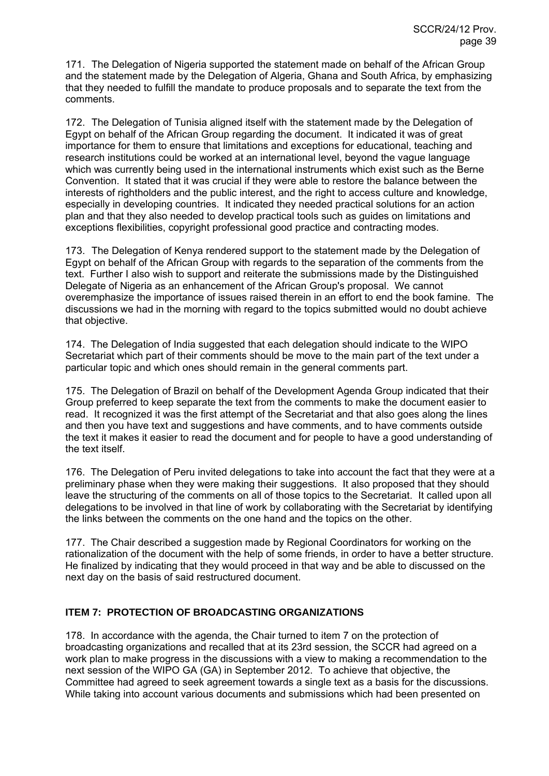171. The Delegation of Nigeria supported the statement made on behalf of the African Group and the statement made by the Delegation of Algeria, Ghana and South Africa, by emphasizing that they needed to fulfill the mandate to produce proposals and to separate the text from the comments.

172. The Delegation of Tunisia aligned itself with the statement made by the Delegation of Egypt on behalf of the African Group regarding the document. It indicated it was of great importance for them to ensure that limitations and exceptions for educational, teaching and research institutions could be worked at an international level, beyond the vague language which was currently being used in the international instruments which exist such as the Berne Convention. It stated that it was crucial if they were able to restore the balance between the interests of rightholders and the public interest, and the right to access culture and knowledge, especially in developing countries. It indicated they needed practical solutions for an action plan and that they also needed to develop practical tools such as guides on limitations and exceptions flexibilities, copyright professional good practice and contracting modes.

173. The Delegation of Kenya rendered support to the statement made by the Delegation of Egypt on behalf of the African Group with regards to the separation of the comments from the text. Further I also wish to support and reiterate the submissions made by the Distinguished Delegate of Nigeria as an enhancement of the African Group's proposal. We cannot overemphasize the importance of issues raised therein in an effort to end the book famine. The discussions we had in the morning with regard to the topics submitted would no doubt achieve that objective.

174. The Delegation of India suggested that each delegation should indicate to the WIPO Secretariat which part of their comments should be move to the main part of the text under a particular topic and which ones should remain in the general comments part.

175. The Delegation of Brazil on behalf of the Development Agenda Group indicated that their Group preferred to keep separate the text from the comments to make the document easier to read. It recognized it was the first attempt of the Secretariat and that also goes along the lines and then you have text and suggestions and have comments, and to have comments outside the text it makes it easier to read the document and for people to have a good understanding of the text itself.

176. The Delegation of Peru invited delegations to take into account the fact that they were at a preliminary phase when they were making their suggestions. It also proposed that they should leave the structuring of the comments on all of those topics to the Secretariat. It called upon all delegations to be involved in that line of work by collaborating with the Secretariat by identifying the links between the comments on the one hand and the topics on the other.

177. The Chair described a suggestion made by Regional Coordinators for working on the rationalization of the document with the help of some friends, in order to have a better structure. He finalized by indicating that they would proceed in that way and be able to discussed on the next day on the basis of said restructured document.

## **ITEM 7: PROTECTION OF BROADCASTING ORGANIZATIONS**

178. In accordance with the agenda, the Chair turned to item 7 on the protection of broadcasting organizations and recalled that at its 23rd session, the SCCR had agreed on a work plan to make progress in the discussions with a view to making a recommendation to the next session of the WIPO GA (GA) in September 2012. To achieve that objective, the Committee had agreed to seek agreement towards a single text as a basis for the discussions. While taking into account various documents and submissions which had been presented on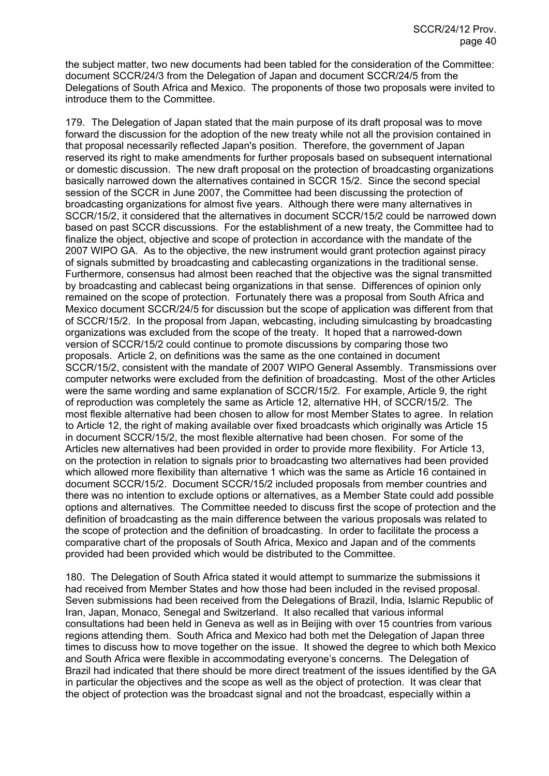the subject matter, two new documents had been tabled for the consideration of the Committee: document SCCR/24/3 from the Delegation of Japan and document SCCR/24/5 from the Delegations of South Africa and Mexico. The proponents of those two proposals were invited to introduce them to the Committee.

179. The Delegation of Japan stated that the main purpose of its draft proposal was to move forward the discussion for the adoption of the new treaty while not all the provision contained in that proposal necessarily reflected Japan's position. Therefore, the government of Japan reserved its right to make amendments for further proposals based on subsequent international or domestic discussion. The new draft proposal on the protection of broadcasting organizations basically narrowed down the alternatives contained in SCCR 15/2. Since the second special session of the SCCR in June 2007, the Committee had been discussing the protection of broadcasting organizations for almost five years. Although there were many alternatives in SCCR/15/2, it considered that the alternatives in document SCCR/15/2 could be narrowed down based on past SCCR discussions. For the establishment of a new treaty, the Committee had to finalize the object, objective and scope of protection in accordance with the mandate of the 2007 WIPO GA. As to the objective, the new instrument would grant protection against piracy of signals submitted by broadcasting and cablecasting organizations in the traditional sense. Furthermore, consensus had almost been reached that the objective was the signal transmitted by broadcasting and cablecast being organizations in that sense. Differences of opinion only remained on the scope of protection. Fortunately there was a proposal from South Africa and Mexico document SCCR/24/5 for discussion but the scope of application was different from that of SCCR/15/2. In the proposal from Japan, webcasting, including simulcasting by broadcasting organizations was excluded from the scope of the treaty. It hoped that a narrowed-down version of SCCR/15/2 could continue to promote discussions by comparing those two proposals. Article 2, on definitions was the same as the one contained in document SCCR/15/2, consistent with the mandate of 2007 WIPO General Assembly. Transmissions over computer networks were excluded from the definition of broadcasting. Most of the other Articles were the same wording and same explanation of SCCR/15/2. For example, Article 9, the right of reproduction was completely the same as Article 12, alternative HH, of SCCR/15/2. The most flexible alternative had been chosen to allow for most Member States to agree. In relation to Article 12, the right of making available over fixed broadcasts which originally was Article 15 in document SCCR/15/2, the most flexible alternative had been chosen. For some of the Articles new alternatives had been provided in order to provide more flexibility. For Article 13, on the protection in relation to signals prior to broadcasting two alternatives had been provided which allowed more flexibility than alternative 1 which was the same as Article 16 contained in document SCCR/15/2. Document SCCR/15/2 included proposals from member countries and there was no intention to exclude options or alternatives, as a Member State could add possible options and alternatives. The Committee needed to discuss first the scope of protection and the definition of broadcasting as the main difference between the various proposals was related to the scope of protection and the definition of broadcasting. In order to facilitate the process a comparative chart of the proposals of South Africa, Mexico and Japan and of the comments provided had been provided which would be distributed to the Committee.

180. The Delegation of South Africa stated it would attempt to summarize the submissions it had received from Member States and how those had been included in the revised proposal. Seven submissions had been received from the Delegations of Brazil, India, Islamic Republic of Iran, Japan, Monaco, Senegal and Switzerland. It also recalled that various informal consultations had been held in Geneva as well as in Beijing with over 15 countries from various regions attending them. South Africa and Mexico had both met the Delegation of Japan three times to discuss how to move together on the issue. It showed the degree to which both Mexico and South Africa were flexible in accommodating everyone's concerns. The Delegation of Brazil had indicated that there should be more direct treatment of the issues identified by the GA in particular the objectives and the scope as well as the object of protection. It was clear that the object of protection was the broadcast signal and not the broadcast, especially within a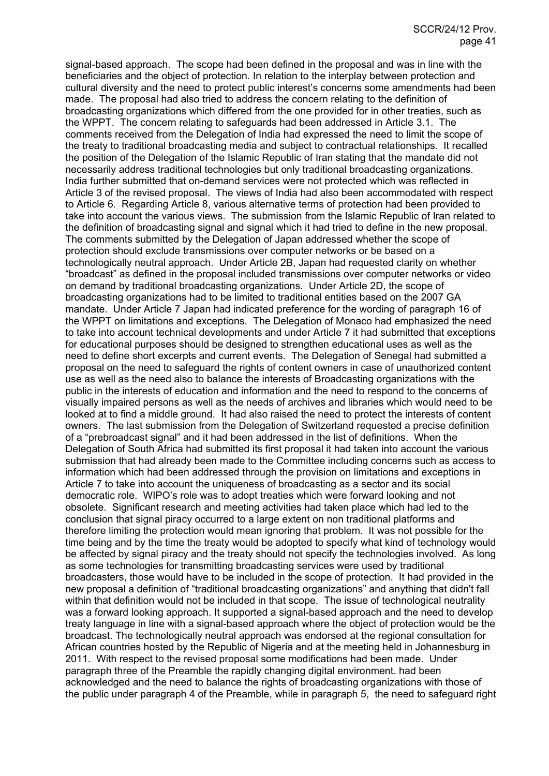signal-based approach. The scope had been defined in the proposal and was in line with the beneficiaries and the object of protection. In relation to the interplay between protection and cultural diversity and the need to protect public interest's concerns some amendments had been made. The proposal had also tried to address the concern relating to the definition of broadcasting organizations which differed from the one provided for in other treaties, such as the WPPT. The concern relating to safeguards had been addressed in Article 3.1. The comments received from the Delegation of India had expressed the need to limit the scope of the treaty to traditional broadcasting media and subject to contractual relationships. It recalled the position of the Delegation of the Islamic Republic of Iran stating that the mandate did not necessarily address traditional technologies but only traditional broadcasting organizations. India further submitted that on-demand services were not protected which was reflected in Article 3 of the revised proposal. The views of India had also been accommodated with respect to Article 6. Regarding Article 8, various alternative terms of protection had been provided to take into account the various views. The submission from the Islamic Republic of Iran related to the definition of broadcasting signal and signal which it had tried to define in the new proposal. The comments submitted by the Delegation of Japan addressed whether the scope of protection should exclude transmissions over computer networks or be based on a technologically neutral approach. Under Article 2B, Japan had requested clarity on whether "broadcast" as defined in the proposal included transmissions over computer networks or video on demand by traditional broadcasting organizations. Under Article 2D, the scope of broadcasting organizations had to be limited to traditional entities based on the 2007 GA mandate. Under Article 7 Japan had indicated preference for the wording of paragraph 16 of the WPPT on limitations and exceptions. The Delegation of Monaco had emphasized the need to take into account technical developments and under Article 7 it had submitted that exceptions for educational purposes should be designed to strengthen educational uses as well as the need to define short excerpts and current events. The Delegation of Senegal had submitted a proposal on the need to safeguard the rights of content owners in case of unauthorized content use as well as the need also to balance the interests of Broadcasting organizations with the public in the interests of education and information and the need to respond to the concerns of visually impaired persons as well as the needs of archives and libraries which would need to be looked at to find a middle ground. It had also raised the need to protect the interests of content owners. The last submission from the Delegation of Switzerland requested a precise definition of a "prebroadcast signal" and it had been addressed in the list of definitions. When the Delegation of South Africa had submitted its first proposal it had taken into account the various submission that had already been made to the Committee including concerns such as access to information which had been addressed through the provision on limitations and exceptions in Article 7 to take into account the uniqueness of broadcasting as a sector and its social democratic role. WIPO's role was to adopt treaties which were forward looking and not obsolete. Significant research and meeting activities had taken place which had led to the conclusion that signal piracy occurred to a large extent on non traditional platforms and therefore limiting the protection would mean ignoring that problem. It was not possible for the time being and by the time the treaty would be adopted to specify what kind of technology would be affected by signal piracy and the treaty should not specify the technologies involved. As long as some technologies for transmitting broadcasting services were used by traditional broadcasters, those would have to be included in the scope of protection. It had provided in the new proposal a definition of "traditional broadcasting organizations" and anything that didn't fall within that definition would not be included in that scope. The issue of technological neutrality was a forward looking approach. It supported a signal-based approach and the need to develop treaty language in line with a signal-based approach where the object of protection would be the broadcast. The technologically neutral approach was endorsed at the regional consultation for African countries hosted by the Republic of Nigeria and at the meeting held in Johannesburg in 2011. With respect to the revised proposal some modifications had been made. Under paragraph three of the Preamble the rapidly changing digital environment. had been acknowledged and the need to balance the rights of broadcasting organizations with those of the public under paragraph 4 of the Preamble, while in paragraph 5, the need to safeguard right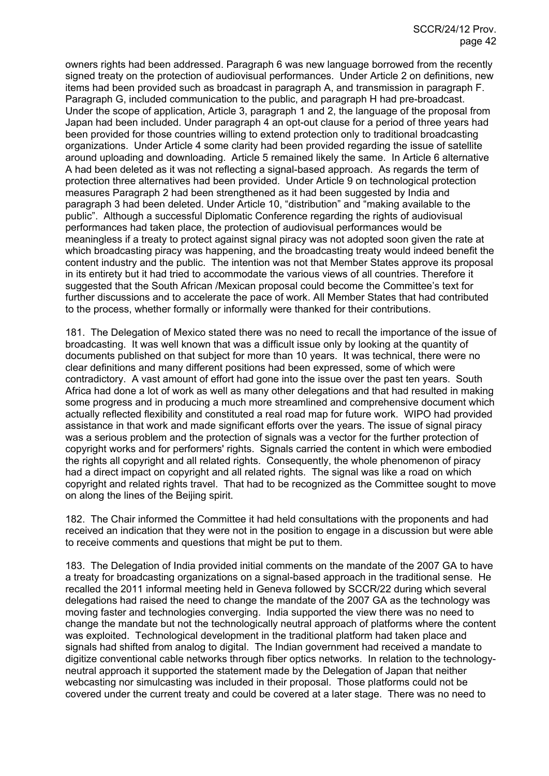owners rights had been addressed. Paragraph 6 was new language borrowed from the recently signed treaty on the protection of audiovisual performances. Under Article 2 on definitions, new items had been provided such as broadcast in paragraph A, and transmission in paragraph F. Paragraph G, included communication to the public, and paragraph H had pre-broadcast. Under the scope of application, Article 3, paragraph 1 and 2, the language of the proposal from Japan had been included. Under paragraph 4 an opt-out clause for a period of three years had been provided for those countries willing to extend protection only to traditional broadcasting organizations. Under Article 4 some clarity had been provided regarding the issue of satellite around uploading and downloading. Article 5 remained likely the same. In Article 6 alternative A had been deleted as it was not reflecting a signal-based approach. As regards the term of protection three alternatives had been provided. Under Article 9 on technological protection measures Paragraph 2 had been strengthened as it had been suggested by India and paragraph 3 had been deleted. Under Article 10, "distribution" and "making available to the public". Although a successful Diplomatic Conference regarding the rights of audiovisual performances had taken place, the protection of audiovisual performances would be meaningless if a treaty to protect against signal piracy was not adopted soon given the rate at which broadcasting piracy was happening, and the broadcasting treaty would indeed benefit the content industry and the public. The intention was not that Member States approve its proposal in its entirety but it had tried to accommodate the various views of all countries. Therefore it suggested that the South African /Mexican proposal could become the Committee's text for further discussions and to accelerate the pace of work. All Member States that had contributed to the process, whether formally or informally were thanked for their contributions.

181. The Delegation of Mexico stated there was no need to recall the importance of the issue of broadcasting. It was well known that was a difficult issue only by looking at the quantity of documents published on that subject for more than 10 years. It was technical, there were no clear definitions and many different positions had been expressed, some of which were contradictory. A vast amount of effort had gone into the issue over the past ten years. South Africa had done a lot of work as well as many other delegations and that had resulted in making some progress and in producing a much more streamlined and comprehensive document which actually reflected flexibility and constituted a real road map for future work. WIPO had provided assistance in that work and made significant efforts over the years. The issue of signal piracy was a serious problem and the protection of signals was a vector for the further protection of copyright works and for performers' rights. Signals carried the content in which were embodied the rights all copyright and all related rights. Consequently, the whole phenomenon of piracy had a direct impact on copyright and all related rights. The signal was like a road on which copyright and related rights travel. That had to be recognized as the Committee sought to move on along the lines of the Beijing spirit.

182. The Chair informed the Committee it had held consultations with the proponents and had received an indication that they were not in the position to engage in a discussion but were able to receive comments and questions that might be put to them.

183. The Delegation of India provided initial comments on the mandate of the 2007 GA to have a treaty for broadcasting organizations on a signal-based approach in the traditional sense. He recalled the 2011 informal meeting held in Geneva followed by SCCR/22 during which several delegations had raised the need to change the mandate of the 2007 GA as the technology was moving faster and technologies converging. India supported the view there was no need to change the mandate but not the technologically neutral approach of platforms where the content was exploited. Technological development in the traditional platform had taken place and signals had shifted from analog to digital. The Indian government had received a mandate to digitize conventional cable networks through fiber optics networks. In relation to the technologyneutral approach it supported the statement made by the Delegation of Japan that neither webcasting nor simulcasting was included in their proposal. Those platforms could not be covered under the current treaty and could be covered at a later stage. There was no need to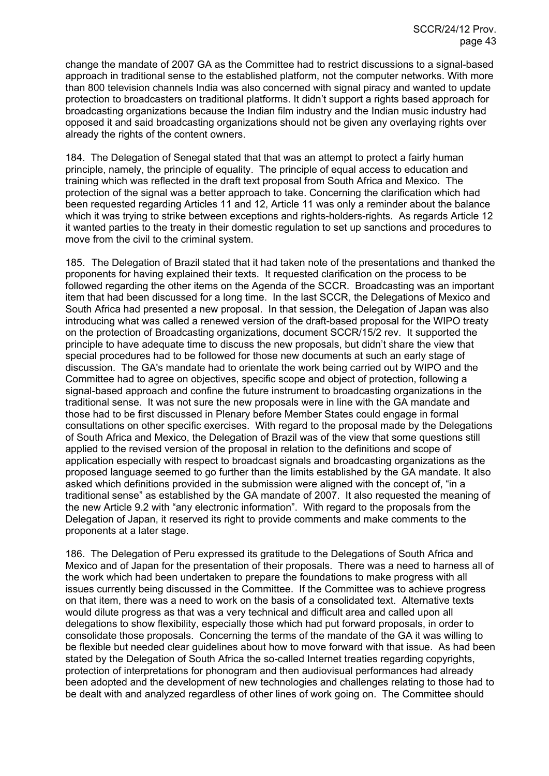change the mandate of 2007 GA as the Committee had to restrict discussions to a signal-based approach in traditional sense to the established platform, not the computer networks. With more than 800 television channels India was also concerned with signal piracy and wanted to update protection to broadcasters on traditional platforms. It didn't support a rights based approach for broadcasting organizations because the Indian film industry and the Indian music industry had opposed it and said broadcasting organizations should not be given any overlaying rights over already the rights of the content owners.

184. The Delegation of Senegal stated that that was an attempt to protect a fairly human principle, namely, the principle of equality. The principle of equal access to education and training which was reflected in the draft text proposal from South Africa and Mexico. The protection of the signal was a better approach to take. Concerning the clarification which had been requested regarding Articles 11 and 12, Article 11 was only a reminder about the balance which it was trying to strike between exceptions and rights-holders-rights. As regards Article 12 it wanted parties to the treaty in their domestic regulation to set up sanctions and procedures to move from the civil to the criminal system.

185. The Delegation of Brazil stated that it had taken note of the presentations and thanked the proponents for having explained their texts. It requested clarification on the process to be followed regarding the other items on the Agenda of the SCCR. Broadcasting was an important item that had been discussed for a long time. In the last SCCR, the Delegations of Mexico and South Africa had presented a new proposal. In that session, the Delegation of Japan was also introducing what was called a renewed version of the draft-based proposal for the WIPO treaty on the protection of Broadcasting organizations, document SCCR/15/2 rev. It supported the principle to have adequate time to discuss the new proposals, but didn't share the view that special procedures had to be followed for those new documents at such an early stage of discussion. The GA's mandate had to orientate the work being carried out by WIPO and the Committee had to agree on objectives, specific scope and object of protection, following a signal-based approach and confine the future instrument to broadcasting organizations in the traditional sense. It was not sure the new proposals were in line with the GA mandate and those had to be first discussed in Plenary before Member States could engage in formal consultations on other specific exercises. With regard to the proposal made by the Delegations of South Africa and Mexico, the Delegation of Brazil was of the view that some questions still applied to the revised version of the proposal in relation to the definitions and scope of application especially with respect to broadcast signals and broadcasting organizations as the proposed language seemed to go further than the limits established by the GA mandate. It also asked which definitions provided in the submission were aligned with the concept of, "in a traditional sense" as established by the GA mandate of 2007. It also requested the meaning of the new Article 9.2 with "any electronic information". With regard to the proposals from the Delegation of Japan, it reserved its right to provide comments and make comments to the proponents at a later stage.

186. The Delegation of Peru expressed its gratitude to the Delegations of South Africa and Mexico and of Japan for the presentation of their proposals. There was a need to harness all of the work which had been undertaken to prepare the foundations to make progress with all issues currently being discussed in the Committee. If the Committee was to achieve progress on that item, there was a need to work on the basis of a consolidated text. Alternative texts would dilute progress as that was a very technical and difficult area and called upon all delegations to show flexibility, especially those which had put forward proposals, in order to consolidate those proposals. Concerning the terms of the mandate of the GA it was willing to be flexible but needed clear guidelines about how to move forward with that issue. As had been stated by the Delegation of South Africa the so-called Internet treaties regarding copyrights, protection of interpretations for phonogram and then audiovisual performances had already been adopted and the development of new technologies and challenges relating to those had to be dealt with and analyzed regardless of other lines of work going on. The Committee should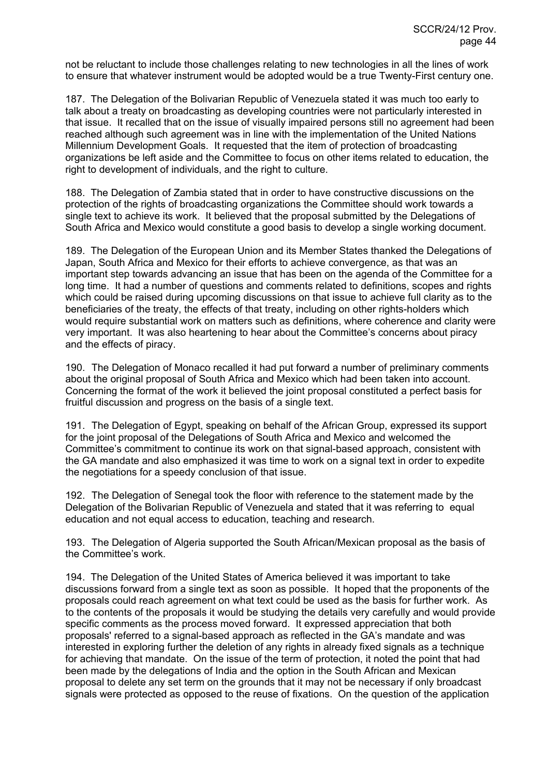not be reluctant to include those challenges relating to new technologies in all the lines of work to ensure that whatever instrument would be adopted would be a true Twenty-First century one.

187. The Delegation of the Bolivarian Republic of Venezuela stated it was much too early to talk about a treaty on broadcasting as developing countries were not particularly interested in that issue. It recalled that on the issue of visually impaired persons still no agreement had been reached although such agreement was in line with the implementation of the United Nations Millennium Development Goals. It requested that the item of protection of broadcasting organizations be left aside and the Committee to focus on other items related to education, the right to development of individuals, and the right to culture.

188. The Delegation of Zambia stated that in order to have constructive discussions on the protection of the rights of broadcasting organizations the Committee should work towards a single text to achieve its work. It believed that the proposal submitted by the Delegations of South Africa and Mexico would constitute a good basis to develop a single working document.

189. The Delegation of the European Union and its Member States thanked the Delegations of Japan, South Africa and Mexico for their efforts to achieve convergence, as that was an important step towards advancing an issue that has been on the agenda of the Committee for a long time. It had a number of questions and comments related to definitions, scopes and rights which could be raised during upcoming discussions on that issue to achieve full clarity as to the beneficiaries of the treaty, the effects of that treaty, including on other rights-holders which would require substantial work on matters such as definitions, where coherence and clarity were very important. It was also heartening to hear about the Committee's concerns about piracy and the effects of piracy.

190. The Delegation of Monaco recalled it had put forward a number of preliminary comments about the original proposal of South Africa and Mexico which had been taken into account. Concerning the format of the work it believed the joint proposal constituted a perfect basis for fruitful discussion and progress on the basis of a single text.

191. The Delegation of Egypt, speaking on behalf of the African Group, expressed its support for the joint proposal of the Delegations of South Africa and Mexico and welcomed the Committee's commitment to continue its work on that signal-based approach, consistent with the GA mandate and also emphasized it was time to work on a signal text in order to expedite the negotiations for a speedy conclusion of that issue.

192. The Delegation of Senegal took the floor with reference to the statement made by the Delegation of the Bolivarian Republic of Venezuela and stated that it was referring to equal education and not equal access to education, teaching and research.

193. The Delegation of Algeria supported the South African/Mexican proposal as the basis of the Committee's work.

194. The Delegation of the United States of America believed it was important to take discussions forward from a single text as soon as possible. It hoped that the proponents of the proposals could reach agreement on what text could be used as the basis for further work. As to the contents of the proposals it would be studying the details very carefully and would provide specific comments as the process moved forward. It expressed appreciation that both proposals' referred to a signal-based approach as reflected in the GA's mandate and was interested in exploring further the deletion of any rights in already fixed signals as a technique for achieving that mandate. On the issue of the term of protection, it noted the point that had been made by the delegations of India and the option in the South African and Mexican proposal to delete any set term on the grounds that it may not be necessary if only broadcast signals were protected as opposed to the reuse of fixations. On the question of the application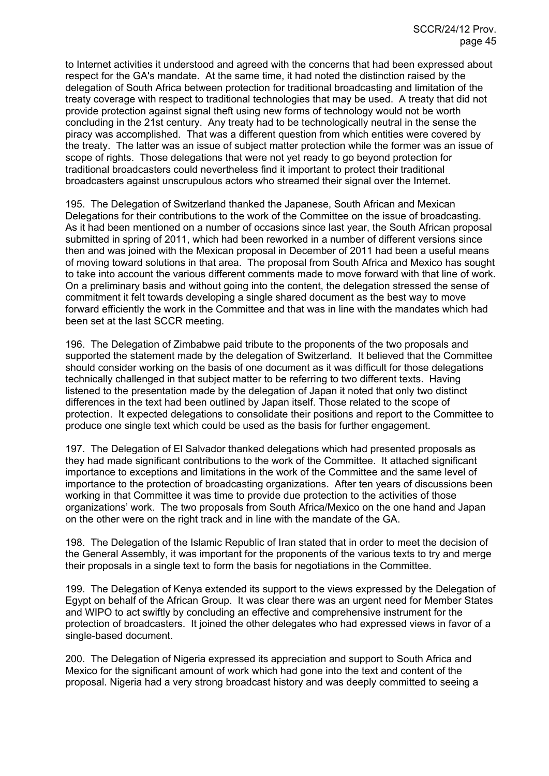to Internet activities it understood and agreed with the concerns that had been expressed about respect for the GA's mandate. At the same time, it had noted the distinction raised by the delegation of South Africa between protection for traditional broadcasting and limitation of the treaty coverage with respect to traditional technologies that may be used. A treaty that did not provide protection against signal theft using new forms of technology would not be worth concluding in the 21st century. Any treaty had to be technologically neutral in the sense the piracy was accomplished. That was a different question from which entities were covered by the treaty. The latter was an issue of subject matter protection while the former was an issue of scope of rights. Those delegations that were not yet ready to go beyond protection for traditional broadcasters could nevertheless find it important to protect their traditional broadcasters against unscrupulous actors who streamed their signal over the Internet.

195. The Delegation of Switzerland thanked the Japanese, South African and Mexican Delegations for their contributions to the work of the Committee on the issue of broadcasting. As it had been mentioned on a number of occasions since last year, the South African proposal submitted in spring of 2011, which had been reworked in a number of different versions since then and was joined with the Mexican proposal in December of 2011 had been a useful means of moving toward solutions in that area. The proposal from South Africa and Mexico has sought to take into account the various different comments made to move forward with that line of work. On a preliminary basis and without going into the content, the delegation stressed the sense of commitment it felt towards developing a single shared document as the best way to move forward efficiently the work in the Committee and that was in line with the mandates which had been set at the last SCCR meeting.

196. The Delegation of Zimbabwe paid tribute to the proponents of the two proposals and supported the statement made by the delegation of Switzerland. It believed that the Committee should consider working on the basis of one document as it was difficult for those delegations technically challenged in that subject matter to be referring to two different texts. Having listened to the presentation made by the delegation of Japan it noted that only two distinct differences in the text had been outlined by Japan itself. Those related to the scope of protection. It expected delegations to consolidate their positions and report to the Committee to produce one single text which could be used as the basis for further engagement.

197. The Delegation of El Salvador thanked delegations which had presented proposals as they had made significant contributions to the work of the Committee. It attached significant importance to exceptions and limitations in the work of the Committee and the same level of importance to the protection of broadcasting organizations. After ten years of discussions been working in that Committee it was time to provide due protection to the activities of those organizations' work. The two proposals from South Africa/Mexico on the one hand and Japan on the other were on the right track and in line with the mandate of the GA.

198. The Delegation of the Islamic Republic of Iran stated that in order to meet the decision of the General Assembly, it was important for the proponents of the various texts to try and merge their proposals in a single text to form the basis for negotiations in the Committee.

199. The Delegation of Kenya extended its support to the views expressed by the Delegation of Egypt on behalf of the African Group. It was clear there was an urgent need for Member States and WIPO to act swiftly by concluding an effective and comprehensive instrument for the protection of broadcasters. It joined the other delegates who had expressed views in favor of a single-based document.

200. The Delegation of Nigeria expressed its appreciation and support to South Africa and Mexico for the significant amount of work which had gone into the text and content of the proposal. Nigeria had a very strong broadcast history and was deeply committed to seeing a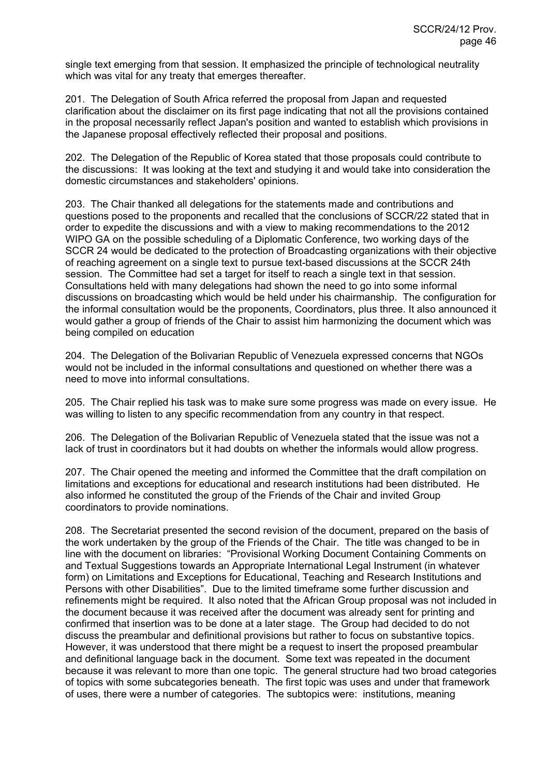single text emerging from that session. It emphasized the principle of technological neutrality which was vital for any treaty that emerges thereafter.

201. The Delegation of South Africa referred the proposal from Japan and requested clarification about the disclaimer on its first page indicating that not all the provisions contained in the proposal necessarily reflect Japan's position and wanted to establish which provisions in the Japanese proposal effectively reflected their proposal and positions.

202. The Delegation of the Republic of Korea stated that those proposals could contribute to the discussions: It was looking at the text and studying it and would take into consideration the domestic circumstances and stakeholders' opinions.

203. The Chair thanked all delegations for the statements made and contributions and questions posed to the proponents and recalled that the conclusions of SCCR/22 stated that in order to expedite the discussions and with a view to making recommendations to the 2012 WIPO GA on the possible scheduling of a Diplomatic Conference, two working days of the SCCR 24 would be dedicated to the protection of Broadcasting organizations with their objective of reaching agreement on a single text to pursue text-based discussions at the SCCR 24th session. The Committee had set a target for itself to reach a single text in that session. Consultations held with many delegations had shown the need to go into some informal discussions on broadcasting which would be held under his chairmanship. The configuration for the informal consultation would be the proponents, Coordinators, plus three. It also announced it would gather a group of friends of the Chair to assist him harmonizing the document which was being compiled on education

204. The Delegation of the Bolivarian Republic of Venezuela expressed concerns that NGOs would not be included in the informal consultations and questioned on whether there was a need to move into informal consultations.

205. The Chair replied his task was to make sure some progress was made on every issue. He was willing to listen to any specific recommendation from any country in that respect.

206. The Delegation of the Bolivarian Republic of Venezuela stated that the issue was not a lack of trust in coordinators but it had doubts on whether the informals would allow progress.

207. The Chair opened the meeting and informed the Committee that the draft compilation on limitations and exceptions for educational and research institutions had been distributed. He also informed he constituted the group of the Friends of the Chair and invited Group coordinators to provide nominations.

208. The Secretariat presented the second revision of the document, prepared on the basis of the work undertaken by the group of the Friends of the Chair. The title was changed to be in line with the document on libraries: "Provisional Working Document Containing Comments on and Textual Suggestions towards an Appropriate International Legal Instrument (in whatever form) on Limitations and Exceptions for Educational, Teaching and Research Institutions and Persons with other Disabilities". Due to the limited timeframe some further discussion and refinements might be required. It also noted that the African Group proposal was not included in the document because it was received after the document was already sent for printing and confirmed that insertion was to be done at a later stage. The Group had decided to do not discuss the preambular and definitional provisions but rather to focus on substantive topics. However, it was understood that there might be a request to insert the proposed preambular and definitional language back in the document. Some text was repeated in the document because it was relevant to more than one topic. The general structure had two broad categories of topics with some subcategories beneath. The first topic was uses and under that framework of uses, there were a number of categories. The subtopics were: institutions, meaning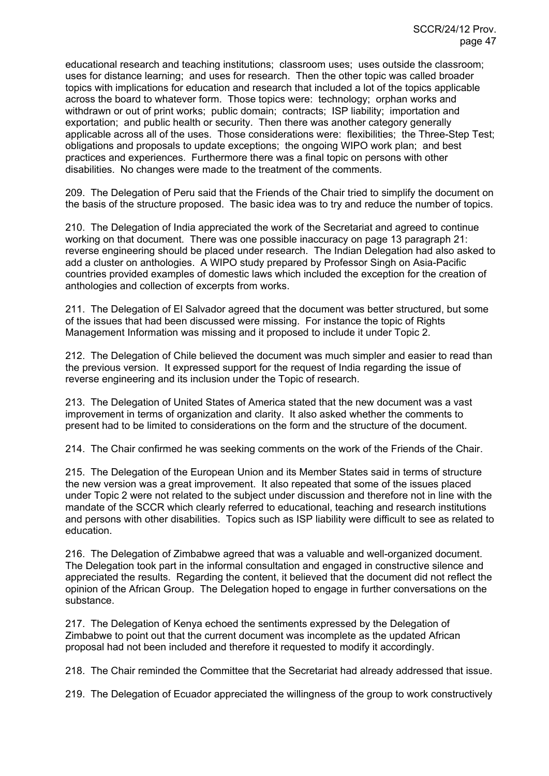educational research and teaching institutions; classroom uses; uses outside the classroom; uses for distance learning; and uses for research. Then the other topic was called broader topics with implications for education and research that included a lot of the topics applicable across the board to whatever form. Those topics were: technology; orphan works and withdrawn or out of print works: public domain: contracts: ISP liability: importation and exportation; and public health or security. Then there was another category generally applicable across all of the uses. Those considerations were: flexibilities; the Three-Step Test; obligations and proposals to update exceptions; the ongoing WIPO work plan; and best practices and experiences. Furthermore there was a final topic on persons with other disabilities. No changes were made to the treatment of the comments.

209. The Delegation of Peru said that the Friends of the Chair tried to simplify the document on the basis of the structure proposed. The basic idea was to try and reduce the number of topics.

210. The Delegation of India appreciated the work of the Secretariat and agreed to continue working on that document. There was one possible inaccuracy on page 13 paragraph 21: reverse engineering should be placed under research. The Indian Delegation had also asked to add a cluster on anthologies. A WIPO study prepared by Professor Singh on Asia-Pacific countries provided examples of domestic laws which included the exception for the creation of anthologies and collection of excerpts from works.

211. The Delegation of El Salvador agreed that the document was better structured, but some of the issues that had been discussed were missing. For instance the topic of Rights Management Information was missing and it proposed to include it under Topic 2.

212. The Delegation of Chile believed the document was much simpler and easier to read than the previous version. It expressed support for the request of India regarding the issue of reverse engineering and its inclusion under the Topic of research.

213. The Delegation of United States of America stated that the new document was a vast improvement in terms of organization and clarity. It also asked whether the comments to present had to be limited to considerations on the form and the structure of the document.

214. The Chair confirmed he was seeking comments on the work of the Friends of the Chair.

215. The Delegation of the European Union and its Member States said in terms of structure the new version was a great improvement. It also repeated that some of the issues placed under Topic 2 were not related to the subject under discussion and therefore not in line with the mandate of the SCCR which clearly referred to educational, teaching and research institutions and persons with other disabilities. Topics such as ISP liability were difficult to see as related to education.

216. The Delegation of Zimbabwe agreed that was a valuable and well-organized document. The Delegation took part in the informal consultation and engaged in constructive silence and appreciated the results. Regarding the content, it believed that the document did not reflect the opinion of the African Group. The Delegation hoped to engage in further conversations on the substance.

217. The Delegation of Kenya echoed the sentiments expressed by the Delegation of Zimbabwe to point out that the current document was incomplete as the updated African proposal had not been included and therefore it requested to modify it accordingly.

218. The Chair reminded the Committee that the Secretariat had already addressed that issue.

219. The Delegation of Ecuador appreciated the willingness of the group to work constructively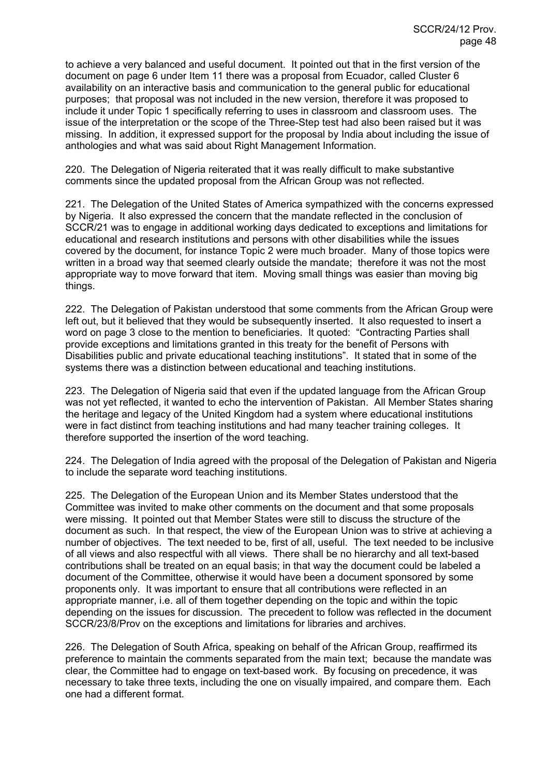to achieve a very balanced and useful document. It pointed out that in the first version of the document on page 6 under Item 11 there was a proposal from Ecuador, called Cluster 6 availability on an interactive basis and communication to the general public for educational purposes; that proposal was not included in the new version, therefore it was proposed to include it under Topic 1 specifically referring to uses in classroom and classroom uses. The issue of the interpretation or the scope of the Three-Step test had also been raised but it was missing. In addition, it expressed support for the proposal by India about including the issue of anthologies and what was said about Right Management Information.

220. The Delegation of Nigeria reiterated that it was really difficult to make substantive comments since the updated proposal from the African Group was not reflected.

221. The Delegation of the United States of America sympathized with the concerns expressed by Nigeria. It also expressed the concern that the mandate reflected in the conclusion of SCCR/21 was to engage in additional working days dedicated to exceptions and limitations for educational and research institutions and persons with other disabilities while the issues covered by the document, for instance Topic 2 were much broader. Many of those topics were written in a broad way that seemed clearly outside the mandate; therefore it was not the most appropriate way to move forward that item. Moving small things was easier than moving big things.

222. The Delegation of Pakistan understood that some comments from the African Group were left out, but it believed that they would be subsequently inserted. It also requested to insert a word on page 3 close to the mention to beneficiaries. It quoted: "Contracting Parties shall provide exceptions and limitations granted in this treaty for the benefit of Persons with Disabilities public and private educational teaching institutions". It stated that in some of the systems there was a distinction between educational and teaching institutions.

223. The Delegation of Nigeria said that even if the updated language from the African Group was not yet reflected, it wanted to echo the intervention of Pakistan. All Member States sharing the heritage and legacy of the United Kingdom had a system where educational institutions were in fact distinct from teaching institutions and had many teacher training colleges. It therefore supported the insertion of the word teaching.

224. The Delegation of India agreed with the proposal of the Delegation of Pakistan and Nigeria to include the separate word teaching institutions.

225. The Delegation of the European Union and its Member States understood that the Committee was invited to make other comments on the document and that some proposals were missing. It pointed out that Member States were still to discuss the structure of the document as such. In that respect, the view of the European Union was to strive at achieving a number of objectives. The text needed to be, first of all, useful. The text needed to be inclusive of all views and also respectful with all views. There shall be no hierarchy and all text-based contributions shall be treated on an equal basis; in that way the document could be labeled a document of the Committee, otherwise it would have been a document sponsored by some proponents only. It was important to ensure that all contributions were reflected in an appropriate manner, i.e. all of them together depending on the topic and within the topic depending on the issues for discussion. The precedent to follow was reflected in the document SCCR/23/8/Prov on the exceptions and limitations for libraries and archives.

226. The Delegation of South Africa, speaking on behalf of the African Group, reaffirmed its preference to maintain the comments separated from the main text; because the mandate was clear, the Committee had to engage on text-based work. By focusing on precedence, it was necessary to take three texts, including the one on visually impaired, and compare them. Each one had a different format.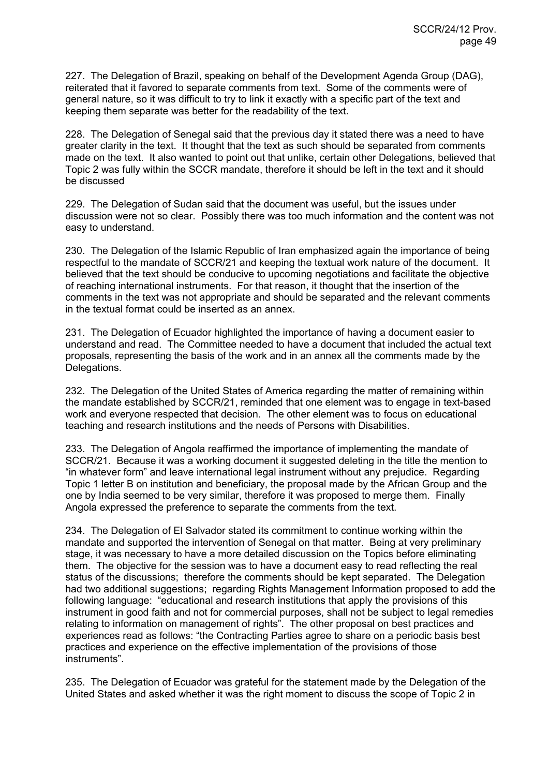227. The Delegation of Brazil, speaking on behalf of the Development Agenda Group (DAG), reiterated that it favored to separate comments from text. Some of the comments were of general nature, so it was difficult to try to link it exactly with a specific part of the text and keeping them separate was better for the readability of the text.

228. The Delegation of Senegal said that the previous day it stated there was a need to have greater clarity in the text. It thought that the text as such should be separated from comments made on the text. It also wanted to point out that unlike, certain other Delegations, believed that Topic 2 was fully within the SCCR mandate, therefore it should be left in the text and it should be discussed

229. The Delegation of Sudan said that the document was useful, but the issues under discussion were not so clear. Possibly there was too much information and the content was not easy to understand.

230. The Delegation of the Islamic Republic of Iran emphasized again the importance of being respectful to the mandate of SCCR/21 and keeping the textual work nature of the document. It believed that the text should be conducive to upcoming negotiations and facilitate the objective of reaching international instruments. For that reason, it thought that the insertion of the comments in the text was not appropriate and should be separated and the relevant comments in the textual format could be inserted as an annex.

231. The Delegation of Ecuador highlighted the importance of having a document easier to understand and read. The Committee needed to have a document that included the actual text proposals, representing the basis of the work and in an annex all the comments made by the Delegations.

232. The Delegation of the United States of America regarding the matter of remaining within the mandate established by SCCR/21, reminded that one element was to engage in text-based work and everyone respected that decision. The other element was to focus on educational teaching and research institutions and the needs of Persons with Disabilities.

233. The Delegation of Angola reaffirmed the importance of implementing the mandate of SCCR/21. Because it was a working document it suggested deleting in the title the mention to "in whatever form" and leave international legal instrument without any prejudice. Regarding Topic 1 letter B on institution and beneficiary, the proposal made by the African Group and the one by India seemed to be very similar, therefore it was proposed to merge them. Finally Angola expressed the preference to separate the comments from the text.

234. The Delegation of El Salvador stated its commitment to continue working within the mandate and supported the intervention of Senegal on that matter. Being at very preliminary stage, it was necessary to have a more detailed discussion on the Topics before eliminating them. The objective for the session was to have a document easy to read reflecting the real status of the discussions; therefore the comments should be kept separated. The Delegation had two additional suggestions; regarding Rights Management Information proposed to add the following language: "educational and research institutions that apply the provisions of this instrument in good faith and not for commercial purposes, shall not be subject to legal remedies relating to information on management of rights". The other proposal on best practices and experiences read as follows: "the Contracting Parties agree to share on a periodic basis best practices and experience on the effective implementation of the provisions of those instruments".

235. The Delegation of Ecuador was grateful for the statement made by the Delegation of the United States and asked whether it was the right moment to discuss the scope of Topic 2 in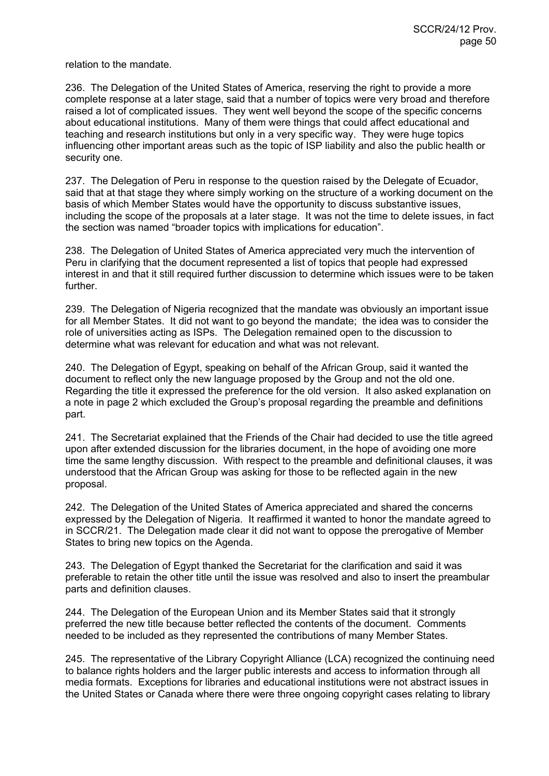relation to the mandate.

236. The Delegation of the United States of America, reserving the right to provide a more complete response at a later stage, said that a number of topics were very broad and therefore raised a lot of complicated issues. They went well beyond the scope of the specific concerns about educational institutions. Many of them were things that could affect educational and teaching and research institutions but only in a very specific way. They were huge topics influencing other important areas such as the topic of ISP liability and also the public health or security one.

237. The Delegation of Peru in response to the question raised by the Delegate of Ecuador, said that at that stage they where simply working on the structure of a working document on the basis of which Member States would have the opportunity to discuss substantive issues, including the scope of the proposals at a later stage. It was not the time to delete issues, in fact the section was named "broader topics with implications for education".

238. The Delegation of United States of America appreciated very much the intervention of Peru in clarifying that the document represented a list of topics that people had expressed interest in and that it still required further discussion to determine which issues were to be taken further.

239. The Delegation of Nigeria recognized that the mandate was obviously an important issue for all Member States. It did not want to go beyond the mandate; the idea was to consider the role of universities acting as ISPs. The Delegation remained open to the discussion to determine what was relevant for education and what was not relevant.

240. The Delegation of Egypt, speaking on behalf of the African Group, said it wanted the document to reflect only the new language proposed by the Group and not the old one. Regarding the title it expressed the preference for the old version. It also asked explanation on a note in page 2 which excluded the Group's proposal regarding the preamble and definitions part.

241. The Secretariat explained that the Friends of the Chair had decided to use the title agreed upon after extended discussion for the libraries document, in the hope of avoiding one more time the same lengthy discussion. With respect to the preamble and definitional clauses, it was understood that the African Group was asking for those to be reflected again in the new proposal.

242. The Delegation of the United States of America appreciated and shared the concerns expressed by the Delegation of Nigeria. It reaffirmed it wanted to honor the mandate agreed to in SCCR/21. The Delegation made clear it did not want to oppose the prerogative of Member States to bring new topics on the Agenda.

243. The Delegation of Egypt thanked the Secretariat for the clarification and said it was preferable to retain the other title until the issue was resolved and also to insert the preambular parts and definition clauses.

244. The Delegation of the European Union and its Member States said that it strongly preferred the new title because better reflected the contents of the document. Comments needed to be included as they represented the contributions of many Member States.

245. The representative of the Library Copyright Alliance (LCA) recognized the continuing need to balance rights holders and the larger public interests and access to information through all media formats. Exceptions for libraries and educational institutions were not abstract issues in the United States or Canada where there were three ongoing copyright cases relating to library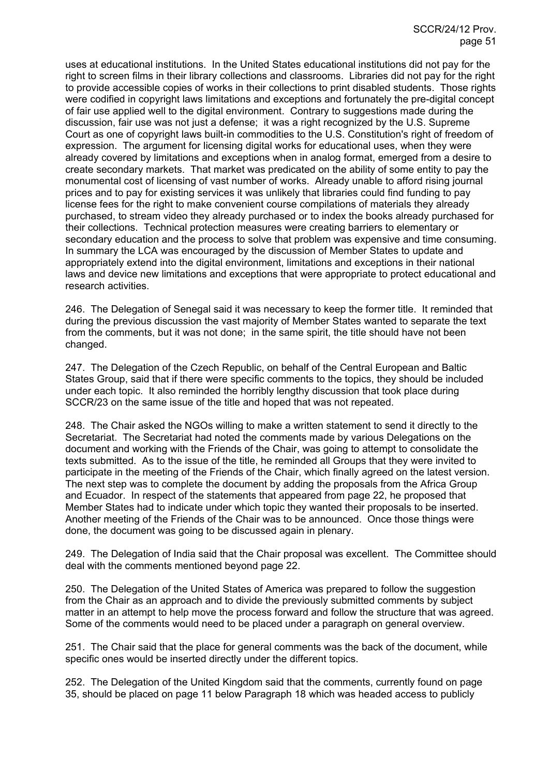uses at educational institutions. In the United States educational institutions did not pay for the right to screen films in their library collections and classrooms. Libraries did not pay for the right to provide accessible copies of works in their collections to print disabled students. Those rights were codified in copyright laws limitations and exceptions and fortunately the pre-digital concept of fair use applied well to the digital environment. Contrary to suggestions made during the discussion, fair use was not just a defense; it was a right recognized by the U.S. Supreme Court as one of copyright laws built-in commodities to the U.S. Constitution's right of freedom of expression. The argument for licensing digital works for educational uses, when they were already covered by limitations and exceptions when in analog format, emerged from a desire to create secondary markets. That market was predicated on the ability of some entity to pay the monumental cost of licensing of vast number of works. Already unable to afford rising journal prices and to pay for existing services it was unlikely that libraries could find funding to pay license fees for the right to make convenient course compilations of materials they already purchased, to stream video they already purchased or to index the books already purchased for their collections. Technical protection measures were creating barriers to elementary or secondary education and the process to solve that problem was expensive and time consuming. In summary the LCA was encouraged by the discussion of Member States to update and appropriately extend into the digital environment, limitations and exceptions in their national laws and device new limitations and exceptions that were appropriate to protect educational and research activities.

246. The Delegation of Senegal said it was necessary to keep the former title. It reminded that during the previous discussion the vast majority of Member States wanted to separate the text from the comments, but it was not done; in the same spirit, the title should have not been changed.

247. The Delegation of the Czech Republic, on behalf of the Central European and Baltic States Group, said that if there were specific comments to the topics, they should be included under each topic. It also reminded the horribly lengthy discussion that took place during SCCR/23 on the same issue of the title and hoped that was not repeated.

248. The Chair asked the NGOs willing to make a written statement to send it directly to the Secretariat. The Secretariat had noted the comments made by various Delegations on the document and working with the Friends of the Chair, was going to attempt to consolidate the texts submitted. As to the issue of the title, he reminded all Groups that they were invited to participate in the meeting of the Friends of the Chair, which finally agreed on the latest version. The next step was to complete the document by adding the proposals from the Africa Group and Ecuador. In respect of the statements that appeared from page 22, he proposed that Member States had to indicate under which topic they wanted their proposals to be inserted. Another meeting of the Friends of the Chair was to be announced. Once those things were done, the document was going to be discussed again in plenary.

249. The Delegation of India said that the Chair proposal was excellent. The Committee should deal with the comments mentioned beyond page 22.

250. The Delegation of the United States of America was prepared to follow the suggestion from the Chair as an approach and to divide the previously submitted comments by subject matter in an attempt to help move the process forward and follow the structure that was agreed. Some of the comments would need to be placed under a paragraph on general overview.

251. The Chair said that the place for general comments was the back of the document, while specific ones would be inserted directly under the different topics.

252. The Delegation of the United Kingdom said that the comments, currently found on page 35, should be placed on page 11 below Paragraph 18 which was headed access to publicly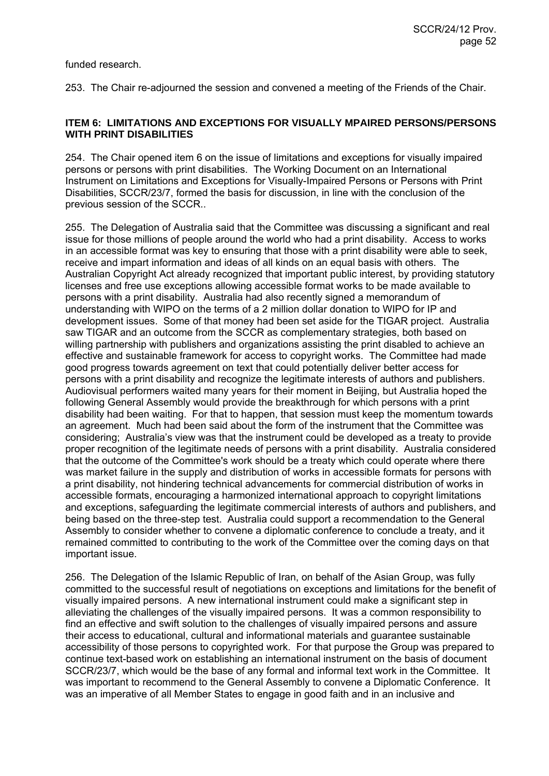funded research.

253. The Chair re-adjourned the session and convened a meeting of the Friends of the Chair.

## **ITEM 6: LIMITATIONS AND EXCEPTIONS FOR VISUALLY MPAIRED PERSONS/PERSONS WITH PRINT DISABILITIES**

254. The Chair opened item 6 on the issue of limitations and exceptions for visually impaired persons or persons with print disabilities. The Working Document on an International Instrument on Limitations and Exceptions for Visually-Impaired Persons or Persons with Print Disabilities, SCCR/23/7, formed the basis for discussion, in line with the conclusion of the previous session of the SCCR..

255. The Delegation of Australia said that the Committee was discussing a significant and real issue for those millions of people around the world who had a print disability. Access to works in an accessible format was key to ensuring that those with a print disability were able to seek, receive and impart information and ideas of all kinds on an equal basis with others. The Australian Copyright Act already recognized that important public interest, by providing statutory licenses and free use exceptions allowing accessible format works to be made available to persons with a print disability. Australia had also recently signed a memorandum of understanding with WIPO on the terms of a 2 million dollar donation to WIPO for IP and development issues. Some of that money had been set aside for the TIGAR project. Australia saw TIGAR and an outcome from the SCCR as complementary strategies, both based on willing partnership with publishers and organizations assisting the print disabled to achieve an effective and sustainable framework for access to copyright works. The Committee had made good progress towards agreement on text that could potentially deliver better access for persons with a print disability and recognize the legitimate interests of authors and publishers. Audiovisual performers waited many years for their moment in Beijing, but Australia hoped the following General Assembly would provide the breakthrough for which persons with a print disability had been waiting. For that to happen, that session must keep the momentum towards an agreement. Much had been said about the form of the instrument that the Committee was considering; Australia's view was that the instrument could be developed as a treaty to provide proper recognition of the legitimate needs of persons with a print disability. Australia considered that the outcome of the Committee's work should be a treaty which could operate where there was market failure in the supply and distribution of works in accessible formats for persons with a print disability, not hindering technical advancements for commercial distribution of works in accessible formats, encouraging a harmonized international approach to copyright limitations and exceptions, safeguarding the legitimate commercial interests of authors and publishers, and being based on the three-step test. Australia could support a recommendation to the General Assembly to consider whether to convene a diplomatic conference to conclude a treaty, and it remained committed to contributing to the work of the Committee over the coming days on that important issue.

256. The Delegation of the Islamic Republic of Iran, on behalf of the Asian Group, was fully committed to the successful result of negotiations on exceptions and limitations for the benefit of visually impaired persons. A new international instrument could make a significant step in alleviating the challenges of the visually impaired persons. It was a common responsibility to find an effective and swift solution to the challenges of visually impaired persons and assure their access to educational, cultural and informational materials and guarantee sustainable accessibility of those persons to copyrighted work. For that purpose the Group was prepared to continue text-based work on establishing an international instrument on the basis of document SCCR/23/7, which would be the base of any formal and informal text work in the Committee. It was important to recommend to the General Assembly to convene a Diplomatic Conference. It was an imperative of all Member States to engage in good faith and in an inclusive and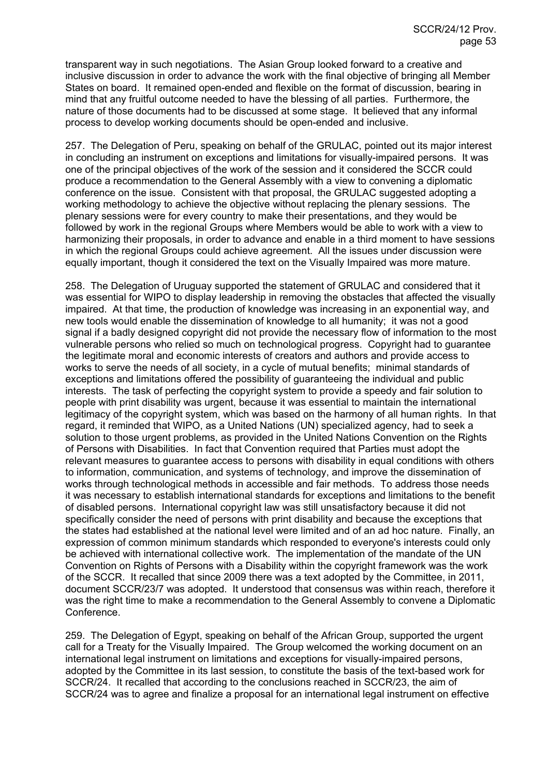transparent way in such negotiations. The Asian Group looked forward to a creative and inclusive discussion in order to advance the work with the final objective of bringing all Member States on board. It remained open-ended and flexible on the format of discussion, bearing in mind that any fruitful outcome needed to have the blessing of all parties. Furthermore, the nature of those documents had to be discussed at some stage. It believed that any informal process to develop working documents should be open-ended and inclusive.

257. The Delegation of Peru, speaking on behalf of the GRULAC, pointed out its major interest in concluding an instrument on exceptions and limitations for visually-impaired persons. It was one of the principal objectives of the work of the session and it considered the SCCR could produce a recommendation to the General Assembly with a view to convening a diplomatic conference on the issue. Consistent with that proposal, the GRULAC suggested adopting a working methodology to achieve the objective without replacing the plenary sessions. The plenary sessions were for every country to make their presentations, and they would be followed by work in the regional Groups where Members would be able to work with a view to harmonizing their proposals, in order to advance and enable in a third moment to have sessions in which the regional Groups could achieve agreement. All the issues under discussion were equally important, though it considered the text on the Visually Impaired was more mature.

258. The Delegation of Uruguay supported the statement of GRULAC and considered that it was essential for WIPO to display leadership in removing the obstacles that affected the visually impaired. At that time, the production of knowledge was increasing in an exponential way, and new tools would enable the dissemination of knowledge to all humanity; it was not a good signal if a badly designed copyright did not provide the necessary flow of information to the most vulnerable persons who relied so much on technological progress. Copyright had to guarantee the legitimate moral and economic interests of creators and authors and provide access to works to serve the needs of all society, in a cycle of mutual benefits; minimal standards of exceptions and limitations offered the possibility of guaranteeing the individual and public interests. The task of perfecting the copyright system to provide a speedy and fair solution to people with print disability was urgent, because it was essential to maintain the international legitimacy of the copyright system, which was based on the harmony of all human rights. In that regard, it reminded that WIPO, as a United Nations (UN) specialized agency, had to seek a solution to those urgent problems, as provided in the United Nations Convention on the Rights of Persons with Disabilities. In fact that Convention required that Parties must adopt the relevant measures to guarantee access to persons with disability in equal conditions with others to information, communication, and systems of technology, and improve the dissemination of works through technological methods in accessible and fair methods. To address those needs it was necessary to establish international standards for exceptions and limitations to the benefit of disabled persons. International copyright law was still unsatisfactory because it did not specifically consider the need of persons with print disability and because the exceptions that the states had established at the national level were limited and of an ad hoc nature. Finally, an expression of common minimum standards which responded to everyone's interests could only be achieved with international collective work. The implementation of the mandate of the UN Convention on Rights of Persons with a Disability within the copyright framework was the work of the SCCR. It recalled that since 2009 there was a text adopted by the Committee, in 2011, document SCCR/23/7 was adopted. It understood that consensus was within reach, therefore it was the right time to make a recommendation to the General Assembly to convene a Diplomatic Conference.

259. The Delegation of Egypt, speaking on behalf of the African Group, supported the urgent call for a Treaty for the Visually Impaired. The Group welcomed the working document on an international legal instrument on limitations and exceptions for visually-impaired persons, adopted by the Committee in its last session, to constitute the basis of the text-based work for SCCR/24. It recalled that according to the conclusions reached in SCCR/23, the aim of SCCR/24 was to agree and finalize a proposal for an international legal instrument on effective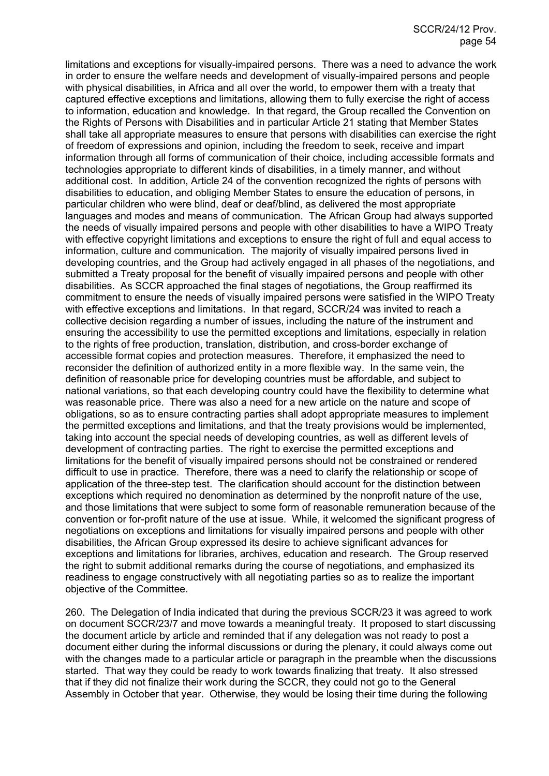limitations and exceptions for visually-impaired persons. There was a need to advance the work in order to ensure the welfare needs and development of visually-impaired persons and people with physical disabilities, in Africa and all over the world, to empower them with a treaty that captured effective exceptions and limitations, allowing them to fully exercise the right of access to information, education and knowledge. In that regard, the Group recalled the Convention on the Rights of Persons with Disabilities and in particular Article 21 stating that Member States shall take all appropriate measures to ensure that persons with disabilities can exercise the right of freedom of expressions and opinion, including the freedom to seek, receive and impart information through all forms of communication of their choice, including accessible formats and technologies appropriate to different kinds of disabilities, in a timely manner, and without additional cost. In addition, Article 24 of the convention recognized the rights of persons with disabilities to education, and obliging Member States to ensure the education of persons, in particular children who were blind, deaf or deaf/blind, as delivered the most appropriate languages and modes and means of communication. The African Group had always supported the needs of visually impaired persons and people with other disabilities to have a WIPO Treaty with effective copyright limitations and exceptions to ensure the right of full and equal access to information, culture and communication. The majority of visually impaired persons lived in developing countries, and the Group had actively engaged in all phases of the negotiations, and submitted a Treaty proposal for the benefit of visually impaired persons and people with other disabilities. As SCCR approached the final stages of negotiations, the Group reaffirmed its commitment to ensure the needs of visually impaired persons were satisfied in the WIPO Treaty with effective exceptions and limitations. In that regard, SCCR/24 was invited to reach a collective decision regarding a number of issues, including the nature of the instrument and ensuring the accessibility to use the permitted exceptions and limitations, especially in relation to the rights of free production, translation, distribution, and cross-border exchange of accessible format copies and protection measures. Therefore, it emphasized the need to reconsider the definition of authorized entity in a more flexible way. In the same vein, the definition of reasonable price for developing countries must be affordable, and subject to national variations, so that each developing country could have the flexibility to determine what was reasonable price. There was also a need for a new article on the nature and scope of obligations, so as to ensure contracting parties shall adopt appropriate measures to implement the permitted exceptions and limitations, and that the treaty provisions would be implemented, taking into account the special needs of developing countries, as well as different levels of development of contracting parties. The right to exercise the permitted exceptions and limitations for the benefit of visually impaired persons should not be constrained or rendered difficult to use in practice. Therefore, there was a need to clarify the relationship or scope of application of the three-step test. The clarification should account for the distinction between exceptions which required no denomination as determined by the nonprofit nature of the use, and those limitations that were subject to some form of reasonable remuneration because of the convention or for-profit nature of the use at issue. While, it welcomed the significant progress of negotiations on exceptions and limitations for visually impaired persons and people with other disabilities, the African Group expressed its desire to achieve significant advances for exceptions and limitations for libraries, archives, education and research. The Group reserved the right to submit additional remarks during the course of negotiations, and emphasized its readiness to engage constructively with all negotiating parties so as to realize the important objective of the Committee.

260. The Delegation of India indicated that during the previous SCCR/23 it was agreed to work on document SCCR/23/7 and move towards a meaningful treaty. It proposed to start discussing the document article by article and reminded that if any delegation was not ready to post a document either during the informal discussions or during the plenary, it could always come out with the changes made to a particular article or paragraph in the preamble when the discussions started. That way they could be ready to work towards finalizing that treaty. It also stressed that if they did not finalize their work during the SCCR, they could not go to the General Assembly in October that year. Otherwise, they would be losing their time during the following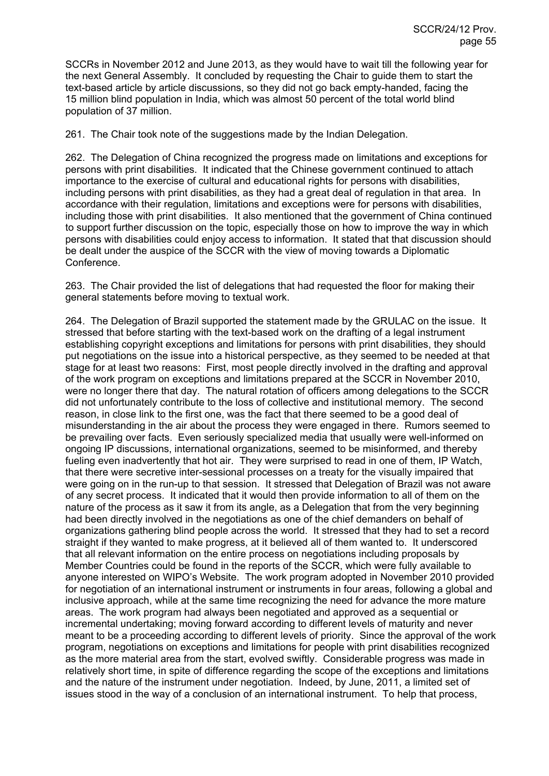SCCRs in November 2012 and June 2013, as they would have to wait till the following year for the next General Assembly. It concluded by requesting the Chair to guide them to start the text-based article by article discussions, so they did not go back empty-handed, facing the 15 million blind population in India, which was almost 50 percent of the total world blind population of 37 million.

261. The Chair took note of the suggestions made by the Indian Delegation.

262. The Delegation of China recognized the progress made on limitations and exceptions for persons with print disabilities. It indicated that the Chinese government continued to attach importance to the exercise of cultural and educational rights for persons with disabilities, including persons with print disabilities, as they had a great deal of regulation in that area. In accordance with their regulation, limitations and exceptions were for persons with disabilities, including those with print disabilities. It also mentioned that the government of China continued to support further discussion on the topic, especially those on how to improve the way in which persons with disabilities could enjoy access to information. It stated that that discussion should be dealt under the auspice of the SCCR with the view of moving towards a Diplomatic Conference.

263. The Chair provided the list of delegations that had requested the floor for making their general statements before moving to textual work.

264. The Delegation of Brazil supported the statement made by the GRULAC on the issue. It stressed that before starting with the text-based work on the drafting of a legal instrument establishing copyright exceptions and limitations for persons with print disabilities, they should put negotiations on the issue into a historical perspective, as they seemed to be needed at that stage for at least two reasons: First, most people directly involved in the drafting and approval of the work program on exceptions and limitations prepared at the SCCR in November 2010, were no longer there that day. The natural rotation of officers among delegations to the SCCR did not unfortunately contribute to the loss of collective and institutional memory. The second reason, in close link to the first one, was the fact that there seemed to be a good deal of misunderstanding in the air about the process they were engaged in there. Rumors seemed to be prevailing over facts. Even seriously specialized media that usually were well-informed on ongoing IP discussions, international organizations, seemed to be misinformed, and thereby fueling even inadvertently that hot air. They were surprised to read in one of them, IP Watch, that there were secretive inter-sessional processes on a treaty for the visually impaired that were going on in the run-up to that session. It stressed that Delegation of Brazil was not aware of any secret process. It indicated that it would then provide information to all of them on the nature of the process as it saw it from its angle, as a Delegation that from the very beginning had been directly involved in the negotiations as one of the chief demanders on behalf of organizations gathering blind people across the world. It stressed that they had to set a record straight if they wanted to make progress, at it believed all of them wanted to. It underscored that all relevant information on the entire process on negotiations including proposals by Member Countries could be found in the reports of the SCCR, which were fully available to anyone interested on WIPO's Website. The work program adopted in November 2010 provided for negotiation of an international instrument or instruments in four areas, following a global and inclusive approach, while at the same time recognizing the need for advance the more mature areas. The work program had always been negotiated and approved as a sequential or incremental undertaking; moving forward according to different levels of maturity and never meant to be a proceeding according to different levels of priority. Since the approval of the work program, negotiations on exceptions and limitations for people with print disabilities recognized as the more material area from the start, evolved swiftly. Considerable progress was made in relatively short time, in spite of difference regarding the scope of the exceptions and limitations and the nature of the instrument under negotiation. Indeed, by June, 2011, a limited set of issues stood in the way of a conclusion of an international instrument. To help that process,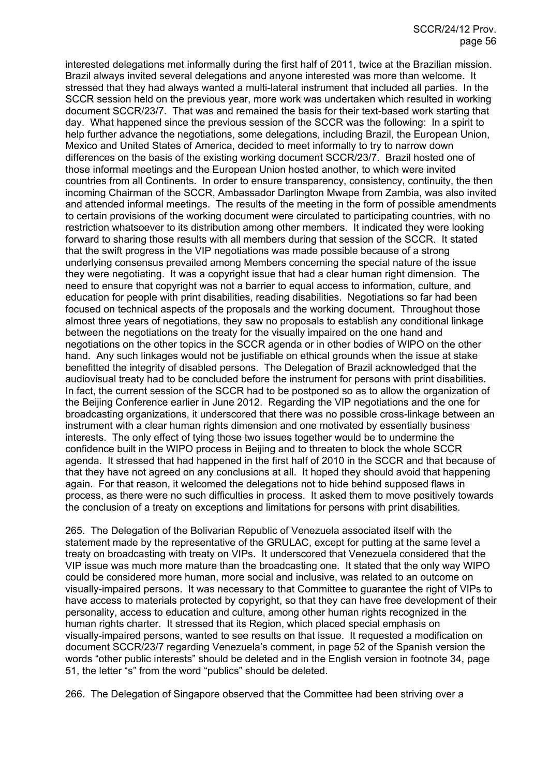interested delegations met informally during the first half of 2011, twice at the Brazilian mission. Brazil always invited several delegations and anyone interested was more than welcome. It stressed that they had always wanted a multi-lateral instrument that included all parties. In the SCCR session held on the previous year, more work was undertaken which resulted in working document SCCR/23/7. That was and remained the basis for their text-based work starting that day. What happened since the previous session of the SCCR was the following: In a spirit to help further advance the negotiations, some delegations, including Brazil, the European Union, Mexico and United States of America, decided to meet informally to try to narrow down differences on the basis of the existing working document SCCR/23/7. Brazil hosted one of those informal meetings and the European Union hosted another, to which were invited countries from all Continents. In order to ensure transparency, consistency, continuity, the then incoming Chairman of the SCCR, Ambassador Darlington Mwape from Zambia, was also invited and attended informal meetings. The results of the meeting in the form of possible amendments to certain provisions of the working document were circulated to participating countries, with no restriction whatsoever to its distribution among other members. It indicated they were looking forward to sharing those results with all members during that session of the SCCR. It stated that the swift progress in the VIP negotiations was made possible because of a strong underlying consensus prevailed among Members concerning the special nature of the issue they were negotiating. It was a copyright issue that had a clear human right dimension. The need to ensure that copyright was not a barrier to equal access to information, culture, and education for people with print disabilities, reading disabilities. Negotiations so far had been focused on technical aspects of the proposals and the working document. Throughout those almost three years of negotiations, they saw no proposals to establish any conditional linkage between the negotiations on the treaty for the visually impaired on the one hand and negotiations on the other topics in the SCCR agenda or in other bodies of WIPO on the other hand. Any such linkages would not be justifiable on ethical grounds when the issue at stake benefitted the integrity of disabled persons. The Delegation of Brazil acknowledged that the audiovisual treaty had to be concluded before the instrument for persons with print disabilities. In fact, the current session of the SCCR had to be postponed so as to allow the organization of the Beijing Conference earlier in June 2012. Regarding the VIP negotiations and the one for broadcasting organizations, it underscored that there was no possible cross-linkage between an instrument with a clear human rights dimension and one motivated by essentially business interests. The only effect of tying those two issues together would be to undermine the confidence built in the WIPO process in Beijing and to threaten to block the whole SCCR agenda. It stressed that had happened in the first half of 2010 in the SCCR and that because of that they have not agreed on any conclusions at all. It hoped they should avoid that happening again. For that reason, it welcomed the delegations not to hide behind supposed flaws in process, as there were no such difficulties in process. It asked them to move positively towards the conclusion of a treaty on exceptions and limitations for persons with print disabilities.

265. The Delegation of the Bolivarian Republic of Venezuela associated itself with the statement made by the representative of the GRULAC, except for putting at the same level a treaty on broadcasting with treaty on VIPs. It underscored that Venezuela considered that the VIP issue was much more mature than the broadcasting one. It stated that the only way WIPO could be considered more human, more social and inclusive, was related to an outcome on visually-impaired persons. It was necessary to that Committee to guarantee the right of VIPs to have access to materials protected by copyright, so that they can have free development of their personality, access to education and culture, among other human rights recognized in the human rights charter. It stressed that its Region, which placed special emphasis on visually-impaired persons, wanted to see results on that issue. It requested a modification on document SCCR/23/7 regarding Venezuela's comment, in page 52 of the Spanish version the words "other public interests" should be deleted and in the English version in footnote 34, page 51, the letter "s" from the word "publics" should be deleted.

266. The Delegation of Singapore observed that the Committee had been striving over a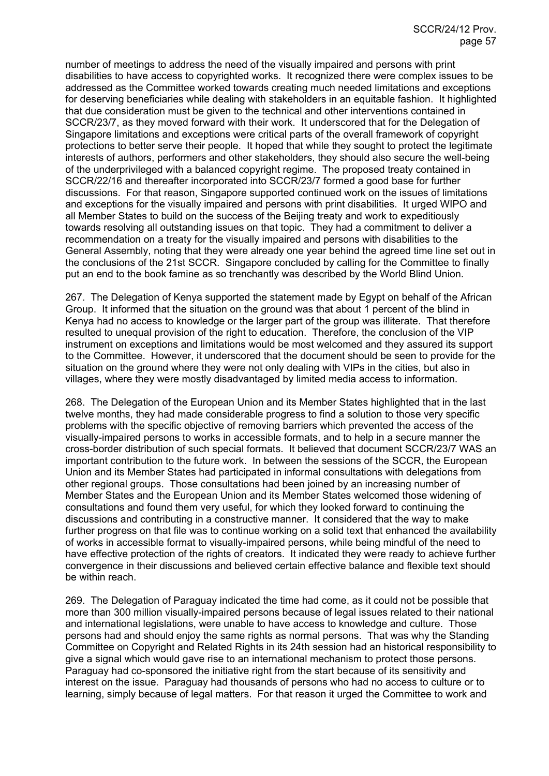number of meetings to address the need of the visually impaired and persons with print disabilities to have access to copyrighted works. It recognized there were complex issues to be addressed as the Committee worked towards creating much needed limitations and exceptions for deserving beneficiaries while dealing with stakeholders in an equitable fashion. It highlighted that due consideration must be given to the technical and other interventions contained in SCCR/23/7, as they moved forward with their work. It underscored that for the Delegation of Singapore limitations and exceptions were critical parts of the overall framework of copyright protections to better serve their people. It hoped that while they sought to protect the legitimate interests of authors, performers and other stakeholders, they should also secure the well-being of the underprivileged with a balanced copyright regime. The proposed treaty contained in SCCR/22/16 and thereafter incorporated into SCCR/23/7 formed a good base for further discussions. For that reason, Singapore supported continued work on the issues of limitations and exceptions for the visually impaired and persons with print disabilities. It urged WIPO and all Member States to build on the success of the Beijing treaty and work to expeditiously towards resolving all outstanding issues on that topic. They had a commitment to deliver a recommendation on a treaty for the visually impaired and persons with disabilities to the General Assembly, noting that they were already one year behind the agreed time line set out in the conclusions of the 21st SCCR. Singapore concluded by calling for the Committee to finally put an end to the book famine as so trenchantly was described by the World Blind Union.

267. The Delegation of Kenya supported the statement made by Egypt on behalf of the African Group. It informed that the situation on the ground was that about 1 percent of the blind in Kenya had no access to knowledge or the larger part of the group was illiterate. That therefore resulted to unequal provision of the right to education. Therefore, the conclusion of the VIP instrument on exceptions and limitations would be most welcomed and they assured its support to the Committee. However, it underscored that the document should be seen to provide for the situation on the ground where they were not only dealing with VIPs in the cities, but also in villages, where they were mostly disadvantaged by limited media access to information.

268. The Delegation of the European Union and its Member States highlighted that in the last twelve months, they had made considerable progress to find a solution to those very specific problems with the specific objective of removing barriers which prevented the access of the visually-impaired persons to works in accessible formats, and to help in a secure manner the cross-border distribution of such special formats. It believed that document SCCR/23/7 WAS an important contribution to the future work. In between the sessions of the SCCR, the European Union and its Member States had participated in informal consultations with delegations from other regional groups. Those consultations had been joined by an increasing number of Member States and the European Union and its Member States welcomed those widening of consultations and found them very useful, for which they looked forward to continuing the discussions and contributing in a constructive manner. It considered that the way to make further progress on that file was to continue working on a solid text that enhanced the availability of works in accessible format to visually-impaired persons, while being mindful of the need to have effective protection of the rights of creators. It indicated they were ready to achieve further convergence in their discussions and believed certain effective balance and flexible text should be within reach.

269. The Delegation of Paraguay indicated the time had come, as it could not be possible that more than 300 million visually-impaired persons because of legal issues related to their national and international legislations, were unable to have access to knowledge and culture. Those persons had and should enjoy the same rights as normal persons. That was why the Standing Committee on Copyright and Related Rights in its 24th session had an historical responsibility to give a signal which would gave rise to an international mechanism to protect those persons. Paraguay had co-sponsored the initiative right from the start because of its sensitivity and interest on the issue. Paraguay had thousands of persons who had no access to culture or to learning, simply because of legal matters. For that reason it urged the Committee to work and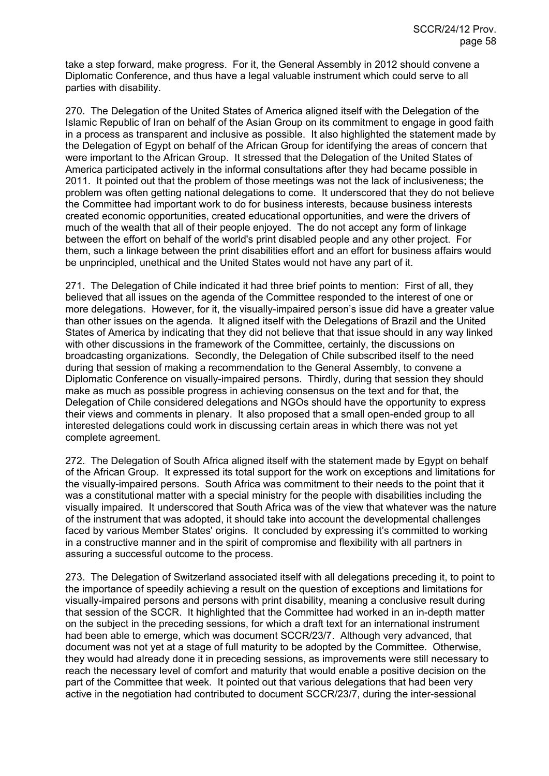take a step forward, make progress. For it, the General Assembly in 2012 should convene a Diplomatic Conference, and thus have a legal valuable instrument which could serve to all parties with disability.

270. The Delegation of the United States of America aligned itself with the Delegation of the Islamic Republic of Iran on behalf of the Asian Group on its commitment to engage in good faith in a process as transparent and inclusive as possible. It also highlighted the statement made by the Delegation of Egypt on behalf of the African Group for identifying the areas of concern that were important to the African Group. It stressed that the Delegation of the United States of America participated actively in the informal consultations after they had became possible in 2011. It pointed out that the problem of those meetings was not the lack of inclusiveness; the problem was often getting national delegations to come. It underscored that they do not believe the Committee had important work to do for business interests, because business interests created economic opportunities, created educational opportunities, and were the drivers of much of the wealth that all of their people enjoyed. The do not accept any form of linkage between the effort on behalf of the world's print disabled people and any other project. For them, such a linkage between the print disabilities effort and an effort for business affairs would be unprincipled, unethical and the United States would not have any part of it.

271. The Delegation of Chile indicated it had three brief points to mention: First of all, they believed that all issues on the agenda of the Committee responded to the interest of one or more delegations. However, for it, the visually-impaired person's issue did have a greater value than other issues on the agenda. It aligned itself with the Delegations of Brazil and the United States of America by indicating that they did not believe that that issue should in any way linked with other discussions in the framework of the Committee, certainly, the discussions on broadcasting organizations. Secondly, the Delegation of Chile subscribed itself to the need during that session of making a recommendation to the General Assembly, to convene a Diplomatic Conference on visually-impaired persons. Thirdly, during that session they should make as much as possible progress in achieving consensus on the text and for that, the Delegation of Chile considered delegations and NGOs should have the opportunity to express their views and comments in plenary. It also proposed that a small open-ended group to all interested delegations could work in discussing certain areas in which there was not yet complete agreement.

272. The Delegation of South Africa aligned itself with the statement made by Egypt on behalf of the African Group. It expressed its total support for the work on exceptions and limitations for the visually-impaired persons. South Africa was commitment to their needs to the point that it was a constitutional matter with a special ministry for the people with disabilities including the visually impaired. It underscored that South Africa was of the view that whatever was the nature of the instrument that was adopted, it should take into account the developmental challenges faced by various Member States' origins. It concluded by expressing it's committed to working in a constructive manner and in the spirit of compromise and flexibility with all partners in assuring a successful outcome to the process.

273. The Delegation of Switzerland associated itself with all delegations preceding it, to point to the importance of speedily achieving a result on the question of exceptions and limitations for visually-impaired persons and persons with print disability, meaning a conclusive result during that session of the SCCR. It highlighted that the Committee had worked in an in-depth matter on the subject in the preceding sessions, for which a draft text for an international instrument had been able to emerge, which was document SCCR/23/7. Although very advanced, that document was not yet at a stage of full maturity to be adopted by the Committee. Otherwise, they would had already done it in preceding sessions, as improvements were still necessary to reach the necessary level of comfort and maturity that would enable a positive decision on the part of the Committee that week. It pointed out that various delegations that had been very active in the negotiation had contributed to document SCCR/23/7, during the inter-sessional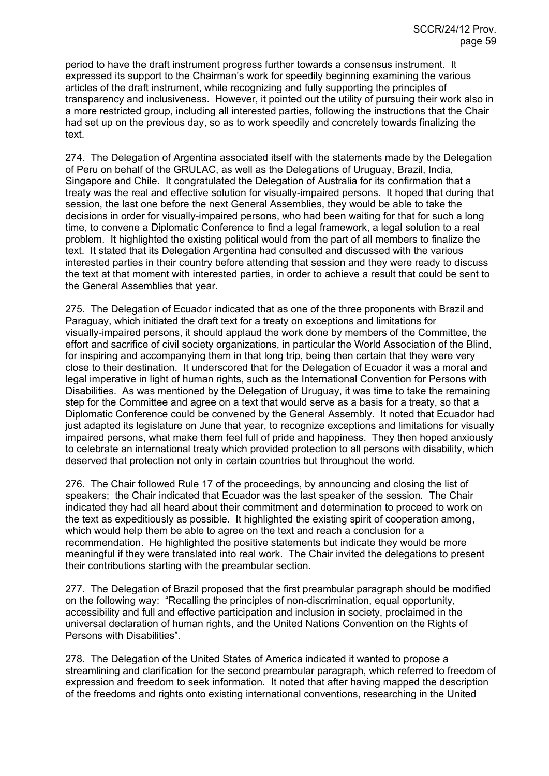period to have the draft instrument progress further towards a consensus instrument. It expressed its support to the Chairman's work for speedily beginning examining the various articles of the draft instrument, while recognizing and fully supporting the principles of transparency and inclusiveness. However, it pointed out the utility of pursuing their work also in a more restricted group, including all interested parties, following the instructions that the Chair had set up on the previous day, so as to work speedily and concretely towards finalizing the text.

274. The Delegation of Argentina associated itself with the statements made by the Delegation of Peru on behalf of the GRULAC, as well as the Delegations of Uruguay, Brazil, India, Singapore and Chile. It congratulated the Delegation of Australia for its confirmation that a treaty was the real and effective solution for visually-impaired persons. It hoped that during that session, the last one before the next General Assemblies, they would be able to take the decisions in order for visually-impaired persons, who had been waiting for that for such a long time, to convene a Diplomatic Conference to find a legal framework, a legal solution to a real problem. It highlighted the existing political would from the part of all members to finalize the text. It stated that its Delegation Argentina had consulted and discussed with the various interested parties in their country before attending that session and they were ready to discuss the text at that moment with interested parties, in order to achieve a result that could be sent to the General Assemblies that year.

275. The Delegation of Ecuador indicated that as one of the three proponents with Brazil and Paraguay, which initiated the draft text for a treaty on exceptions and limitations for visually-impaired persons, it should applaud the work done by members of the Committee, the effort and sacrifice of civil society organizations, in particular the World Association of the Blind, for inspiring and accompanying them in that long trip, being then certain that they were very close to their destination. It underscored that for the Delegation of Ecuador it was a moral and legal imperative in light of human rights, such as the International Convention for Persons with Disabilities. As was mentioned by the Delegation of Uruguay, it was time to take the remaining step for the Committee and agree on a text that would serve as a basis for a treaty, so that a Diplomatic Conference could be convened by the General Assembly. It noted that Ecuador had just adapted its legislature on June that year, to recognize exceptions and limitations for visually impaired persons, what make them feel full of pride and happiness. They then hoped anxiously to celebrate an international treaty which provided protection to all persons with disability, which deserved that protection not only in certain countries but throughout the world.

276. The Chair followed Rule 17 of the proceedings, by announcing and closing the list of speakers; the Chair indicated that Ecuador was the last speaker of the session*.* The Chair indicated they had all heard about their commitment and determination to proceed to work on the text as expeditiously as possible. It highlighted the existing spirit of cooperation among, which would help them be able to agree on the text and reach a conclusion for a recommendation. He highlighted the positive statements but indicate they would be more meaningful if they were translated into real work. The Chair invited the delegations to present their contributions starting with the preambular section.

277. The Delegation of Brazil proposed that the first preambular paragraph should be modified on the following way: "Recalling the principles of non-discrimination, equal opportunity, accessibility and full and effective participation and inclusion in society, proclaimed in the universal declaration of human rights, and the United Nations Convention on the Rights of Persons with Disabilities".

278. The Delegation of the United States of America indicated it wanted to propose a streamlining and clarification for the second preambular paragraph, which referred to freedom of expression and freedom to seek information. It noted that after having mapped the description of the freedoms and rights onto existing international conventions, researching in the United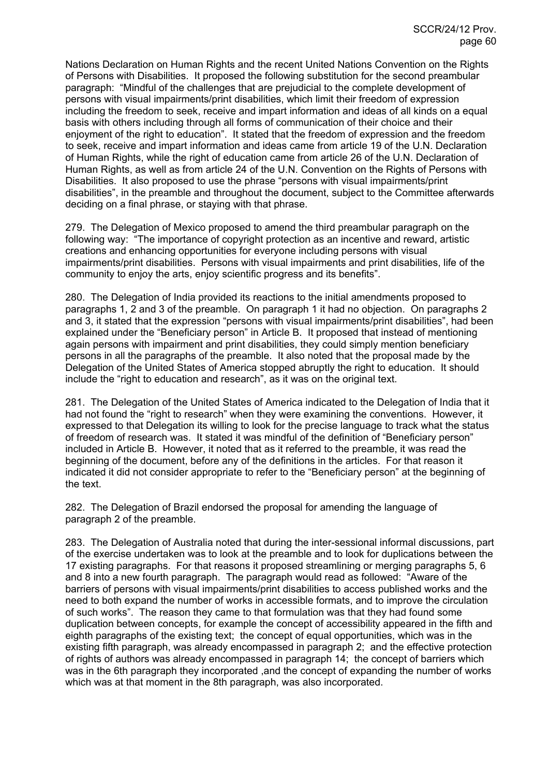Nations Declaration on Human Rights and the recent United Nations Convention on the Rights of Persons with Disabilities. It proposed the following substitution for the second preambular paragraph: "Mindful of the challenges that are prejudicial to the complete development of persons with visual impairments/print disabilities, which limit their freedom of expression including the freedom to seek, receive and impart information and ideas of all kinds on a equal basis with others including through all forms of communication of their choice and their enjoyment of the right to education". It stated that the freedom of expression and the freedom to seek, receive and impart information and ideas came from article 19 of the U.N. Declaration of Human Rights, while the right of education came from article 26 of the U.N. Declaration of Human Rights, as well as from article 24 of the U.N. Convention on the Rights of Persons with Disabilities. It also proposed to use the phrase "persons with visual impairments/print disabilities", in the preamble and throughout the document, subject to the Committee afterwards deciding on a final phrase, or staying with that phrase.

279. The Delegation of Mexico proposed to amend the third preambular paragraph on the following way: "The importance of copyright protection as an incentive and reward, artistic creations and enhancing opportunities for everyone including persons with visual impairments/print disabilities. Persons with visual impairments and print disabilities, life of the community to enjoy the arts, enjoy scientific progress and its benefits".

280. The Delegation of India provided its reactions to the initial amendments proposed to paragraphs 1, 2 and 3 of the preamble. On paragraph 1 it had no objection. On paragraphs 2 and 3, it stated that the expression "persons with visual impairments/print disabilities", had been explained under the "Beneficiary person" in Article B. It proposed that instead of mentioning again persons with impairment and print disabilities, they could simply mention beneficiary persons in all the paragraphs of the preamble. It also noted that the proposal made by the Delegation of the United States of America stopped abruptly the right to education. It should include the "right to education and research", as it was on the original text.

281. The Delegation of the United States of America indicated to the Delegation of India that it had not found the "right to research" when they were examining the conventions. However, it expressed to that Delegation its willing to look for the precise language to track what the status of freedom of research was. It stated it was mindful of the definition of "Beneficiary person" included in Article B. However, it noted that as it referred to the preamble, it was read the beginning of the document, before any of the definitions in the articles. For that reason it indicated it did not consider appropriate to refer to the "Beneficiary person" at the beginning of the text.

282. The Delegation of Brazil endorsed the proposal for amending the language of paragraph 2 of the preamble.

283. The Delegation of Australia noted that during the inter-sessional informal discussions, part of the exercise undertaken was to look at the preamble and to look for duplications between the 17 existing paragraphs. For that reasons it proposed streamlining or merging paragraphs 5, 6 and 8 into a new fourth paragraph. The paragraph would read as followed: "Aware of the barriers of persons with visual impairments/print disabilities to access published works and the need to both expand the number of works in accessible formats, and to improve the circulation of such works". The reason they came to that formulation was that they had found some duplication between concepts, for example the concept of accessibility appeared in the fifth and eighth paragraphs of the existing text; the concept of equal opportunities, which was in the existing fifth paragraph, was already encompassed in paragraph 2; and the effective protection of rights of authors was already encompassed in paragraph 14; the concept of barriers which was in the 6th paragraph they incorporated , and the concept of expanding the number of works which was at that moment in the 8th paragraph, was also incorporated.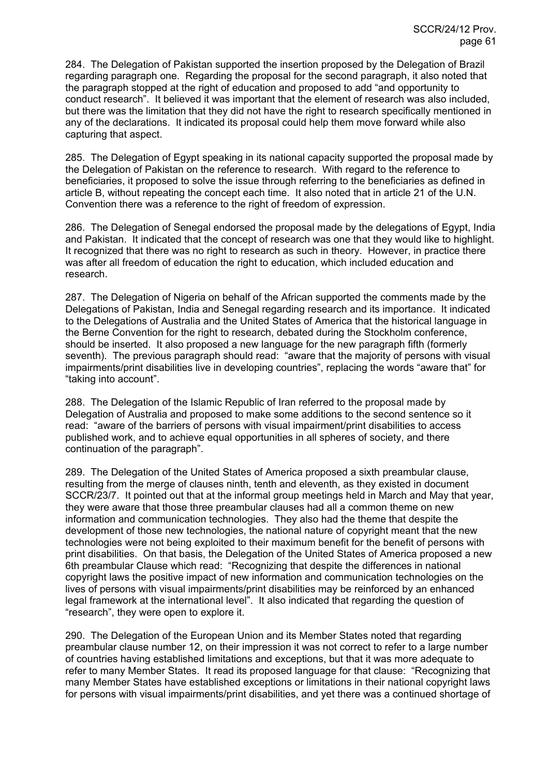284. The Delegation of Pakistan supported the insertion proposed by the Delegation of Brazil regarding paragraph one. Regarding the proposal for the second paragraph, it also noted that the paragraph stopped at the right of education and proposed to add "and opportunity to conduct research". It believed it was important that the element of research was also included, but there was the limitation that they did not have the right to research specifically mentioned in any of the declarations. It indicated its proposal could help them move forward while also capturing that aspect.

285. The Delegation of Egypt speaking in its national capacity supported the proposal made by the Delegation of Pakistan on the reference to research. With regard to the reference to beneficiaries, it proposed to solve the issue through referring to the beneficiaries as defined in article B, without repeating the concept each time. It also noted that in article 21 of the U.N. Convention there was a reference to the right of freedom of expression.

286. The Delegation of Senegal endorsed the proposal made by the delegations of Egypt, India and Pakistan. It indicated that the concept of research was one that they would like to highlight. It recognized that there was no right to research as such in theory. However, in practice there was after all freedom of education the right to education, which included education and research.

287. The Delegation of Nigeria on behalf of the African supported the comments made by the Delegations of Pakistan, India and Senegal regarding research and its importance. It indicated to the Delegations of Australia and the United States of America that the historical language in the Berne Convention for the right to research, debated during the Stockholm conference, should be inserted. It also proposed a new language for the new paragraph fifth (formerly seventh). The previous paragraph should read: "aware that the majority of persons with visual impairments/print disabilities live in developing countries", replacing the words "aware that" for "taking into account".

288. The Delegation of the Islamic Republic of Iran referred to the proposal made by Delegation of Australia and proposed to make some additions to the second sentence so it read: "aware of the barriers of persons with visual impairment/print disabilities to access published work, and to achieve equal opportunities in all spheres of society, and there continuation of the paragraph".

289. The Delegation of the United States of America proposed a sixth preambular clause, resulting from the merge of clauses ninth, tenth and eleventh, as they existed in document SCCR/23/7. It pointed out that at the informal group meetings held in March and May that year, they were aware that those three preambular clauses had all a common theme on new information and communication technologies. They also had the theme that despite the development of those new technologies, the national nature of copyright meant that the new technologies were not being exploited to their maximum benefit for the benefit of persons with print disabilities. On that basis, the Delegation of the United States of America proposed a new 6th preambular Clause which read: "Recognizing that despite the differences in national copyright laws the positive impact of new information and communication technologies on the lives of persons with visual impairments/print disabilities may be reinforced by an enhanced legal framework at the international level". It also indicated that regarding the question of "research", they were open to explore it.

290. The Delegation of the European Union and its Member States noted that regarding preambular clause number 12, on their impression it was not correct to refer to a large number of countries having established limitations and exceptions, but that it was more adequate to refer to many Member States. It read its proposed language for that clause: "Recognizing that many Member States have established exceptions or limitations in their national copyright laws for persons with visual impairments/print disabilities, and yet there was a continued shortage of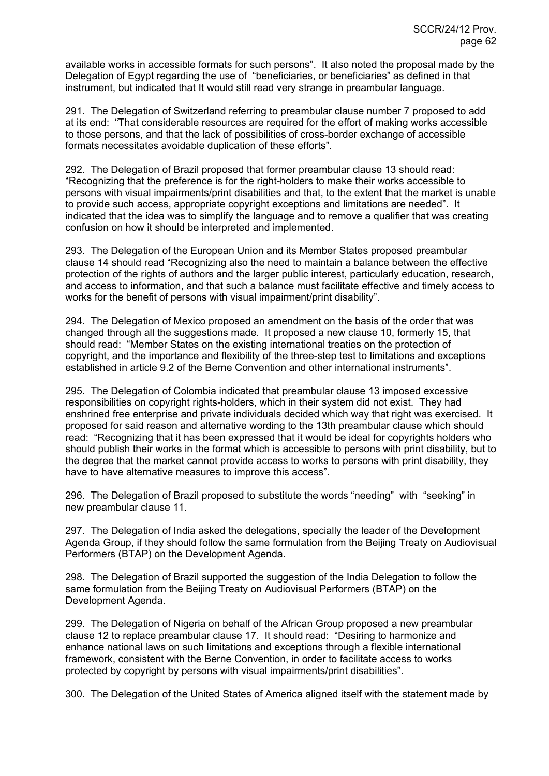available works in accessible formats for such persons". It also noted the proposal made by the Delegation of Egypt regarding the use of "beneficiaries, or beneficiaries" as defined in that instrument, but indicated that It would still read very strange in preambular language.

291. The Delegation of Switzerland referring to preambular clause number 7 proposed to add at its end: "That considerable resources are required for the effort of making works accessible to those persons, and that the lack of possibilities of cross-border exchange of accessible formats necessitates avoidable duplication of these efforts".

292. The Delegation of Brazil proposed that former preambular clause 13 should read: "Recognizing that the preference is for the right-holders to make their works accessible to persons with visual impairments/print disabilities and that, to the extent that the market is unable to provide such access, appropriate copyright exceptions and limitations are needed". It indicated that the idea was to simplify the language and to remove a qualifier that was creating confusion on how it should be interpreted and implemented.

293. The Delegation of the European Union and its Member States proposed preambular clause 14 should read "Recognizing also the need to maintain a balance between the effective protection of the rights of authors and the larger public interest, particularly education, research, and access to information, and that such a balance must facilitate effective and timely access to works for the benefit of persons with visual impairment/print disability".

294. The Delegation of Mexico proposed an amendment on the basis of the order that was changed through all the suggestions made. It proposed a new clause 10, formerly 15, that should read: "Member States on the existing international treaties on the protection of copyright, and the importance and flexibility of the three-step test to limitations and exceptions established in article 9.2 of the Berne Convention and other international instruments".

295. The Delegation of Colombia indicated that preambular clause 13 imposed excessive responsibilities on copyright rights-holders, which in their system did not exist. They had enshrined free enterprise and private individuals decided which way that right was exercised. It proposed for said reason and alternative wording to the 13th preambular clause which should read: "Recognizing that it has been expressed that it would be ideal for copyrights holders who should publish their works in the format which is accessible to persons with print disability, but to the degree that the market cannot provide access to works to persons with print disability, they have to have alternative measures to improve this access".

296. The Delegation of Brazil proposed to substitute the words "needing" with "seeking" in new preambular clause 11.

297. The Delegation of India asked the delegations, specially the leader of the Development Agenda Group, if they should follow the same formulation from the Beijing Treaty on Audiovisual Performers (BTAP) on the Development Agenda.

298. The Delegation of Brazil supported the suggestion of the India Delegation to follow the same formulation from the Beijing Treaty on Audiovisual Performers (BTAP) on the Development Agenda.

299. The Delegation of Nigeria on behalf of the African Group proposed a new preambular clause 12 to replace preambular clause 17. It should read: "Desiring to harmonize and enhance national laws on such limitations and exceptions through a flexible international framework, consistent with the Berne Convention, in order to facilitate access to works protected by copyright by persons with visual impairments/print disabilities".

300. The Delegation of the United States of America aligned itself with the statement made by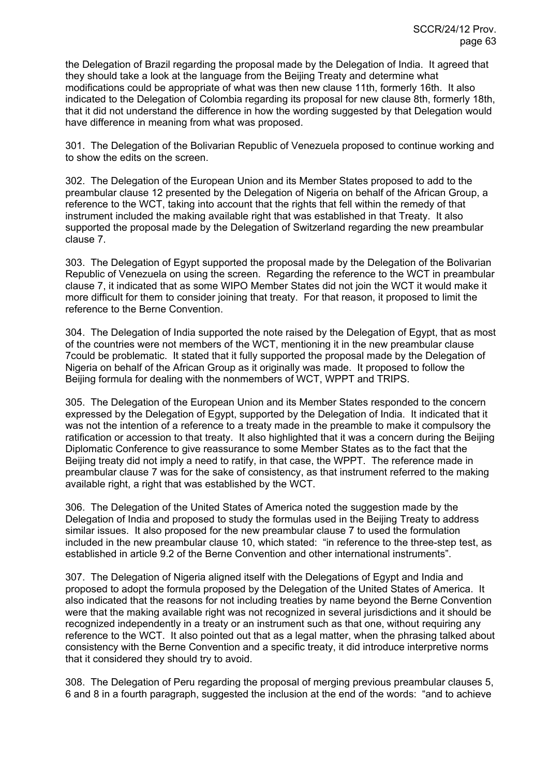the Delegation of Brazil regarding the proposal made by the Delegation of India. It agreed that they should take a look at the language from the Beijing Treaty and determine what modifications could be appropriate of what was then new clause 11th, formerly 16th. It also indicated to the Delegation of Colombia regarding its proposal for new clause 8th, formerly 18th, that it did not understand the difference in how the wording suggested by that Delegation would have difference in meaning from what was proposed.

301. The Delegation of the Bolivarian Republic of Venezuela proposed to continue working and to show the edits on the screen.

302. The Delegation of the European Union and its Member States proposed to add to the preambular clause 12 presented by the Delegation of Nigeria on behalf of the African Group, a reference to the WCT, taking into account that the rights that fell within the remedy of that instrument included the making available right that was established in that Treaty. It also supported the proposal made by the Delegation of Switzerland regarding the new preambular clause 7.

303. The Delegation of Egypt supported the proposal made by the Delegation of the Bolivarian Republic of Venezuela on using the screen. Regarding the reference to the WCT in preambular clause 7, it indicated that as some WIPO Member States did not join the WCT it would make it more difficult for them to consider joining that treaty. For that reason, it proposed to limit the reference to the Berne Convention.

304. The Delegation of India supported the note raised by the Delegation of Egypt, that as most of the countries were not members of the WCT, mentioning it in the new preambular clause 7could be problematic. It stated that it fully supported the proposal made by the Delegation of Nigeria on behalf of the African Group as it originally was made. It proposed to follow the Beijing formula for dealing with the nonmembers of WCT, WPPT and TRIPS.

305. The Delegation of the European Union and its Member States responded to the concern expressed by the Delegation of Egypt, supported by the Delegation of India. It indicated that it was not the intention of a reference to a treaty made in the preamble to make it compulsory the ratification or accession to that treaty. It also highlighted that it was a concern during the Beijing Diplomatic Conference to give reassurance to some Member States as to the fact that the Beijing treaty did not imply a need to ratify, in that case, the WPPT. The reference made in preambular clause 7 was for the sake of consistency, as that instrument referred to the making available right, a right that was established by the WCT.

306. The Delegation of the United States of America noted the suggestion made by the Delegation of India and proposed to study the formulas used in the Beijing Treaty to address similar issues. It also proposed for the new preambular clause 7 to used the formulation included in the new preambular clause 10, which stated: "in reference to the three-step test, as established in article 9.2 of the Berne Convention and other international instruments".

307. The Delegation of Nigeria aligned itself with the Delegations of Egypt and India and proposed to adopt the formula proposed by the Delegation of the United States of America. It also indicated that the reasons for not including treaties by name beyond the Berne Convention were that the making available right was not recognized in several jurisdictions and it should be recognized independently in a treaty or an instrument such as that one, without requiring any reference to the WCT. It also pointed out that as a legal matter, when the phrasing talked about consistency with the Berne Convention and a specific treaty, it did introduce interpretive norms that it considered they should try to avoid.

308. The Delegation of Peru regarding the proposal of merging previous preambular clauses 5, 6 and 8 in a fourth paragraph, suggested the inclusion at the end of the words: "and to achieve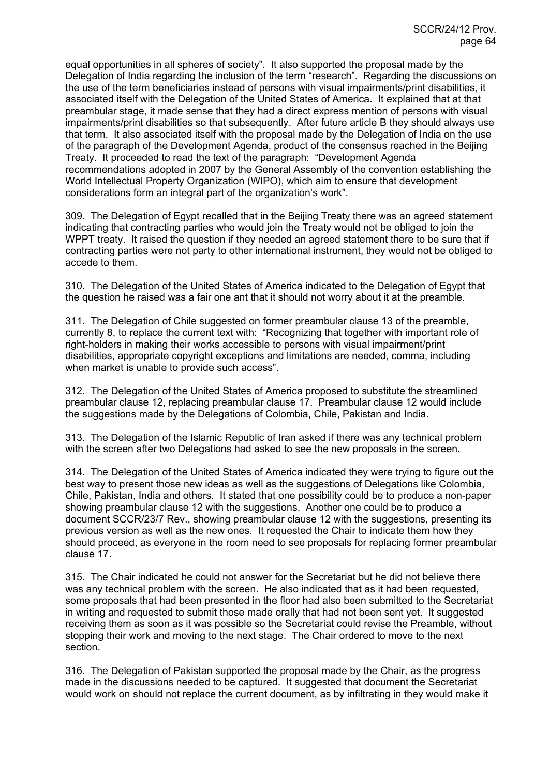equal opportunities in all spheres of society". It also supported the proposal made by the Delegation of India regarding the inclusion of the term "research". Regarding the discussions on the use of the term beneficiaries instead of persons with visual impairments/print disabilities, it associated itself with the Delegation of the United States of America. It explained that at that preambular stage, it made sense that they had a direct express mention of persons with visual impairments/print disabilities so that subsequently. After future article B they should always use that term. It also associated itself with the proposal made by the Delegation of India on the use of the paragraph of the Development Agenda, product of the consensus reached in the Beijing Treaty. It proceeded to read the text of the paragraph: "Development Agenda recommendations adopted in 2007 by the General Assembly of the convention establishing the World Intellectual Property Organization (WIPO), which aim to ensure that development considerations form an integral part of the organization's work".

309. The Delegation of Egypt recalled that in the Beijing Treaty there was an agreed statement indicating that contracting parties who would join the Treaty would not be obliged to join the WPPT treaty. It raised the question if they needed an agreed statement there to be sure that if contracting parties were not party to other international instrument, they would not be obliged to accede to them.

310. The Delegation of the United States of America indicated to the Delegation of Egypt that the question he raised was a fair one ant that it should not worry about it at the preamble.

311. The Delegation of Chile suggested on former preambular clause 13 of the preamble, currently 8, to replace the current text with: "Recognizing that together with important role of right-holders in making their works accessible to persons with visual impairment/print disabilities, appropriate copyright exceptions and limitations are needed, comma, including when market is unable to provide such access".

312. The Delegation of the United States of America proposed to substitute the streamlined preambular clause 12, replacing preambular clause 17. Preambular clause 12 would include the suggestions made by the Delegations of Colombia, Chile, Pakistan and India.

313. The Delegation of the Islamic Republic of Iran asked if there was any technical problem with the screen after two Delegations had asked to see the new proposals in the screen.

314. The Delegation of the United States of America indicated they were trying to figure out the best way to present those new ideas as well as the suggestions of Delegations like Colombia, Chile, Pakistan, India and others. It stated that one possibility could be to produce a non-paper showing preambular clause 12 with the suggestions. Another one could be to produce a document SCCR/23/7 Rev., showing preambular clause 12 with the suggestions, presenting its previous version as well as the new ones. It requested the Chair to indicate them how they should proceed, as everyone in the room need to see proposals for replacing former preambular clause 17.

315. The Chair indicated he could not answer for the Secretariat but he did not believe there was any technical problem with the screen. He also indicated that as it had been requested, some proposals that had been presented in the floor had also been submitted to the Secretariat in writing and requested to submit those made orally that had not been sent yet. It suggested receiving them as soon as it was possible so the Secretariat could revise the Preamble, without stopping their work and moving to the next stage. The Chair ordered to move to the next section.

316. The Delegation of Pakistan supported the proposal made by the Chair, as the progress made in the discussions needed to be captured. It suggested that document the Secretariat would work on should not replace the current document, as by infiltrating in they would make it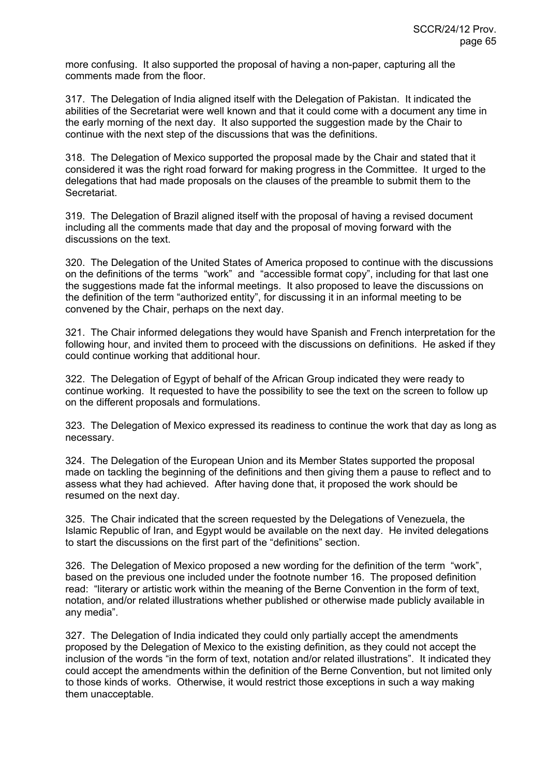more confusing. It also supported the proposal of having a non-paper, capturing all the comments made from the floor.

317. The Delegation of India aligned itself with the Delegation of Pakistan. It indicated the abilities of the Secretariat were well known and that it could come with a document any time in the early morning of the next day. It also supported the suggestion made by the Chair to continue with the next step of the discussions that was the definitions.

318. The Delegation of Mexico supported the proposal made by the Chair and stated that it considered it was the right road forward for making progress in the Committee. It urged to the delegations that had made proposals on the clauses of the preamble to submit them to the Secretariat.

319. The Delegation of Brazil aligned itself with the proposal of having a revised document including all the comments made that day and the proposal of moving forward with the discussions on the text.

320. The Delegation of the United States of America proposed to continue with the discussions on the definitions of the terms "work" and "accessible format copy", including for that last one the suggestions made fat the informal meetings. It also proposed to leave the discussions on the definition of the term "authorized entity", for discussing it in an informal meeting to be convened by the Chair, perhaps on the next day.

321. The Chair informed delegations they would have Spanish and French interpretation for the following hour, and invited them to proceed with the discussions on definitions. He asked if they could continue working that additional hour.

322. The Delegation of Egypt of behalf of the African Group indicated they were ready to continue working. It requested to have the possibility to see the text on the screen to follow up on the different proposals and formulations.

323. The Delegation of Mexico expressed its readiness to continue the work that day as long as necessary.

324. The Delegation of the European Union and its Member States supported the proposal made on tackling the beginning of the definitions and then giving them a pause to reflect and to assess what they had achieved. After having done that, it proposed the work should be resumed on the next day.

325. The Chair indicated that the screen requested by the Delegations of Venezuela, the Islamic Republic of Iran, and Egypt would be available on the next day. He invited delegations to start the discussions on the first part of the "definitions" section.

326. The Delegation of Mexico proposed a new wording for the definition of the term "work", based on the previous one included under the footnote number 16. The proposed definition read: "literary or artistic work within the meaning of the Berne Convention in the form of text, notation, and/or related illustrations whether published or otherwise made publicly available in any media".

327. The Delegation of India indicated they could only partially accept the amendments proposed by the Delegation of Mexico to the existing definition, as they could not accept the inclusion of the words "in the form of text, notation and/or related illustrations". It indicated they could accept the amendments within the definition of the Berne Convention, but not limited only to those kinds of works. Otherwise, it would restrict those exceptions in such a way making them unacceptable.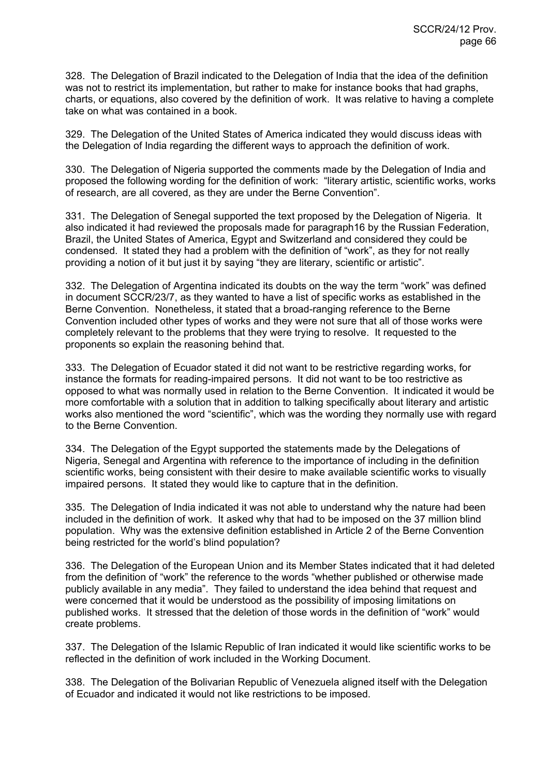328. The Delegation of Brazil indicated to the Delegation of India that the idea of the definition was not to restrict its implementation, but rather to make for instance books that had graphs, charts, or equations, also covered by the definition of work. It was relative to having a complete take on what was contained in a book.

329. The Delegation of the United States of America indicated they would discuss ideas with the Delegation of India regarding the different ways to approach the definition of work.

330. The Delegation of Nigeria supported the comments made by the Delegation of India and proposed the following wording for the definition of work: "literary artistic, scientific works, works of research, are all covered, as they are under the Berne Convention".

331. The Delegation of Senegal supported the text proposed by the Delegation of Nigeria. It also indicated it had reviewed the proposals made for paragraph16 by the Russian Federation, Brazil, the United States of America, Egypt and Switzerland and considered they could be condensed. It stated they had a problem with the definition of "work", as they for not really providing a notion of it but just it by saying "they are literary, scientific or artistic".

332. The Delegation of Argentina indicated its doubts on the way the term "work" was defined in document SCCR/23/7, as they wanted to have a list of specific works as established in the Berne Convention. Nonetheless, it stated that a broad-ranging reference to the Berne Convention included other types of works and they were not sure that all of those works were completely relevant to the problems that they were trying to resolve. It requested to the proponents so explain the reasoning behind that.

333. The Delegation of Ecuador stated it did not want to be restrictive regarding works, for instance the formats for reading-impaired persons. It did not want to be too restrictive as opposed to what was normally used in relation to the Berne Convention. It indicated it would be more comfortable with a solution that in addition to talking specifically about literary and artistic works also mentioned the word "scientific", which was the wording they normally use with regard to the Berne Convention.

334. The Delegation of the Egypt supported the statements made by the Delegations of Nigeria, Senegal and Argentina with reference to the importance of including in the definition scientific works, being consistent with their desire to make available scientific works to visually impaired persons. It stated they would like to capture that in the definition.

335. The Delegation of India indicated it was not able to understand why the nature had been included in the definition of work. It asked why that had to be imposed on the 37 million blind population. Why was the extensive definition established in Article 2 of the Berne Convention being restricted for the world's blind population?

336. The Delegation of the European Union and its Member States indicated that it had deleted from the definition of "work" the reference to the words "whether published or otherwise made publicly available in any media". They failed to understand the idea behind that request and were concerned that it would be understood as the possibility of imposing limitations on published works. It stressed that the deletion of those words in the definition of "work" would create problems.

337. The Delegation of the Islamic Republic of Iran indicated it would like scientific works to be reflected in the definition of work included in the Working Document.

338. The Delegation of the Bolivarian Republic of Venezuela aligned itself with the Delegation of Ecuador and indicated it would not like restrictions to be imposed.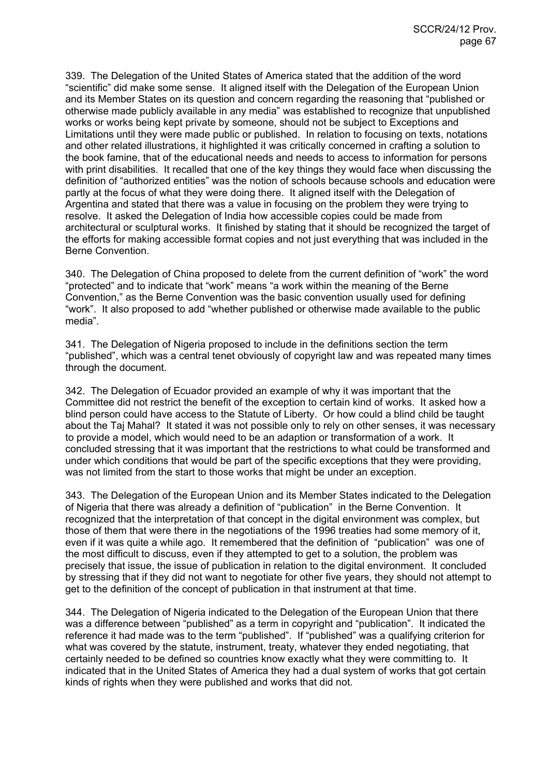339. The Delegation of the United States of America stated that the addition of the word "scientific" did make some sense. It aligned itself with the Delegation of the European Union and its Member States on its question and concern regarding the reasoning that "published or otherwise made publicly available in any media" was established to recognize that unpublished works or works being kept private by someone, should not be subject to Exceptions and Limitations until they were made public or published. In relation to focusing on texts, notations and other related illustrations, it highlighted it was critically concerned in crafting a solution to the book famine, that of the educational needs and needs to access to information for persons with print disabilities. It recalled that one of the key things they would face when discussing the definition of "authorized entities" was the notion of schools because schools and education were partly at the focus of what they were doing there. It aligned itself with the Delegation of Argentina and stated that there was a value in focusing on the problem they were trying to resolve. It asked the Delegation of India how accessible copies could be made from architectural or sculptural works. It finished by stating that it should be recognized the target of the efforts for making accessible format copies and not just everything that was included in the Berne Convention.

340. The Delegation of China proposed to delete from the current definition of "work" the word "protected" and to indicate that "work" means "a work within the meaning of the Berne Convention," as the Berne Convention was the basic convention usually used for defining "work". It also proposed to add "whether published or otherwise made available to the public media".

341. The Delegation of Nigeria proposed to include in the definitions section the term "published", which was a central tenet obviously of copyright law and was repeated many times through the document.

342. The Delegation of Ecuador provided an example of why it was important that the Committee did not restrict the benefit of the exception to certain kind of works. It asked how a blind person could have access to the Statute of Liberty. Or how could a blind child be taught about the Taj Mahal? It stated it was not possible only to rely on other senses, it was necessary to provide a model, which would need to be an adaption or transformation of a work. It concluded stressing that it was important that the restrictions to what could be transformed and under which conditions that would be part of the specific exceptions that they were providing, was not limited from the start to those works that might be under an exception.

343. The Delegation of the European Union and its Member States indicated to the Delegation of Nigeria that there was already a definition of "publication" in the Berne Convention. It recognized that the interpretation of that concept in the digital environment was complex, but those of them that were there in the negotiations of the 1996 treaties had some memory of it, even if it was quite a while ago. It remembered that the definition of "publication" was one of the most difficult to discuss, even if they attempted to get to a solution, the problem was precisely that issue, the issue of publication in relation to the digital environment. It concluded by stressing that if they did not want to negotiate for other five years, they should not attempt to get to the definition of the concept of publication in that instrument at that time.

344. The Delegation of Nigeria indicated to the Delegation of the European Union that there was a difference between "published" as a term in copyright and "publication". It indicated the reference it had made was to the term "published". If "published" was a qualifying criterion for what was covered by the statute, instrument, treaty, whatever they ended negotiating, that certainly needed to be defined so countries know exactly what they were committing to. It indicated that in the United States of America they had a dual system of works that got certain kinds of rights when they were published and works that did not.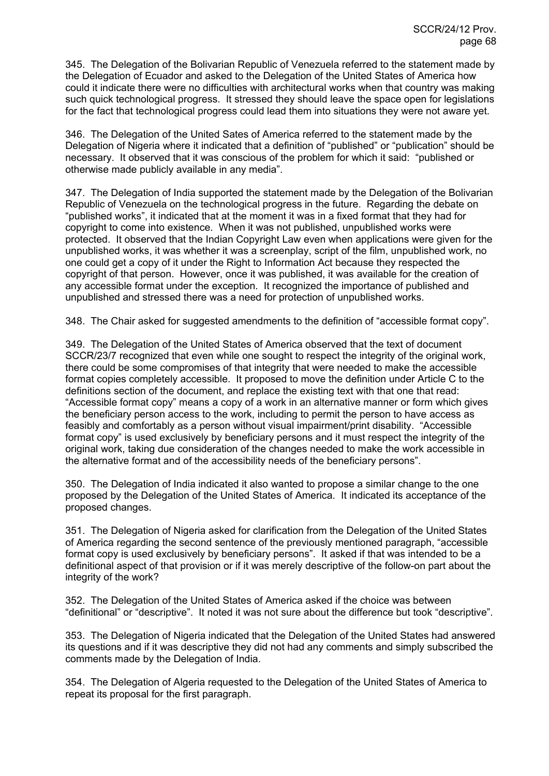345. The Delegation of the Bolivarian Republic of Venezuela referred to the statement made by the Delegation of Ecuador and asked to the Delegation of the United States of America how could it indicate there were no difficulties with architectural works when that country was making such quick technological progress. It stressed they should leave the space open for legislations for the fact that technological progress could lead them into situations they were not aware yet.

346. The Delegation of the United Sates of America referred to the statement made by the Delegation of Nigeria where it indicated that a definition of "published" or "publication" should be necessary. It observed that it was conscious of the problem for which it said: "published or otherwise made publicly available in any media".

347. The Delegation of India supported the statement made by the Delegation of the Bolivarian Republic of Venezuela on the technological progress in the future. Regarding the debate on "published works", it indicated that at the moment it was in a fixed format that they had for copyright to come into existence. When it was not published, unpublished works were protected. It observed that the Indian Copyright Law even when applications were given for the unpublished works, it was whether it was a screenplay, script of the film, unpublished work, no one could get a copy of it under the Right to Information Act because they respected the copyright of that person. However, once it was published, it was available for the creation of any accessible format under the exception. It recognized the importance of published and unpublished and stressed there was a need for protection of unpublished works.

348. The Chair asked for suggested amendments to the definition of "accessible format copy".

349. The Delegation of the United States of America observed that the text of document SCCR/23/7 recognized that even while one sought to respect the integrity of the original work, there could be some compromises of that integrity that were needed to make the accessible format copies completely accessible. It proposed to move the definition under Article C to the definitions section of the document, and replace the existing text with that one that read: "Accessible format copy" means a copy of a work in an alternative manner or form which gives the beneficiary person access to the work, including to permit the person to have access as feasibly and comfortably as a person without visual impairment/print disability. "Accessible format copy" is used exclusively by beneficiary persons and it must respect the integrity of the original work, taking due consideration of the changes needed to make the work accessible in the alternative format and of the accessibility needs of the beneficiary persons".

350. The Delegation of India indicated it also wanted to propose a similar change to the one proposed by the Delegation of the United States of America. It indicated its acceptance of the proposed changes.

351. The Delegation of Nigeria asked for clarification from the Delegation of the United States of America regarding the second sentence of the previously mentioned paragraph, "accessible format copy is used exclusively by beneficiary persons". It asked if that was intended to be a definitional aspect of that provision or if it was merely descriptive of the follow-on part about the integrity of the work?

352. The Delegation of the United States of America asked if the choice was between "definitional" or "descriptive". It noted it was not sure about the difference but took "descriptive".

353. The Delegation of Nigeria indicated that the Delegation of the United States had answered its questions and if it was descriptive they did not had any comments and simply subscribed the comments made by the Delegation of India.

354. The Delegation of Algeria requested to the Delegation of the United States of America to repeat its proposal for the first paragraph.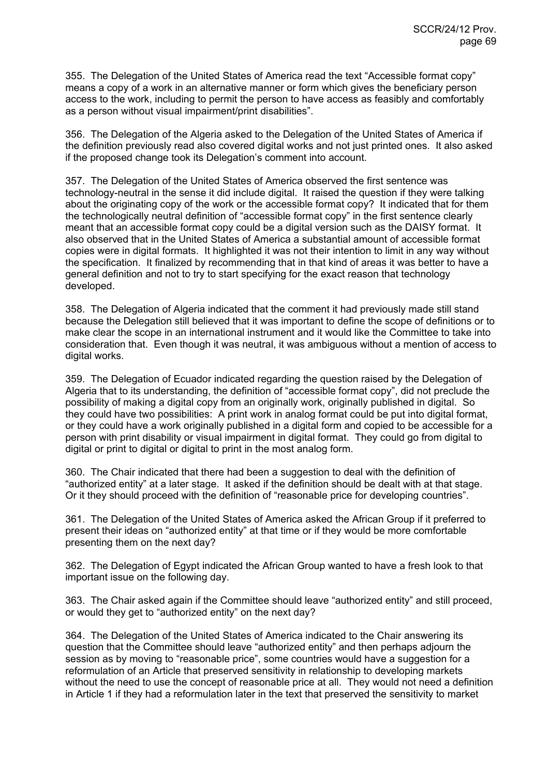355. The Delegation of the United States of America read the text "Accessible format copy" means a copy of a work in an alternative manner or form which gives the beneficiary person access to the work, including to permit the person to have access as feasibly and comfortably as a person without visual impairment/print disabilities".

356. The Delegation of the Algeria asked to the Delegation of the United States of America if the definition previously read also covered digital works and not just printed ones. It also asked if the proposed change took its Delegation's comment into account.

357. The Delegation of the United States of America observed the first sentence was technology-neutral in the sense it did include digital. It raised the question if they were talking about the originating copy of the work or the accessible format copy? It indicated that for them the technologically neutral definition of "accessible format copy" in the first sentence clearly meant that an accessible format copy could be a digital version such as the DAISY format. It also observed that in the United States of America a substantial amount of accessible format copies were in digital formats. It highlighted it was not their intention to limit in any way without the specification. It finalized by recommending that in that kind of areas it was better to have a general definition and not to try to start specifying for the exact reason that technology developed.

358. The Delegation of Algeria indicated that the comment it had previously made still stand because the Delegation still believed that it was important to define the scope of definitions or to make clear the scope in an international instrument and it would like the Committee to take into consideration that. Even though it was neutral, it was ambiguous without a mention of access to digital works.

359. The Delegation of Ecuador indicated regarding the question raised by the Delegation of Algeria that to its understanding, the definition of "accessible format copy", did not preclude the possibility of making a digital copy from an originally work, originally published in digital. So they could have two possibilities: A print work in analog format could be put into digital format, or they could have a work originally published in a digital form and copied to be accessible for a person with print disability or visual impairment in digital format. They could go from digital to digital or print to digital or digital to print in the most analog form.

360. The Chair indicated that there had been a suggestion to deal with the definition of "authorized entity" at a later stage. It asked if the definition should be dealt with at that stage. Or it they should proceed with the definition of "reasonable price for developing countries".

361. The Delegation of the United States of America asked the African Group if it preferred to present their ideas on "authorized entity" at that time or if they would be more comfortable presenting them on the next day?

362. The Delegation of Egypt indicated the African Group wanted to have a fresh look to that important issue on the following day.

363. The Chair asked again if the Committee should leave "authorized entity" and still proceed, or would they get to "authorized entity" on the next day?

364. The Delegation of the United States of America indicated to the Chair answering its question that the Committee should leave "authorized entity" and then perhaps adjourn the session as by moving to "reasonable price", some countries would have a suggestion for a reformulation of an Article that preserved sensitivity in relationship to developing markets without the need to use the concept of reasonable price at all. They would not need a definition in Article 1 if they had a reformulation later in the text that preserved the sensitivity to market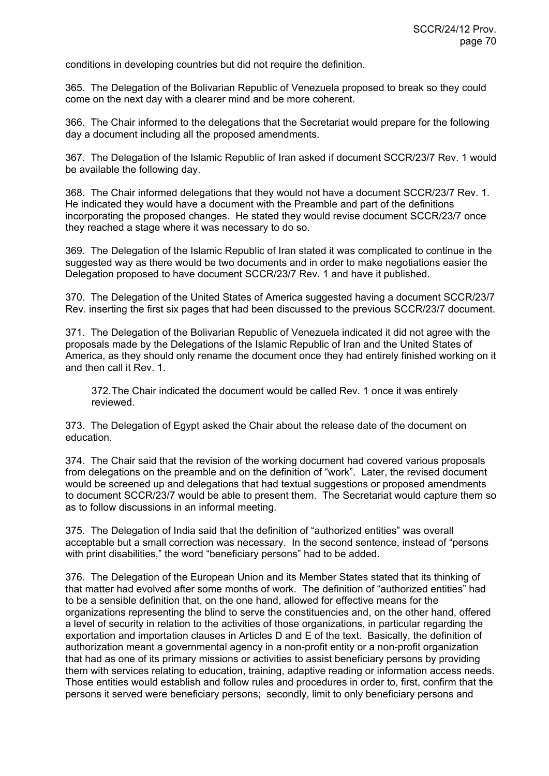conditions in developing countries but did not require the definition.

365. The Delegation of the Bolivarian Republic of Venezuela proposed to break so they could come on the next day with a clearer mind and be more coherent.

366. The Chair informed to the delegations that the Secretariat would prepare for the following day a document including all the proposed amendments.

367. The Delegation of the Islamic Republic of Iran asked if document SCCR/23/7 Rev. 1 would be available the following day.

368. The Chair informed delegations that they would not have a document SCCR/23/7 Rev. 1. He indicated they would have a document with the Preamble and part of the definitions incorporating the proposed changes. He stated they would revise document SCCR/23/7 once they reached a stage where it was necessary to do so.

369. The Delegation of the Islamic Republic of Iran stated it was complicated to continue in the suggested way as there would be two documents and in order to make negotiations easier the Delegation proposed to have document SCCR/23/7 Rev. 1 and have it published.

370. The Delegation of the United States of America suggested having a document SCCR/23/7 Rev. inserting the first six pages that had been discussed to the previous SCCR/23/7 document.

371. The Delegation of the Bolivarian Republic of Venezuela indicated it did not agree with the proposals made by the Delegations of the Islamic Republic of Iran and the United States of America, as they should only rename the document once they had entirely finished working on it and then call it Rev. 1.

372. The Chair indicated the document would be called Rev. 1 once it was entirely reviewed.

373. The Delegation of Egypt asked the Chair about the release date of the document on education.

374. The Chair said that the revision of the working document had covered various proposals from delegations on the preamble and on the definition of "work". Later, the revised document would be screened up and delegations that had textual suggestions or proposed amendments to document SCCR/23/7 would be able to present them. The Secretariat would capture them so as to follow discussions in an informal meeting.

375. The Delegation of India said that the definition of "authorized entities" was overall acceptable but a small correction was necessary. In the second sentence, instead of "persons with print disabilities," the word "beneficiary persons" had to be added.

376. The Delegation of the European Union and its Member States stated that its thinking of that matter had evolved after some months of work. The definition of "authorized entities" had to be a sensible definition that, on the one hand, allowed for effective means for the organizations representing the blind to serve the constituencies and, on the other hand, offered a level of security in relation to the activities of those organizations, in particular regarding the exportation and importation clauses in Articles D and E of the text. Basically, the definition of authorization meant a governmental agency in a non-profit entity or a non-profit organization that had as one of its primary missions or activities to assist beneficiary persons by providing them with services relating to education, training, adaptive reading or information access needs. Those entities would establish and follow rules and procedures in order to, first, confirm that the persons it served were beneficiary persons; secondly, limit to only beneficiary persons and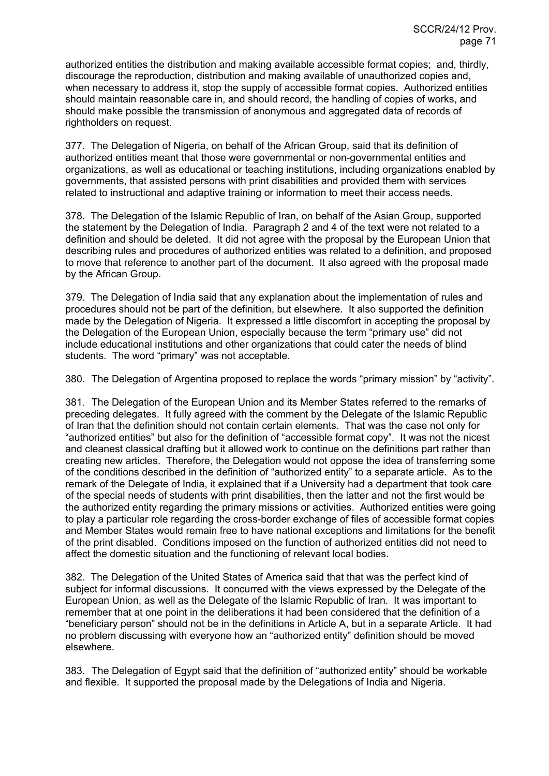authorized entities the distribution and making available accessible format copies; and, thirdly, discourage the reproduction, distribution and making available of unauthorized copies and, when necessary to address it, stop the supply of accessible format copies. Authorized entities should maintain reasonable care in, and should record, the handling of copies of works, and should make possible the transmission of anonymous and aggregated data of records of rightholders on request.

377. The Delegation of Nigeria, on behalf of the African Group, said that its definition of authorized entities meant that those were governmental or non-governmental entities and organizations, as well as educational or teaching institutions, including organizations enabled by governments, that assisted persons with print disabilities and provided them with services related to instructional and adaptive training or information to meet their access needs.

378. The Delegation of the Islamic Republic of Iran, on behalf of the Asian Group, supported the statement by the Delegation of India. Paragraph 2 and 4 of the text were not related to a definition and should be deleted. It did not agree with the proposal by the European Union that describing rules and procedures of authorized entities was related to a definition, and proposed to move that reference to another part of the document. It also agreed with the proposal made by the African Group.

379. The Delegation of India said that any explanation about the implementation of rules and procedures should not be part of the definition, but elsewhere. It also supported the definition made by the Delegation of Nigeria. It expressed a little discomfort in accepting the proposal by the Delegation of the European Union, especially because the term "primary use" did not include educational institutions and other organizations that could cater the needs of blind students. The word "primary" was not acceptable.

380. The Delegation of Argentina proposed to replace the words "primary mission" by "activity".

381. The Delegation of the European Union and its Member States referred to the remarks of preceding delegates. It fully agreed with the comment by the Delegate of the Islamic Republic of Iran that the definition should not contain certain elements. That was the case not only for "authorized entities" but also for the definition of "accessible format copy". It was not the nicest and cleanest classical drafting but it allowed work to continue on the definitions part rather than creating new articles. Therefore, the Delegation would not oppose the idea of transferring some of the conditions described in the definition of "authorized entity" to a separate article. As to the remark of the Delegate of India, it explained that if a University had a department that took care of the special needs of students with print disabilities, then the latter and not the first would be the authorized entity regarding the primary missions or activities. Authorized entities were going to play a particular role regarding the cross-border exchange of files of accessible format copies and Member States would remain free to have national exceptions and limitations for the benefit of the print disabled. Conditions imposed on the function of authorized entities did not need to affect the domestic situation and the functioning of relevant local bodies.

382. The Delegation of the United States of America said that that was the perfect kind of subject for informal discussions. It concurred with the views expressed by the Delegate of the European Union, as well as the Delegate of the Islamic Republic of Iran. It was important to remember that at one point in the deliberations it had been considered that the definition of a "beneficiary person" should not be in the definitions in Article A, but in a separate Article. It had no problem discussing with everyone how an "authorized entity" definition should be moved elsewhere.

383. The Delegation of Egypt said that the definition of "authorized entity" should be workable and flexible. It supported the proposal made by the Delegations of India and Nigeria.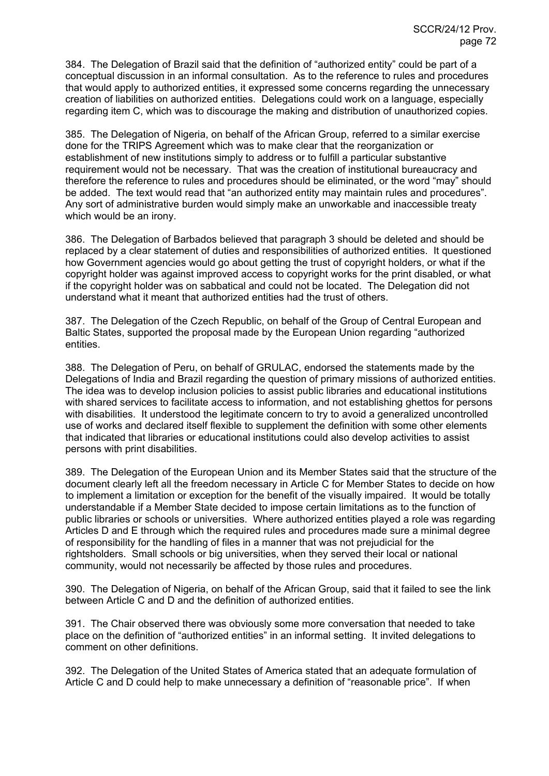384. The Delegation of Brazil said that the definition of "authorized entity" could be part of a conceptual discussion in an informal consultation. As to the reference to rules and procedures that would apply to authorized entities, it expressed some concerns regarding the unnecessary creation of liabilities on authorized entities. Delegations could work on a language, especially regarding item C, which was to discourage the making and distribution of unauthorized copies.

385. The Delegation of Nigeria, on behalf of the African Group, referred to a similar exercise done for the TRIPS Agreement which was to make clear that the reorganization or establishment of new institutions simply to address or to fulfill a particular substantive requirement would not be necessary. That was the creation of institutional bureaucracy and therefore the reference to rules and procedures should be eliminated, or the word "may" should be added. The text would read that "an authorized entity may maintain rules and procedures". Any sort of administrative burden would simply make an unworkable and inaccessible treaty which would be an irony.

386. The Delegation of Barbados believed that paragraph 3 should be deleted and should be replaced by a clear statement of duties and responsibilities of authorized entities. It questioned how Government agencies would go about getting the trust of copyright holders, or what if the copyright holder was against improved access to copyright works for the print disabled, or what if the copyright holder was on sabbatical and could not be located. The Delegation did not understand what it meant that authorized entities had the trust of others.

387. The Delegation of the Czech Republic, on behalf of the Group of Central European and Baltic States, supported the proposal made by the European Union regarding "authorized entities.

388. The Delegation of Peru, on behalf of GRULAC, endorsed the statements made by the Delegations of India and Brazil regarding the question of primary missions of authorized entities. The idea was to develop inclusion policies to assist public libraries and educational institutions with shared services to facilitate access to information, and not establishing ghettos for persons with disabilities. It understood the legitimate concern to try to avoid a generalized uncontrolled use of works and declared itself flexible to supplement the definition with some other elements that indicated that libraries or educational institutions could also develop activities to assist persons with print disabilities.

389. The Delegation of the European Union and its Member States said that the structure of the document clearly left all the freedom necessary in Article C for Member States to decide on how to implement a limitation or exception for the benefit of the visually impaired. It would be totally understandable if a Member State decided to impose certain limitations as to the function of public libraries or schools or universities. Where authorized entities played a role was regarding Articles D and E through which the required rules and procedures made sure a minimal degree of responsibility for the handling of files in a manner that was not prejudicial for the rightsholders. Small schools or big universities, when they served their local or national community, would not necessarily be affected by those rules and procedures.

390. The Delegation of Nigeria, on behalf of the African Group, said that it failed to see the link between Article C and D and the definition of authorized entities.

391. The Chair observed there was obviously some more conversation that needed to take place on the definition of "authorized entities" in an informal setting. It invited delegations to comment on other definitions.

392. The Delegation of the United States of America stated that an adequate formulation of Article C and D could help to make unnecessary a definition of "reasonable price". If when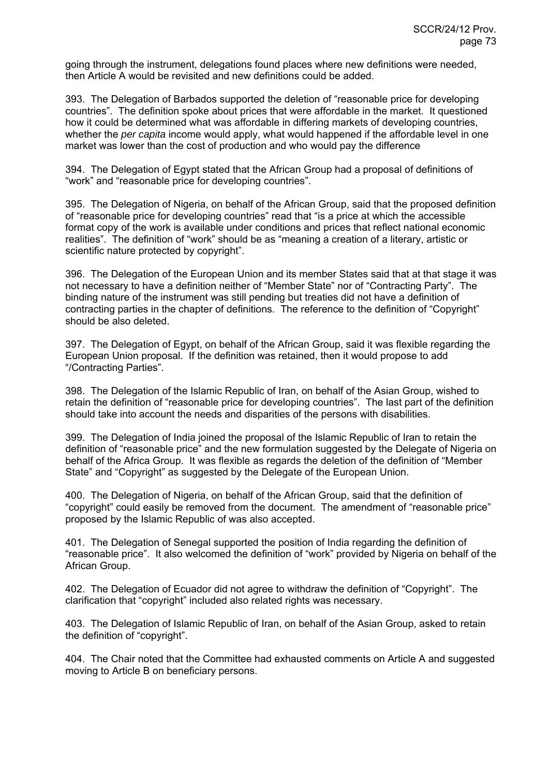going through the instrument, delegations found places where new definitions were needed, then Article A would be revisited and new definitions could be added.

393. The Delegation of Barbados supported the deletion of "reasonable price for developing countries". The definition spoke about prices that were affordable in the market. It questioned how it could be determined what was affordable in differing markets of developing countries, whether the *per capita* income would apply, what would happened if the affordable level in one market was lower than the cost of production and who would pay the difference

394. The Delegation of Egypt stated that the African Group had a proposal of definitions of "work" and "reasonable price for developing countries".

395. The Delegation of Nigeria, on behalf of the African Group, said that the proposed definition of "reasonable price for developing countries" read that "is a price at which the accessible format copy of the work is available under conditions and prices that reflect national economic realities". The definition of "work" should be as "meaning a creation of a literary, artistic or scientific nature protected by copyright".

396. The Delegation of the European Union and its member States said that at that stage it was not necessary to have a definition neither of "Member State" nor of "Contracting Party". The binding nature of the instrument was still pending but treaties did not have a definition of contracting parties in the chapter of definitions. The reference to the definition of "Copyright" should be also deleted.

397. The Delegation of Egypt, on behalf of the African Group, said it was flexible regarding the European Union proposal. If the definition was retained, then it would propose to add "/Contracting Parties".

398. The Delegation of the Islamic Republic of Iran, on behalf of the Asian Group, wished to retain the definition of "reasonable price for developing countries". The last part of the definition should take into account the needs and disparities of the persons with disabilities.

399. The Delegation of India joined the proposal of the Islamic Republic of Iran to retain the definition of "reasonable price" and the new formulation suggested by the Delegate of Nigeria on behalf of the Africa Group. It was flexible as regards the deletion of the definition of "Member State" and "Copyright" as suggested by the Delegate of the European Union.

400. The Delegation of Nigeria, on behalf of the African Group, said that the definition of "copyright" could easily be removed from the document. The amendment of "reasonable price" proposed by the Islamic Republic of was also accepted.

401. The Delegation of Senegal supported the position of India regarding the definition of "reasonable price". It also welcomed the definition of "work" provided by Nigeria on behalf of the African Group.

402. The Delegation of Ecuador did not agree to withdraw the definition of "Copyright". The clarification that "copyright" included also related rights was necessary.

403. The Delegation of Islamic Republic of Iran, on behalf of the Asian Group, asked to retain the definition of "copyright".

404. The Chair noted that the Committee had exhausted comments on Article A and suggested moving to Article B on beneficiary persons.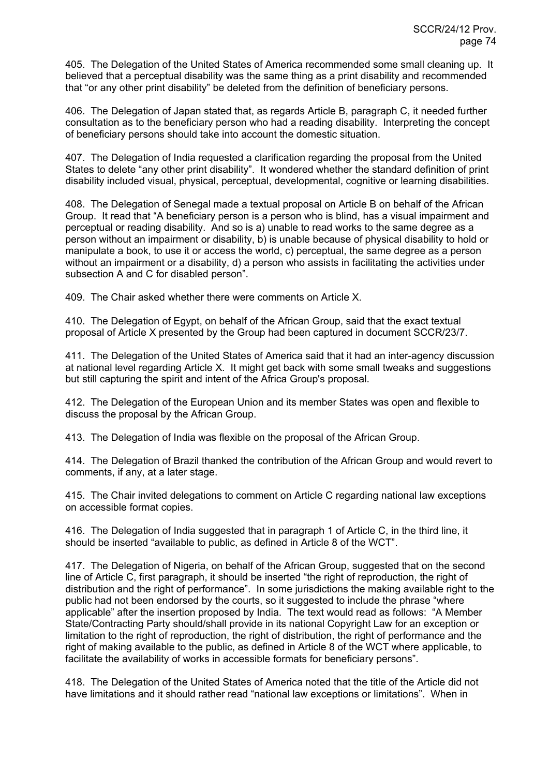405. The Delegation of the United States of America recommended some small cleaning up. It believed that a perceptual disability was the same thing as a print disability and recommended that "or any other print disability" be deleted from the definition of beneficiary persons.

406. The Delegation of Japan stated that, as regards Article B, paragraph C, it needed further consultation as to the beneficiary person who had a reading disability. Interpreting the concept of beneficiary persons should take into account the domestic situation.

407. The Delegation of India requested a clarification regarding the proposal from the United States to delete "any other print disability". It wondered whether the standard definition of print disability included visual, physical, perceptual, developmental, cognitive or learning disabilities.

408. The Delegation of Senegal made a textual proposal on Article B on behalf of the African Group. It read that "A beneficiary person is a person who is blind, has a visual impairment and perceptual or reading disability. And so is a) unable to read works to the same degree as a person without an impairment or disability, b) is unable because of physical disability to hold or manipulate a book, to use it or access the world, c) perceptual, the same degree as a person without an impairment or a disability, d) a person who assists in facilitating the activities under subsection A and C for disabled person".

409. The Chair asked whether there were comments on Article X.

410. The Delegation of Egypt, on behalf of the African Group, said that the exact textual proposal of Article X presented by the Group had been captured in document SCCR/23/7.

411. The Delegation of the United States of America said that it had an inter-agency discussion at national level regarding Article X. It might get back with some small tweaks and suggestions but still capturing the spirit and intent of the Africa Group's proposal.

412. The Delegation of the European Union and its member States was open and flexible to discuss the proposal by the African Group.

413. The Delegation of India was flexible on the proposal of the African Group.

414. The Delegation of Brazil thanked the contribution of the African Group and would revert to comments, if any, at a later stage.

415. The Chair invited delegations to comment on Article C regarding national law exceptions on accessible format copies.

416. The Delegation of India suggested that in paragraph 1 of Article C, in the third line, it should be inserted "available to public, as defined in Article 8 of the WCT".

417. The Delegation of Nigeria, on behalf of the African Group, suggested that on the second line of Article C, first paragraph, it should be inserted "the right of reproduction, the right of distribution and the right of performance". In some jurisdictions the making available right to the public had not been endorsed by the courts, so it suggested to include the phrase "where applicable" after the insertion proposed by India. The text would read as follows: "A Member State/Contracting Party should/shall provide in its national Copyright Law for an exception or limitation to the right of reproduction, the right of distribution, the right of performance and the right of making available to the public, as defined in Article 8 of the WCT where applicable, to facilitate the availability of works in accessible formats for beneficiary persons".

418. The Delegation of the United States of America noted that the title of the Article did not have limitations and it should rather read "national law exceptions or limitations". When in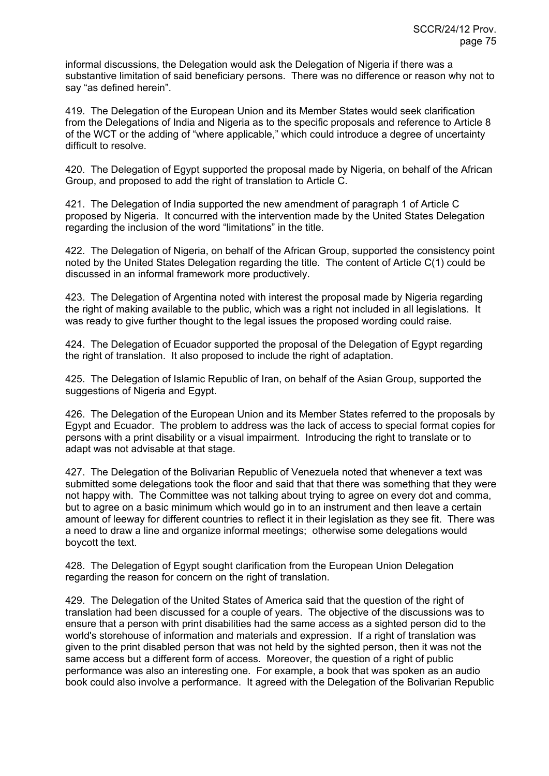informal discussions, the Delegation would ask the Delegation of Nigeria if there was a substantive limitation of said beneficiary persons. There was no difference or reason why not to say "as defined herein".

419. The Delegation of the European Union and its Member States would seek clarification from the Delegations of India and Nigeria as to the specific proposals and reference to Article 8 of the WCT or the adding of "where applicable," which could introduce a degree of uncertainty difficult to resolve.

420. The Delegation of Egypt supported the proposal made by Nigeria, on behalf of the African Group, and proposed to add the right of translation to Article C.

421. The Delegation of India supported the new amendment of paragraph 1 of Article C proposed by Nigeria. It concurred with the intervention made by the United States Delegation regarding the inclusion of the word "limitations" in the title.

422. The Delegation of Nigeria, on behalf of the African Group, supported the consistency point noted by the United States Delegation regarding the title. The content of Article C(1) could be discussed in an informal framework more productively.

423. The Delegation of Argentina noted with interest the proposal made by Nigeria regarding the right of making available to the public, which was a right not included in all legislations. It was ready to give further thought to the legal issues the proposed wording could raise.

424. The Delegation of Ecuador supported the proposal of the Delegation of Egypt regarding the right of translation. It also proposed to include the right of adaptation.

425. The Delegation of Islamic Republic of Iran, on behalf of the Asian Group, supported the suggestions of Nigeria and Egypt.

426. The Delegation of the European Union and its Member States referred to the proposals by Egypt and Ecuador. The problem to address was the lack of access to special format copies for persons with a print disability or a visual impairment. Introducing the right to translate or to adapt was not advisable at that stage.

427. The Delegation of the Bolivarian Republic of Venezuela noted that whenever a text was submitted some delegations took the floor and said that that there was something that they were not happy with. The Committee was not talking about trying to agree on every dot and comma, but to agree on a basic minimum which would go in to an instrument and then leave a certain amount of leeway for different countries to reflect it in their legislation as they see fit. There was a need to draw a line and organize informal meetings; otherwise some delegations would boycott the text.

428. The Delegation of Egypt sought clarification from the European Union Delegation regarding the reason for concern on the right of translation.

429. The Delegation of the United States of America said that the question of the right of translation had been discussed for a couple of years. The objective of the discussions was to ensure that a person with print disabilities had the same access as a sighted person did to the world's storehouse of information and materials and expression. If a right of translation was given to the print disabled person that was not held by the sighted person, then it was not the same access but a different form of access. Moreover, the question of a right of public performance was also an interesting one. For example, a book that was spoken as an audio book could also involve a performance. It agreed with the Delegation of the Bolivarian Republic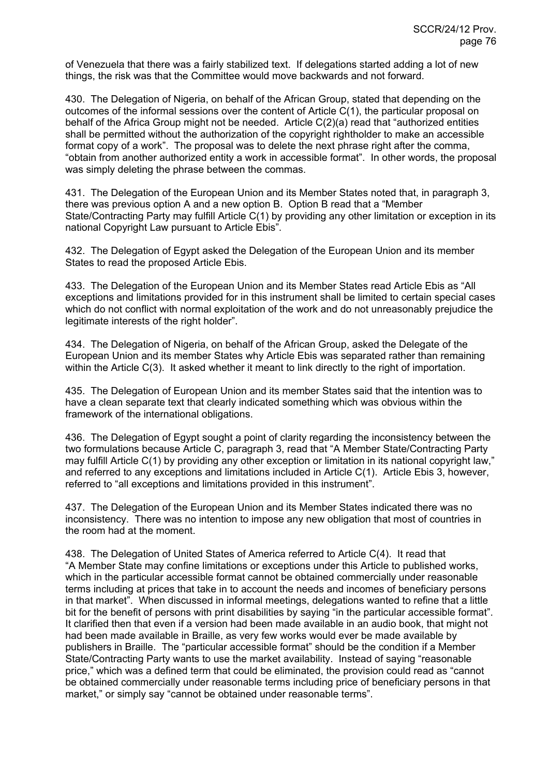of Venezuela that there was a fairly stabilized text. If delegations started adding a lot of new things, the risk was that the Committee would move backwards and not forward.

430. The Delegation of Nigeria, on behalf of the African Group, stated that depending on the outcomes of the informal sessions over the content of Article C(1), the particular proposal on behalf of the Africa Group might not be needed. Article C(2)(a) read that "authorized entities shall be permitted without the authorization of the copyright rightholder to make an accessible format copy of a work". The proposal was to delete the next phrase right after the comma, "obtain from another authorized entity a work in accessible format". In other words, the proposal was simply deleting the phrase between the commas.

431. The Delegation of the European Union and its Member States noted that, in paragraph 3, there was previous option A and a new option B. Option B read that a "Member State/Contracting Party may fulfill Article C(1) by providing any other limitation or exception in its national Copyright Law pursuant to Article Ebis".

432. The Delegation of Egypt asked the Delegation of the European Union and its member States to read the proposed Article Ebis.

433. The Delegation of the European Union and its Member States read Article Ebis as "All exceptions and limitations provided for in this instrument shall be limited to certain special cases which do not conflict with normal exploitation of the work and do not unreasonably prejudice the legitimate interests of the right holder".

434. The Delegation of Nigeria, on behalf of the African Group, asked the Delegate of the European Union and its member States why Article Ebis was separated rather than remaining within the Article C(3). It asked whether it meant to link directly to the right of importation.

435. The Delegation of European Union and its member States said that the intention was to have a clean separate text that clearly indicated something which was obvious within the framework of the international obligations.

436. The Delegation of Egypt sought a point of clarity regarding the inconsistency between the two formulations because Article C, paragraph 3, read that "A Member State/Contracting Party may fulfill Article C(1) by providing any other exception or limitation in its national copyright law," and referred to any exceptions and limitations included in Article C(1). Article Ebis 3, however, referred to "all exceptions and limitations provided in this instrument".

437. The Delegation of the European Union and its Member States indicated there was no inconsistency. There was no intention to impose any new obligation that most of countries in the room had at the moment.

438. The Delegation of United States of America referred to Article C(4). It read that "A Member State may confine limitations or exceptions under this Article to published works, which in the particular accessible format cannot be obtained commercially under reasonable terms including at prices that take in to account the needs and incomes of beneficiary persons in that market". When discussed in informal meetings, delegations wanted to refine that a little bit for the benefit of persons with print disabilities by saying "in the particular accessible format". It clarified then that even if a version had been made available in an audio book, that might not had been made available in Braille, as very few works would ever be made available by publishers in Braille. The "particular accessible format" should be the condition if a Member State/Contracting Party wants to use the market availability. Instead of saying "reasonable price," which was a defined term that could be eliminated, the provision could read as "cannot be obtained commercially under reasonable terms including price of beneficiary persons in that market," or simply say "cannot be obtained under reasonable terms".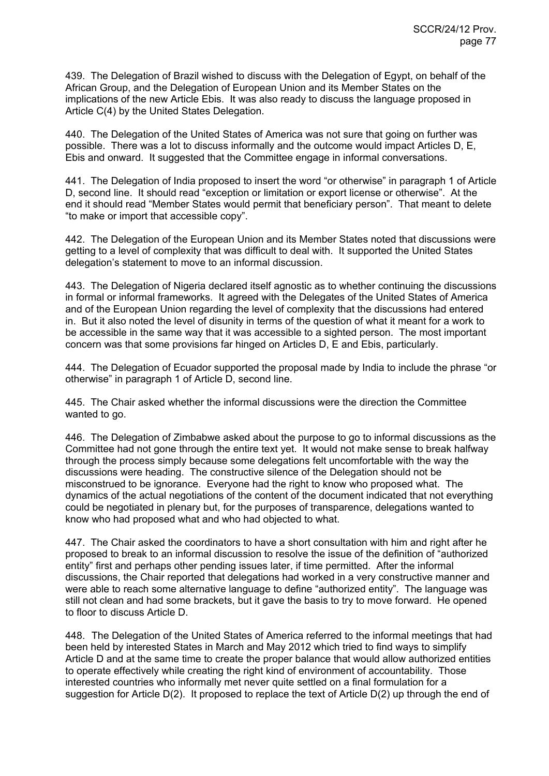439. The Delegation of Brazil wished to discuss with the Delegation of Egypt, on behalf of the African Group, and the Delegation of European Union and its Member States on the implications of the new Article Ebis. It was also ready to discuss the language proposed in Article C(4) by the United States Delegation.

440. The Delegation of the United States of America was not sure that going on further was possible. There was a lot to discuss informally and the outcome would impact Articles D, E, Ebis and onward. It suggested that the Committee engage in informal conversations.

441. The Delegation of India proposed to insert the word "or otherwise" in paragraph 1 of Article D, second line. It should read "exception or limitation or export license or otherwise". At the end it should read "Member States would permit that beneficiary person". That meant to delete "to make or import that accessible copy".

442. The Delegation of the European Union and its Member States noted that discussions were getting to a level of complexity that was difficult to deal with. It supported the United States delegation's statement to move to an informal discussion.

443. The Delegation of Nigeria declared itself agnostic as to whether continuing the discussions in formal or informal frameworks. It agreed with the Delegates of the United States of America and of the European Union regarding the level of complexity that the discussions had entered in. But it also noted the level of disunity in terms of the question of what it meant for a work to be accessible in the same way that it was accessible to a sighted person. The most important concern was that some provisions far hinged on Articles D, E and Ebis, particularly.

444. The Delegation of Ecuador supported the proposal made by India to include the phrase "or otherwise" in paragraph 1 of Article D, second line.

445. The Chair asked whether the informal discussions were the direction the Committee wanted to go.

446. The Delegation of Zimbabwe asked about the purpose to go to informal discussions as the Committee had not gone through the entire text yet. It would not make sense to break halfway through the process simply because some delegations felt uncomfortable with the way the discussions were heading. The constructive silence of the Delegation should not be misconstrued to be ignorance. Everyone had the right to know who proposed what. The dynamics of the actual negotiations of the content of the document indicated that not everything could be negotiated in plenary but, for the purposes of transparence, delegations wanted to know who had proposed what and who had objected to what.

447. The Chair asked the coordinators to have a short consultation with him and right after he proposed to break to an informal discussion to resolve the issue of the definition of "authorized entity" first and perhaps other pending issues later, if time permitted. After the informal discussions, the Chair reported that delegations had worked in a very constructive manner and were able to reach some alternative language to define "authorized entity". The language was still not clean and had some brackets, but it gave the basis to try to move forward. He opened to floor to discuss Article D.

448. The Delegation of the United States of America referred to the informal meetings that had been held by interested States in March and May 2012 which tried to find ways to simplify Article D and at the same time to create the proper balance that would allow authorized entities to operate effectively while creating the right kind of environment of accountability. Those interested countries who informally met never quite settled on a final formulation for a suggestion for Article D(2). It proposed to replace the text of Article D(2) up through the end of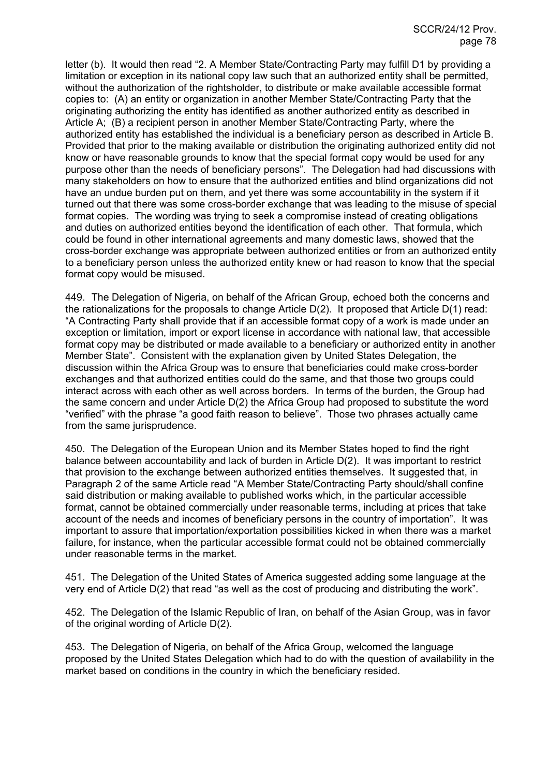letter (b). It would then read "2. A Member State/Contracting Party may fulfill D1 by providing a limitation or exception in its national copy law such that an authorized entity shall be permitted, without the authorization of the rightsholder, to distribute or make available accessible format copies to: (A) an entity or organization in another Member State/Contracting Party that the originating authorizing the entity has identified as another authorized entity as described in Article A; (B) a recipient person in another Member State/Contracting Party, where the authorized entity has established the individual is a beneficiary person as described in Article B. Provided that prior to the making available or distribution the originating authorized entity did not know or have reasonable grounds to know that the special format copy would be used for any purpose other than the needs of beneficiary persons". The Delegation had had discussions with many stakeholders on how to ensure that the authorized entities and blind organizations did not have an undue burden put on them, and yet there was some accountability in the system if it turned out that there was some cross-border exchange that was leading to the misuse of special format copies. The wording was trying to seek a compromise instead of creating obligations and duties on authorized entities beyond the identification of each other. That formula, which could be found in other international agreements and many domestic laws, showed that the cross-border exchange was appropriate between authorized entities or from an authorized entity to a beneficiary person unless the authorized entity knew or had reason to know that the special format copy would be misused.

449. The Delegation of Nigeria, on behalf of the African Group, echoed both the concerns and the rationalizations for the proposals to change Article D(2). It proposed that Article D(1) read: "A Contracting Party shall provide that if an accessible format copy of a work is made under an exception or limitation, import or export license in accordance with national law, that accessible format copy may be distributed or made available to a beneficiary or authorized entity in another Member State". Consistent with the explanation given by United States Delegation, the discussion within the Africa Group was to ensure that beneficiaries could make cross-border exchanges and that authorized entities could do the same, and that those two groups could interact across with each other as well across borders. In terms of the burden, the Group had the same concern and under Article D(2) the Africa Group had proposed to substitute the word "verified" with the phrase "a good faith reason to believe". Those two phrases actually came from the same jurisprudence.

450. The Delegation of the European Union and its Member States hoped to find the right balance between accountability and lack of burden in Article D(2). It was important to restrict that provision to the exchange between authorized entities themselves. It suggested that, in Paragraph 2 of the same Article read "A Member State/Contracting Party should/shall confine said distribution or making available to published works which, in the particular accessible format, cannot be obtained commercially under reasonable terms, including at prices that take account of the needs and incomes of beneficiary persons in the country of importation". It was important to assure that importation/exportation possibilities kicked in when there was a market failure, for instance, when the particular accessible format could not be obtained commercially under reasonable terms in the market.

451. The Delegation of the United States of America suggested adding some language at the very end of Article D(2) that read "as well as the cost of producing and distributing the work".

452. The Delegation of the Islamic Republic of Iran, on behalf of the Asian Group, was in favor of the original wording of Article D(2).

453. The Delegation of Nigeria, on behalf of the Africa Group, welcomed the language proposed by the United States Delegation which had to do with the question of availability in the market based on conditions in the country in which the beneficiary resided.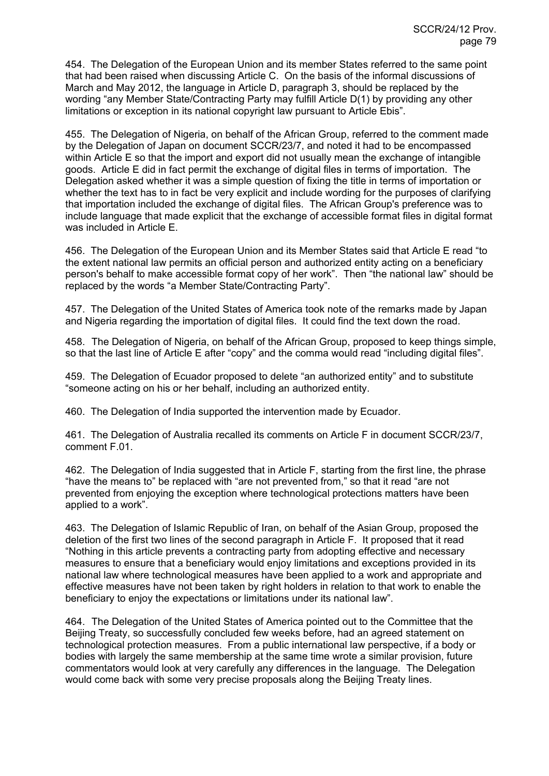454. The Delegation of the European Union and its member States referred to the same point that had been raised when discussing Article C. On the basis of the informal discussions of March and May 2012, the language in Article D, paragraph 3, should be replaced by the wording "any Member State/Contracting Party may fulfill Article D(1) by providing any other limitations or exception in its national copyright law pursuant to Article Ebis".

455. The Delegation of Nigeria, on behalf of the African Group, referred to the comment made by the Delegation of Japan on document SCCR/23/7, and noted it had to be encompassed within Article E so that the import and export did not usually mean the exchange of intangible goods. Article E did in fact permit the exchange of digital files in terms of importation. The Delegation asked whether it was a simple question of fixing the title in terms of importation or whether the text has to in fact be very explicit and include wording for the purposes of clarifying that importation included the exchange of digital files. The African Group's preference was to include language that made explicit that the exchange of accessible format files in digital format was included in Article E.

456. The Delegation of the European Union and its Member States said that Article E read "to the extent national law permits an official person and authorized entity acting on a beneficiary person's behalf to make accessible format copy of her work". Then "the national law" should be replaced by the words "a Member State/Contracting Party".

457. The Delegation of the United States of America took note of the remarks made by Japan and Nigeria regarding the importation of digital files. It could find the text down the road.

458. The Delegation of Nigeria, on behalf of the African Group, proposed to keep things simple, so that the last line of Article E after "copy" and the comma would read "including digital files".

459. The Delegation of Ecuador proposed to delete "an authorized entity" and to substitute "someone acting on his or her behalf, including an authorized entity.

460. The Delegation of India supported the intervention made by Ecuador.

461. The Delegation of Australia recalled its comments on Article F in document SCCR/23/7, comment F.01.

462. The Delegation of India suggested that in Article F, starting from the first line, the phrase "have the means to" be replaced with "are not prevented from," so that it read "are not prevented from enjoying the exception where technological protections matters have been applied to a work".

463. The Delegation of Islamic Republic of Iran, on behalf of the Asian Group, proposed the deletion of the first two lines of the second paragraph in Article F. It proposed that it read "Nothing in this article prevents a contracting party from adopting effective and necessary measures to ensure that a beneficiary would enjoy limitations and exceptions provided in its national law where technological measures have been applied to a work and appropriate and effective measures have not been taken by right holders in relation to that work to enable the beneficiary to enjoy the expectations or limitations under its national law".

464. The Delegation of the United States of America pointed out to the Committee that the Beijing Treaty, so successfully concluded few weeks before, had an agreed statement on technological protection measures. From a public international law perspective, if a body or bodies with largely the same membership at the same time wrote a similar provision, future commentators would look at very carefully any differences in the language. The Delegation would come back with some very precise proposals along the Beijing Treaty lines.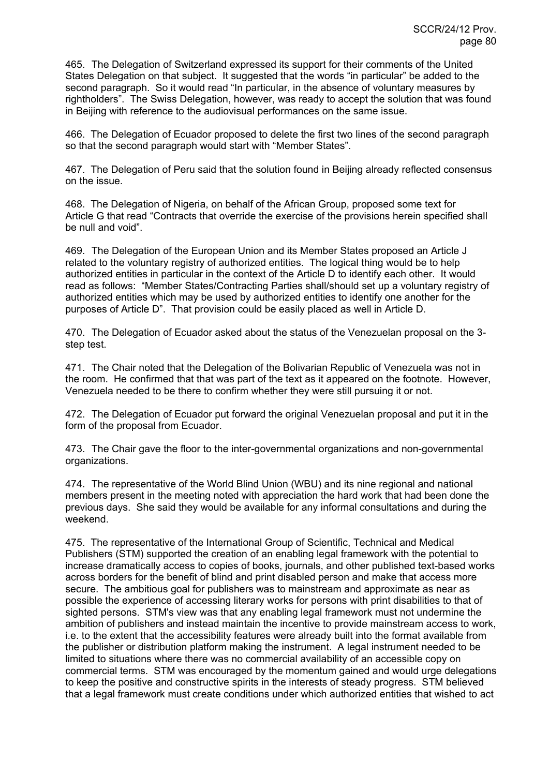465. The Delegation of Switzerland expressed its support for their comments of the United States Delegation on that subject. It suggested that the words "in particular" be added to the second paragraph. So it would read "In particular, in the absence of voluntary measures by rightholders". The Swiss Delegation, however, was ready to accept the solution that was found in Beijing with reference to the audiovisual performances on the same issue.

466. The Delegation of Ecuador proposed to delete the first two lines of the second paragraph so that the second paragraph would start with "Member States".

467. The Delegation of Peru said that the solution found in Beijing already reflected consensus on the issue.

468. The Delegation of Nigeria, on behalf of the African Group, proposed some text for Article G that read "Contracts that override the exercise of the provisions herein specified shall be null and void".

469. The Delegation of the European Union and its Member States proposed an Article J related to the voluntary registry of authorized entities. The logical thing would be to help authorized entities in particular in the context of the Article D to identify each other. It would read as follows: "Member States/Contracting Parties shall/should set up a voluntary registry of authorized entities which may be used by authorized entities to identify one another for the purposes of Article D". That provision could be easily placed as well in Article D.

470. The Delegation of Ecuador asked about the status of the Venezuelan proposal on the 3 step test.

471. The Chair noted that the Delegation of the Bolivarian Republic of Venezuela was not in the room. He confirmed that that was part of the text as it appeared on the footnote. However, Venezuela needed to be there to confirm whether they were still pursuing it or not.

472. The Delegation of Ecuador put forward the original Venezuelan proposal and put it in the form of the proposal from Ecuador.

473. The Chair gave the floor to the inter-governmental organizations and non-governmental organizations.

474. The representative of the World Blind Union (WBU) and its nine regional and national members present in the meeting noted with appreciation the hard work that had been done the previous days. She said they would be available for any informal consultations and during the weekend.

475. The representative of the International Group of Scientific, Technical and Medical Publishers (STM) supported the creation of an enabling legal framework with the potential to increase dramatically access to copies of books, journals, and other published text-based works across borders for the benefit of blind and print disabled person and make that access more secure. The ambitious goal for publishers was to mainstream and approximate as near as possible the experience of accessing literary works for persons with print disabilities to that of sighted persons. STM's view was that any enabling legal framework must not undermine the ambition of publishers and instead maintain the incentive to provide mainstream access to work, i.e. to the extent that the accessibility features were already built into the format available from the publisher or distribution platform making the instrument. A legal instrument needed to be limited to situations where there was no commercial availability of an accessible copy on commercial terms. STM was encouraged by the momentum gained and would urge delegations to keep the positive and constructive spirits in the interests of steady progress. STM believed that a legal framework must create conditions under which authorized entities that wished to act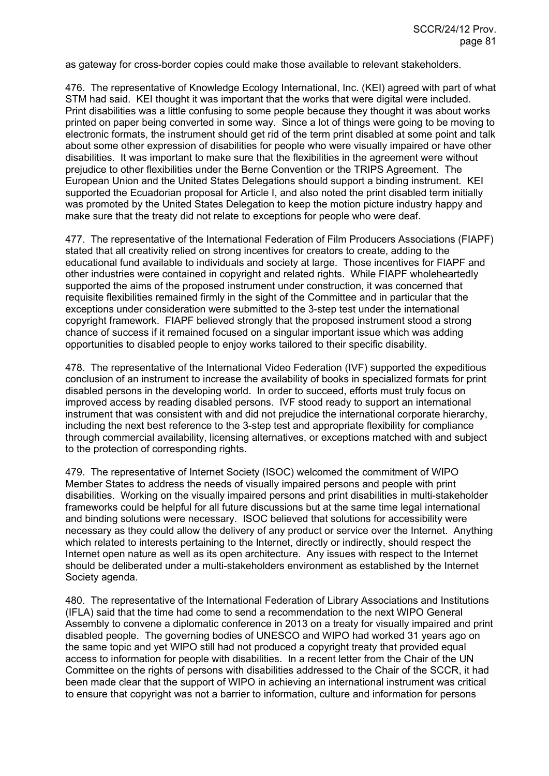as gateway for cross-border copies could make those available to relevant stakeholders.

476. The representative of Knowledge Ecology International, Inc. (KEI) agreed with part of what STM had said. KEI thought it was important that the works that were digital were included. Print disabilities was a little confusing to some people because they thought it was about works printed on paper being converted in some way. Since a lot of things were going to be moving to electronic formats, the instrument should get rid of the term print disabled at some point and talk about some other expression of disabilities for people who were visually impaired or have other disabilities. It was important to make sure that the flexibilities in the agreement were without prejudice to other flexibilities under the Berne Convention or the TRIPS Agreement. The European Union and the United States Delegations should support a binding instrument. KEI supported the Ecuadorian proposal for Article I, and also noted the print disabled term initially was promoted by the United States Delegation to keep the motion picture industry happy and make sure that the treaty did not relate to exceptions for people who were deaf.

477. The representative of the International Federation of Film Producers Associations (FIAPF) stated that all creativity relied on strong incentives for creators to create, adding to the educational fund available to individuals and society at large. Those incentives for FIAPF and other industries were contained in copyright and related rights. While FIAPF wholeheartedly supported the aims of the proposed instrument under construction, it was concerned that requisite flexibilities remained firmly in the sight of the Committee and in particular that the exceptions under consideration were submitted to the 3-step test under the international copyright framework. FIAPF believed strongly that the proposed instrument stood a strong chance of success if it remained focused on a singular important issue which was adding opportunities to disabled people to enjoy works tailored to their specific disability.

478. The representative of the International Video Federation (IVF) supported the expeditious conclusion of an instrument to increase the availability of books in specialized formats for print disabled persons in the developing world. In order to succeed, efforts must truly focus on improved access by reading disabled persons. IVF stood ready to support an international instrument that was consistent with and did not prejudice the international corporate hierarchy, including the next best reference to the 3-step test and appropriate flexibility for compliance through commercial availability, licensing alternatives, or exceptions matched with and subject to the protection of corresponding rights.

479. The representative of Internet Society (ISOC) welcomed the commitment of WIPO Member States to address the needs of visually impaired persons and people with print disabilities. Working on the visually impaired persons and print disabilities in multi-stakeholder frameworks could be helpful for all future discussions but at the same time legal international and binding solutions were necessary. ISOC believed that solutions for accessibility were necessary as they could allow the delivery of any product or service over the Internet. Anything which related to interests pertaining to the Internet, directly or indirectly, should respect the Internet open nature as well as its open architecture. Any issues with respect to the Internet should be deliberated under a multi-stakeholders environment as established by the Internet Society agenda.

480. The representative of the International Federation of Library Associations and Institutions (IFLA) said that the time had come to send a recommendation to the next WIPO General Assembly to convene a diplomatic conference in 2013 on a treaty for visually impaired and print disabled people. The governing bodies of UNESCO and WIPO had worked 31 years ago on the same topic and yet WIPO still had not produced a copyright treaty that provided equal access to information for people with disabilities. In a recent letter from the Chair of the UN Committee on the rights of persons with disabilities addressed to the Chair of the SCCR, it had been made clear that the support of WIPO in achieving an international instrument was critical to ensure that copyright was not a barrier to information, culture and information for persons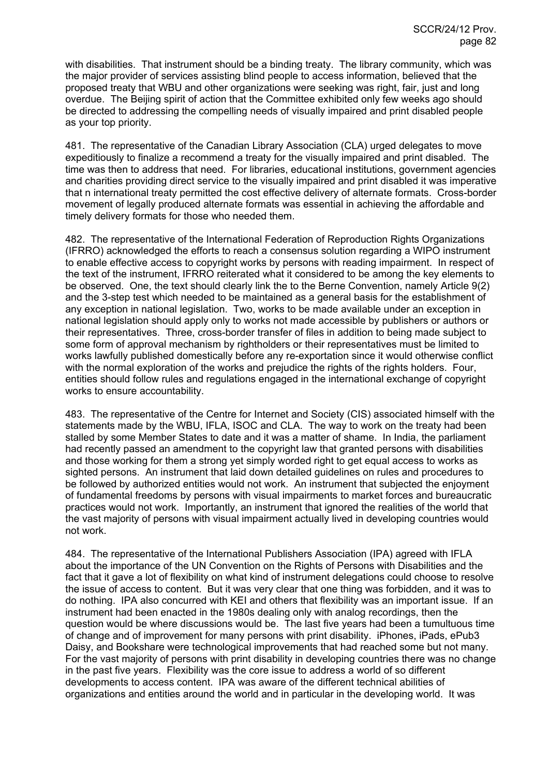with disabilities. That instrument should be a binding treaty. The library community, which was the major provider of services assisting blind people to access information, believed that the proposed treaty that WBU and other organizations were seeking was right, fair, just and long overdue. The Beijing spirit of action that the Committee exhibited only few weeks ago should be directed to addressing the compelling needs of visually impaired and print disabled people as your top priority.

481. The representative of the Canadian Library Association (CLA) urged delegates to move expeditiously to finalize a recommend a treaty for the visually impaired and print disabled. The time was then to address that need. For libraries, educational institutions, government agencies and charities providing direct service to the visually impaired and print disabled it was imperative that n international treaty permitted the cost effective delivery of alternate formats. Cross-border movement of legally produced alternate formats was essential in achieving the affordable and timely delivery formats for those who needed them.

482. The representative of the International Federation of Reproduction Rights Organizations (IFRRO) acknowledged the efforts to reach a consensus solution regarding a WIPO instrument to enable effective access to copyright works by persons with reading impairment. In respect of the text of the instrument, IFRRO reiterated what it considered to be among the key elements to be observed. One, the text should clearly link the to the Berne Convention, namely Article 9(2) and the 3-step test which needed to be maintained as a general basis for the establishment of any exception in national legislation. Two, works to be made available under an exception in national legislation should apply only to works not made accessible by publishers or authors or their representatives. Three, cross-border transfer of files in addition to being made subject to some form of approval mechanism by rightholders or their representatives must be limited to works lawfully published domestically before any re-exportation since it would otherwise conflict with the normal exploration of the works and prejudice the rights of the rights holders. Four, entities should follow rules and regulations engaged in the international exchange of copyright works to ensure accountability.

483. The representative of the Centre for Internet and Society (CIS) associated himself with the statements made by the WBU, IFLA, ISOC and CLA. The way to work on the treaty had been stalled by some Member States to date and it was a matter of shame. In India, the parliament had recently passed an amendment to the copyright law that granted persons with disabilities and those working for them a strong yet simply worded right to get equal access to works as sighted persons. An instrument that laid down detailed guidelines on rules and procedures to be followed by authorized entities would not work. An instrument that subjected the enjoyment of fundamental freedoms by persons with visual impairments to market forces and bureaucratic practices would not work. Importantly, an instrument that ignored the realities of the world that the vast majority of persons with visual impairment actually lived in developing countries would not work.

484. The representative of the International Publishers Association (IPA) agreed with IFLA about the importance of the UN Convention on the Rights of Persons with Disabilities and the fact that it gave a lot of flexibility on what kind of instrument delegations could choose to resolve the issue of access to content. But it was very clear that one thing was forbidden, and it was to do nothing. IPA also concurred with KEI and others that flexibility was an important issue. If an instrument had been enacted in the 1980s dealing only with analog recordings, then the question would be where discussions would be. The last five years had been a tumultuous time of change and of improvement for many persons with print disability. iPhones, iPads, ePub3 Daisy, and Bookshare were technological improvements that had reached some but not many. For the vast majority of persons with print disability in developing countries there was no change in the past five years. Flexibility was the core issue to address a world of so different developments to access content. IPA was aware of the different technical abilities of organizations and entities around the world and in particular in the developing world. It was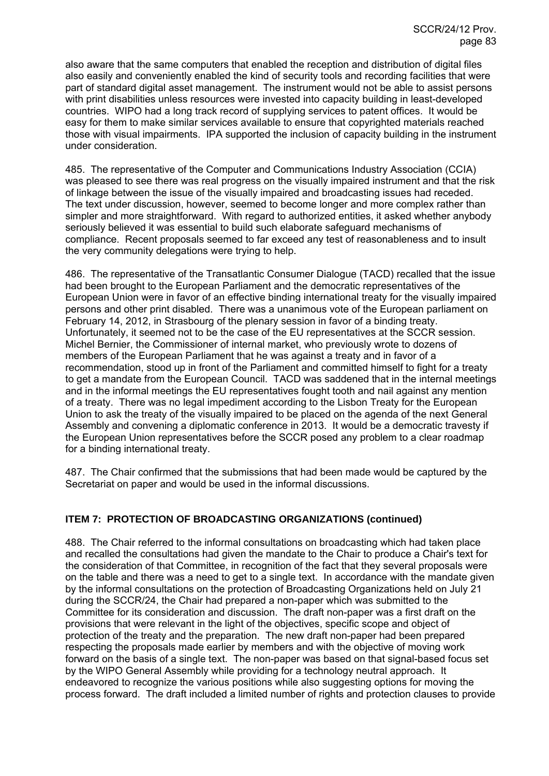also aware that the same computers that enabled the reception and distribution of digital files also easily and conveniently enabled the kind of security tools and recording facilities that were part of standard digital asset management. The instrument would not be able to assist persons with print disabilities unless resources were invested into capacity building in least-developed countries. WIPO had a long track record of supplying services to patent offices. It would be easy for them to make similar services available to ensure that copyrighted materials reached those with visual impairments. IPA supported the inclusion of capacity building in the instrument under consideration.

485. The representative of the Computer and Communications Industry Association (CCIA) was pleased to see there was real progress on the visually impaired instrument and that the risk of linkage between the issue of the visually impaired and broadcasting issues had receded. The text under discussion, however, seemed to become longer and more complex rather than simpler and more straightforward. With regard to authorized entities, it asked whether anybody seriously believed it was essential to build such elaborate safeguard mechanisms of compliance. Recent proposals seemed to far exceed any test of reasonableness and to insult the very community delegations were trying to help.

486. The representative of the Transatlantic Consumer Dialogue (TACD) recalled that the issue had been brought to the European Parliament and the democratic representatives of the European Union were in favor of an effective binding international treaty for the visually impaired persons and other print disabled. There was a unanimous vote of the European parliament on February 14, 2012, in Strasbourg of the plenary session in favor of a binding treaty. Unfortunately, it seemed not to be the case of the EU representatives at the SCCR session. Michel Bernier, the Commissioner of internal market, who previously wrote to dozens of members of the European Parliament that he was against a treaty and in favor of a recommendation, stood up in front of the Parliament and committed himself to fight for a treaty to get a mandate from the European Council. TACD was saddened that in the internal meetings and in the informal meetings the EU representatives fought tooth and nail against any mention of a treaty. There was no legal impediment according to the Lisbon Treaty for the European Union to ask the treaty of the visually impaired to be placed on the agenda of the next General Assembly and convening a diplomatic conference in 2013. It would be a democratic travesty if the European Union representatives before the SCCR posed any problem to a clear roadmap for a binding international treaty.

487. The Chair confirmed that the submissions that had been made would be captured by the Secretariat on paper and would be used in the informal discussions.

# **ITEM 7: PROTECTION OF BROADCASTING ORGANIZATIONS (continued)**

488. The Chair referred to the informal consultations on broadcasting which had taken place and recalled the consultations had given the mandate to the Chair to produce a Chair's text for the consideration of that Committee, in recognition of the fact that they several proposals were on the table and there was a need to get to a single text. In accordance with the mandate given by the informal consultations on the protection of Broadcasting Organizations held on July 21 during the SCCR/24, the Chair had prepared a non-paper which was submitted to the Committee for its consideration and discussion. The draft non-paper was a first draft on the provisions that were relevant in the light of the objectives, specific scope and object of protection of the treaty and the preparation. The new draft non-paper had been prepared respecting the proposals made earlier by members and with the objective of moving work forward on the basis of a single text. The non-paper was based on that signal-based focus set by the WIPO General Assembly while providing for a technology neutral approach. It endeavored to recognize the various positions while also suggesting options for moving the process forward. The draft included a limited number of rights and protection clauses to provide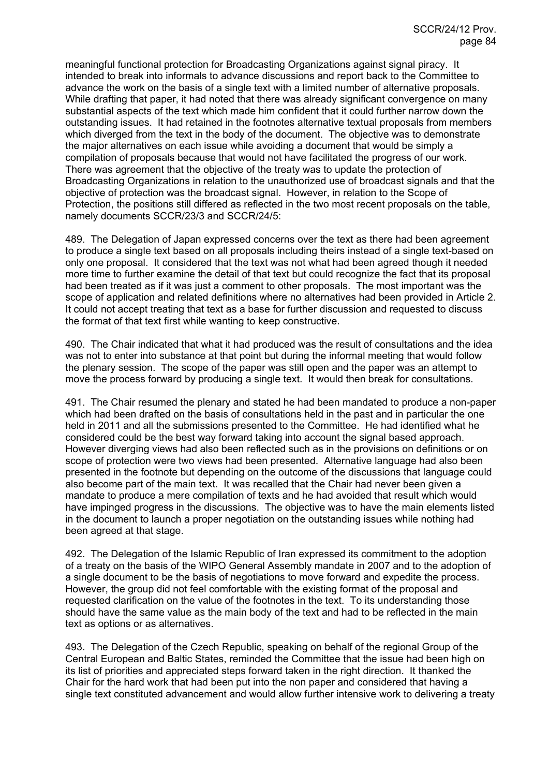meaningful functional protection for Broadcasting Organizations against signal piracy. It intended to break into informals to advance discussions and report back to the Committee to advance the work on the basis of a single text with a limited number of alternative proposals. While drafting that paper, it had noted that there was already significant convergence on many substantial aspects of the text which made him confident that it could further narrow down the outstanding issues. It had retained in the footnotes alternative textual proposals from members which diverged from the text in the body of the document. The objective was to demonstrate the major alternatives on each issue while avoiding a document that would be simply a compilation of proposals because that would not have facilitated the progress of our work. There was agreement that the objective of the treaty was to update the protection of Broadcasting Organizations in relation to the unauthorized use of broadcast signals and that the objective of protection was the broadcast signal. However, in relation to the Scope of Protection, the positions still differed as reflected in the two most recent proposals on the table, namely documents SCCR/23/3 and SCCR/24/5:

489. The Delegation of Japan expressed concerns over the text as there had been agreement to produce a single text based on all proposals including theirs instead of a single text-based on only one proposal. It considered that the text was not what had been agreed though it needed more time to further examine the detail of that text but could recognize the fact that its proposal had been treated as if it was just a comment to other proposals. The most important was the scope of application and related definitions where no alternatives had been provided in Article 2. It could not accept treating that text as a base for further discussion and requested to discuss the format of that text first while wanting to keep constructive.

490. The Chair indicated that what it had produced was the result of consultations and the idea was not to enter into substance at that point but during the informal meeting that would follow the plenary session. The scope of the paper was still open and the paper was an attempt to move the process forward by producing a single text. It would then break for consultations.

491. The Chair resumed the plenary and stated he had been mandated to produce a non-paper which had been drafted on the basis of consultations held in the past and in particular the one held in 2011 and all the submissions presented to the Committee. He had identified what he considered could be the best way forward taking into account the signal based approach. However diverging views had also been reflected such as in the provisions on definitions or on scope of protection were two views had been presented. Alternative language had also been presented in the footnote but depending on the outcome of the discussions that language could also become part of the main text. It was recalled that the Chair had never been given a mandate to produce a mere compilation of texts and he had avoided that result which would have impinged progress in the discussions. The objective was to have the main elements listed in the document to launch a proper negotiation on the outstanding issues while nothing had been agreed at that stage.

492. The Delegation of the Islamic Republic of Iran expressed its commitment to the adoption of a treaty on the basis of the WIPO General Assembly mandate in 2007 and to the adoption of a single document to be the basis of negotiations to move forward and expedite the process. However, the group did not feel comfortable with the existing format of the proposal and requested clarification on the value of the footnotes in the text. To its understanding those should have the same value as the main body of the text and had to be reflected in the main text as options or as alternatives.

493. The Delegation of the Czech Republic, speaking on behalf of the regional Group of the Central European and Baltic States, reminded the Committee that the issue had been high on its list of priorities and appreciated steps forward taken in the right direction. It thanked the Chair for the hard work that had been put into the non paper and considered that having a single text constituted advancement and would allow further intensive work to delivering a treaty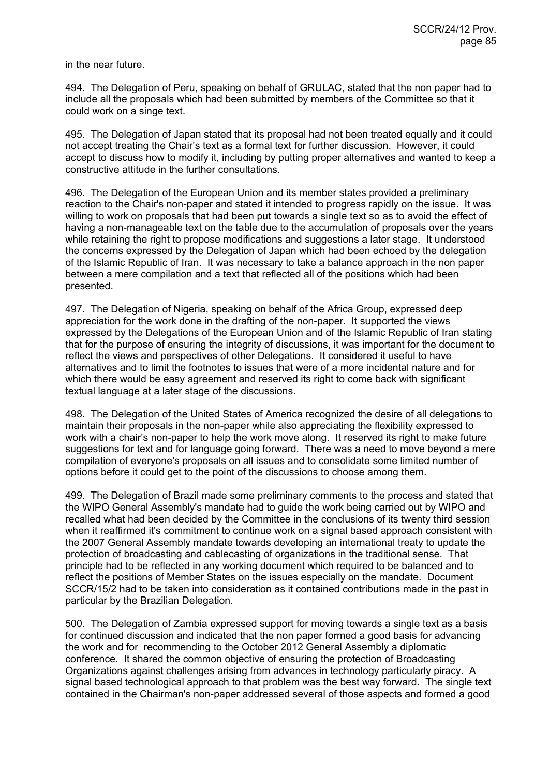in the near future.

494. The Delegation of Peru, speaking on behalf of GRULAC, stated that the non paper had to include all the proposals which had been submitted by members of the Committee so that it could work on a singe text.

495. The Delegation of Japan stated that its proposal had not been treated equally and it could not accept treating the Chair's text as a formal text for further discussion. However, it could accept to discuss how to modify it, including by putting proper alternatives and wanted to keep a constructive attitude in the further consultations.

496. The Delegation of the European Union and its member states provided a preliminary reaction to the Chair's non-paper and stated it intended to progress rapidly on the issue. It was willing to work on proposals that had been put towards a single text so as to avoid the effect of having a non-manageable text on the table due to the accumulation of proposals over the years while retaining the right to propose modifications and suggestions a later stage. It understood the concerns expressed by the Delegation of Japan which had been echoed by the delegation of the Islamic Republic of Iran. It was necessary to take a balance approach in the non paper between a mere compilation and a text that reflected all of the positions which had been presented.

497. The Delegation of Nigeria, speaking on behalf of the Africa Group, expressed deep appreciation for the work done in the drafting of the non-paper. It supported the views expressed by the Delegations of the European Union and of the Islamic Republic of Iran stating that for the purpose of ensuring the integrity of discussions, it was important for the document to reflect the views and perspectives of other Delegations. It considered it useful to have alternatives and to limit the footnotes to issues that were of a more incidental nature and for which there would be easy agreement and reserved its right to come back with significant textual language at a later stage of the discussions.

498. The Delegation of the United States of America recognized the desire of all delegations to maintain their proposals in the non-paper while also appreciating the flexibility expressed to work with a chair's non-paper to help the work move along. It reserved its right to make future suggestions for text and for language going forward. There was a need to move beyond a mere compilation of everyone's proposals on all issues and to consolidate some limited number of options before it could get to the point of the discussions to choose among them.

499. The Delegation of Brazil made some preliminary comments to the process and stated that the WIPO General Assembly's mandate had to guide the work being carried out by WIPO and recalled what had been decided by the Committee in the conclusions of its twenty third session when it reaffirmed it's commitment to continue work on a signal based approach consistent with the 2007 General Assembly mandate towards developing an international treaty to update the protection of broadcasting and cablecasting of organizations in the traditional sense. That principle had to be reflected in any working document which required to be balanced and to reflect the positions of Member States on the issues especially on the mandate. Document SCCR/15/2 had to be taken into consideration as it contained contributions made in the past in particular by the Brazilian Delegation.

500. The Delegation of Zambia expressed support for moving towards a single text as a basis for continued discussion and indicated that the non paper formed a good basis for advancing the work and for recommending to the October 2012 General Assembly a diplomatic conference. It shared the common objective of ensuring the protection of Broadcasting Organizations against challenges arising from advances in technology particularly piracy. A signal based technological approach to that problem was the best way forward. The single text contained in the Chairman's non-paper addressed several of those aspects and formed a good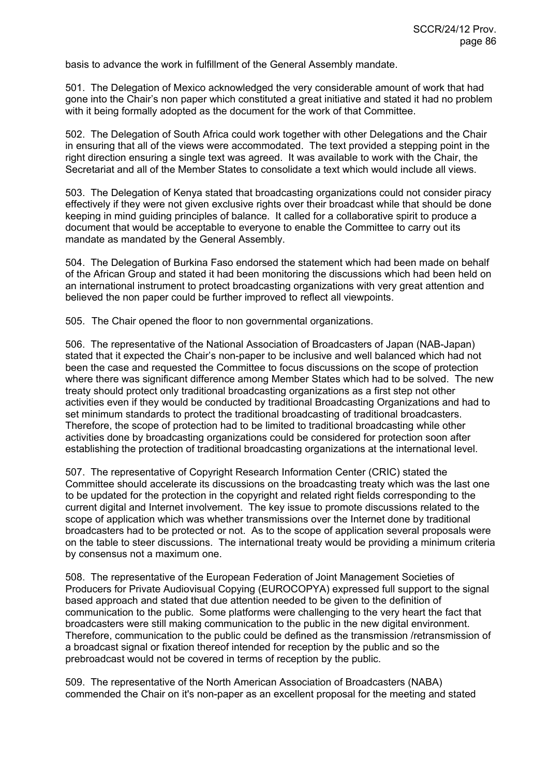basis to advance the work in fulfillment of the General Assembly mandate.

501. The Delegation of Mexico acknowledged the very considerable amount of work that had gone into the Chair's non paper which constituted a great initiative and stated it had no problem with it being formally adopted as the document for the work of that Committee.

502. The Delegation of South Africa could work together with other Delegations and the Chair in ensuring that all of the views were accommodated. The text provided a stepping point in the right direction ensuring a single text was agreed. It was available to work with the Chair, the Secretariat and all of the Member States to consolidate a text which would include all views.

503. The Delegation of Kenya stated that broadcasting organizations could not consider piracy effectively if they were not given exclusive rights over their broadcast while that should be done keeping in mind guiding principles of balance. It called for a collaborative spirit to produce a document that would be acceptable to everyone to enable the Committee to carry out its mandate as mandated by the General Assembly.

504. The Delegation of Burkina Faso endorsed the statement which had been made on behalf of the African Group and stated it had been monitoring the discussions which had been held on an international instrument to protect broadcasting organizations with very great attention and believed the non paper could be further improved to reflect all viewpoints.

505. The Chair opened the floor to non governmental organizations.

506. The representative of the National Association of Broadcasters of Japan (NAB-Japan) stated that it expected the Chair's non-paper to be inclusive and well balanced which had not been the case and requested the Committee to focus discussions on the scope of protection where there was significant difference among Member States which had to be solved. The new treaty should protect only traditional broadcasting organizations as a first step not other activities even if they would be conducted by traditional Broadcasting Organizations and had to set minimum standards to protect the traditional broadcasting of traditional broadcasters. Therefore, the scope of protection had to be limited to traditional broadcasting while other activities done by broadcasting organizations could be considered for protection soon after establishing the protection of traditional broadcasting organizations at the international level.

507. The representative of Copyright Research Information Center (CRIC) stated the Committee should accelerate its discussions on the broadcasting treaty which was the last one to be updated for the protection in the copyright and related right fields corresponding to the current digital and Internet involvement. The key issue to promote discussions related to the scope of application which was whether transmissions over the Internet done by traditional broadcasters had to be protected or not. As to the scope of application several proposals were on the table to steer discussions. The international treaty would be providing a minimum criteria by consensus not a maximum one.

508. The representative of the European Federation of Joint Management Societies of Producers for Private Audiovisual Copying (EUROCOPYA) expressed full support to the signal based approach and stated that due attention needed to be given to the definition of communication to the public. Some platforms were challenging to the very heart the fact that broadcasters were still making communication to the public in the new digital environment. Therefore, communication to the public could be defined as the transmission /retransmission of a broadcast signal or fixation thereof intended for reception by the public and so the prebroadcast would not be covered in terms of reception by the public.

509. The representative of the North American Association of Broadcasters (NABA) commended the Chair on it's non-paper as an excellent proposal for the meeting and stated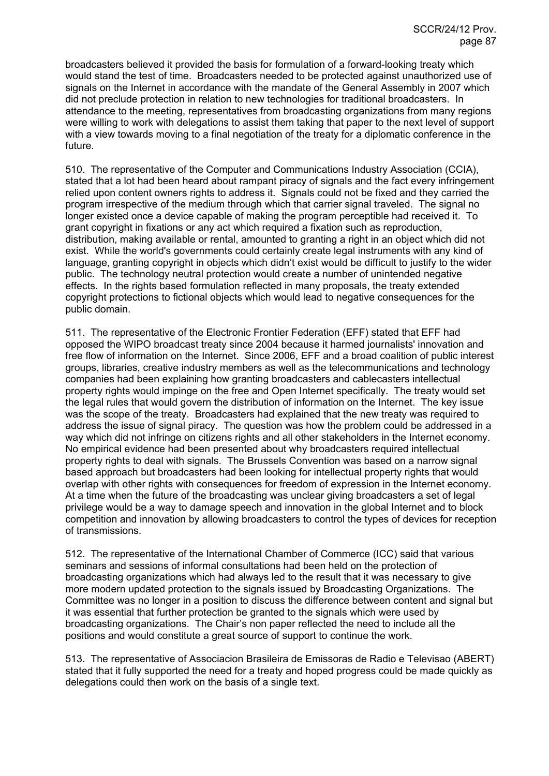broadcasters believed it provided the basis for formulation of a forward-looking treaty which would stand the test of time. Broadcasters needed to be protected against unauthorized use of signals on the Internet in accordance with the mandate of the General Assembly in 2007 which did not preclude protection in relation to new technologies for traditional broadcasters. In attendance to the meeting, representatives from broadcasting organizations from many regions were willing to work with delegations to assist them taking that paper to the next level of support with a view towards moving to a final negotiation of the treaty for a diplomatic conference in the future.

510. The representative of the Computer and Communications Industry Association (CCIA), stated that a lot had been heard about rampant piracy of signals and the fact every infringement relied upon content owners rights to address it. Signals could not be fixed and they carried the program irrespective of the medium through which that carrier signal traveled. The signal no longer existed once a device capable of making the program perceptible had received it. To grant copyright in fixations or any act which required a fixation such as reproduction, distribution, making available or rental, amounted to granting a right in an object which did not exist. While the world's governments could certainly create legal instruments with any kind of language, granting copyright in objects which didn't exist would be difficult to justify to the wider public. The technology neutral protection would create a number of unintended negative effects. In the rights based formulation reflected in many proposals, the treaty extended copyright protections to fictional objects which would lead to negative consequences for the public domain.

511. The representative of the Electronic Frontier Federation (EFF) stated that EFF had opposed the WIPO broadcast treaty since 2004 because it harmed journalists' innovation and free flow of information on the Internet. Since 2006, EFF and a broad coalition of public interest groups, libraries, creative industry members as well as the telecommunications and technology companies had been explaining how granting broadcasters and cablecasters intellectual property rights would impinge on the free and Open Internet specifically. The treaty would set the legal rules that would govern the distribution of information on the Internet. The key issue was the scope of the treaty. Broadcasters had explained that the new treaty was required to address the issue of signal piracy. The question was how the problem could be addressed in a way which did not infringe on citizens rights and all other stakeholders in the Internet economy. No empirical evidence had been presented about why broadcasters required intellectual property rights to deal with signals. The Brussels Convention was based on a narrow signal based approach but broadcasters had been looking for intellectual property rights that would overlap with other rights with consequences for freedom of expression in the Internet economy. At a time when the future of the broadcasting was unclear giving broadcasters a set of legal privilege would be a way to damage speech and innovation in the global Internet and to block competition and innovation by allowing broadcasters to control the types of devices for reception of transmissions.

512. The representative of the International Chamber of Commerce (ICC) said that various seminars and sessions of informal consultations had been held on the protection of broadcasting organizations which had always led to the result that it was necessary to give more modern updated protection to the signals issued by Broadcasting Organizations. The Committee was no longer in a position to discuss the difference between content and signal but it was essential that further protection be granted to the signals which were used by broadcasting organizations. The Chair's non paper reflected the need to include all the positions and would constitute a great source of support to continue the work.

513. The representative of Associacion Brasileira de Emissoras de Radio e Televisao (ABERT) stated that it fully supported the need for a treaty and hoped progress could be made quickly as delegations could then work on the basis of a single text.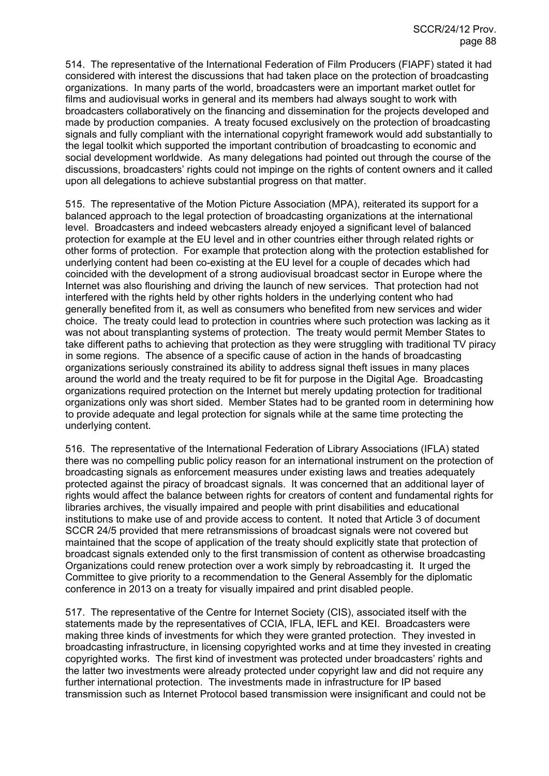514. The representative of the International Federation of Film Producers (FIAPF) stated it had considered with interest the discussions that had taken place on the protection of broadcasting organizations. In many parts of the world, broadcasters were an important market outlet for films and audiovisual works in general and its members had always sought to work with broadcasters collaboratively on the financing and dissemination for the projects developed and made by production companies. A treaty focused exclusively on the protection of broadcasting signals and fully compliant with the international copyright framework would add substantially to the legal toolkit which supported the important contribution of broadcasting to economic and social development worldwide. As many delegations had pointed out through the course of the discussions, broadcasters' rights could not impinge on the rights of content owners and it called upon all delegations to achieve substantial progress on that matter.

515. The representative of the Motion Picture Association (MPA), reiterated its support for a balanced approach to the legal protection of broadcasting organizations at the international level. Broadcasters and indeed webcasters already enjoyed a significant level of balanced protection for example at the EU level and in other countries either through related rights or other forms of protection. For example that protection along with the protection established for underlying content had been co-existing at the EU level for a couple of decades which had coincided with the development of a strong audiovisual broadcast sector in Europe where the Internet was also flourishing and driving the launch of new services. That protection had not interfered with the rights held by other rights holders in the underlying content who had generally benefited from it, as well as consumers who benefited from new services and wider choice. The treaty could lead to protection in countries where such protection was lacking as it was not about transplanting systems of protection. The treaty would permit Member States to take different paths to achieving that protection as they were struggling with traditional TV piracy in some regions. The absence of a specific cause of action in the hands of broadcasting organizations seriously constrained its ability to address signal theft issues in many places around the world and the treaty required to be fit for purpose in the Digital Age. Broadcasting organizations required protection on the Internet but merely updating protection for traditional organizations only was short sided. Member States had to be granted room in determining how to provide adequate and legal protection for signals while at the same time protecting the underlying content.

516. The representative of the International Federation of Library Associations (IFLA) stated there was no compelling public policy reason for an international instrument on the protection of broadcasting signals as enforcement measures under existing laws and treaties adequately protected against the piracy of broadcast signals. It was concerned that an additional layer of rights would affect the balance between rights for creators of content and fundamental rights for libraries archives, the visually impaired and people with print disabilities and educational institutions to make use of and provide access to content. It noted that Article 3 of document SCCR 24/5 provided that mere retransmissions of broadcast signals were not covered but maintained that the scope of application of the treaty should explicitly state that protection of broadcast signals extended only to the first transmission of content as otherwise broadcasting Organizations could renew protection over a work simply by rebroadcasting it. It urged the Committee to give priority to a recommendation to the General Assembly for the diplomatic conference in 2013 on a treaty for visually impaired and print disabled people.

517. The representative of the Centre for Internet Society (CIS), associated itself with the statements made by the representatives of CCIA, IFLA, IEFL and KEI. Broadcasters were making three kinds of investments for which they were granted protection. They invested in broadcasting infrastructure, in licensing copyrighted works and at time they invested in creating copyrighted works. The first kind of investment was protected under broadcasters' rights and the latter two investments were already protected under copyright law and did not require any further international protection. The investments made in infrastructure for IP based transmission such as Internet Protocol based transmission were insignificant and could not be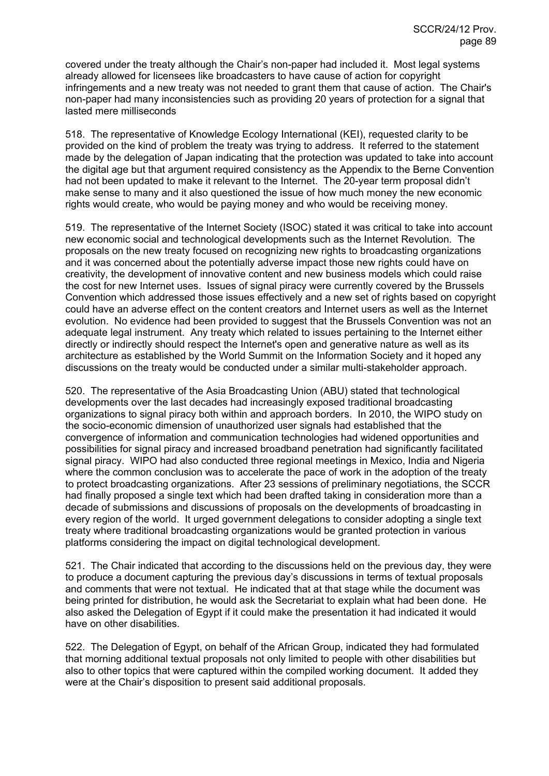covered under the treaty although the Chair's non-paper had included it. Most legal systems already allowed for licensees like broadcasters to have cause of action for copyright infringements and a new treaty was not needed to grant them that cause of action. The Chair's non-paper had many inconsistencies such as providing 20 years of protection for a signal that lasted mere milliseconds

518. The representative of Knowledge Ecology International (KEI), requested clarity to be provided on the kind of problem the treaty was trying to address. It referred to the statement made by the delegation of Japan indicating that the protection was updated to take into account the digital age but that argument required consistency as the Appendix to the Berne Convention had not been updated to make it relevant to the Internet. The 20-year term proposal didn't make sense to many and it also questioned the issue of how much money the new economic rights would create, who would be paying money and who would be receiving money.

519. The representative of the Internet Society (ISOC) stated it was critical to take into account new economic social and technological developments such as the Internet Revolution. The proposals on the new treaty focused on recognizing new rights to broadcasting organizations and it was concerned about the potentially adverse impact those new rights could have on creativity, the development of innovative content and new business models which could raise the cost for new Internet uses. Issues of signal piracy were currently covered by the Brussels Convention which addressed those issues effectively and a new set of rights based on copyright could have an adverse effect on the content creators and Internet users as well as the Internet evolution. No evidence had been provided to suggest that the Brussels Convention was not an adequate legal instrument. Any treaty which related to issues pertaining to the Internet either directly or indirectly should respect the Internet's open and generative nature as well as its architecture as established by the World Summit on the Information Society and it hoped any discussions on the treaty would be conducted under a similar multi-stakeholder approach.

520. The representative of the Asia Broadcasting Union (ABU) stated that technological developments over the last decades had increasingly exposed traditional broadcasting organizations to signal piracy both within and approach borders. In 2010, the WIPO study on the socio-economic dimension of unauthorized user signals had established that the convergence of information and communication technologies had widened opportunities and possibilities for signal piracy and increased broadband penetration had significantly facilitated signal piracy. WIPO had also conducted three regional meetings in Mexico, India and Nigeria where the common conclusion was to accelerate the pace of work in the adoption of the treaty to protect broadcasting organizations. After 23 sessions of preliminary negotiations, the SCCR had finally proposed a single text which had been drafted taking in consideration more than a decade of submissions and discussions of proposals on the developments of broadcasting in every region of the world. It urged government delegations to consider adopting a single text treaty where traditional broadcasting organizations would be granted protection in various platforms considering the impact on digital technological development.

521. The Chair indicated that according to the discussions held on the previous day, they were to produce a document capturing the previous day's discussions in terms of textual proposals and comments that were not textual. He indicated that at that stage while the document was being printed for distribution, he would ask the Secretariat to explain what had been done. He also asked the Delegation of Egypt if it could make the presentation it had indicated it would have on other disabilities.

522. The Delegation of Egypt, on behalf of the African Group, indicated they had formulated that morning additional textual proposals not only limited to people with other disabilities but also to other topics that were captured within the compiled working document. It added they were at the Chair's disposition to present said additional proposals.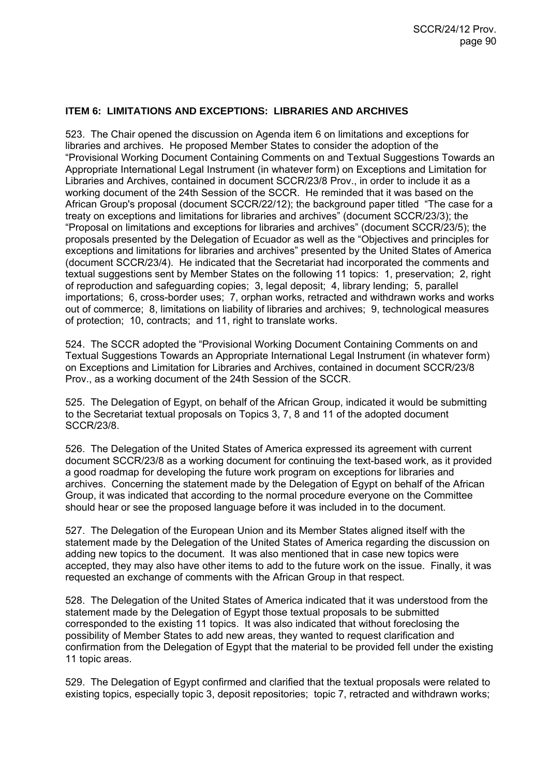### **ITEM 6: LIMITATIONS AND EXCEPTIONS: LIBRARIES AND ARCHIVES**

523. The Chair opened the discussion on Agenda item 6 on limitations and exceptions for libraries and archives. He proposed Member States to consider the adoption of the "Provisional Working Document Containing Comments on and Textual Suggestions Towards an Appropriate International Legal Instrument (in whatever form) on Exceptions and Limitation for Libraries and Archives, contained in document SCCR/23/8 Prov., in order to include it as a working document of the 24th Session of the SCCR. He reminded that it was based on the African Group's proposal (document SCCR/22/12); the background paper titled "The case for a treaty on exceptions and limitations for libraries and archives" (document SCCR/23/3); the "Proposal on limitations and exceptions for libraries and archives" (document SCCR/23/5); the proposals presented by the Delegation of Ecuador as well as the "Objectives and principles for exceptions and limitations for libraries and archives" presented by the United States of America (document SCCR/23/4). He indicated that the Secretariat had incorporated the comments and textual suggestions sent by Member States on the following 11 topics: 1, preservation; 2, right of reproduction and safeguarding copies; 3, legal deposit; 4, library lending; 5, parallel importations; 6, cross-border uses; 7, orphan works, retracted and withdrawn works and works out of commerce; 8, limitations on liability of libraries and archives; 9, technological measures of protection; 10, contracts; and 11, right to translate works.

524. The SCCR adopted the "Provisional Working Document Containing Comments on and Textual Suggestions Towards an Appropriate International Legal Instrument (in whatever form) on Exceptions and Limitation for Libraries and Archives, contained in document SCCR/23/8 Prov., as a working document of the 24th Session of the SCCR.

525. The Delegation of Egypt, on behalf of the African Group, indicated it would be submitting to the Secretariat textual proposals on Topics 3, 7, 8 and 11 of the adopted document SCCR/23/8.

526. The Delegation of the United States of America expressed its agreement with current document SCCR/23/8 as a working document for continuing the text-based work, as it provided a good roadmap for developing the future work program on exceptions for libraries and archives. Concerning the statement made by the Delegation of Egypt on behalf of the African Group, it was indicated that according to the normal procedure everyone on the Committee should hear or see the proposed language before it was included in to the document.

527. The Delegation of the European Union and its Member States aligned itself with the statement made by the Delegation of the United States of America regarding the discussion on adding new topics to the document. It was also mentioned that in case new topics were accepted, they may also have other items to add to the future work on the issue. Finally, it was requested an exchange of comments with the African Group in that respect.

528. The Delegation of the United States of America indicated that it was understood from the statement made by the Delegation of Egypt those textual proposals to be submitted corresponded to the existing 11 topics. It was also indicated that without foreclosing the possibility of Member States to add new areas, they wanted to request clarification and confirmation from the Delegation of Egypt that the material to be provided fell under the existing 11 topic areas.

529. The Delegation of Egypt confirmed and clarified that the textual proposals were related to existing topics, especially topic 3, deposit repositories; topic 7, retracted and withdrawn works;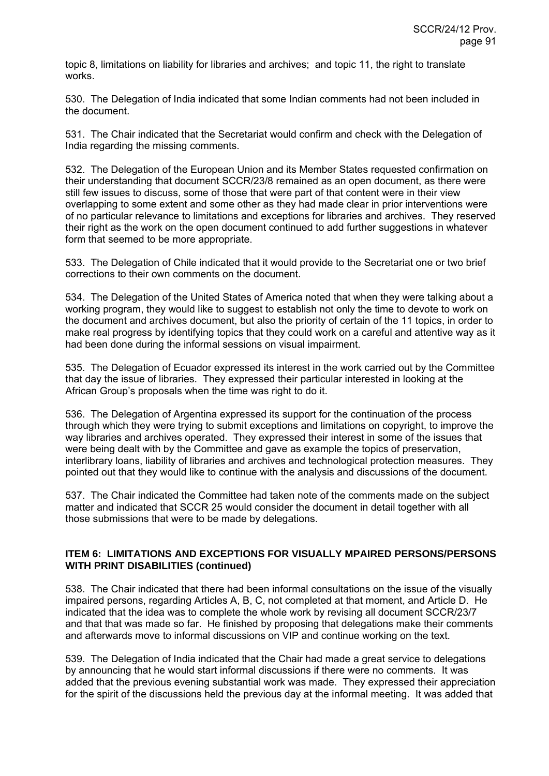topic 8, limitations on liability for libraries and archives; and topic 11, the right to translate works.

530. The Delegation of India indicated that some Indian comments had not been included in the document.

531. The Chair indicated that the Secretariat would confirm and check with the Delegation of India regarding the missing comments.

532. The Delegation of the European Union and its Member States requested confirmation on their understanding that document SCCR/23/8 remained as an open document, as there were still few issues to discuss, some of those that were part of that content were in their view overlapping to some extent and some other as they had made clear in prior interventions were of no particular relevance to limitations and exceptions for libraries and archives. They reserved their right as the work on the open document continued to add further suggestions in whatever form that seemed to be more appropriate.

533. The Delegation of Chile indicated that it would provide to the Secretariat one or two brief corrections to their own comments on the document.

534. The Delegation of the United States of America noted that when they were talking about a working program, they would like to suggest to establish not only the time to devote to work on the document and archives document, but also the priority of certain of the 11 topics, in order to make real progress by identifying topics that they could work on a careful and attentive way as it had been done during the informal sessions on visual impairment.

535. The Delegation of Ecuador expressed its interest in the work carried out by the Committee that day the issue of libraries. They expressed their particular interested in looking at the African Group's proposals when the time was right to do it.

536. The Delegation of Argentina expressed its support for the continuation of the process through which they were trying to submit exceptions and limitations on copyright, to improve the way libraries and archives operated. They expressed their interest in some of the issues that were being dealt with by the Committee and gave as example the topics of preservation, interlibrary loans, liability of libraries and archives and technological protection measures. They pointed out that they would like to continue with the analysis and discussions of the document.

537. The Chair indicated the Committee had taken note of the comments made on the subject matter and indicated that SCCR 25 would consider the document in detail together with all those submissions that were to be made by delegations.

## **ITEM 6: LIMITATIONS AND EXCEPTIONS FOR VISUALLY MPAIRED PERSONS/PERSONS WITH PRINT DISABILITIES (continued)**

538. The Chair indicated that there had been informal consultations on the issue of the visually impaired persons, regarding Articles A, B, C, not completed at that moment, and Article D. He indicated that the idea was to complete the whole work by revising all document SCCR/23/7 and that that was made so far. He finished by proposing that delegations make their comments and afterwards move to informal discussions on VIP and continue working on the text.

539. The Delegation of India indicated that the Chair had made a great service to delegations by announcing that he would start informal discussions if there were no comments. It was added that the previous evening substantial work was made. They expressed their appreciation for the spirit of the discussions held the previous day at the informal meeting. It was added that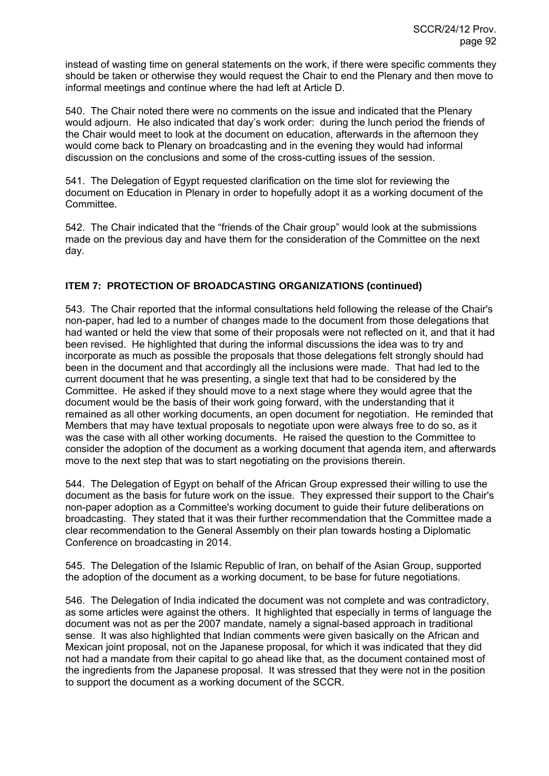instead of wasting time on general statements on the work, if there were specific comments they should be taken or otherwise they would request the Chair to end the Plenary and then move to informal meetings and continue where the had left at Article D.

540. The Chair noted there were no comments on the issue and indicated that the Plenary would adjourn. He also indicated that day's work order: during the lunch period the friends of the Chair would meet to look at the document on education, afterwards in the afternoon they would come back to Plenary on broadcasting and in the evening they would had informal discussion on the conclusions and some of the cross-cutting issues of the session.

541. The Delegation of Egypt requested clarification on the time slot for reviewing the document on Education in Plenary in order to hopefully adopt it as a working document of the Committee.

542. The Chair indicated that the "friends of the Chair group" would look at the submissions made on the previous day and have them for the consideration of the Committee on the next day.

## **ITEM 7: PROTECTION OF BROADCASTING ORGANIZATIONS (continued)**

543. The Chair reported that the informal consultations held following the release of the Chair's non-paper, had led to a number of changes made to the document from those delegations that had wanted or held the view that some of their proposals were not reflected on it, and that it had been revised. He highlighted that during the informal discussions the idea was to try and incorporate as much as possible the proposals that those delegations felt strongly should had been in the document and that accordingly all the inclusions were made. That had led to the current document that he was presenting, a single text that had to be considered by the Committee. He asked if they should move to a next stage where they would agree that the document would be the basis of their work going forward, with the understanding that it remained as all other working documents, an open document for negotiation. He reminded that Members that may have textual proposals to negotiate upon were always free to do so, as it was the case with all other working documents. He raised the question to the Committee to consider the adoption of the document as a working document that agenda item, and afterwards move to the next step that was to start negotiating on the provisions therein.

544. The Delegation of Egypt on behalf of the African Group expressed their willing to use the document as the basis for future work on the issue. They expressed their support to the Chair's non-paper adoption as a Committee's working document to guide their future deliberations on broadcasting. They stated that it was their further recommendation that the Committee made a clear recommendation to the General Assembly on their plan towards hosting a Diplomatic Conference on broadcasting in 2014.

545. The Delegation of the Islamic Republic of Iran, on behalf of the Asian Group, supported the adoption of the document as a working document, to be base for future negotiations.

546. The Delegation of India indicated the document was not complete and was contradictory, as some articles were against the others. It highlighted that especially in terms of language the document was not as per the 2007 mandate, namely a signal-based approach in traditional sense. It was also highlighted that Indian comments were given basically on the African and Mexican joint proposal, not on the Japanese proposal, for which it was indicated that they did not had a mandate from their capital to go ahead like that, as the document contained most of the ingredients from the Japanese proposal. It was stressed that they were not in the position to support the document as a working document of the SCCR.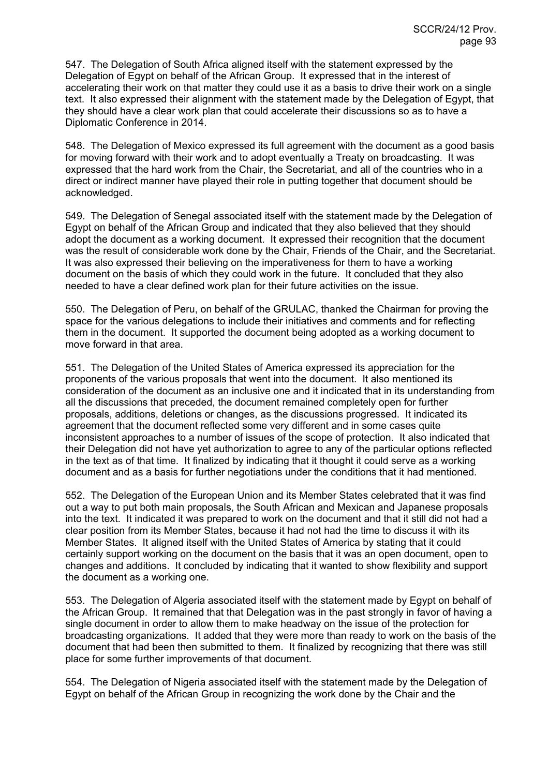547. The Delegation of South Africa aligned itself with the statement expressed by the Delegation of Egypt on behalf of the African Group. It expressed that in the interest of accelerating their work on that matter they could use it as a basis to drive their work on a single text. It also expressed their alignment with the statement made by the Delegation of Egypt, that they should have a clear work plan that could accelerate their discussions so as to have a Diplomatic Conference in 2014.

548. The Delegation of Mexico expressed its full agreement with the document as a good basis for moving forward with their work and to adopt eventually a Treaty on broadcasting. It was expressed that the hard work from the Chair, the Secretariat, and all of the countries who in a direct or indirect manner have played their role in putting together that document should be acknowledged.

549. The Delegation of Senegal associated itself with the statement made by the Delegation of Egypt on behalf of the African Group and indicated that they also believed that they should adopt the document as a working document. It expressed their recognition that the document was the result of considerable work done by the Chair, Friends of the Chair, and the Secretariat. It was also expressed their believing on the imperativeness for them to have a working document on the basis of which they could work in the future. It concluded that they also needed to have a clear defined work plan for their future activities on the issue.

550. The Delegation of Peru, on behalf of the GRULAC, thanked the Chairman for proving the space for the various delegations to include their initiatives and comments and for reflecting them in the document. It supported the document being adopted as a working document to move forward in that area.

551. The Delegation of the United States of America expressed its appreciation for the proponents of the various proposals that went into the document. It also mentioned its consideration of the document as an inclusive one and it indicated that in its understanding from all the discussions that preceded, the document remained completely open for further proposals, additions, deletions or changes, as the discussions progressed. It indicated its agreement that the document reflected some very different and in some cases quite inconsistent approaches to a number of issues of the scope of protection. It also indicated that their Delegation did not have yet authorization to agree to any of the particular options reflected in the text as of that time. It finalized by indicating that it thought it could serve as a working document and as a basis for further negotiations under the conditions that it had mentioned.

552. The Delegation of the European Union and its Member States celebrated that it was find out a way to put both main proposals, the South African and Mexican and Japanese proposals into the text. It indicated it was prepared to work on the document and that it still did not had a clear position from its Member States, because it had not had the time to discuss it with its Member States. It aligned itself with the United States of America by stating that it could certainly support working on the document on the basis that it was an open document, open to changes and additions. It concluded by indicating that it wanted to show flexibility and support the document as a working one.

553. The Delegation of Algeria associated itself with the statement made by Egypt on behalf of the African Group. It remained that that Delegation was in the past strongly in favor of having a single document in order to allow them to make headway on the issue of the protection for broadcasting organizations. It added that they were more than ready to work on the basis of the document that had been then submitted to them. It finalized by recognizing that there was still place for some further improvements of that document.

554. The Delegation of Nigeria associated itself with the statement made by the Delegation of Egypt on behalf of the African Group in recognizing the work done by the Chair and the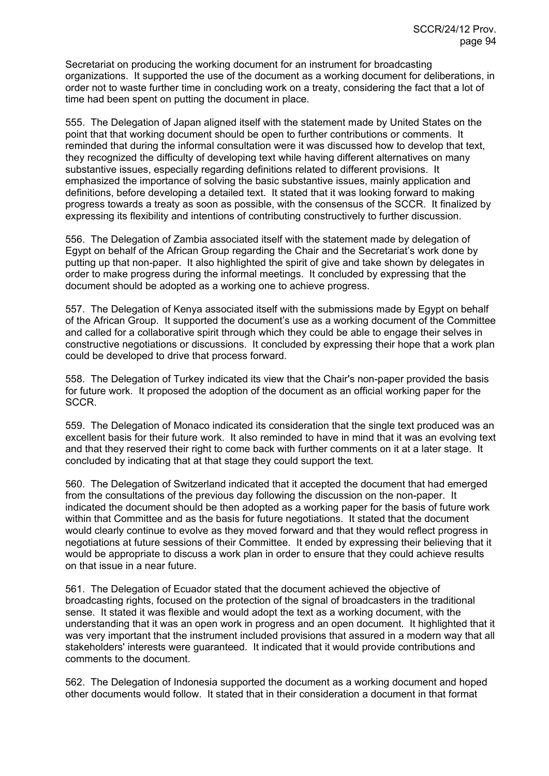Secretariat on producing the working document for an instrument for broadcasting organizations. It supported the use of the document as a working document for deliberations, in order not to waste further time in concluding work on a treaty, considering the fact that a lot of time had been spent on putting the document in place.

555. The Delegation of Japan aligned itself with the statement made by United States on the point that that working document should be open to further contributions or comments. It reminded that during the informal consultation were it was discussed how to develop that text, they recognized the difficulty of developing text while having different alternatives on many substantive issues, especially regarding definitions related to different provisions. It emphasized the importance of solving the basic substantive issues, mainly application and definitions, before developing a detailed text. It stated that it was looking forward to making progress towards a treaty as soon as possible, with the consensus of the SCCR. It finalized by expressing its flexibility and intentions of contributing constructively to further discussion.

556. The Delegation of Zambia associated itself with the statement made by delegation of Egypt on behalf of the African Group regarding the Chair and the Secretariat's work done by putting up that non-paper. It also highlighted the spirit of give and take shown by delegates in order to make progress during the informal meetings. It concluded by expressing that the document should be adopted as a working one to achieve progress.

557. The Delegation of Kenya associated itself with the submissions made by Egypt on behalf of the African Group. It supported the document's use as a working document of the Committee and called for a collaborative spirit through which they could be able to engage their selves in constructive negotiations or discussions. It concluded by expressing their hope that a work plan could be developed to drive that process forward.

558. The Delegation of Turkey indicated its view that the Chair's non-paper provided the basis for future work. It proposed the adoption of the document as an official working paper for the SCCR.

559. The Delegation of Monaco indicated its consideration that the single text produced was an excellent basis for their future work. It also reminded to have in mind that it was an evolving text and that they reserved their right to come back with further comments on it at a later stage. It concluded by indicating that at that stage they could support the text.

560. The Delegation of Switzerland indicated that it accepted the document that had emerged from the consultations of the previous day following the discussion on the non-paper. It indicated the document should be then adopted as a working paper for the basis of future work within that Committee and as the basis for future negotiations. It stated that the document would clearly continue to evolve as they moved forward and that they would reflect progress in negotiations at future sessions of their Committee. It ended by expressing their believing that it would be appropriate to discuss a work plan in order to ensure that they could achieve results on that issue in a near future.

561. The Delegation of Ecuador stated that the document achieved the objective of broadcasting rights, focused on the protection of the signal of broadcasters in the traditional sense. It stated it was flexible and would adopt the text as a working document, with the understanding that it was an open work in progress and an open document. It highlighted that it was very important that the instrument included provisions that assured in a modern way that all stakeholders' interests were guaranteed. It indicated that it would provide contributions and comments to the document.

562. The Delegation of Indonesia supported the document as a working document and hoped other documents would follow. It stated that in their consideration a document in that format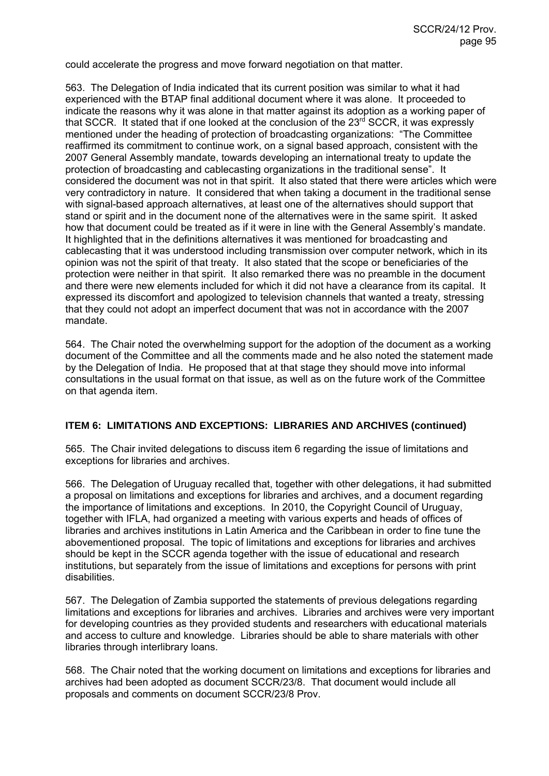could accelerate the progress and move forward negotiation on that matter.

563. The Delegation of India indicated that its current position was similar to what it had experienced with the BTAP final additional document where it was alone. It proceeded to indicate the reasons why it was alone in that matter against its adoption as a working paper of that SCCR. It stated that if one looked at the conclusion of the  $23<sup>rd</sup>$  SCCR, it was expressly mentioned under the heading of protection of broadcasting organizations: "The Committee reaffirmed its commitment to continue work, on a signal based approach, consistent with the 2007 General Assembly mandate, towards developing an international treaty to update the protection of broadcasting and cablecasting organizations in the traditional sense". It considered the document was not in that spirit. It also stated that there were articles which were very contradictory in nature. It considered that when taking a document in the traditional sense with signal-based approach alternatives, at least one of the alternatives should support that stand or spirit and in the document none of the alternatives were in the same spirit. It asked how that document could be treated as if it were in line with the General Assembly's mandate. It highlighted that in the definitions alternatives it was mentioned for broadcasting and cablecasting that it was understood including transmission over computer network, which in its opinion was not the spirit of that treaty. It also stated that the scope or beneficiaries of the protection were neither in that spirit. It also remarked there was no preamble in the document and there were new elements included for which it did not have a clearance from its capital. It expressed its discomfort and apologized to television channels that wanted a treaty, stressing that they could not adopt an imperfect document that was not in accordance with the 2007 mandate.

564. The Chair noted the overwhelming support for the adoption of the document as a working document of the Committee and all the comments made and he also noted the statement made by the Delegation of India. He proposed that at that stage they should move into informal consultations in the usual format on that issue, as well as on the future work of the Committee on that agenda item.

### **ITEM 6: LIMITATIONS AND EXCEPTIONS: LIBRARIES AND ARCHIVES (continued)**

565. The Chair invited delegations to discuss item 6 regarding the issue of limitations and exceptions for libraries and archives.

566. The Delegation of Uruguay recalled that, together with other delegations, it had submitted a proposal on limitations and exceptions for libraries and archives, and a document regarding the importance of limitations and exceptions. In 2010, the Copyright Council of Uruguay, together with IFLA, had organized a meeting with various experts and heads of offices of libraries and archives institutions in Latin America and the Caribbean in order to fine tune the abovementioned proposal. The topic of limitations and exceptions for libraries and archives should be kept in the SCCR agenda together with the issue of educational and research institutions, but separately from the issue of limitations and exceptions for persons with print disabilities.

567. The Delegation of Zambia supported the statements of previous delegations regarding limitations and exceptions for libraries and archives. Libraries and archives were very important for developing countries as they provided students and researchers with educational materials and access to culture and knowledge. Libraries should be able to share materials with other libraries through interlibrary loans.

568. The Chair noted that the working document on limitations and exceptions for libraries and archives had been adopted as document SCCR/23/8. That document would include all proposals and comments on document SCCR/23/8 Prov.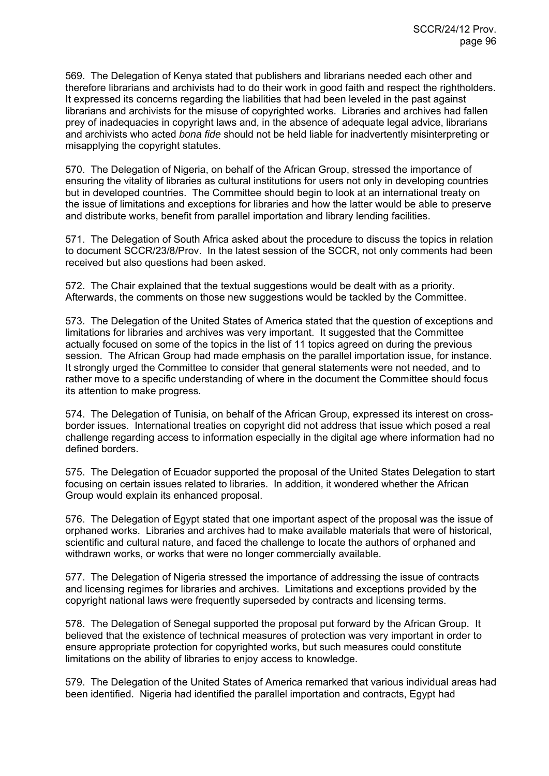569. The Delegation of Kenya stated that publishers and librarians needed each other and therefore librarians and archivists had to do their work in good faith and respect the rightholders. It expressed its concerns regarding the liabilities that had been leveled in the past against librarians and archivists for the misuse of copyrighted works. Libraries and archives had fallen prey of inadequacies in copyright laws and, in the absence of adequate legal advice, librarians and archivists who acted *bona fide* should not be held liable for inadvertently misinterpreting or misapplying the copyright statutes.

570. The Delegation of Nigeria, on behalf of the African Group, stressed the importance of ensuring the vitality of libraries as cultural institutions for users not only in developing countries but in developed countries. The Committee should begin to look at an international treaty on the issue of limitations and exceptions for libraries and how the latter would be able to preserve and distribute works, benefit from parallel importation and library lending facilities.

571. The Delegation of South Africa asked about the procedure to discuss the topics in relation to document SCCR/23/8/Prov. In the latest session of the SCCR, not only comments had been received but also questions had been asked.

572. The Chair explained that the textual suggestions would be dealt with as a priority. Afterwards, the comments on those new suggestions would be tackled by the Committee.

573. The Delegation of the United States of America stated that the question of exceptions and limitations for libraries and archives was very important. It suggested that the Committee actually focused on some of the topics in the list of 11 topics agreed on during the previous session. The African Group had made emphasis on the parallel importation issue, for instance. It strongly urged the Committee to consider that general statements were not needed, and to rather move to a specific understanding of where in the document the Committee should focus its attention to make progress.

574. The Delegation of Tunisia, on behalf of the African Group, expressed its interest on crossborder issues. International treaties on copyright did not address that issue which posed a real challenge regarding access to information especially in the digital age where information had no defined borders.

575. The Delegation of Ecuador supported the proposal of the United States Delegation to start focusing on certain issues related to libraries. In addition, it wondered whether the African Group would explain its enhanced proposal.

576. The Delegation of Egypt stated that one important aspect of the proposal was the issue of orphaned works. Libraries and archives had to make available materials that were of historical, scientific and cultural nature, and faced the challenge to locate the authors of orphaned and withdrawn works, or works that were no longer commercially available.

577. The Delegation of Nigeria stressed the importance of addressing the issue of contracts and licensing regimes for libraries and archives. Limitations and exceptions provided by the copyright national laws were frequently superseded by contracts and licensing terms.

578. The Delegation of Senegal supported the proposal put forward by the African Group. It believed that the existence of technical measures of protection was very important in order to ensure appropriate protection for copyrighted works, but such measures could constitute limitations on the ability of libraries to enjoy access to knowledge.

579. The Delegation of the United States of America remarked that various individual areas had been identified. Nigeria had identified the parallel importation and contracts, Egypt had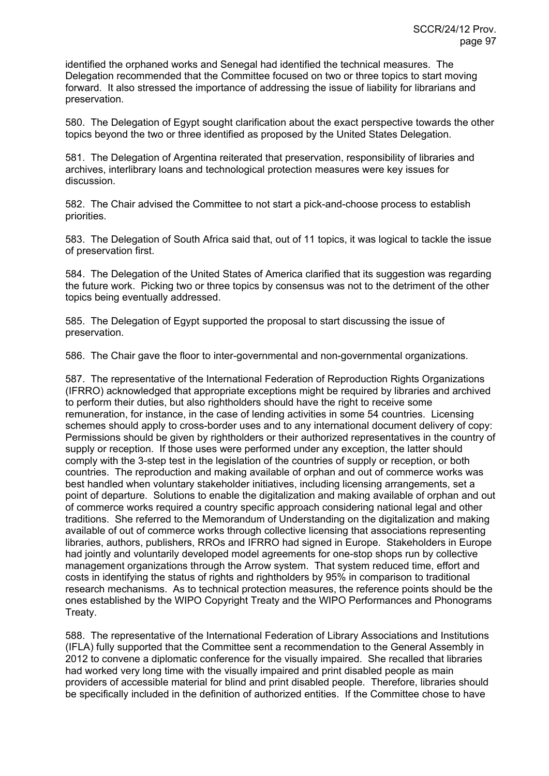identified the orphaned works and Senegal had identified the technical measures. The Delegation recommended that the Committee focused on two or three topics to start moving forward. It also stressed the importance of addressing the issue of liability for librarians and preservation.

580. The Delegation of Egypt sought clarification about the exact perspective towards the other topics beyond the two or three identified as proposed by the United States Delegation.

581. The Delegation of Argentina reiterated that preservation, responsibility of libraries and archives, interlibrary loans and technological protection measures were key issues for discussion.

582. The Chair advised the Committee to not start a pick-and-choose process to establish priorities.

583. The Delegation of South Africa said that, out of 11 topics, it was logical to tackle the issue of preservation first.

584. The Delegation of the United States of America clarified that its suggestion was regarding the future work. Picking two or three topics by consensus was not to the detriment of the other topics being eventually addressed.

585. The Delegation of Egypt supported the proposal to start discussing the issue of preservation.

586. The Chair gave the floor to inter-governmental and non-governmental organizations.

587. The representative of the International Federation of Reproduction Rights Organizations (IFRRO) acknowledged that appropriate exceptions might be required by libraries and archived to perform their duties, but also rightholders should have the right to receive some remuneration, for instance, in the case of lending activities in some 54 countries. Licensing schemes should apply to cross-border uses and to any international document delivery of copy: Permissions should be given by rightholders or their authorized representatives in the country of supply or reception. If those uses were performed under any exception, the latter should comply with the 3-step test in the legislation of the countries of supply or reception, or both countries. The reproduction and making available of orphan and out of commerce works was best handled when voluntary stakeholder initiatives, including licensing arrangements, set a point of departure. Solutions to enable the digitalization and making available of orphan and out of commerce works required a country specific approach considering national legal and other traditions. She referred to the Memorandum of Understanding on the digitalization and making available of out of commerce works through collective licensing that associations representing libraries, authors, publishers, RROs and IFRRO had signed in Europe. Stakeholders in Europe had jointly and voluntarily developed model agreements for one-stop shops run by collective management organizations through the Arrow system. That system reduced time, effort and costs in identifying the status of rights and rightholders by 95% in comparison to traditional research mechanisms. As to technical protection measures, the reference points should be the ones established by the WIPO Copyright Treaty and the WIPO Performances and Phonograms Treaty.

588. The representative of the International Federation of Library Associations and Institutions (IFLA) fully supported that the Committee sent a recommendation to the General Assembly in 2012 to convene a diplomatic conference for the visually impaired. She recalled that libraries had worked very long time with the visually impaired and print disabled people as main providers of accessible material for blind and print disabled people. Therefore, libraries should be specifically included in the definition of authorized entities. If the Committee chose to have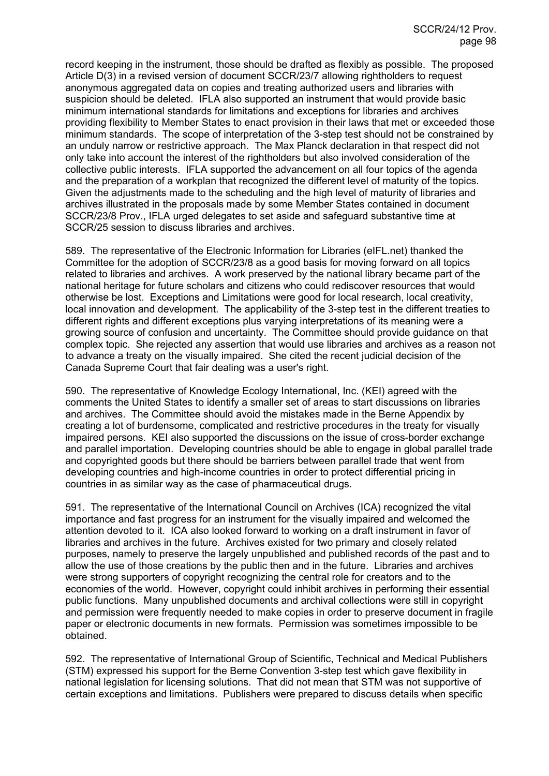record keeping in the instrument, those should be drafted as flexibly as possible. The proposed Article D(3) in a revised version of document SCCR/23/7 allowing rightholders to request anonymous aggregated data on copies and treating authorized users and libraries with suspicion should be deleted. IFLA also supported an instrument that would provide basic minimum international standards for limitations and exceptions for libraries and archives providing flexibility to Member States to enact provision in their laws that met or exceeded those minimum standards. The scope of interpretation of the 3-step test should not be constrained by an unduly narrow or restrictive approach. The Max Planck declaration in that respect did not only take into account the interest of the rightholders but also involved consideration of the collective public interests. IFLA supported the advancement on all four topics of the agenda and the preparation of a workplan that recognized the different level of maturity of the topics. Given the adjustments made to the scheduling and the high level of maturity of libraries and archives illustrated in the proposals made by some Member States contained in document SCCR/23/8 Prov., IFLA urged delegates to set aside and safeguard substantive time at SCCR/25 session to discuss libraries and archives.

589. The representative of the Electronic Information for Libraries (eIFL.net) thanked the Committee for the adoption of SCCR/23/8 as a good basis for moving forward on all topics related to libraries and archives. A work preserved by the national library became part of the national heritage for future scholars and citizens who could rediscover resources that would otherwise be lost. Exceptions and Limitations were good for local research, local creativity, local innovation and development. The applicability of the 3-step test in the different treaties to different rights and different exceptions plus varying interpretations of its meaning were a growing source of confusion and uncertainty. The Committee should provide guidance on that complex topic. She rejected any assertion that would use libraries and archives as a reason not to advance a treaty on the visually impaired. She cited the recent judicial decision of the Canada Supreme Court that fair dealing was a user's right.

590. The representative of Knowledge Ecology International, Inc. (KEI) agreed with the comments the United States to identify a smaller set of areas to start discussions on libraries and archives. The Committee should avoid the mistakes made in the Berne Appendix by creating a lot of burdensome, complicated and restrictive procedures in the treaty for visually impaired persons. KEI also supported the discussions on the issue of cross-border exchange and parallel importation. Developing countries should be able to engage in global parallel trade and copyrighted goods but there should be barriers between parallel trade that went from developing countries and high-income countries in order to protect differential pricing in countries in as similar way as the case of pharmaceutical drugs.

591. The representative of the International Council on Archives (ICA) recognized the vital importance and fast progress for an instrument for the visually impaired and welcomed the attention devoted to it. ICA also looked forward to working on a draft instrument in favor of libraries and archives in the future. Archives existed for two primary and closely related purposes, namely to preserve the largely unpublished and published records of the past and to allow the use of those creations by the public then and in the future. Libraries and archives were strong supporters of copyright recognizing the central role for creators and to the economies of the world. However, copyright could inhibit archives in performing their essential public functions. Many unpublished documents and archival collections were still in copyright and permission were frequently needed to make copies in order to preserve document in fragile paper or electronic documents in new formats. Permission was sometimes impossible to be obtained.

592. The representative of International Group of Scientific, Technical and Medical Publishers (STM) expressed his support for the Berne Convention 3-step test which gave flexibility in national legislation for licensing solutions. That did not mean that STM was not supportive of certain exceptions and limitations. Publishers were prepared to discuss details when specific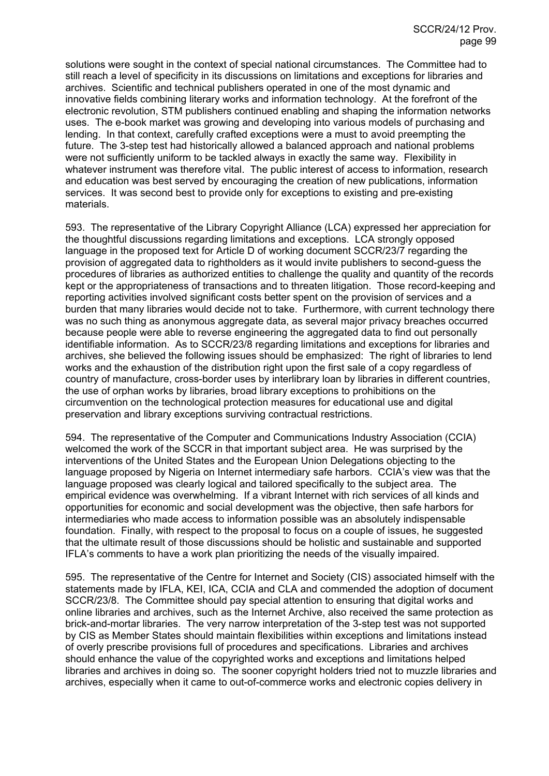solutions were sought in the context of special national circumstances. The Committee had to still reach a level of specificity in its discussions on limitations and exceptions for libraries and archives. Scientific and technical publishers operated in one of the most dynamic and innovative fields combining literary works and information technology. At the forefront of the electronic revolution, STM publishers continued enabling and shaping the information networks uses. The e-book market was growing and developing into various models of purchasing and lending. In that context, carefully crafted exceptions were a must to avoid preempting the future. The 3-step test had historically allowed a balanced approach and national problems were not sufficiently uniform to be tackled always in exactly the same way. Flexibility in whatever instrument was therefore vital. The public interest of access to information, research and education was best served by encouraging the creation of new publications, information services. It was second best to provide only for exceptions to existing and pre-existing materials.

593. The representative of the Library Copyright Alliance (LCA) expressed her appreciation for the thoughtful discussions regarding limitations and exceptions. LCA strongly opposed language in the proposed text for Article D of working document SCCR/23/7 regarding the provision of aggregated data to rightholders as it would invite publishers to second-guess the procedures of libraries as authorized entities to challenge the quality and quantity of the records kept or the appropriateness of transactions and to threaten litigation. Those record-keeping and reporting activities involved significant costs better spent on the provision of services and a burden that many libraries would decide not to take. Furthermore, with current technology there was no such thing as anonymous aggregate data, as several major privacy breaches occurred because people were able to reverse engineering the aggregated data to find out personally identifiable information. As to SCCR/23/8 regarding limitations and exceptions for libraries and archives, she believed the following issues should be emphasized: The right of libraries to lend works and the exhaustion of the distribution right upon the first sale of a copy regardless of country of manufacture, cross-border uses by interlibrary loan by libraries in different countries, the use of orphan works by libraries, broad library exceptions to prohibitions on the circumvention on the technological protection measures for educational use and digital preservation and library exceptions surviving contractual restrictions.

594. The representative of the Computer and Communications Industry Association (CCIA) welcomed the work of the SCCR in that important subject area. He was surprised by the interventions of the United States and the European Union Delegations objecting to the language proposed by Nigeria on Internet intermediary safe harbors. CCIA's view was that the language proposed was clearly logical and tailored specifically to the subject area. The empirical evidence was overwhelming. If a vibrant Internet with rich services of all kinds and opportunities for economic and social development was the objective, then safe harbors for intermediaries who made access to information possible was an absolutely indispensable foundation. Finally, with respect to the proposal to focus on a couple of issues, he suggested that the ultimate result of those discussions should be holistic and sustainable and supported IFLA's comments to have a work plan prioritizing the needs of the visually impaired.

595. The representative of the Centre for Internet and Society (CIS) associated himself with the statements made by IFLA, KEI, ICA, CCIA and CLA and commended the adoption of document SCCR/23/8. The Committee should pay special attention to ensuring that digital works and online libraries and archives, such as the Internet Archive, also received the same protection as brick-and-mortar libraries. The very narrow interpretation of the 3-step test was not supported by CIS as Member States should maintain flexibilities within exceptions and limitations instead of overly prescribe provisions full of procedures and specifications. Libraries and archives should enhance the value of the copyrighted works and exceptions and limitations helped libraries and archives in doing so. The sooner copyright holders tried not to muzzle libraries and archives, especially when it came to out-of-commerce works and electronic copies delivery in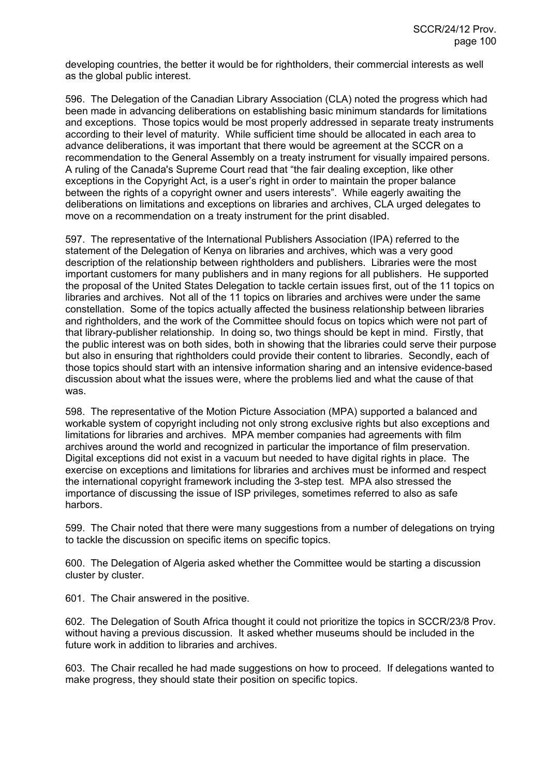developing countries, the better it would be for rightholders, their commercial interests as well as the global public interest.

596. The Delegation of the Canadian Library Association (CLA) noted the progress which had been made in advancing deliberations on establishing basic minimum standards for limitations and exceptions. Those topics would be most properly addressed in separate treaty instruments according to their level of maturity. While sufficient time should be allocated in each area to advance deliberations, it was important that there would be agreement at the SCCR on a recommendation to the General Assembly on a treaty instrument for visually impaired persons. A ruling of the Canada's Supreme Court read that "the fair dealing exception, like other exceptions in the Copyright Act, is a user's right in order to maintain the proper balance between the rights of a copyright owner and users interests". While eagerly awaiting the deliberations on limitations and exceptions on libraries and archives, CLA urged delegates to move on a recommendation on a treaty instrument for the print disabled.

597. The representative of the International Publishers Association (IPA) referred to the statement of the Delegation of Kenya on libraries and archives, which was a very good description of the relationship between rightholders and publishers. Libraries were the most important customers for many publishers and in many regions for all publishers. He supported the proposal of the United States Delegation to tackle certain issues first, out of the 11 topics on libraries and archives. Not all of the 11 topics on libraries and archives were under the same constellation. Some of the topics actually affected the business relationship between libraries and rightholders, and the work of the Committee should focus on topics which were not part of that library-publisher relationship. In doing so, two things should be kept in mind. Firstly, that the public interest was on both sides, both in showing that the libraries could serve their purpose but also in ensuring that rightholders could provide their content to libraries. Secondly, each of those topics should start with an intensive information sharing and an intensive evidence-based discussion about what the issues were, where the problems lied and what the cause of that was.

598. The representative of the Motion Picture Association (MPA) supported a balanced and workable system of copyright including not only strong exclusive rights but also exceptions and limitations for libraries and archives. MPA member companies had agreements with film archives around the world and recognized in particular the importance of film preservation. Digital exceptions did not exist in a vacuum but needed to have digital rights in place. The exercise on exceptions and limitations for libraries and archives must be informed and respect the international copyright framework including the 3-step test. MPA also stressed the importance of discussing the issue of ISP privileges, sometimes referred to also as safe harbors.

599. The Chair noted that there were many suggestions from a number of delegations on trying to tackle the discussion on specific items on specific topics.

600. The Delegation of Algeria asked whether the Committee would be starting a discussion cluster by cluster.

601. The Chair answered in the positive.

602. The Delegation of South Africa thought it could not prioritize the topics in SCCR/23/8 Prov. without having a previous discussion. It asked whether museums should be included in the future work in addition to libraries and archives.

603. The Chair recalled he had made suggestions on how to proceed. If delegations wanted to make progress, they should state their position on specific topics.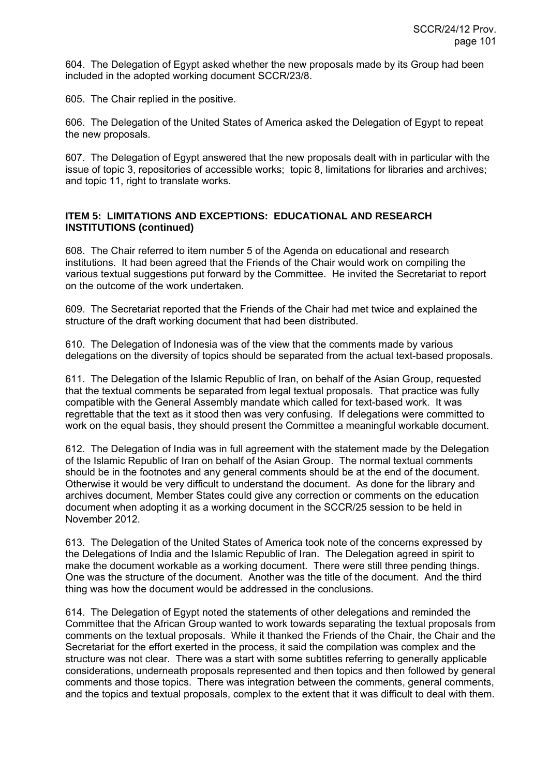604. The Delegation of Egypt asked whether the new proposals made by its Group had been included in the adopted working document SCCR/23/8.

605. The Chair replied in the positive.

606. The Delegation of the United States of America asked the Delegation of Egypt to repeat the new proposals.

607. The Delegation of Egypt answered that the new proposals dealt with in particular with the issue of topic 3, repositories of accessible works; topic 8, limitations for libraries and archives; and topic 11, right to translate works.

#### **ITEM 5: LIMITATIONS AND EXCEPTIONS: EDUCATIONAL AND RESEARCH INSTITUTIONS (continued)**

608. The Chair referred to item number 5 of the Agenda on educational and research institutions. It had been agreed that the Friends of the Chair would work on compiling the various textual suggestions put forward by the Committee. He invited the Secretariat to report on the outcome of the work undertaken.

609. The Secretariat reported that the Friends of the Chair had met twice and explained the structure of the draft working document that had been distributed.

610. The Delegation of Indonesia was of the view that the comments made by various delegations on the diversity of topics should be separated from the actual text-based proposals.

611. The Delegation of the Islamic Republic of Iran, on behalf of the Asian Group, requested that the textual comments be separated from legal textual proposals. That practice was fully compatible with the General Assembly mandate which called for text-based work. It was regrettable that the text as it stood then was very confusing. If delegations were committed to work on the equal basis, they should present the Committee a meaningful workable document.

612. The Delegation of India was in full agreement with the statement made by the Delegation of the Islamic Republic of Iran on behalf of the Asian Group. The normal textual comments should be in the footnotes and any general comments should be at the end of the document. Otherwise it would be very difficult to understand the document. As done for the library and archives document, Member States could give any correction or comments on the education document when adopting it as a working document in the SCCR/25 session to be held in November 2012.

613. The Delegation of the United States of America took note of the concerns expressed by the Delegations of India and the Islamic Republic of Iran. The Delegation agreed in spirit to make the document workable as a working document. There were still three pending things. One was the structure of the document. Another was the title of the document. And the third thing was how the document would be addressed in the conclusions.

614. The Delegation of Egypt noted the statements of other delegations and reminded the Committee that the African Group wanted to work towards separating the textual proposals from comments on the textual proposals. While it thanked the Friends of the Chair, the Chair and the Secretariat for the effort exerted in the process, it said the compilation was complex and the structure was not clear. There was a start with some subtitles referring to generally applicable considerations, underneath proposals represented and then topics and then followed by general comments and those topics. There was integration between the comments, general comments, and the topics and textual proposals, complex to the extent that it was difficult to deal with them.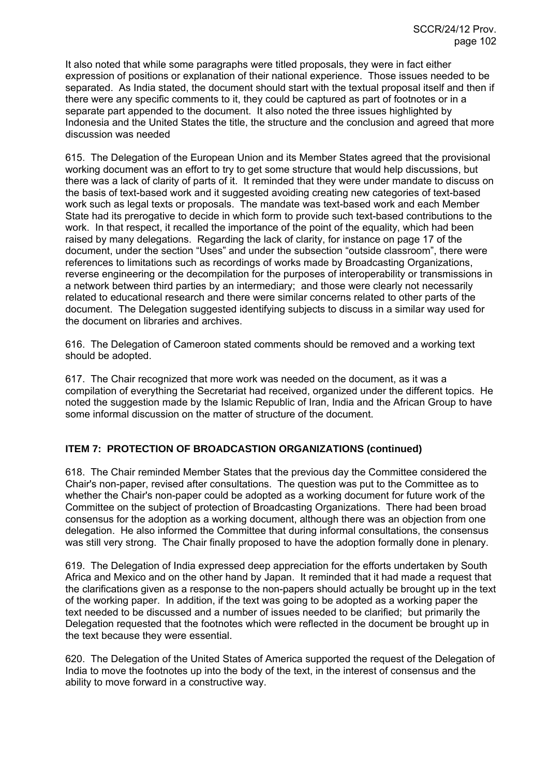It also noted that while some paragraphs were titled proposals, they were in fact either expression of positions or explanation of their national experience. Those issues needed to be separated. As India stated, the document should start with the textual proposal itself and then if there were any specific comments to it, they could be captured as part of footnotes or in a separate part appended to the document. It also noted the three issues highlighted by Indonesia and the United States the title, the structure and the conclusion and agreed that more discussion was needed

615. The Delegation of the European Union and its Member States agreed that the provisional working document was an effort to try to get some structure that would help discussions, but there was a lack of clarity of parts of it. It reminded that they were under mandate to discuss on the basis of text-based work and it suggested avoiding creating new categories of text-based work such as legal texts or proposals. The mandate was text-based work and each Member State had its prerogative to decide in which form to provide such text-based contributions to the work. In that respect, it recalled the importance of the point of the equality, which had been raised by many delegations. Regarding the lack of clarity, for instance on page 17 of the document, under the section "Uses" and under the subsection "outside classroom", there were references to limitations such as recordings of works made by Broadcasting Organizations, reverse engineering or the decompilation for the purposes of interoperability or transmissions in a network between third parties by an intermediary; and those were clearly not necessarily related to educational research and there were similar concerns related to other parts of the document. The Delegation suggested identifying subjects to discuss in a similar way used for the document on libraries and archives.

616. The Delegation of Cameroon stated comments should be removed and a working text should be adopted.

617. The Chair recognized that more work was needed on the document, as it was a compilation of everything the Secretariat had received, organized under the different topics. He noted the suggestion made by the Islamic Republic of Iran, India and the African Group to have some informal discussion on the matter of structure of the document.

### **ITEM 7: PROTECTION OF BROADCASTION ORGANIZATIONS (continued)**

618. The Chair reminded Member States that the previous day the Committee considered the Chair's non-paper, revised after consultations. The question was put to the Committee as to whether the Chair's non-paper could be adopted as a working document for future work of the Committee on the subject of protection of Broadcasting Organizations. There had been broad consensus for the adoption as a working document, although there was an objection from one delegation. He also informed the Committee that during informal consultations, the consensus was still very strong. The Chair finally proposed to have the adoption formally done in plenary.

619. The Delegation of India expressed deep appreciation for the efforts undertaken by South Africa and Mexico and on the other hand by Japan. It reminded that it had made a request that the clarifications given as a response to the non-papers should actually be brought up in the text of the working paper. In addition, if the text was going to be adopted as a working paper the text needed to be discussed and a number of issues needed to be clarified; but primarily the Delegation requested that the footnotes which were reflected in the document be brought up in the text because they were essential.

620. The Delegation of the United States of America supported the request of the Delegation of India to move the footnotes up into the body of the text, in the interest of consensus and the ability to move forward in a constructive way.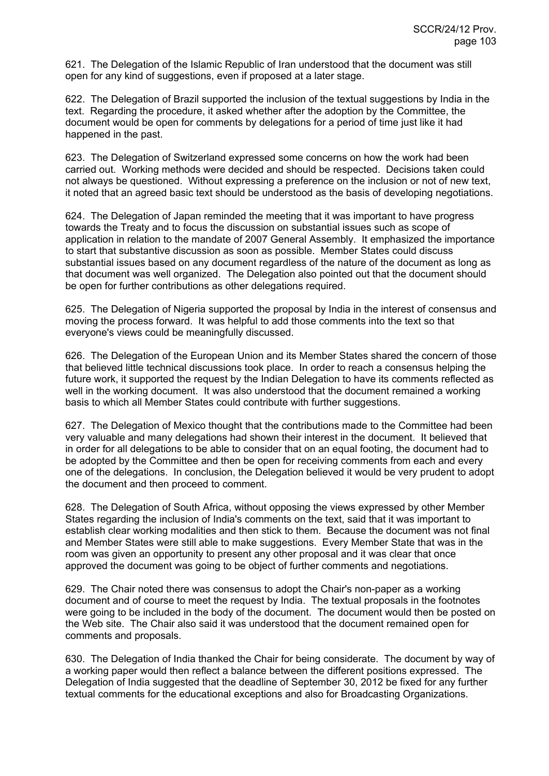621. The Delegation of the Islamic Republic of Iran understood that the document was still open for any kind of suggestions, even if proposed at a later stage.

622. The Delegation of Brazil supported the inclusion of the textual suggestions by India in the text. Regarding the procedure, it asked whether after the adoption by the Committee, the document would be open for comments by delegations for a period of time just like it had happened in the past.

623. The Delegation of Switzerland expressed some concerns on how the work had been carried out. Working methods were decided and should be respected. Decisions taken could not always be questioned. Without expressing a preference on the inclusion or not of new text, it noted that an agreed basic text should be understood as the basis of developing negotiations.

624. The Delegation of Japan reminded the meeting that it was important to have progress towards the Treaty and to focus the discussion on substantial issues such as scope of application in relation to the mandate of 2007 General Assembly. It emphasized the importance to start that substantive discussion as soon as possible. Member States could discuss substantial issues based on any document regardless of the nature of the document as long as that document was well organized. The Delegation also pointed out that the document should be open for further contributions as other delegations required.

625. The Delegation of Nigeria supported the proposal by India in the interest of consensus and moving the process forward. It was helpful to add those comments into the text so that everyone's views could be meaningfully discussed.

626. The Delegation of the European Union and its Member States shared the concern of those that believed little technical discussions took place. In order to reach a consensus helping the future work, it supported the request by the Indian Delegation to have its comments reflected as well in the working document. It was also understood that the document remained a working basis to which all Member States could contribute with further suggestions.

627. The Delegation of Mexico thought that the contributions made to the Committee had been very valuable and many delegations had shown their interest in the document. It believed that in order for all delegations to be able to consider that on an equal footing, the document had to be adopted by the Committee and then be open for receiving comments from each and every one of the delegations. In conclusion, the Delegation believed it would be very prudent to adopt the document and then proceed to comment.

628. The Delegation of South Africa, without opposing the views expressed by other Member States regarding the inclusion of India's comments on the text, said that it was important to establish clear working modalities and then stick to them. Because the document was not final and Member States were still able to make suggestions. Every Member State that was in the room was given an opportunity to present any other proposal and it was clear that once approved the document was going to be object of further comments and negotiations.

629. The Chair noted there was consensus to adopt the Chair's non-paper as a working document and of course to meet the request by India. The textual proposals in the footnotes were going to be included in the body of the document. The document would then be posted on the Web site. The Chair also said it was understood that the document remained open for comments and proposals.

630. The Delegation of India thanked the Chair for being considerate. The document by way of a working paper would then reflect a balance between the different positions expressed. The Delegation of India suggested that the deadline of September 30, 2012 be fixed for any further textual comments for the educational exceptions and also for Broadcasting Organizations.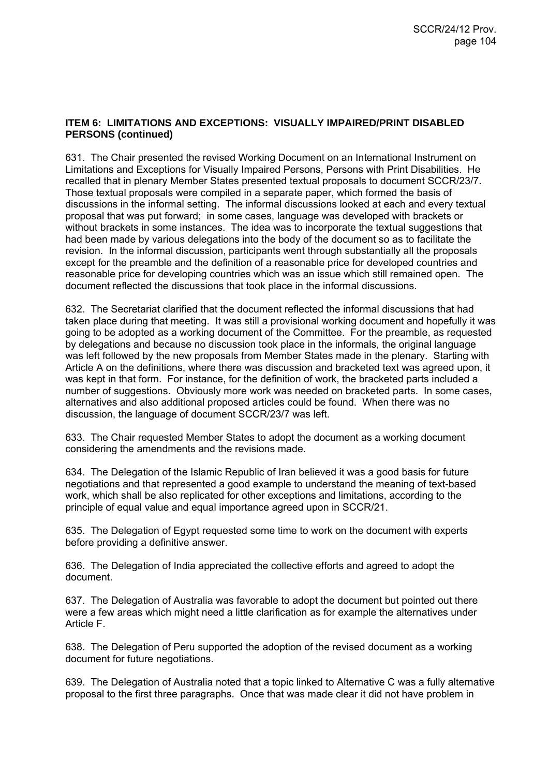#### **ITEM 6: LIMITATIONS AND EXCEPTIONS: VISUALLY IMPAIRED/PRINT DISABLED PERSONS (continued)**

631. The Chair presented the revised Working Document on an International Instrument on Limitations and Exceptions for Visually Impaired Persons, Persons with Print Disabilities. He recalled that in plenary Member States presented textual proposals to document SCCR/23/7. Those textual proposals were compiled in a separate paper, which formed the basis of discussions in the informal setting. The informal discussions looked at each and every textual proposal that was put forward; in some cases, language was developed with brackets or without brackets in some instances. The idea was to incorporate the textual suggestions that had been made by various delegations into the body of the document so as to facilitate the revision. In the informal discussion, participants went through substantially all the proposals except for the preamble and the definition of a reasonable price for developed countries and reasonable price for developing countries which was an issue which still remained open. The document reflected the discussions that took place in the informal discussions.

632. The Secretariat clarified that the document reflected the informal discussions that had taken place during that meeting. It was still a provisional working document and hopefully it was going to be adopted as a working document of the Committee. For the preamble, as requested by delegations and because no discussion took place in the informals, the original language was left followed by the new proposals from Member States made in the plenary. Starting with Article A on the definitions, where there was discussion and bracketed text was agreed upon, it was kept in that form. For instance, for the definition of work, the bracketed parts included a number of suggestions. Obviously more work was needed on bracketed parts. In some cases, alternatives and also additional proposed articles could be found. When there was no discussion, the language of document SCCR/23/7 was left.

633. The Chair requested Member States to adopt the document as a working document considering the amendments and the revisions made.

634. The Delegation of the Islamic Republic of Iran believed it was a good basis for future negotiations and that represented a good example to understand the meaning of text-based work, which shall be also replicated for other exceptions and limitations, according to the principle of equal value and equal importance agreed upon in SCCR/21.

635. The Delegation of Egypt requested some time to work on the document with experts before providing a definitive answer.

636. The Delegation of India appreciated the collective efforts and agreed to adopt the document.

637. The Delegation of Australia was favorable to adopt the document but pointed out there were a few areas which might need a little clarification as for example the alternatives under Article F.

638. The Delegation of Peru supported the adoption of the revised document as a working document for future negotiations.

639. The Delegation of Australia noted that a topic linked to Alternative C was a fully alternative proposal to the first three paragraphs. Once that was made clear it did not have problem in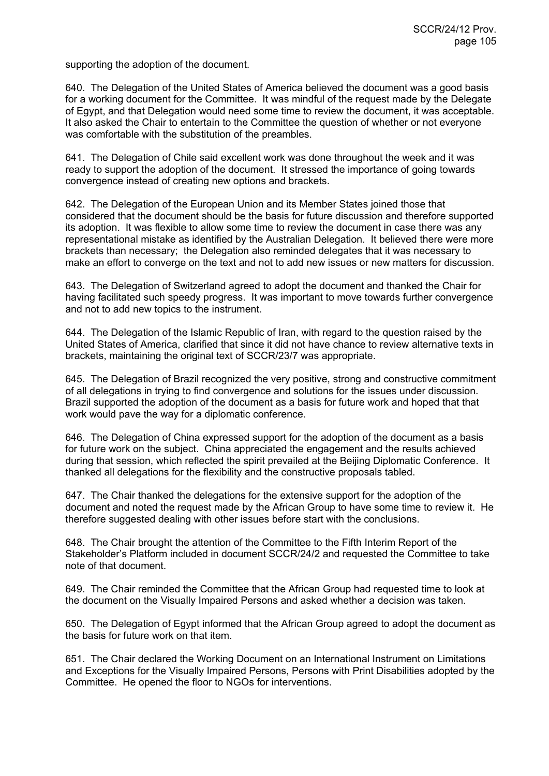supporting the adoption of the document.

640. The Delegation of the United States of America believed the document was a good basis for a working document for the Committee. It was mindful of the request made by the Delegate of Egypt, and that Delegation would need some time to review the document, it was acceptable. It also asked the Chair to entertain to the Committee the question of whether or not everyone was comfortable with the substitution of the preambles.

641. The Delegation of Chile said excellent work was done throughout the week and it was ready to support the adoption of the document. It stressed the importance of going towards convergence instead of creating new options and brackets.

642. The Delegation of the European Union and its Member States joined those that considered that the document should be the basis for future discussion and therefore supported its adoption. It was flexible to allow some time to review the document in case there was any representational mistake as identified by the Australian Delegation. It believed there were more brackets than necessary; the Delegation also reminded delegates that it was necessary to make an effort to converge on the text and not to add new issues or new matters for discussion.

643. The Delegation of Switzerland agreed to adopt the document and thanked the Chair for having facilitated such speedy progress. It was important to move towards further convergence and not to add new topics to the instrument.

644. The Delegation of the Islamic Republic of Iran, with regard to the question raised by the United States of America, clarified that since it did not have chance to review alternative texts in brackets, maintaining the original text of SCCR/23/7 was appropriate.

645. The Delegation of Brazil recognized the very positive, strong and constructive commitment of all delegations in trying to find convergence and solutions for the issues under discussion. Brazil supported the adoption of the document as a basis for future work and hoped that that work would pave the way for a diplomatic conference.

646. The Delegation of China expressed support for the adoption of the document as a basis for future work on the subject. China appreciated the engagement and the results achieved during that session, which reflected the spirit prevailed at the Beijing Diplomatic Conference. It thanked all delegations for the flexibility and the constructive proposals tabled.

647. The Chair thanked the delegations for the extensive support for the adoption of the document and noted the request made by the African Group to have some time to review it. He therefore suggested dealing with other issues before start with the conclusions.

648. The Chair brought the attention of the Committee to the Fifth Interim Report of the Stakeholder's Platform included in document SCCR/24/2 and requested the Committee to take note of that document.

649. The Chair reminded the Committee that the African Group had requested time to look at the document on the Visually Impaired Persons and asked whether a decision was taken.

650. The Delegation of Egypt informed that the African Group agreed to adopt the document as the basis for future work on that item.

651. The Chair declared the Working Document on an International Instrument on Limitations and Exceptions for the Visually Impaired Persons, Persons with Print Disabilities adopted by the Committee. He opened the floor to NGOs for interventions.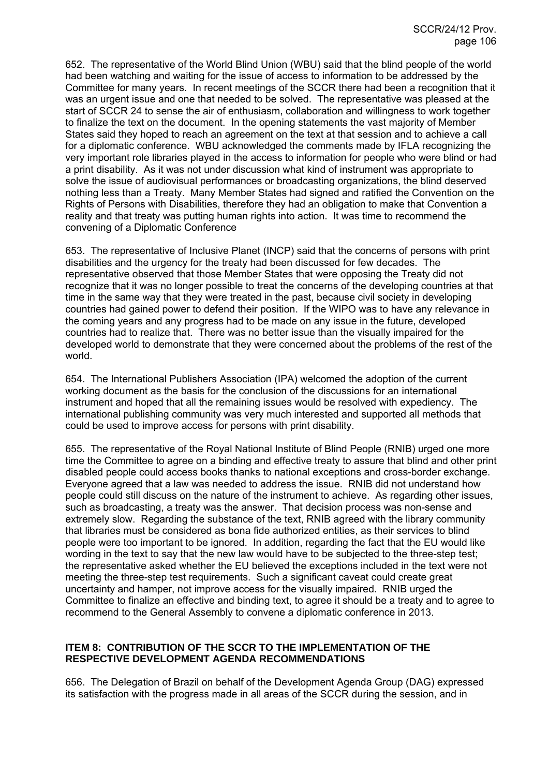652. The representative of the World Blind Union (WBU) said that the blind people of the world had been watching and waiting for the issue of access to information to be addressed by the Committee for many years. In recent meetings of the SCCR there had been a recognition that it was an urgent issue and one that needed to be solved. The representative was pleased at the start of SCCR 24 to sense the air of enthusiasm, collaboration and willingness to work together to finalize the text on the document. In the opening statements the vast majority of Member States said they hoped to reach an agreement on the text at that session and to achieve a call for a diplomatic conference. WBU acknowledged the comments made by IFLA recognizing the very important role libraries played in the access to information for people who were blind or had a print disability. As it was not under discussion what kind of instrument was appropriate to solve the issue of audiovisual performances or broadcasting organizations, the blind deserved nothing less than a Treaty. Many Member States had signed and ratified the Convention on the Rights of Persons with Disabilities, therefore they had an obligation to make that Convention a reality and that treaty was putting human rights into action. It was time to recommend the convening of a Diplomatic Conference

653. The representative of Inclusive Planet (INCP) said that the concerns of persons with print disabilities and the urgency for the treaty had been discussed for few decades. The representative observed that those Member States that were opposing the Treaty did not recognize that it was no longer possible to treat the concerns of the developing countries at that time in the same way that they were treated in the past, because civil society in developing countries had gained power to defend their position. If the WIPO was to have any relevance in the coming years and any progress had to be made on any issue in the future, developed countries had to realize that. There was no better issue than the visually impaired for the developed world to demonstrate that they were concerned about the problems of the rest of the world.

654. The International Publishers Association (IPA) welcomed the adoption of the current working document as the basis for the conclusion of the discussions for an international instrument and hoped that all the remaining issues would be resolved with expediency. The international publishing community was very much interested and supported all methods that could be used to improve access for persons with print disability.

655. The representative of the Royal National Institute of Blind People (RNIB) urged one more time the Committee to agree on a binding and effective treaty to assure that blind and other print disabled people could access books thanks to national exceptions and cross-border exchange. Everyone agreed that a law was needed to address the issue. RNIB did not understand how people could still discuss on the nature of the instrument to achieve. As regarding other issues, such as broadcasting, a treaty was the answer. That decision process was non-sense and extremely slow. Regarding the substance of the text, RNIB agreed with the library community that libraries must be considered as bona fide authorized entities, as their services to blind people were too important to be ignored. In addition, regarding the fact that the EU would like wording in the text to say that the new law would have to be subjected to the three-step test; the representative asked whether the EU believed the exceptions included in the text were not meeting the three-step test requirements. Such a significant caveat could create great uncertainty and hamper, not improve access for the visually impaired. RNIB urged the Committee to finalize an effective and binding text, to agree it should be a treaty and to agree to recommend to the General Assembly to convene a diplomatic conference in 2013.

### **ITEM 8: CONTRIBUTION OF THE SCCR TO THE IMPLEMENTATION OF THE RESPECTIVE DEVELOPMENT AGENDA RECOMMENDATIONS**

656. The Delegation of Brazil on behalf of the Development Agenda Group (DAG) expressed its satisfaction with the progress made in all areas of the SCCR during the session, and in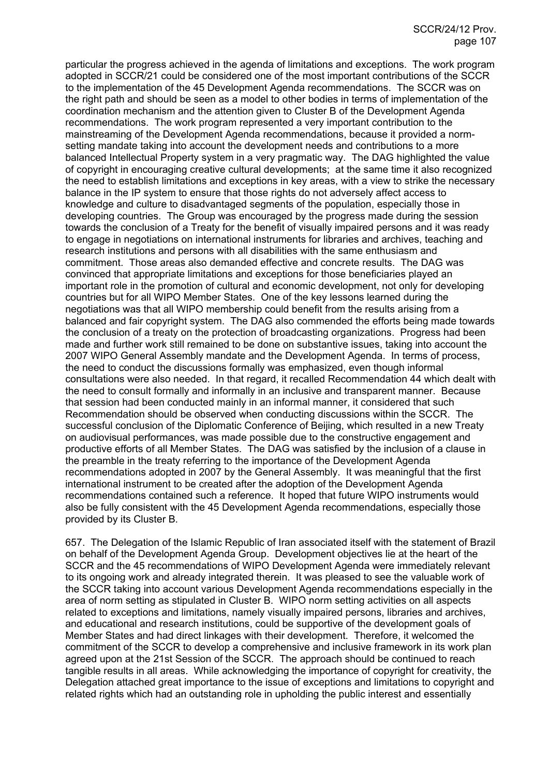particular the progress achieved in the agenda of limitations and exceptions. The work program adopted in SCCR/21 could be considered one of the most important contributions of the SCCR to the implementation of the 45 Development Agenda recommendations. The SCCR was on the right path and should be seen as a model to other bodies in terms of implementation of the coordination mechanism and the attention given to Cluster B of the Development Agenda recommendations. The work program represented a very important contribution to the mainstreaming of the Development Agenda recommendations, because it provided a normsetting mandate taking into account the development needs and contributions to a more balanced Intellectual Property system in a very pragmatic way. The DAG highlighted the value of copyright in encouraging creative cultural developments; at the same time it also recognized the need to establish limitations and exceptions in key areas, with a view to strike the necessary balance in the IP system to ensure that those rights do not adversely affect access to knowledge and culture to disadvantaged segments of the population, especially those in developing countries. The Group was encouraged by the progress made during the session towards the conclusion of a Treaty for the benefit of visually impaired persons and it was ready to engage in negotiations on international instruments for libraries and archives, teaching and research institutions and persons with all disabilities with the same enthusiasm and commitment. Those areas also demanded effective and concrete results. The DAG was convinced that appropriate limitations and exceptions for those beneficiaries played an important role in the promotion of cultural and economic development, not only for developing countries but for all WIPO Member States. One of the key lessons learned during the negotiations was that all WIPO membership could benefit from the results arising from a balanced and fair copyright system. The DAG also commended the efforts being made towards the conclusion of a treaty on the protection of broadcasting organizations. Progress had been made and further work still remained to be done on substantive issues, taking into account the 2007 WIPO General Assembly mandate and the Development Agenda. In terms of process, the need to conduct the discussions formally was emphasized, even though informal consultations were also needed. In that regard, it recalled Recommendation 44 which dealt with the need to consult formally and informally in an inclusive and transparent manner. Because that session had been conducted mainly in an informal manner, it considered that such Recommendation should be observed when conducting discussions within the SCCR. The successful conclusion of the Diplomatic Conference of Beijing, which resulted in a new Treaty on audiovisual performances, was made possible due to the constructive engagement and productive efforts of all Member States. The DAG was satisfied by the inclusion of a clause in the preamble in the treaty referring to the importance of the Development Agenda recommendations adopted in 2007 by the General Assembly. It was meaningful that the first international instrument to be created after the adoption of the Development Agenda recommendations contained such a reference. It hoped that future WIPO instruments would also be fully consistent with the 45 Development Agenda recommendations, especially those provided by its Cluster B.

657. The Delegation of the Islamic Republic of Iran associated itself with the statement of Brazil on behalf of the Development Agenda Group. Development objectives lie at the heart of the SCCR and the 45 recommendations of WIPO Development Agenda were immediately relevant to its ongoing work and already integrated therein. It was pleased to see the valuable work of the SCCR taking into account various Development Agenda recommendations especially in the area of norm setting as stipulated in Cluster B. WIPO norm setting activities on all aspects related to exceptions and limitations, namely visually impaired persons, libraries and archives, and educational and research institutions, could be supportive of the development goals of Member States and had direct linkages with their development. Therefore, it welcomed the commitment of the SCCR to develop a comprehensive and inclusive framework in its work plan agreed upon at the 21st Session of the SCCR. The approach should be continued to reach tangible results in all areas. While acknowledging the importance of copyright for creativity, the Delegation attached great importance to the issue of exceptions and limitations to copyright and related rights which had an outstanding role in upholding the public interest and essentially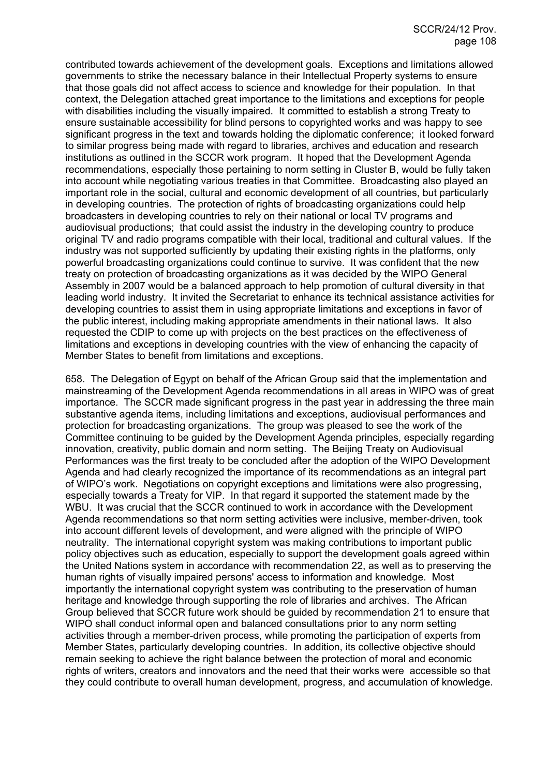contributed towards achievement of the development goals. Exceptions and limitations allowed governments to strike the necessary balance in their Intellectual Property systems to ensure that those goals did not affect access to science and knowledge for their population. In that context, the Delegation attached great importance to the limitations and exceptions for people with disabilities including the visually impaired. It committed to establish a strong Treaty to ensure sustainable accessibility for blind persons to copyrighted works and was happy to see significant progress in the text and towards holding the diplomatic conference; it looked forward to similar progress being made with regard to libraries, archives and education and research institutions as outlined in the SCCR work program. It hoped that the Development Agenda recommendations, especially those pertaining to norm setting in Cluster B, would be fully taken into account while negotiating various treaties in that Committee. Broadcasting also played an important role in the social, cultural and economic development of all countries, but particularly in developing countries. The protection of rights of broadcasting organizations could help broadcasters in developing countries to rely on their national or local TV programs and audiovisual productions; that could assist the industry in the developing country to produce original TV and radio programs compatible with their local, traditional and cultural values. If the industry was not supported sufficiently by updating their existing rights in the platforms, only powerful broadcasting organizations could continue to survive. It was confident that the new treaty on protection of broadcasting organizations as it was decided by the WIPO General Assembly in 2007 would be a balanced approach to help promotion of cultural diversity in that leading world industry. It invited the Secretariat to enhance its technical assistance activities for developing countries to assist them in using appropriate limitations and exceptions in favor of the public interest, including making appropriate amendments in their national laws. It also requested the CDIP to come up with projects on the best practices on the effectiveness of limitations and exceptions in developing countries with the view of enhancing the capacity of Member States to benefit from limitations and exceptions.

658. The Delegation of Egypt on behalf of the African Group said that the implementation and mainstreaming of the Development Agenda recommendations in all areas in WIPO was of great importance. The SCCR made significant progress in the past year in addressing the three main substantive agenda items, including limitations and exceptions, audiovisual performances and protection for broadcasting organizations. The group was pleased to see the work of the Committee continuing to be guided by the Development Agenda principles, especially regarding innovation, creativity, public domain and norm setting. The Beijing Treaty on Audiovisual Performances was the first treaty to be concluded after the adoption of the WIPO Development Agenda and had clearly recognized the importance of its recommendations as an integral part of WIPO's work. Negotiations on copyright exceptions and limitations were also progressing, especially towards a Treaty for VIP. In that regard it supported the statement made by the WBU. It was crucial that the SCCR continued to work in accordance with the Development Agenda recommendations so that norm setting activities were inclusive, member-driven, took into account different levels of development, and were aligned with the principle of WIPO neutrality. The international copyright system was making contributions to important public policy objectives such as education, especially to support the development goals agreed within the United Nations system in accordance with recommendation 22, as well as to preserving the human rights of visually impaired persons' access to information and knowledge. Most importantly the international copyright system was contributing to the preservation of human heritage and knowledge through supporting the role of libraries and archives. The African Group believed that SCCR future work should be guided by recommendation 21 to ensure that WIPO shall conduct informal open and balanced consultations prior to any norm setting activities through a member-driven process, while promoting the participation of experts from Member States, particularly developing countries. In addition, its collective objective should remain seeking to achieve the right balance between the protection of moral and economic rights of writers, creators and innovators and the need that their works were accessible so that they could contribute to overall human development, progress, and accumulation of knowledge.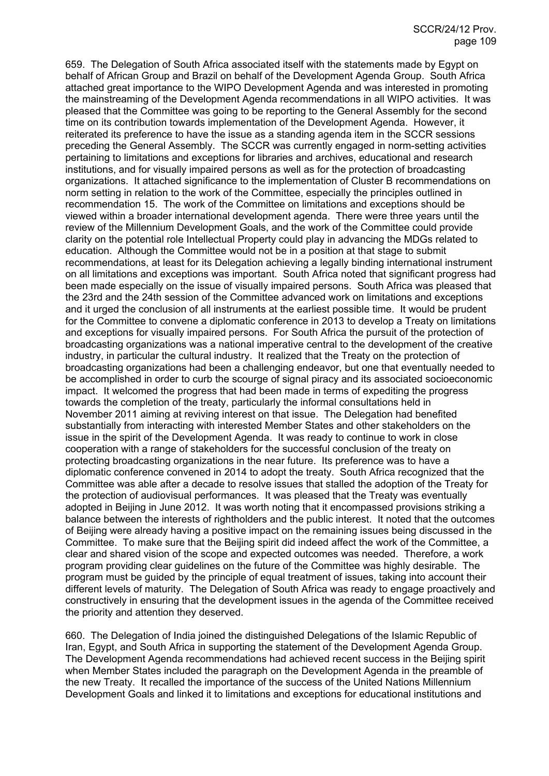659. The Delegation of South Africa associated itself with the statements made by Egypt on behalf of African Group and Brazil on behalf of the Development Agenda Group. South Africa attached great importance to the WIPO Development Agenda and was interested in promoting the mainstreaming of the Development Agenda recommendations in all WIPO activities. It was pleased that the Committee was going to be reporting to the General Assembly for the second time on its contribution towards implementation of the Development Agenda. However, it reiterated its preference to have the issue as a standing agenda item in the SCCR sessions preceding the General Assembly. The SCCR was currently engaged in norm-setting activities pertaining to limitations and exceptions for libraries and archives, educational and research institutions, and for visually impaired persons as well as for the protection of broadcasting organizations. It attached significance to the implementation of Cluster B recommendations on norm setting in relation to the work of the Committee, especially the principles outlined in recommendation 15. The work of the Committee on limitations and exceptions should be viewed within a broader international development agenda. There were three years until the review of the Millennium Development Goals, and the work of the Committee could provide clarity on the potential role Intellectual Property could play in advancing the MDGs related to education. Although the Committee would not be in a position at that stage to submit recommendations, at least for its Delegation achieving a legally binding international instrument on all limitations and exceptions was important. South Africa noted that significant progress had been made especially on the issue of visually impaired persons. South Africa was pleased that the 23rd and the 24th session of the Committee advanced work on limitations and exceptions and it urged the conclusion of all instruments at the earliest possible time. It would be prudent for the Committee to convene a diplomatic conference in 2013 to develop a Treaty on limitations and exceptions for visually impaired persons. For South Africa the pursuit of the protection of broadcasting organizations was a national imperative central to the development of the creative industry, in particular the cultural industry. It realized that the Treaty on the protection of broadcasting organizations had been a challenging endeavor, but one that eventually needed to be accomplished in order to curb the scourge of signal piracy and its associated socioeconomic impact. It welcomed the progress that had been made in terms of expediting the progress towards the completion of the treaty, particularly the informal consultations held in November 2011 aiming at reviving interest on that issue. The Delegation had benefited substantially from interacting with interested Member States and other stakeholders on the issue in the spirit of the Development Agenda. It was ready to continue to work in close cooperation with a range of stakeholders for the successful conclusion of the treaty on protecting broadcasting organizations in the near future. Its preference was to have a diplomatic conference convened in 2014 to adopt the treaty. South Africa recognized that the Committee was able after a decade to resolve issues that stalled the adoption of the Treaty for the protection of audiovisual performances. It was pleased that the Treaty was eventually adopted in Beijing in June 2012. It was worth noting that it encompassed provisions striking a balance between the interests of rightholders and the public interest. It noted that the outcomes of Beijing were already having a positive impact on the remaining issues being discussed in the Committee. To make sure that the Beijing spirit did indeed affect the work of the Committee, a clear and shared vision of the scope and expected outcomes was needed. Therefore, a work program providing clear guidelines on the future of the Committee was highly desirable. The program must be guided by the principle of equal treatment of issues, taking into account their different levels of maturity. The Delegation of South Africa was ready to engage proactively and constructively in ensuring that the development issues in the agenda of the Committee received the priority and attention they deserved.

660. The Delegation of India joined the distinguished Delegations of the Islamic Republic of Iran, Egypt, and South Africa in supporting the statement of the Development Agenda Group. The Development Agenda recommendations had achieved recent success in the Beijing spirit when Member States included the paragraph on the Development Agenda in the preamble of the new Treaty. It recalled the importance of the success of the United Nations Millennium Development Goals and linked it to limitations and exceptions for educational institutions and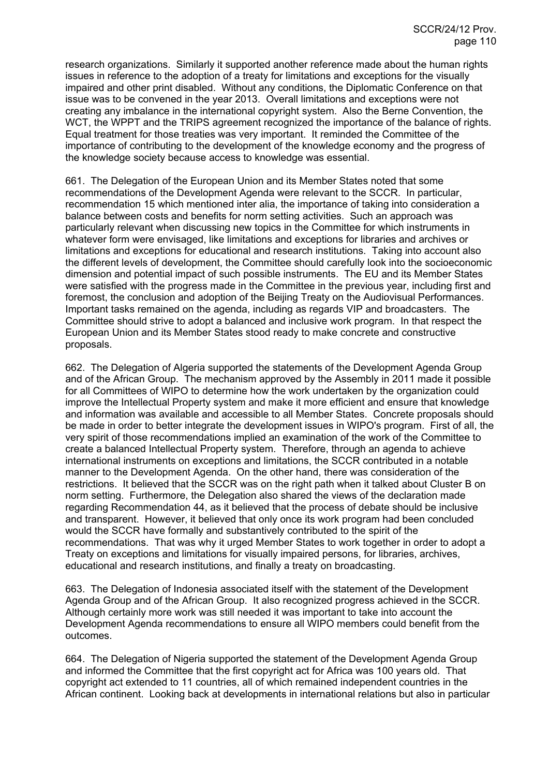research organizations. Similarly it supported another reference made about the human rights issues in reference to the adoption of a treaty for limitations and exceptions for the visually impaired and other print disabled. Without any conditions, the Diplomatic Conference on that issue was to be convened in the year 2013. Overall limitations and exceptions were not creating any imbalance in the international copyright system. Also the Berne Convention, the WCT, the WPPT and the TRIPS agreement recognized the importance of the balance of rights. Equal treatment for those treaties was very important. It reminded the Committee of the importance of contributing to the development of the knowledge economy and the progress of the knowledge society because access to knowledge was essential.

661. The Delegation of the European Union and its Member States noted that some recommendations of the Development Agenda were relevant to the SCCR. In particular, recommendation 15 which mentioned inter alia, the importance of taking into consideration a balance between costs and benefits for norm setting activities. Such an approach was particularly relevant when discussing new topics in the Committee for which instruments in whatever form were envisaged, like limitations and exceptions for libraries and archives or limitations and exceptions for educational and research institutions. Taking into account also the different levels of development, the Committee should carefully look into the socioeconomic dimension and potential impact of such possible instruments. The EU and its Member States were satisfied with the progress made in the Committee in the previous year, including first and foremost, the conclusion and adoption of the Beijing Treaty on the Audiovisual Performances. Important tasks remained on the agenda, including as regards VIP and broadcasters. The Committee should strive to adopt a balanced and inclusive work program. In that respect the European Union and its Member States stood ready to make concrete and constructive proposals.

662. The Delegation of Algeria supported the statements of the Development Agenda Group and of the African Group. The mechanism approved by the Assembly in 2011 made it possible for all Committees of WIPO to determine how the work undertaken by the organization could improve the Intellectual Property system and make it more efficient and ensure that knowledge and information was available and accessible to all Member States. Concrete proposals should be made in order to better integrate the development issues in WIPO's program. First of all, the very spirit of those recommendations implied an examination of the work of the Committee to create a balanced Intellectual Property system. Therefore, through an agenda to achieve international instruments on exceptions and limitations, the SCCR contributed in a notable manner to the Development Agenda. On the other hand, there was consideration of the restrictions. It believed that the SCCR was on the right path when it talked about Cluster B on norm setting. Furthermore, the Delegation also shared the views of the declaration made regarding Recommendation 44, as it believed that the process of debate should be inclusive and transparent. However, it believed that only once its work program had been concluded would the SCCR have formally and substantively contributed to the spirit of the recommendations. That was why it urged Member States to work together in order to adopt a Treaty on exceptions and limitations for visually impaired persons, for libraries, archives, educational and research institutions, and finally a treaty on broadcasting.

663. The Delegation of Indonesia associated itself with the statement of the Development Agenda Group and of the African Group. It also recognized progress achieved in the SCCR. Although certainly more work was still needed it was important to take into account the Development Agenda recommendations to ensure all WIPO members could benefit from the outcomes.

664. The Delegation of Nigeria supported the statement of the Development Agenda Group and informed the Committee that the first copyright act for Africa was 100 years old. That copyright act extended to 11 countries, all of which remained independent countries in the African continent. Looking back at developments in international relations but also in particular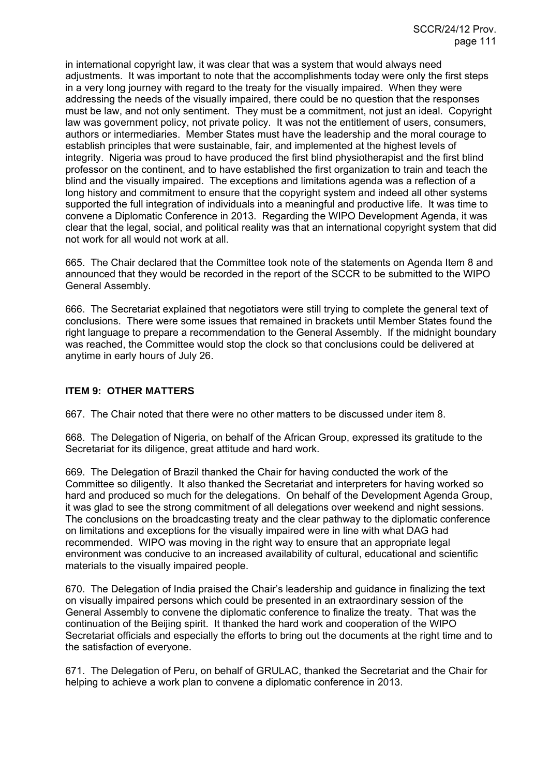in international copyright law, it was clear that was a system that would always need adjustments. It was important to note that the accomplishments today were only the first steps in a very long journey with regard to the treaty for the visually impaired. When they were addressing the needs of the visually impaired, there could be no question that the responses must be law, and not only sentiment. They must be a commitment, not just an ideal. Copyright law was government policy, not private policy. It was not the entitlement of users, consumers, authors or intermediaries. Member States must have the leadership and the moral courage to establish principles that were sustainable, fair, and implemented at the highest levels of integrity. Nigeria was proud to have produced the first blind physiotherapist and the first blind professor on the continent, and to have established the first organization to train and teach the blind and the visually impaired. The exceptions and limitations agenda was a reflection of a long history and commitment to ensure that the copyright system and indeed all other systems supported the full integration of individuals into a meaningful and productive life. It was time to convene a Diplomatic Conference in 2013. Regarding the WIPO Development Agenda, it was clear that the legal, social, and political reality was that an international copyright system that did not work for all would not work at all.

665. The Chair declared that the Committee took note of the statements on Agenda Item 8 and announced that they would be recorded in the report of the SCCR to be submitted to the WIPO General Assembly.

666. The Secretariat explained that negotiators were still trying to complete the general text of conclusions. There were some issues that remained in brackets until Member States found the right language to prepare a recommendation to the General Assembly. If the midnight boundary was reached, the Committee would stop the clock so that conclusions could be delivered at anytime in early hours of July 26.

# **ITEM 9: OTHER MATTERS**

667. The Chair noted that there were no other matters to be discussed under item 8.

668. The Delegation of Nigeria, on behalf of the African Group, expressed its gratitude to the Secretariat for its diligence, great attitude and hard work.

669. The Delegation of Brazil thanked the Chair for having conducted the work of the Committee so diligently. It also thanked the Secretariat and interpreters for having worked so hard and produced so much for the delegations. On behalf of the Development Agenda Group, it was glad to see the strong commitment of all delegations over weekend and night sessions. The conclusions on the broadcasting treaty and the clear pathway to the diplomatic conference on limitations and exceptions for the visually impaired were in line with what DAG had recommended. WIPO was moving in the right way to ensure that an appropriate legal environment was conducive to an increased availability of cultural, educational and scientific materials to the visually impaired people.

670. The Delegation of India praised the Chair's leadership and guidance in finalizing the text on visually impaired persons which could be presented in an extraordinary session of the General Assembly to convene the diplomatic conference to finalize the treaty. That was the continuation of the Beijing spirit. It thanked the hard work and cooperation of the WIPO Secretariat officials and especially the efforts to bring out the documents at the right time and to the satisfaction of everyone.

671. The Delegation of Peru, on behalf of GRULAC, thanked the Secretariat and the Chair for helping to achieve a work plan to convene a diplomatic conference in 2013.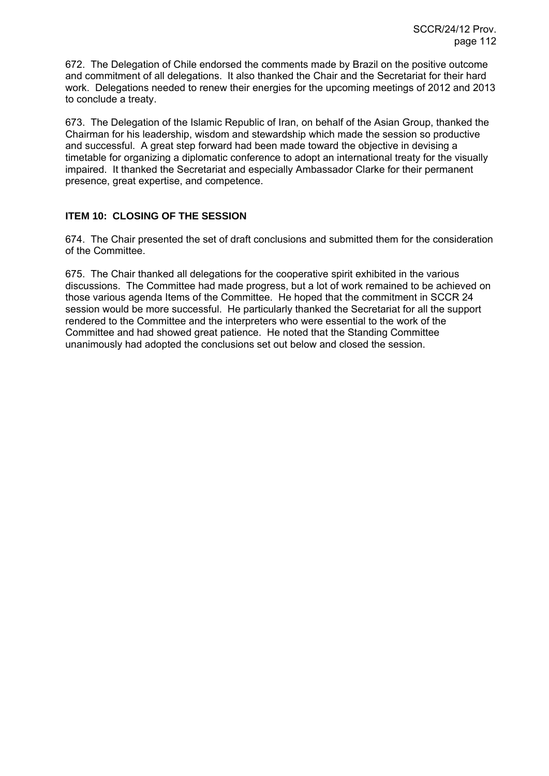672. The Delegation of Chile endorsed the comments made by Brazil on the positive outcome and commitment of all delegations. It also thanked the Chair and the Secretariat for their hard work. Delegations needed to renew their energies for the upcoming meetings of 2012 and 2013 to conclude a treaty.

673. The Delegation of the Islamic Republic of Iran, on behalf of the Asian Group, thanked the Chairman for his leadership, wisdom and stewardship which made the session so productive and successful. A great step forward had been made toward the objective in devising a timetable for organizing a diplomatic conference to adopt an international treaty for the visually impaired. It thanked the Secretariat and especially Ambassador Clarke for their permanent presence, great expertise, and competence.

# **ITEM 10: CLOSING OF THE SESSION**

674. The Chair presented the set of draft conclusions and submitted them for the consideration of the Committee.

675. The Chair thanked all delegations for the cooperative spirit exhibited in the various discussions. The Committee had made progress, but a lot of work remained to be achieved on those various agenda Items of the Committee. He hoped that the commitment in SCCR 24 session would be more successful. He particularly thanked the Secretariat for all the support rendered to the Committee and the interpreters who were essential to the work of the Committee and had showed great patience. He noted that the Standing Committee unanimously had adopted the conclusions set out below and closed the session.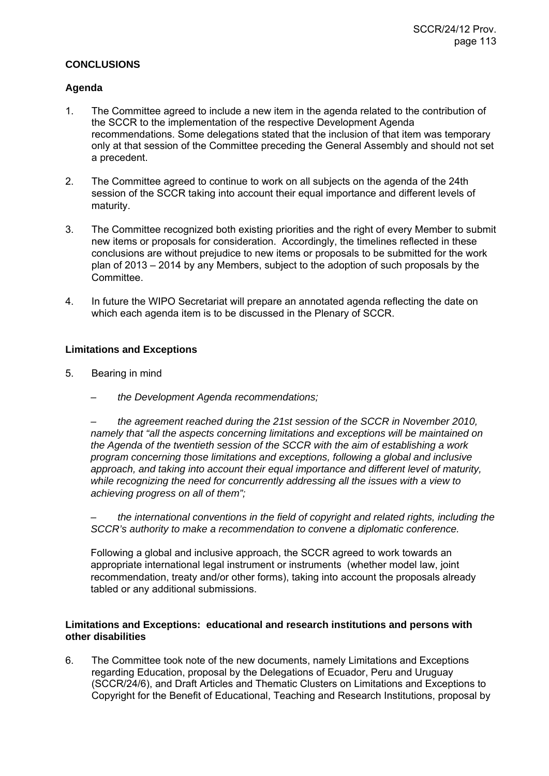## **CONCLUSIONS**

## **Agenda**

- 1. The Committee agreed to include a new item in the agenda related to the contribution of the SCCR to the implementation of the respective Development Agenda recommendations. Some delegations stated that the inclusion of that item was temporary only at that session of the Committee preceding the General Assembly and should not set a precedent.
- 2. The Committee agreed to continue to work on all subjects on the agenda of the 24th session of the SCCR taking into account their equal importance and different levels of maturity.
- 3. The Committee recognized both existing priorities and the right of every Member to submit new items or proposals for consideration. Accordingly, the timelines reflected in these conclusions are without prejudice to new items or proposals to be submitted for the work plan of 2013 – 2014 by any Members, subject to the adoption of such proposals by the Committee.
- 4. In future the WIPO Secretariat will prepare an annotated agenda reflecting the date on which each agenda item is to be discussed in the Plenary of SCCR.

# **Limitations and Exceptions**

- 5. Bearing in mind
	- *the Development Agenda recommendations;*

*– the agreement reached during the 21st session of the SCCR in November 2010, namely that "all the aspects concerning limitations and exceptions will be maintained on the Agenda of the twentieth session of the SCCR with the aim of establishing a work program concerning those limitations and exceptions, following a global and inclusive approach, and taking into account their equal importance and different level of maturity, while recognizing the need for concurrently addressing all the issues with a view to achieving progress on all of them";* 

*– the international conventions in the field of copyright and related rights, including the SCCR's authority to make a recommendation to convene a diplomatic conference.* 

Following a global and inclusive approach, the SCCR agreed to work towards an appropriate international legal instrument or instruments (whether model law, joint recommendation, treaty and/or other forms), taking into account the proposals already tabled or any additional submissions.

# **Limitations and Exceptions: educational and research institutions and persons with other disabilities**

6. The Committee took note of the new documents, namely Limitations and Exceptions regarding Education, proposal by the Delegations of Ecuador, Peru and Uruguay (SCCR/24/6), and Draft Articles and Thematic Clusters on Limitations and Exceptions to Copyright for the Benefit of Educational, Teaching and Research Institutions, proposal by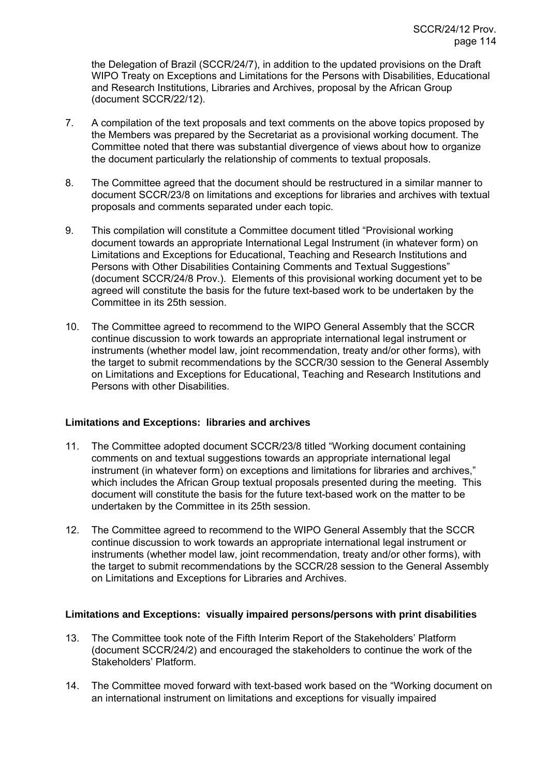the Delegation of Brazil (SCCR/24/7), in addition to the updated provisions on the Draft WIPO Treaty on Exceptions and Limitations for the Persons with Disabilities, Educational and Research Institutions, Libraries and Archives, proposal by the African Group (document SCCR/22/12).

- 7. A compilation of the text proposals and text comments on the above topics proposed by the Members was prepared by the Secretariat as a provisional working document. The Committee noted that there was substantial divergence of views about how to organize the document particularly the relationship of comments to textual proposals.
- 8. The Committee agreed that the document should be restructured in a similar manner to document SCCR/23/8 on limitations and exceptions for libraries and archives with textual proposals and comments separated under each topic.
- 9. This compilation will constitute a Committee document titled "Provisional working document towards an appropriate International Legal Instrument (in whatever form) on Limitations and Exceptions for Educational, Teaching and Research Institutions and Persons with Other Disabilities Containing Comments and Textual Suggestions" (document SCCR/24/8 Prov.). Elements of this provisional working document yet to be agreed will constitute the basis for the future text-based work to be undertaken by the Committee in its 25th session.
- 10. The Committee agreed to recommend to the WIPO General Assembly that the SCCR continue discussion to work towards an appropriate international legal instrument or instruments (whether model law, joint recommendation, treaty and/or other forms), with the target to submit recommendations by the SCCR/30 session to the General Assembly on Limitations and Exceptions for Educational, Teaching and Research Institutions and Persons with other Disabilities.

## **Limitations and Exceptions: libraries and archives**

- 11. The Committee adopted document SCCR/23/8 titled "Working document containing comments on and textual suggestions towards an appropriate international legal instrument (in whatever form) on exceptions and limitations for libraries and archives," which includes the African Group textual proposals presented during the meeting. This document will constitute the basis for the future text-based work on the matter to be undertaken by the Committee in its 25th session.
- 12. The Committee agreed to recommend to the WIPO General Assembly that the SCCR continue discussion to work towards an appropriate international legal instrument or instruments (whether model law, joint recommendation, treaty and/or other forms), with the target to submit recommendations by the SCCR/28 session to the General Assembly on Limitations and Exceptions for Libraries and Archives.

## **Limitations and Exceptions: visually impaired persons/persons with print disabilities**

- 13. The Committee took note of the Fifth Interim Report of the Stakeholders' Platform (document SCCR/24/2) and encouraged the stakeholders to continue the work of the Stakeholders' Platform.
- 14. The Committee moved forward with text-based work based on the "Working document on an international instrument on limitations and exceptions for visually impaired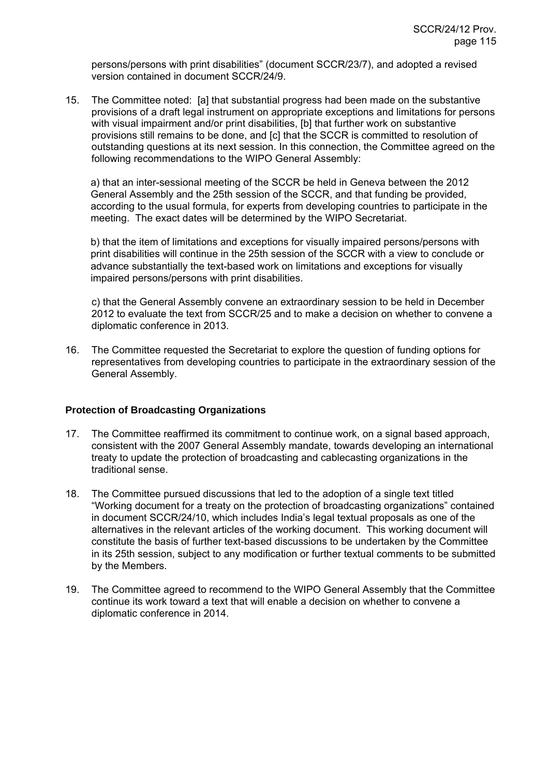persons/persons with print disabilities" (document SCCR/23/7), and adopted a revised version contained in document SCCR/24/9.

15. The Committee noted: [a] that substantial progress had been made on the substantive provisions of a draft legal instrument on appropriate exceptions and limitations for persons with visual impairment and/or print disabilities, [b] that further work on substantive provisions still remains to be done, and [c] that the SCCR is committed to resolution of outstanding questions at its next session. In this connection, the Committee agreed on the following recommendations to the WIPO General Assembly:

a) that an inter-sessional meeting of the SCCR be held in Geneva between the 2012 General Assembly and the 25th session of the SCCR, and that funding be provided, according to the usual formula, for experts from developing countries to participate in the meeting. The exact dates will be determined by the WIPO Secretariat.

b) that the item of limitations and exceptions for visually impaired persons/persons with print disabilities will continue in the 25th session of the SCCR with a view to conclude or advance substantially the text-based work on limitations and exceptions for visually impaired persons/persons with print disabilities.

c) that the General Assembly convene an extraordinary session to be held in December 2012 to evaluate the text from SCCR/25 and to make a decision on whether to convene a diplomatic conference in 2013.

16. The Committee requested the Secretariat to explore the question of funding options for representatives from developing countries to participate in the extraordinary session of the General Assembly.

## **Protection of Broadcasting Organizations**

- 17. The Committee reaffirmed its commitment to continue work, on a signal based approach, consistent with the 2007 General Assembly mandate, towards developing an international treaty to update the protection of broadcasting and cablecasting organizations in the traditional sense.
- 18. The Committee pursued discussions that led to the adoption of a single text titled "Working document for a treaty on the protection of broadcasting organizations" contained in document SCCR/24/10, which includes India's legal textual proposals as one of the alternatives in the relevant articles of the working document. This working document will constitute the basis of further text-based discussions to be undertaken by the Committee in its 25th session, subject to any modification or further textual comments to be submitted by the Members.
- 19. The Committee agreed to recommend to the WIPO General Assembly that the Committee continue its work toward a text that will enable a decision on whether to convene a diplomatic conference in 2014.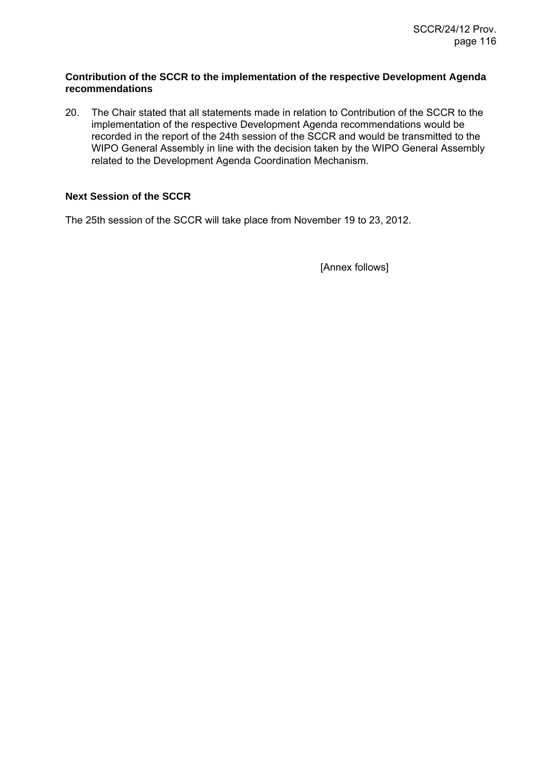### **Contribution of the SCCR to the implementation of the respective Development Agenda recommendations**

20. The Chair stated that all statements made in relation to Contribution of the SCCR to the implementation of the respective Development Agenda recommendations would be recorded in the report of the 24th session of the SCCR and would be transmitted to the WIPO General Assembly in line with the decision taken by the WIPO General Assembly related to the Development Agenda Coordination Mechanism.

# **Next Session of the SCCR**

The 25th session of the SCCR will take place from November 19 to 23, 2012.

[Annex follows]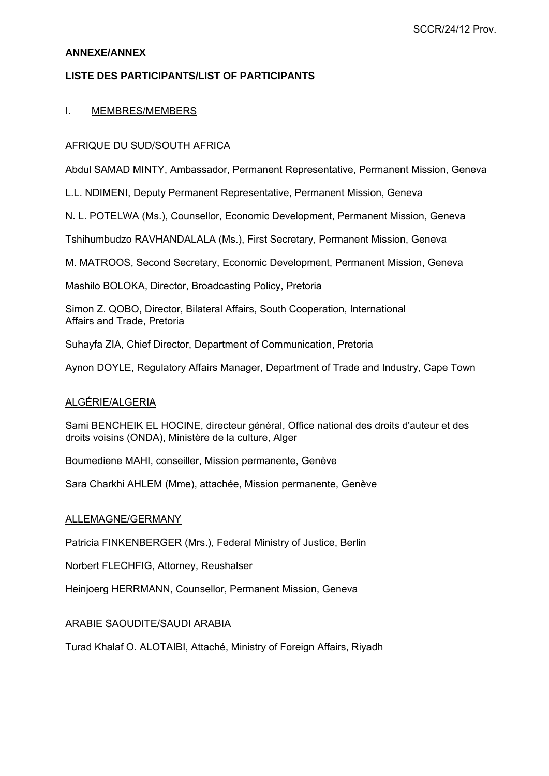### **ANNEXE/ANNEX**

# **LISTE DES PARTICIPANTS/LIST OF PARTICIPANTS**

### I. MEMBRES/MEMBERS

### AFRIQUE DU SUD/SOUTH AFRICA

Abdul SAMAD MINTY, Ambassador, Permanent Representative, Permanent Mission, Geneva

L.L. NDIMENI, Deputy Permanent Representative, Permanent Mission, Geneva

N. L. POTELWA (Ms.), Counsellor, Economic Development, Permanent Mission, Geneva

Tshihumbudzo RAVHANDALALA (Ms.), First Secretary, Permanent Mission, Geneva

M. MATROOS, Second Secretary, Economic Development, Permanent Mission, Geneva

Mashilo BOLOKA, Director, Broadcasting Policy, Pretoria

Simon Z. QOBO, Director, Bilateral Affairs, South Cooperation, International Affairs and Trade, Pretoria

Suhayfa ZIA, Chief Director, Department of Communication, Pretoria

Aynon DOYLE, Regulatory Affairs Manager, Department of Trade and Industry, Cape Town

#### ALGÉRIE/ALGERIA

Sami BENCHEIK EL HOCINE, directeur général, Office national des droits d'auteur et des droits voisins (ONDA), Ministère de la culture, Alger

Boumediene MAHI, conseiller, Mission permanente, Genève

Sara Charkhi AHLEM (Mme), attachée, Mission permanente, Genève

#### ALLEMAGNE/GERMANY

Patricia FINKENBERGER (Mrs.), Federal Ministry of Justice, Berlin

Norbert FLECHFIG, Attorney, Reushalser

Heinjoerg HERRMANN, Counsellor, Permanent Mission, Geneva

## ARABIE SAOUDITE/SAUDI ARABIA

Turad Khalaf O. ALOTAIBI, Attaché, Ministry of Foreign Affairs, Riyadh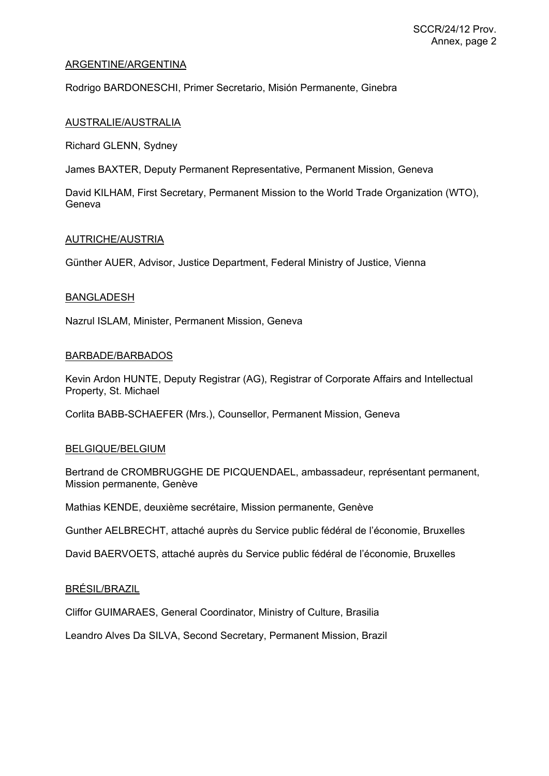### ARGENTINE/ARGENTINA

Rodrigo BARDONESCHI, Primer Secretario, Misión Permanente, Ginebra

#### AUSTRALIE/AUSTRALIA

Richard GLENN, Sydney

James BAXTER, Deputy Permanent Representative, Permanent Mission, Geneva

David KILHAM, First Secretary, Permanent Mission to the World Trade Organization (WTO), Geneva

#### AUTRICHE/AUSTRIA

Günther AUER, Advisor, Justice Department, Federal Ministry of Justice, Vienna

#### BANGLADESH

Nazrul ISLAM, Minister, Permanent Mission, Geneva

#### BARBADE/BARBADOS

Kevin Ardon HUNTE, Deputy Registrar (AG), Registrar of Corporate Affairs and Intellectual Property, St. Michael

Corlita BABB-SCHAEFER (Mrs.), Counsellor, Permanent Mission, Geneva

#### BELGIQUE/BELGIUM

Bertrand de CROMBRUGGHE DE PICQUENDAEL, ambassadeur, représentant permanent, Mission permanente, Genève

Mathias KENDE, deuxième secrétaire, Mission permanente, Genève

Gunther AELBRECHT, attaché auprès du Service public fédéral de l'économie, Bruxelles

David BAERVOETS, attaché auprès du Service public fédéral de l'économie, Bruxelles

### BRÉSIL/BRAZIL

Cliffor GUIMARAES, General Coordinator, Ministry of Culture, Brasilia

Leandro Alves Da SILVA, Second Secretary, Permanent Mission, Brazil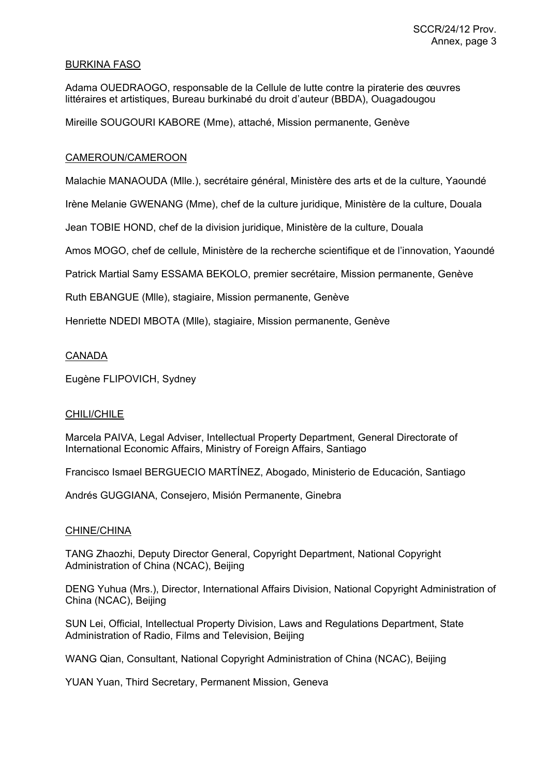### BURKINA FASO

Adama OUEDRAOGO, responsable de la Cellule de lutte contre la piraterie des œuvres littéraires et artistiques, Bureau burkinabé du droit d'auteur (BBDA), Ouagadougou

Mireille SOUGOURI KABORE (Mme), attaché, Mission permanente, Genève

### CAMEROUN/CAMEROON

Malachie MANAOUDA (Mlle.), secrétaire général, Ministère des arts et de la culture, Yaoundé

Irène Melanie GWENANG (Mme), chef de la culture juridique, Ministère de la culture, Douala

Jean TOBIE HOND, chef de la division juridique, Ministère de la culture, Douala

Amos MOGO, chef de cellule, Ministère de la recherche scientifique et de l'innovation, Yaoundé

Patrick Martial Samy ESSAMA BEKOLO, premier secrétaire, Mission permanente, Genève

Ruth EBANGUE (Mlle), stagiaire, Mission permanente, Genève

Henriette NDEDI MBOTA (Mlle), stagiaire, Mission permanente, Genève

#### CANADA

Eugène FLIPOVICH, Sydney

#### CHILI/CHILE

Marcela PAIVA, Legal Adviser, Intellectual Property Department, General Directorate of International Economic Affairs, Ministry of Foreign Affairs, Santiago

Francisco Ismael BERGUECIO MARTÍNEZ, Abogado, Ministerio de Educación, Santiago

Andrés GUGGIANA, Consejero, Misión Permanente, Ginebra

#### CHINE/CHINA

TANG Zhaozhi, Deputy Director General, Copyright Department, National Copyright Administration of China (NCAC), Beijing

DENG Yuhua (Mrs.), Director, International Affairs Division, National Copyright Administration of China (NCAC), Beijing

SUN Lei, Official, Intellectual Property Division, Laws and Regulations Department, State Administration of Radio, Films and Television, Beijing

WANG Qian, Consultant, National Copyright Administration of China (NCAC), Beijing

YUAN Yuan, Third Secretary, Permanent Mission, Geneva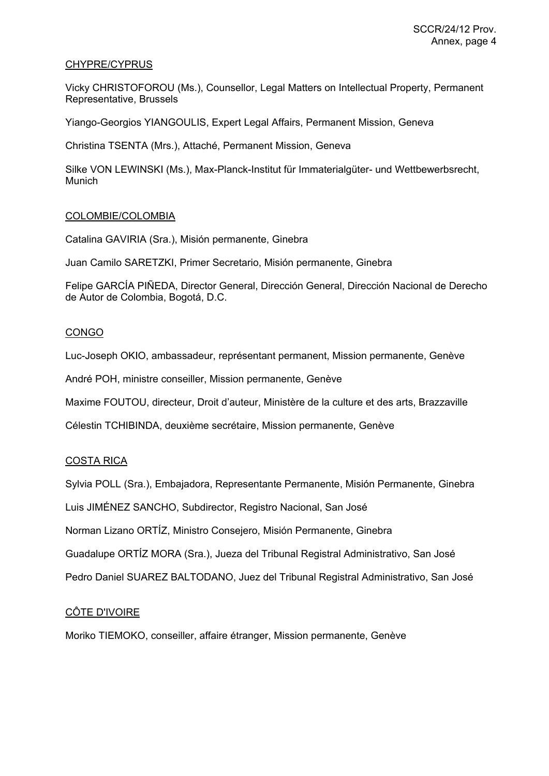## CHYPRE/CYPRUS

Vicky CHRISTOFOROU (Ms.), Counsellor, Legal Matters on Intellectual Property, Permanent Representative, Brussels

Yiango-Georgios YIANGOULIS, Expert Legal Affairs, Permanent Mission, Geneva

Christina TSENTA (Mrs.), Attaché, Permanent Mission, Geneva

Silke VON LEWINSKI (Ms.), Max-Planck-Institut für Immaterialgüter- und Wettbewerbsrecht, Munich

### COLOMBIE/COLOMBIA

Catalina GAVIRIA (Sra.), Misión permanente, Ginebra

Juan Camilo SARETZKI, Primer Secretario, Misión permanente, Ginebra

Felipe GARCÍA PIÑEDA, Director General, Dirección General, Dirección Nacional de Derecho de Autor de Colombia, Bogotá, D.C.

### **CONGO**

Luc-Joseph OKIO, ambassadeur, représentant permanent, Mission permanente, Genève

André POH, ministre conseiller, Mission permanente, Genève

Maxime FOUTOU, directeur, Droit d'auteur, Ministère de la culture et des arts, Brazzaville

Célestin TCHIBINDA, deuxième secrétaire, Mission permanente, Genève

## COSTA RICA

Sylvia POLL (Sra.), Embajadora, Representante Permanente, Misión Permanente, Ginebra

Luis JIMÉNEZ SANCHO, Subdirector, Registro Nacional, San José

Norman Lizano ORTÍZ, Ministro Consejero, Misión Permanente, Ginebra

Guadalupe ORTÍZ MORA (Sra.), Jueza del Tribunal Registral Administrativo, San José

Pedro Daniel SUAREZ BALTODANO, Juez del Tribunal Registral Administrativo, San José

## CÔTE D'IVOIRE

Moriko TIEMOKO, conseiller, affaire étranger, Mission permanente, Genève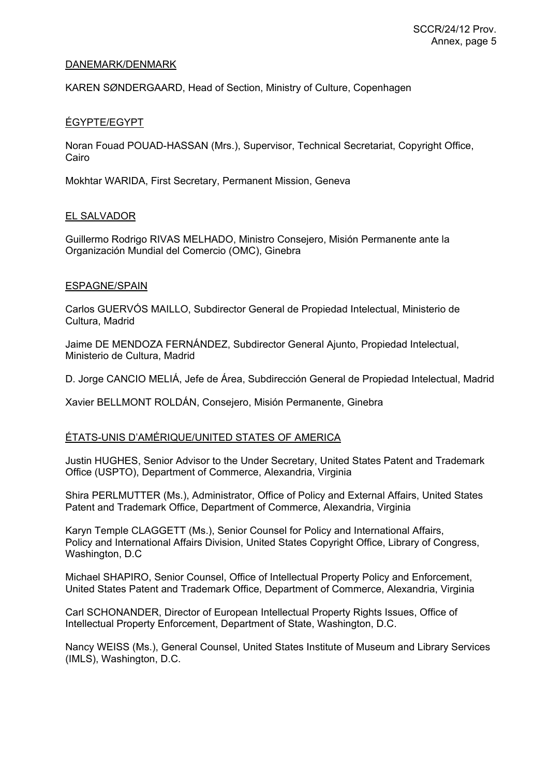### DANEMARK/DENMARK

KAREN SØNDERGAARD, Head of Section, Ministry of Culture, Copenhagen

### ÉGYPTE/EGYPT

Noran Fouad POUAD-HASSAN (Mrs.), Supervisor, Technical Secretariat, Copyright Office, Cairo

Mokhtar WARIDA, First Secretary, Permanent Mission, Geneva

#### EL SALVADOR

Guillermo Rodrigo RIVAS MELHADO, Ministro Consejero, Misión Permanente ante la Organización Mundial del Comercio (OMC), Ginebra

#### ESPAGNE/SPAIN

Carlos GUERVÓS MAILLO, Subdirector General de Propiedad Intelectual, Ministerio de Cultura, Madrid

Jaime DE MENDOZA FERNÁNDEZ, Subdirector General Ajunto, Propiedad Intelectual, Ministerio de Cultura, Madrid

D. Jorge CANCIO MELIÁ, Jefe de Área, Subdirección General de Propiedad Intelectual, Madrid

Xavier BELLMONT ROLDÁN, Consejero, Misión Permanente, Ginebra

#### ÉTATS-UNIS D'AMÉRIQUE/UNITED STATES OF AMERICA

Justin HUGHES, Senior Advisor to the Under Secretary, United States Patent and Trademark Office (USPTO), Department of Commerce, Alexandria, Virginia

Shira PERLMUTTER (Ms.), Administrator, Office of Policy and External Affairs, United States Patent and Trademark Office, Department of Commerce, Alexandria, Virginia

Karyn Temple CLAGGETT (Ms.), Senior Counsel for Policy and International Affairs, Policy and International Affairs Division, United States Copyright Office, Library of Congress, Washington, D.C

Michael SHAPIRO, Senior Counsel, Office of Intellectual Property Policy and Enforcement, United States Patent and Trademark Office, Department of Commerce, Alexandria, Virginia

Carl SCHONANDER, Director of European Intellectual Property Rights Issues, Office of Intellectual Property Enforcement, Department of State, Washington, D.C.

Nancy WEISS (Ms.), General Counsel, United States Institute of Museum and Library Services (IMLS), Washington, D.C.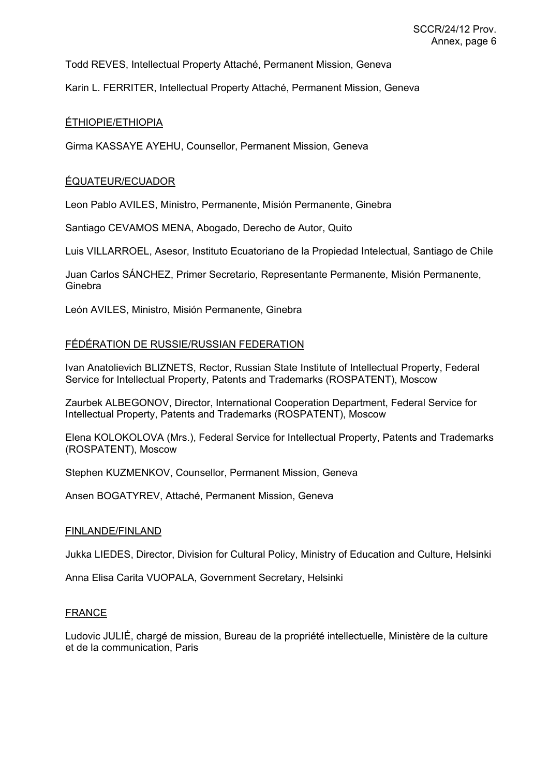Todd REVES, Intellectual Property Attaché, Permanent Mission, Geneva

Karin L. FERRITER, Intellectual Property Attaché, Permanent Mission, Geneva

### ÉTHIOPIE/ETHIOPIA

Girma KASSAYE AYEHU, Counsellor, Permanent Mission, Geneva

### ÉQUATEUR/ECUADOR

Leon Pablo AVILES, Ministro, Permanente, Misión Permanente, Ginebra

Santiago CEVAMOS MENA, Abogado, Derecho de Autor, Quito

Luis VILLARROEL, Asesor, Instituto Ecuatoriano de la Propiedad Intelectual, Santiago de Chile

Juan Carlos SÁNCHEZ, Primer Secretario, Representante Permanente, Misión Permanente, Ginebra

León AVILES, Ministro, Misión Permanente, Ginebra

### FÉDÉRATION DE RUSSIE/RUSSIAN FEDERATION

Ivan Anatolievich BLIZNETS, Rector, Russian State Institute of Intellectual Property, Federal Service for Intellectual Property, Patents and Trademarks (ROSPATENT), Moscow

Zaurbek ALBEGONOV, Director, International Cooperation Department, Federal Service for Intellectual Property, Patents and Trademarks (ROSPATENT), Moscow

Elena KOLOKOLOVA (Mrs.), Federal Service for Intellectual Property, Patents and Trademarks (ROSPATENT), Moscow

Stephen KUZMENKOV, Counsellor, Permanent Mission, Geneva

Ansen BOGATYREV, Attaché, Permanent Mission, Geneva

#### FINLANDE/FINLAND

Jukka LIEDES, Director, Division for Cultural Policy, Ministry of Education and Culture, Helsinki

Anna Elisa Carita VUOPALA, Government Secretary, Helsinki

#### FRANCE

Ludovic JULIÉ, chargé de mission, Bureau de la propriété intellectuelle, Ministère de la culture et de la communication, Paris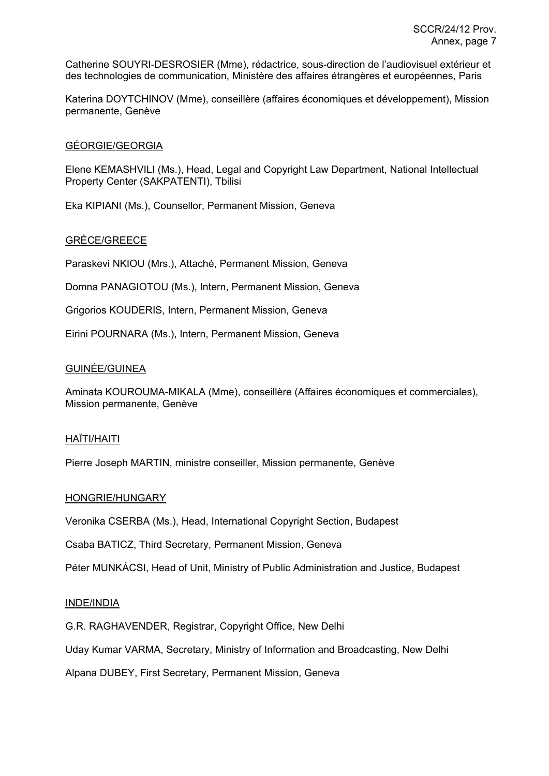Catherine SOUYRI-DESROSIER (Mme), rédactrice, sous-direction de l'audiovisuel extérieur et des technologies de communication, Ministère des affaires étrangères et européennes, Paris

Katerina DOYTCHINOV (Mme), conseillère (affaires économiques et développement), Mission permanente, Genève

## GÉORGIE/GEORGIA

Elene KEMASHVILI (Ms.), Head, Legal and Copyright Law Department, National Intellectual Property Center (SAKPATENTI), Tbilisi

Eka KIPIANI (Ms.), Counsellor, Permanent Mission, Geneva

## GRÈCE/GREECE

Paraskevi NKIOU (Mrs.), Attaché, Permanent Mission, Geneva

Domna PANAGIOTOU (Ms.), Intern, Permanent Mission, Geneva

Grigorios KOUDERIS, Intern, Permanent Mission, Geneva

Eirini POURNARA (Ms.), Intern, Permanent Mission, Geneva

### GUINÉE/GUINEA

Aminata KOUROUMA-MIKALA (Mme), conseillère (Affaires économiques et commerciales), Mission permanente, Genève

#### HAÏTI/HAITI

Pierre Joseph MARTIN, ministre conseiller, Mission permanente, Genève

#### HONGRIE/HUNGARY

Veronika CSERBA (Ms.), Head, International Copyright Section, Budapest

Csaba BATICZ, Third Secretary, Permanent Mission, Geneva

Péter MUNKÁCSI, Head of Unit, Ministry of Public Administration and Justice, Budapest

#### INDE/INDIA

G.R. RAGHAVENDER, Registrar, Copyright Office, New Delhi

Uday Kumar VARMA, Secretary, Ministry of Information and Broadcasting, New Delhi

Alpana DUBEY, First Secretary, Permanent Mission, Geneva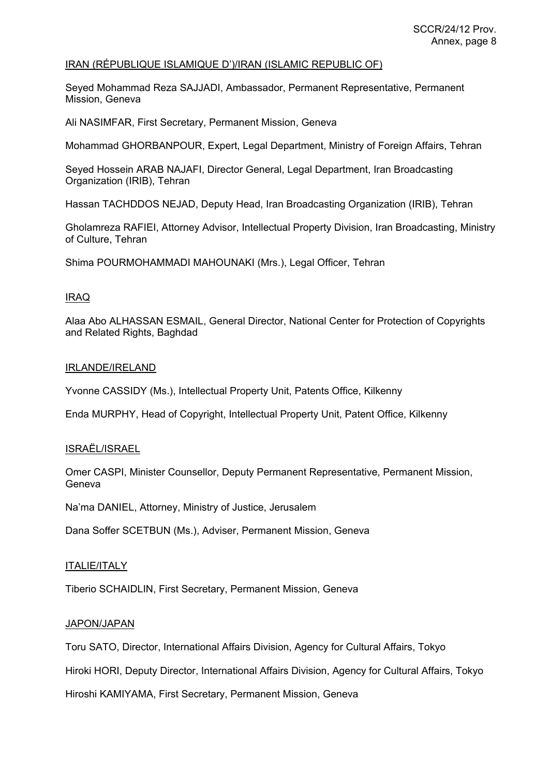### IRAN (RÉPUBLIQUE ISLAMIQUE D')/IRAN (ISLAMIC REPUBLIC OF)

Seyed Mohammad Reza SAJJADI, Ambassador, Permanent Representative, Permanent Mission, Geneva

Ali NASIMFAR, First Secretary, Permanent Mission, Geneva

Mohammad GHORBANPOUR, Expert, Legal Department, Ministry of Foreign Affairs, Tehran

Seyed Hossein ARAB NAJAFI, Director General, Legal Department, Iran Broadcasting Organization (IRIB), Tehran

Hassan TACHDDOS NEJAD, Deputy Head, Iran Broadcasting Organization (IRIB), Tehran

Gholamreza RAFIEI, Attorney Advisor, Intellectual Property Division, Iran Broadcasting, Ministry of Culture, Tehran

Shima POURMOHAMMADI MAHOUNAKI (Mrs.), Legal Officer, Tehran

## IRAQ

Alaa Abo ALHASSAN ESMAIL, General Director, National Center for Protection of Copyrights and Related Rights, Baghdad

#### IRLANDE/IRELAND

Yvonne CASSIDY (Ms.), Intellectual Property Unit, Patents Office, Kilkenny

Enda MURPHY, Head of Copyright, Intellectual Property Unit, Patent Office, Kilkenny

#### ISRAËL/ISRAEL

Omer CASPI, Minister Counsellor, Deputy Permanent Representative, Permanent Mission, Geneva

Na'ma DANIEL, Attorney, Ministry of Justice, Jerusalem

Dana Soffer SCETBUN (Ms.), Adviser, Permanent Mission, Geneva

#### ITALIE/ITALY

Tiberio SCHAIDLIN, First Secretary, Permanent Mission, Geneva

## JAPON/JAPAN

Toru SATO, Director, International Affairs Division, Agency for Cultural Affairs, Tokyo

Hiroki HORI, Deputy Director, International Affairs Division, Agency for Cultural Affairs, Tokyo

Hiroshi KAMIYAMA, First Secretary, Permanent Mission, Geneva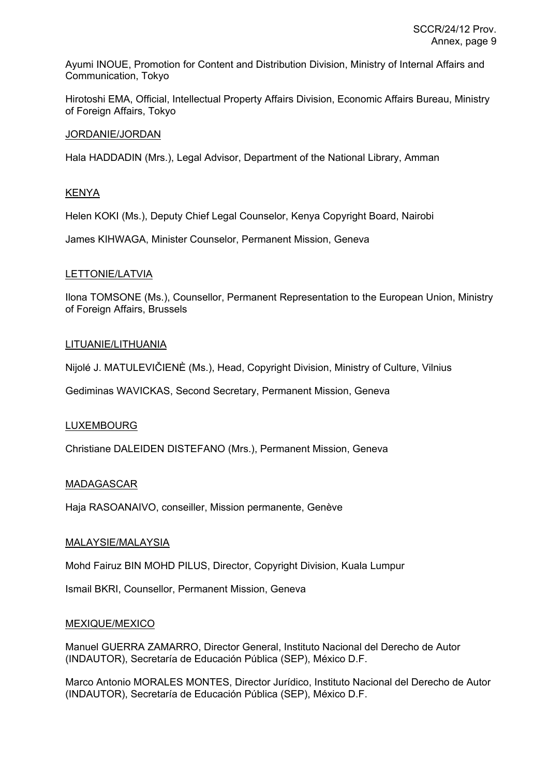Ayumi INOUE, Promotion for Content and Distribution Division, Ministry of Internal Affairs and Communication, Tokyo

Hirotoshi EMA, Official, Intellectual Property Affairs Division, Economic Affairs Bureau, Ministry of Foreign Affairs, Tokyo

### JORDANIE/JORDAN

Hala HADDADIN (Mrs.), Legal Advisor, Department of the National Library, Amman

### **KENYA**

Helen KOKI (Ms.), Deputy Chief Legal Counselor, Kenya Copyright Board, Nairobi

James KIHWAGA, Minister Counselor, Permanent Mission, Geneva

### LETTONIE/LATVIA

Ilona TOMSONE (Ms.), Counsellor, Permanent Representation to the European Union, Ministry of Foreign Affairs, Brussels

### LITUANIE/LITHUANIA

Nijolé J. MATULEVIČIENÈ (Ms.), Head, Copyright Division, Ministry of Culture, Vilnius

Gediminas WAVICKAS, Second Secretary, Permanent Mission, Geneva

## LUXEMBOURG

Christiane DALEIDEN DISTEFANO (Mrs.), Permanent Mission, Geneva

#### MADAGASCAR

Haja RASOANAIVO, conseiller, Mission permanente, Genève

#### MALAYSIE/MALAYSIA

Mohd Fairuz BIN MOHD PILUS, Director, Copyright Division, Kuala Lumpur

Ismail BKRI, Counsellor, Permanent Mission, Geneva

#### MEXIQUE/MEXICO

Manuel GUERRA ZAMARRO, Director General, Instituto Nacional del Derecho de Autor (INDAUTOR), Secretaría de Educación Pública (SEP), México D.F.

Marco Antonio MORALES MONTES, Director Jurídico, Instituto Nacional del Derecho de Autor (INDAUTOR), Secretaría de Educación Pública (SEP), México D.F.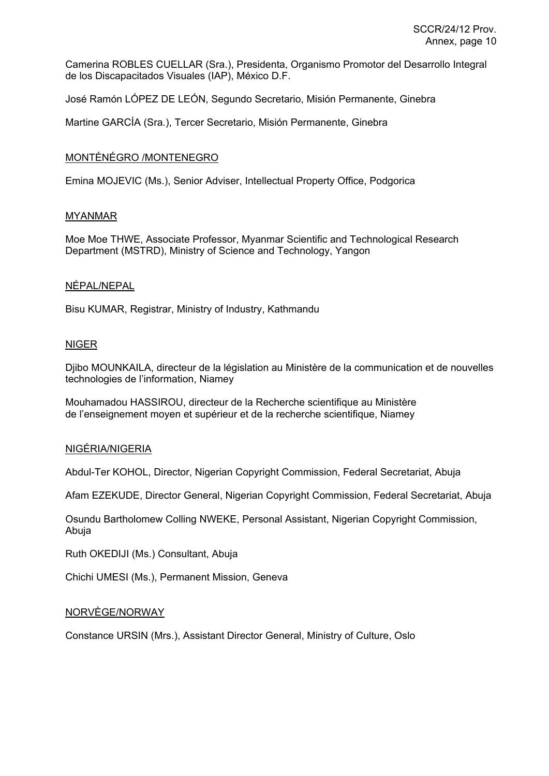Camerina ROBLES CUELLAR (Sra.), Presidenta, Organismo Promotor del Desarrollo Integral de los Discapacitados Visuales (IAP), México D.F.

José Ramón LÓPEZ DE LEÓN, Segundo Secretario, Misión Permanente, Ginebra

Martine GARCÍA (Sra.), Tercer Secretario, Misión Permanente, Ginebra

### MONTÉNÉGRO /MONTENEGRO

Emina MOJEVIC (Ms.), Senior Adviser, Intellectual Property Office, Podgorica

#### MYANMAR

Moe Moe THWE, Associate Professor, Myanmar Scientific and Technological Research Department (MSTRD), Ministry of Science and Technology, Yangon

### NÉPAL/NEPAL

Bisu KUMAR, Registrar, Ministry of Industry, Kathmandu

### NIGER

Djibo MOUNKAILA, directeur de la législation au Ministère de la communication et de nouvelles technologies de l'information, Niamey

Mouhamadou HASSIROU, directeur de la Recherche scientifique au Ministère de l'enseignement moyen et supérieur et de la recherche scientifique, Niamey

#### NIGÉRIA/NIGERIA

Abdul-Ter KOHOL, Director, Nigerian Copyright Commission, Federal Secretariat, Abuja

Afam EZEKUDE, Director General, Nigerian Copyright Commission, Federal Secretariat, Abuja

Osundu Bartholomew Colling NWEKE, Personal Assistant, Nigerian Copyright Commission, Abuja

Ruth OKEDIJI (Ms.) Consultant, Abuja

Chichi UMESI (Ms.), Permanent Mission, Geneva

### NORVÈGE/NORWAY

Constance URSIN (Mrs.), Assistant Director General, Ministry of Culture, Oslo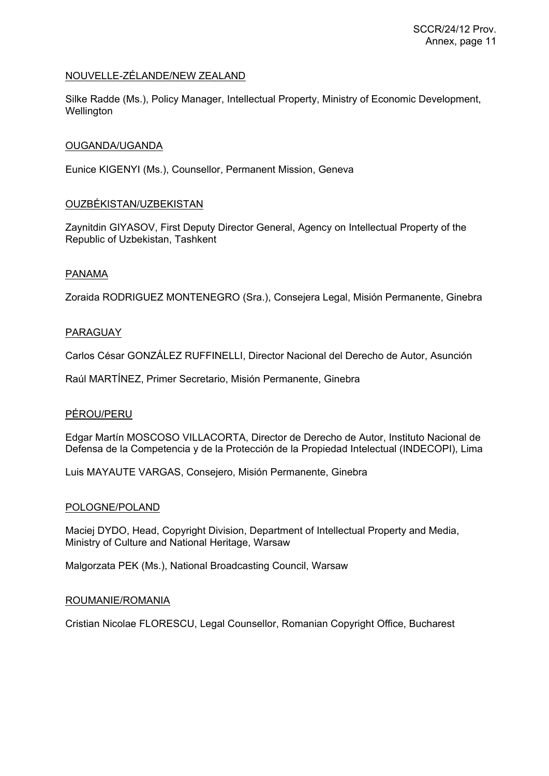## NOUVELLE-ZÉLANDE/NEW ZEALAND

Silke Radde (Ms.), Policy Manager, Intellectual Property, Ministry of Economic Development, **Wellington** 

### OUGANDA/UGANDA

Eunice KIGENYI (Ms.), Counsellor, Permanent Mission, Geneva

### OUZBÉKISTAN/UZBEKISTAN

Zaynitdin GIYASOV, First Deputy Director General, Agency on Intellectual Property of the Republic of Uzbekistan, Tashkent

### PANAMA

Zoraida RODRIGUEZ MONTENEGRO (Sra.), Consejera Legal, Misión Permanente, Ginebra

### PARAGUAY

Carlos César GONZÁLEZ RUFFINELLI, Director Nacional del Derecho de Autor, Asunción

Raúl MARTÍNEZ, Primer Secretario, Misión Permanente, Ginebra

#### PÉROU/PERU

Edgar Martín MOSCOSO VILLACORTA, Director de Derecho de Autor, Instituto Nacional de Defensa de la Competencia y de la Protección de la Propiedad Intelectual (INDECOPI), Lima

Luis MAYAUTE VARGAS, Consejero, Misión Permanente, Ginebra

#### POLOGNE/POLAND

Maciej DYDO, Head, Copyright Division, Department of Intellectual Property and Media, Ministry of Culture and National Heritage, Warsaw

Malgorzata PEK (Ms.), National Broadcasting Council, Warsaw

#### ROUMANIE/ROMANIA

Cristian Nicolae FLORESCU, Legal Counsellor, Romanian Copyright Office, Bucharest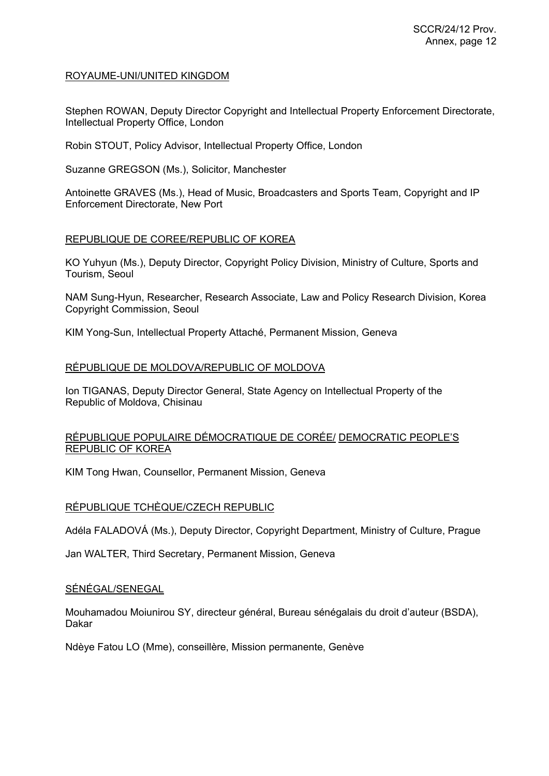# ROYAUME-UNI/UNITED KINGDOM

Stephen ROWAN, Deputy Director Copyright and Intellectual Property Enforcement Directorate, Intellectual Property Office, London

Robin STOUT, Policy Advisor, Intellectual Property Office, London

Suzanne GREGSON (Ms.), Solicitor, Manchester

Antoinette GRAVES (Ms.), Head of Music, Broadcasters and Sports Team, Copyright and IP Enforcement Directorate, New Port

## REPUBLIQUE DE COREE/REPUBLIC OF KOREA

KO Yuhyun (Ms.), Deputy Director, Copyright Policy Division, Ministry of Culture, Sports and Tourism, Seoul

NAM Sung-Hyun, Researcher, Research Associate, Law and Policy Research Division, Korea Copyright Commission, Seoul

KIM Yong-Sun, Intellectual Property Attaché, Permanent Mission, Geneva

## RÉPUBLIQUE DE MOLDOVA/REPUBLIC OF MOLDOVA

Ion TIGANAS, Deputy Director General, State Agency on Intellectual Property of the Republic of Moldova, Chisinau

## RÉPUBLIQUE POPULAIRE DÉMOCRATIQUE DE CORÉE/ DEMOCRATIC PEOPLE'S REPUBLIC OF KOREA

KIM Tong Hwan, Counsellor, Permanent Mission, Geneva

## RÉPUBLIQUE TCHÈQUE/CZECH REPUBLIC

Adéla FALADOVÁ (Ms.), Deputy Director, Copyright Department, Ministry of Culture, Prague

Jan WALTER, Third Secretary, Permanent Mission, Geneva

#### SÉNÉGAL/SENEGAL

Mouhamadou Moiunirou SY, directeur général, Bureau sénégalais du droit d'auteur (BSDA), Dakar

Ndèye Fatou LO (Mme), conseillère, Mission permanente, Genève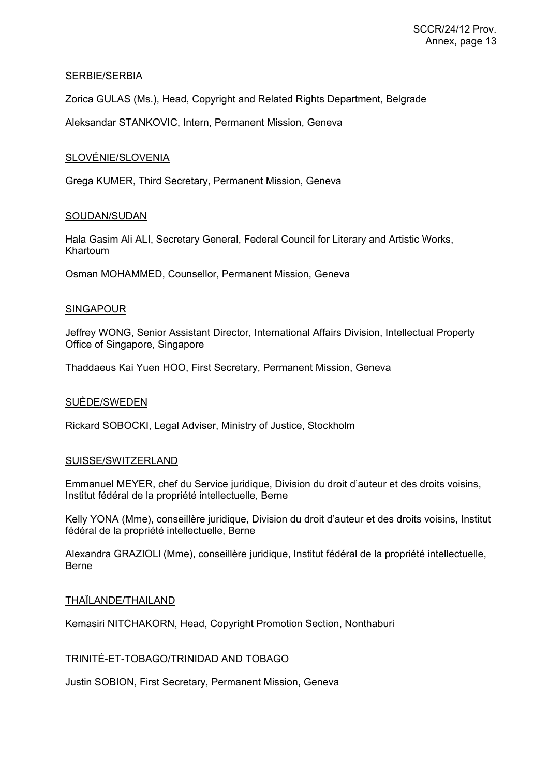### SERBIE/SERBIA

Zorica GULAS (Ms.), Head, Copyright and Related Rights Department, Belgrade

Aleksandar STANKOVIC, Intern, Permanent Mission, Geneva

### SLOVÉNIE/SLOVENIA

Grega KUMER, Third Secretary, Permanent Mission, Geneva

## SOUDAN/SUDAN

Hala Gasim Ali ALI, Secretary General, Federal Council for Literary and Artistic Works, Khartoum

Osman MOHAMMED, Counsellor, Permanent Mission, Geneva

#### SINGAPOUR

Jeffrey WONG, Senior Assistant Director, International Affairs Division, Intellectual Property Office of Singapore, Singapore

Thaddaeus Kai Yuen HOO, First Secretary, Permanent Mission, Geneva

#### SUÈDE/SWEDEN

Rickard SOBOCKI, Legal Adviser, Ministry of Justice, Stockholm

## SUISSE/SWITZERLAND

Emmanuel MEYER, chef du Service juridique, Division du droit d'auteur et des droits voisins, Institut fédéral de la propriété intellectuelle, Berne

Kelly YONA (Mme), conseillère juridique, Division du droit d'auteur et des droits voisins, Institut fédéral de la propriété intellectuelle, Berne

Alexandra GRAZIOLl (Mme), conseillère juridique, Institut fédéral de la propriété intellectuelle, Berne

#### THAÏLANDE/THAILAND

Kemasiri NITCHAKORN, Head, Copyright Promotion Section, Nonthaburi

## TRINITÉ-ET-TOBAGO/TRINIDAD AND TOBAGO

Justin SOBION, First Secretary, Permanent Mission, Geneva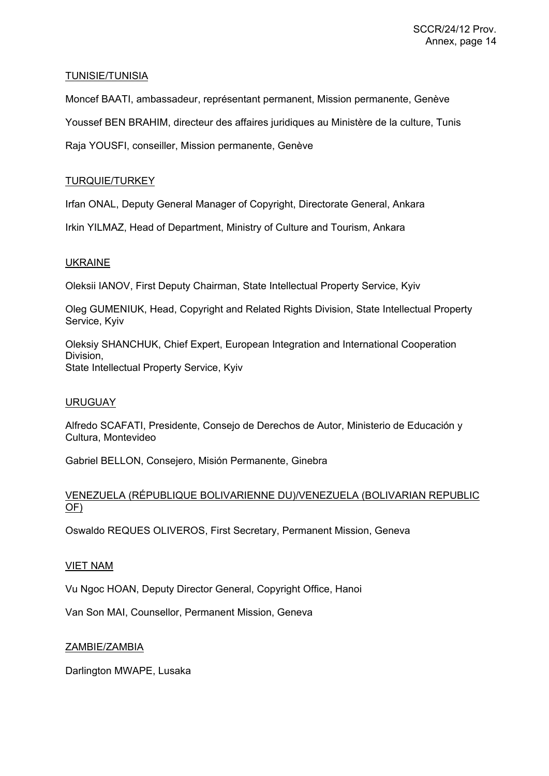## TUNISIE/TUNISIA

Moncef BAATI, ambassadeur, représentant permanent, Mission permanente, Genève Youssef BEN BRAHIM, directeur des affaires juridiques au Ministère de la culture, Tunis Raja YOUSFI, conseiller, Mission permanente, Genève

## TURQUIE/TURKEY

Irfan ONAL, Deputy General Manager of Copyright, Directorate General, Ankara

Irkin YILMAZ, Head of Department, Ministry of Culture and Tourism, Ankara

# UKRAINE

Oleksii IANOV, First Deputy Chairman, State Intellectual Property Service, Kyiv

Oleg GUMENIUK, Head, Copyright and Related Rights Division, State Intellectual Property Service, Kyiv

Oleksiy SHANCHUK, Chief Expert, European Integration and International Cooperation Division, State Intellectual Property Service, Kyiv

## URUGUAY

Alfredo SCAFATI, Presidente, Consejo de Derechos de Autor, Ministerio de Educación y Cultura, Montevideo

Gabriel BELLON, Consejero, Misión Permanente, Ginebra

# VENEZUELA (RÉPUBLIQUE BOLIVARIENNE DU)/VENEZUELA (BOLIVARIAN REPUBLIC OF)

Oswaldo REQUES OLIVEROS, First Secretary, Permanent Mission, Geneva

## VIET NAM

Vu Ngoc HOAN, Deputy Director General, Copyright Office, Hanoi

Van Son MAI, Counsellor, Permanent Mission, Geneva

## ZAMBIE/ZAMBIA

Darlington MWAPE, Lusaka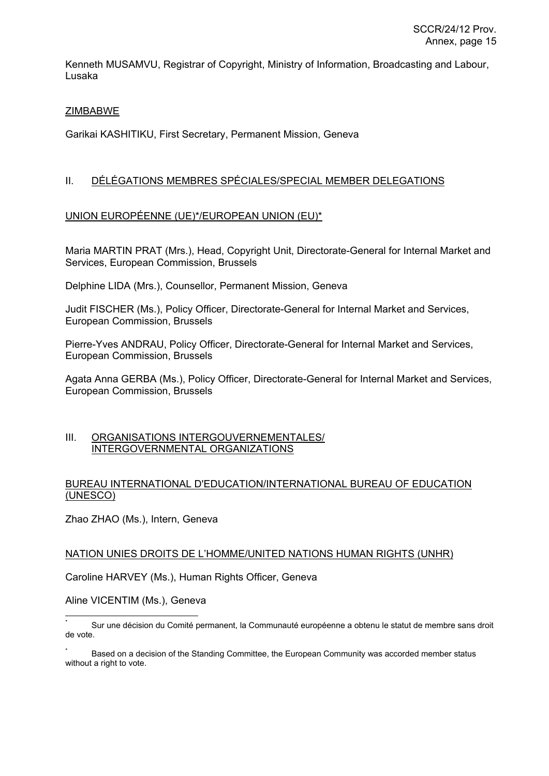Kenneth MUSAMVU, Registrar of Copyright, Ministry of Information, Broadcasting and Labour, Lusaka

# **ZIMBABWE**

Garikai KASHITIKU, First Secretary, Permanent Mission, Geneva

# II. DÉLÉGATIONS MEMBRES SPÉCIALES/SPECIAL MEMBER DELEGATIONS

## UNION EUROPÉENNE (UE)\*/EUROPEAN UNION (EU)\*

Maria MARTIN PRAT (Mrs.), Head, Copyright Unit, Directorate-General for Internal Market and Services, European Commission, Brussels

Delphine LIDA (Mrs.), Counsellor, Permanent Mission, Geneva

Judit FISCHER (Ms.), Policy Officer, Directorate-General for Internal Market and Services, European Commission, Brussels

Pierre-Yves ANDRAU, Policy Officer, Directorate-General for Internal Market and Services, European Commission, Brussels

Agata Anna GERBA (Ms.), Policy Officer, Directorate-General for Internal Market and Services, European Commission, Brussels

### III. ORGANISATIONS INTERGOUVERNEMENTALES/ INTERGOVERNMENTAL ORGANIZATIONS

## BUREAU INTERNATIONAL D'EDUCATION/INTERNATIONAL BUREAU OF EDUCATION (UNESCO)

Zhao ZHAO (Ms.), Intern, Geneva

## NATION UNIES DROITS DE L'HOMME/UNITED NATIONS HUMAN RIGHTS (UNHR)

Caroline HARVEY (Ms.), Human Rights Officer, Geneva

Aline VICENTIM (Ms.), Geneva

 $\overline{a}$ \* Sur une décision du Comité permanent, la Communauté européenne a obtenu le statut de membre sans droit de vote.

<sup>\*</sup> Based on a decision of the Standing Committee, the European Community was accorded member status without a right to vote.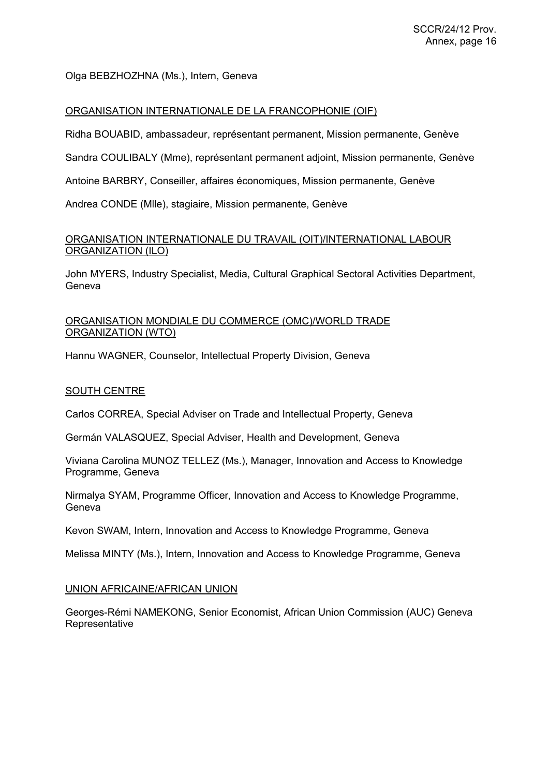# Olga BEBZHOZHNA (Ms.), Intern, Geneva

# ORGANISATION INTERNATIONALE DE LA FRANCOPHONIE (OIF)

Ridha BOUABID, ambassadeur, représentant permanent, Mission permanente, Genève

Sandra COULIBALY (Mme), représentant permanent adjoint, Mission permanente, Genève

Antoine BARBRY, Conseiller, affaires économiques, Mission permanente, Genève

Andrea CONDE (Mlle), stagiaire, Mission permanente, Genève

# ORGANISATION INTERNATIONALE DU TRAVAIL (OIT)/INTERNATIONAL LABOUR ORGANIZATION (ILO)

John MYERS, Industry Specialist, Media, Cultural Graphical Sectoral Activities Department, Geneva

# ORGANISATION MONDIALE DU COMMERCE (OMC)/WORLD TRADE ORGANIZATION (WTO)

Hannu WAGNER, Counselor, Intellectual Property Division, Geneva

## SOUTH CENTRE

Carlos CORREA, Special Adviser on Trade and Intellectual Property, Geneva

Germán VALASQUEZ, Special Adviser, Health and Development, Geneva

Viviana Carolina MUNOZ TELLEZ (Ms.), Manager, Innovation and Access to Knowledge Programme, Geneva

Nirmalya SYAM, Programme Officer, Innovation and Access to Knowledge Programme, Geneva

Kevon SWAM, Intern, Innovation and Access to Knowledge Programme, Geneva

Melissa MINTY (Ms.), Intern, Innovation and Access to Knowledge Programme, Geneva

## UNION AFRICAINE/AFRICAN UNION

Georges-Rémi NAMEKONG, Senior Economist, African Union Commission (AUC) Geneva **Representative**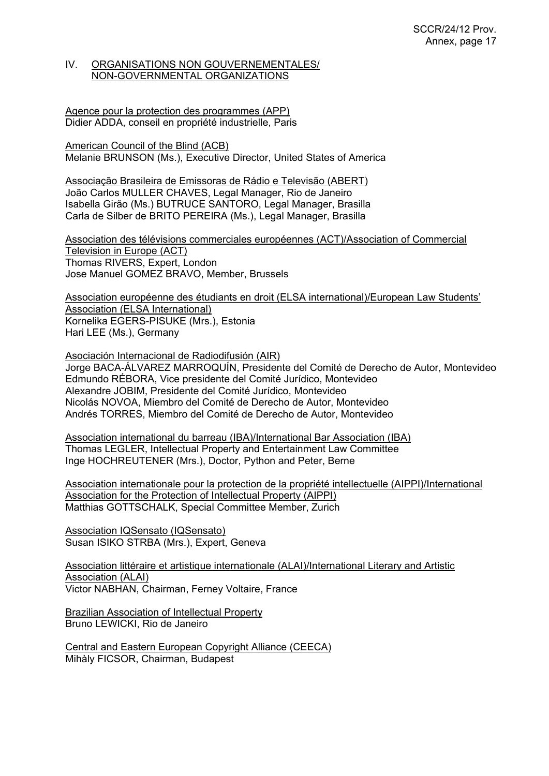### IV. ORGANISATIONS NON GOUVERNEMENTALES/ NON-GOVERNMENTAL ORGANIZATIONS

#### Agence pour la protection des programmes (APP) Didier ADDA, conseil en propriété industrielle, Paris

American Council of the Blind (ACB) Melanie BRUNSON (Ms.), Executive Director, United States of America

Associação Brasileira de Emissoras de Rádio e Televisão (ABERT) João Carlos MULLER CHAVES, Legal Manager, Rio de Janeiro Isabella Girão (Ms.) BUTRUCE SANTORO, Legal Manager, Brasilla Carla de Silber de BRITO PEREIRA (Ms.), Legal Manager, Brasilla

Association des télévisions commerciales européennes (ACT)/Association of Commercial Television in Europe (ACT) Thomas RIVERS, Expert, London Jose Manuel GOMEZ BRAVO, Member, Brussels

Association européenne des étudiants en droit (ELSA international)/European Law Students' Association (ELSA International) Kornelika EGERS-PISUKE (Mrs.), Estonia Hari LEE (Ms.), Germany

Asociación Internacional de Radiodifusión (AIR) Jorge BACA-ÁLVAREZ MARROQUÍN, Presidente del Comité de Derecho de Autor, Montevideo Edmundo RÉBORA, Vice presidente del Comité Jurídico, Montevideo Alexandre JOBIM, Presidente del Comité Jurídico, Montevideo Nicolás NOVOA, Miembro del Comité de Derecho de Autor, Montevideo Andrés TORRES, Miembro del Comité de Derecho de Autor, Montevideo

Association international du barreau (IBA)/International Bar Association (IBA) Thomas LEGLER, Intellectual Property and Entertainment Law Committee Inge HOCHREUTENER (Mrs.), Doctor, Python and Peter, Berne

Association internationale pour la protection de la propriété intellectuelle (AIPPI)/International Association for the Protection of Intellectual Property (AIPPI) Matthias GOTTSCHALK, Special Committee Member, Zurich

Association IQSensato (IQSensato) Susan ISIKO STRBA (Mrs.), Expert, Geneva

Association littéraire et artistique internationale (ALAI)/International Literary and Artistic Association (ALAI) Victor NABHAN, Chairman, Ferney Voltaire, France

Brazilian Association of Intellectual Property Bruno LEWICKI, Rio de Janeiro

Central and Eastern European Copyright Alliance (CEECA) Mihàly FICSOR, Chairman, Budapest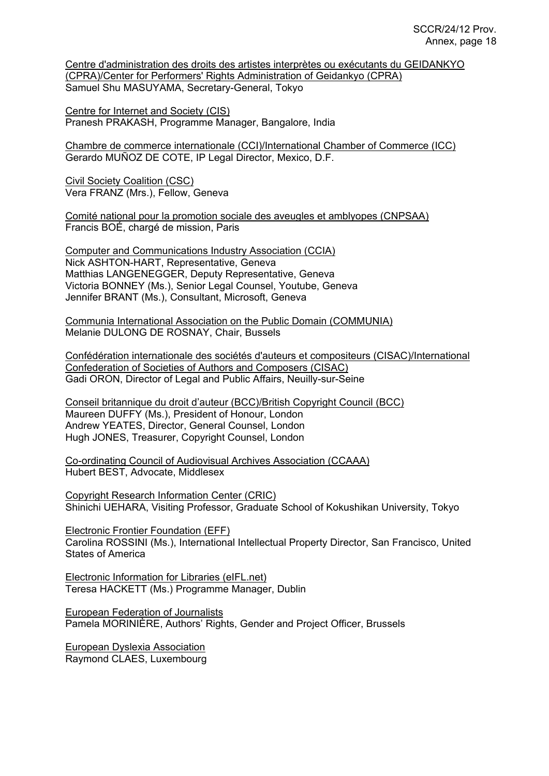Centre d'administration des droits des artistes interprètes ou exécutants du GEIDANKYO (CPRA)/Center for Performers' Rights Administration of Geidankyo (CPRA) Samuel Shu MASUYAMA, Secretary-General, Tokyo

Centre for Internet and Society (CIS) Pranesh PRAKASH, Programme Manager, Bangalore, India

Chambre de commerce internationale (CCI)/International Chamber of Commerce (ICC) Gerardo MUÑOZ DE COTE, IP Legal Director, Mexico, D.F.

Civil Society Coalition (CSC) Vera FRANZ (Mrs.), Fellow, Geneva

Comité national pour la promotion sociale des aveugles et amblyopes (CNPSAA) Francis BOÉ, chargé de mission, Paris

Computer and Communications Industry Association (CCIA) Nick ASHTON-HART, Representative, Geneva Matthias LANGENEGGER, Deputy Representative, Geneva Victoria BONNEY (Ms.), Senior Legal Counsel, Youtube, Geneva Jennifer BRANT (Ms.), Consultant, Microsoft, Geneva

Communia International Association on the Public Domain (COMMUNIA) Melanie DULONG DE ROSNAY, Chair, Bussels

Confédération internationale des sociétés d'auteurs et compositeurs (CISAC)/International Confederation of Societies of Authors and Composers (CISAC) Gadi ORON, Director of Legal and Public Affairs, Neuilly-sur-Seine

Conseil britannique du droit d'auteur (BCC)/British Copyright Council (BCC) Maureen DUFFY (Ms.), President of Honour, London Andrew YEATES, Director, General Counsel, London Hugh JONES, Treasurer, Copyright Counsel, London

Co-ordinating Council of Audiovisual Archives Association (CCAAA) Hubert BEST, Advocate, Middlesex

Copyright Research Information Center (CRIC) Shinichi UEHARA, Visiting Professor, Graduate School of Kokushikan University, Tokyo

Electronic Frontier Foundation (EFF) Carolina ROSSINI (Ms.), International Intellectual Property Director, San Francisco, United States of America

Electronic Information for Libraries (eIFL.net) Teresa HACKETT (Ms.) Programme Manager, Dublin

European Federation of Journalists Pamela MORINIÈRE, Authors' Rights, Gender and Project Officer, Brussels

European Dyslexia Association Raymond CLAES, Luxembourg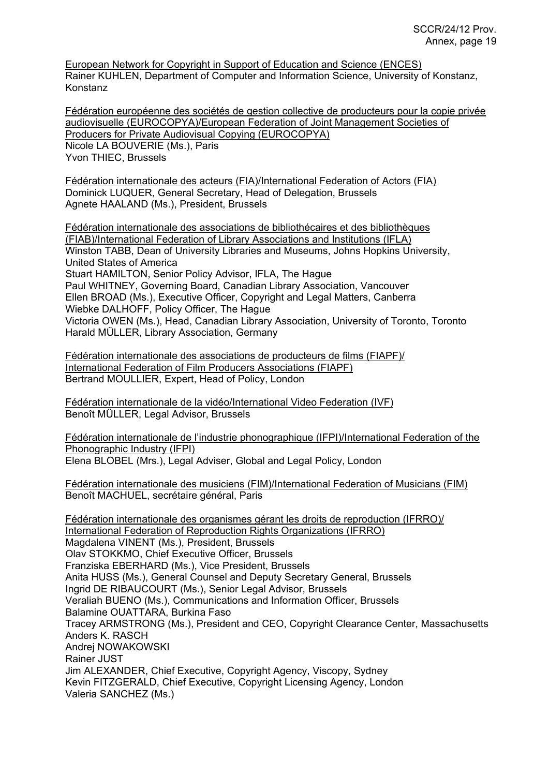European Network for Copyright in Support of Education and Science (ENCES) Rainer KUHLEN, Department of Computer and Information Science, University of Konstanz, Konstanz

Fédération européenne des sociétés de gestion collective de producteurs pour la copie privée audiovisuelle (EUROCOPYA)/European Federation of Joint Management Societies of Producers for Private Audiovisual Copying (EUROCOPYA) Nicole LA BOUVERIE (Ms.), Paris

Yvon THIEC, Brussels

Fédération internationale des acteurs (FIA)/International Federation of Actors (FIA) Dominick LUQUER, General Secretary, Head of Delegation, Brussels Agnete HAALAND (Ms.), President, Brussels

Fédération internationale des associations de bibliothécaires et des bibliothèques (FIAB)/International Federation of Library Associations and Institutions (IFLA) Winston TABB, Dean of University Libraries and Museums, Johns Hopkins University, United States of America Stuart HAMILTON, Senior Policy Advisor, IFLA, The Hague Paul WHITNEY, Governing Board, Canadian Library Association, Vancouver Ellen BROAD (Ms.), Executive Officer, Copyright and Legal Matters, Canberra Wiebke DALHOFF, Policy Officer, The Hague Victoria OWEN (Ms.), Head, Canadian Library Association, University of Toronto, Toronto Harald MÜLLER, Library Association, Germany

Fédération internationale des associations de producteurs de films (FIAPF)/ International Federation of Film Producers Associations (FIAPF) Bertrand MOULLIER, Expert, Head of Policy, London

Fédération internationale de la vidéo/International Video Federation (IVF) Benoît MÜLLER, Legal Advisor, Brussels

Fédération internationale de l'industrie phonographique (IFPI)/International Federation of the Phonographic Industry (IFPI) Elena BLOBEL (Mrs.), Legal Adviser, Global and Legal Policy, London

Fédération internationale des musiciens (FIM)/International Federation of Musicians (FIM) Benoît MACHUEL, secrétaire général, Paris

Fédération internationale des organismes gérant les droits de reproduction (IFRRO)/ International Federation of Reproduction Rights Organizations (IFRRO) Magdalena VINENT (Ms.), President, Brussels Olav STOKKMO, Chief Executive Officer, Brussels Franziska EBERHARD (Ms.), Vice President, Brussels Anita HUSS (Ms.), General Counsel and Deputy Secretary General, Brussels Ingrid DE RIBAUCOURT (Ms.), Senior Legal Advisor, Brussels Veraliah BUENO (Ms.), Communications and Information Officer, Brussels Balamine OUATTARA, Burkina Faso Tracey ARMSTRONG (Ms.), President and CEO, Copyright Clearance Center, Massachusetts Anders K. RASCH Andrej NOWAKOWSKI Rainer JUST Jim ALEXANDER, Chief Executive, Copyright Agency, Viscopy, Sydney Kevin FITZGERALD, Chief Executive, Copyright Licensing Agency, London Valeria SANCHEZ (Ms.)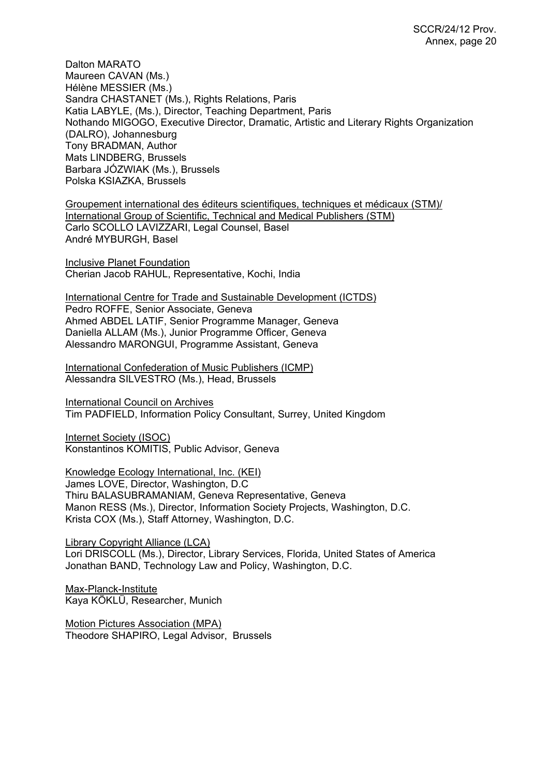Dalton MARATO Maureen CAVAN (Ms.) Hélène MESSIER (Ms.) Sandra CHASTANET (Ms.), Rights Relations, Paris Katia LABYLE, (Ms.), Director, Teaching Department, Paris Nothando MIGOGO, Executive Director, Dramatic, Artistic and Literary Rights Organization (DALRO), Johannesburg Tony BRADMAN, Author Mats LINDBERG, Brussels Barbara JÓZWIAK (Ms.), Brussels Polska KSIAZKA, Brussels

Groupement international des éditeurs scientifiques, techniques et médicaux (STM)/ International Group of Scientific, Technical and Medical Publishers (STM) Carlo SCOLLO LAVIZZARI, Legal Counsel, Basel André MYBURGH, Basel

Inclusive Planet Foundation Cherian Jacob RAHUL, Representative, Kochi, India

International Centre for Trade and Sustainable Development (ICTDS) Pedro ROFFE, Senior Associate, Geneva Ahmed ABDEL LATIF, Senior Programme Manager, Geneva Daniella ALLAM (Ms.), Junior Programme Officer, Geneva Alessandro MARONGUI, Programme Assistant, Geneva

International Confederation of Music Publishers (ICMP) Alessandra SILVESTRO (Ms.), Head, Brussels

International Council on Archives Tim PADFIELD, Information Policy Consultant, Surrey, United Kingdom

Internet Society (ISOC) Konstantinos KOMITIS, Public Advisor, Geneva

Knowledge Ecology International, Inc. (KEI) James LOVE, Director, Washington, D.C Thiru BALASUBRAMANIAM, Geneva Representative, Geneva Manon RESS (Ms.), Director, Information Society Projects, Washington, D.C. Krista COX (Ms.), Staff Attorney, Washington, D.C.

Library Copyright Alliance (LCA) Lori DRISCOLL (Ms.), Director, Library Services, Florida, United States of America Jonathan BAND, Technology Law and Policy, Washington, D.C.

Max-Planck-Institute Kaya KÖKLÜ, Researcher, Munich

Motion Pictures Association (MPA) Theodore SHAPIRO, Legal Advisor, Brussels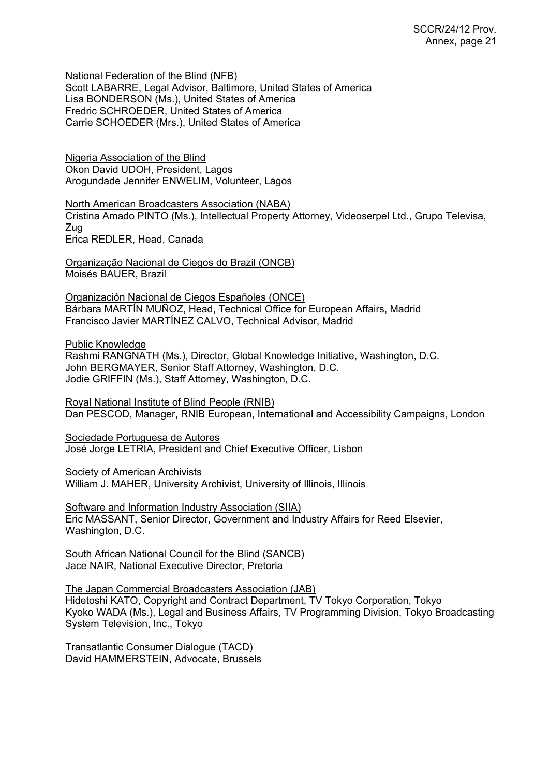National Federation of the Blind (NFB)

Scott LABARRE, Legal Advisor, Baltimore, United States of America Lisa BONDERSON (Ms.), United States of America Fredric SCHROEDER, United States of America Carrie SCHOEDER (Mrs.), United States of America

Nigeria Association of the Blind Okon David UDOH, President, Lagos Arogundade Jennifer ENWELIM, Volunteer, Lagos

North American Broadcasters Association (NABA) Cristina Amado PINTO (Ms.), Intellectual Property Attorney, Videoserpel Ltd., Grupo Televisa, Zug Erica REDLER, Head, Canada

Organização Nacional de Ciegos do Brazil (ONCB) Moisés BAUER, Brazil

Organización Nacional de Ciegos Españoles (ONCE) Bárbara MARTÍN MUÑOZ, Head, Technical Office for European Affairs, Madrid Francisco Javier MARTÍNEZ CALVO, Technical Advisor, Madrid

Public Knowledge

Rashmi RANGNATH (Ms.), Director, Global Knowledge Initiative, Washington, D.C. John BERGMAYER, Senior Staff Attorney, Washington, D.C. Jodie GRIFFIN (Ms.), Staff Attorney, Washington, D.C.

Royal National Institute of Blind People (RNIB) Dan PESCOD, Manager, RNIB European, International and Accessibility Campaigns, London

Sociedade Portuguesa de Autores José Jorge LETRIA, President and Chief Executive Officer, Lisbon

Society of American Archivists William J. MAHER, University Archivist, University of Illinois, Illinois

Software and Information Industry Association (SIIA) Eric MASSANT, Senior Director, Government and Industry Affairs for Reed Elsevier, Washington, D.C.

South African National Council for the Blind (SANCB) Jace NAIR, National Executive Director, Pretoria

The Japan Commercial Broadcasters Association (JAB) Hidetoshi KATO, Copyright and Contract Department, TV Tokyo Corporation, Tokyo Kyoko WADA (Ms.), Legal and Business Affairs, TV Programming Division, Tokyo Broadcasting System Television, Inc., Tokyo

Transatlantic Consumer Dialogue (TACD) David HAMMERSTEIN, Advocate, Brussels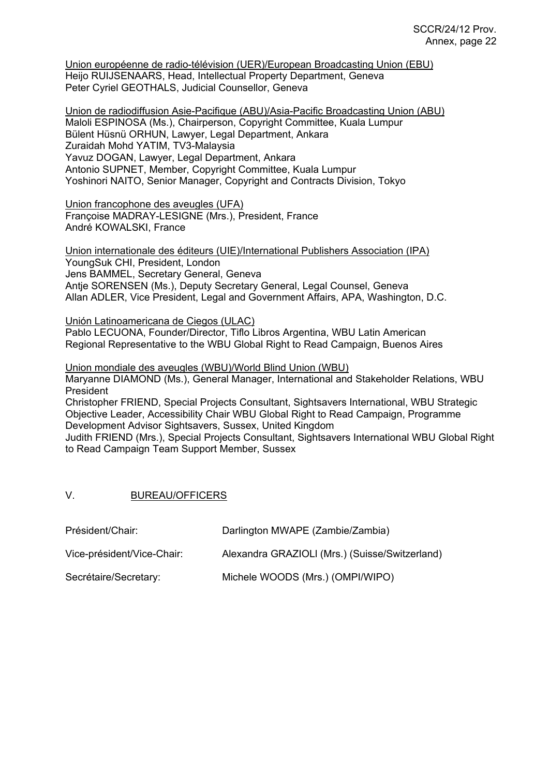Union européenne de radio-télévision (UER)/European Broadcasting Union (EBU) Heijo RUIJSENAARS, Head, Intellectual Property Department, Geneva Peter Cyriel GEOTHALS, Judicial Counsellor, Geneva

Union de radiodiffusion Asie-Pacifique (ABU)/Asia-Pacific Broadcasting Union (ABU) Maloli ESPINOSA (Ms.), Chairperson, Copyright Committee, Kuala Lumpur Bülent Hüsnü ORHUN, Lawyer, Legal Department, Ankara Zuraidah Mohd YATIM, TV3-Malaysia Yavuz DOGAN, Lawyer, Legal Department, Ankara Antonio SUPNET, Member, Copyright Committee, Kuala Lumpur Yoshinori NAITO, Senior Manager, Copyright and Contracts Division, Tokyo

Union francophone des aveugles (UFA) Françoise MADRAY-LESIGNE (Mrs.), President, France André KOWALSKI, France

Union internationale des éditeurs (UIE)/International Publishers Association (IPA) YoungSuk CHI, President, London Jens BAMMEL, Secretary General, Geneva Antje SORENSEN (Ms.), Deputy Secretary General, Legal Counsel, Geneva Allan ADLER, Vice President, Legal and Government Affairs, APA, Washington, D.C.

Unión Latinoamericana de Ciegos (ULAC) Pablo LECUONA, Founder/Director, Tiflo Libros Argentina, WBU Latin American Regional Representative to the WBU Global Right to Read Campaign, Buenos Aires

Union mondiale des aveugles (WBU)/World Blind Union (WBU) Maryanne DIAMOND (Ms.), General Manager, International and Stakeholder Relations, WBU President Christopher FRIEND, Special Projects Consultant, Sightsavers International, WBU Strategic Objective Leader, Accessibility Chair WBU Global Right to Read Campaign, Programme Development Advisor Sightsavers, Sussex, United Kingdom Judith FRIEND (Mrs.), Special Projects Consultant, Sightsavers International WBU Global Right to Read Campaign Team Support Member, Sussex

V. BUREAU/OFFICERS

| Président/Chair:           | Darlington MWAPE (Zambie/Zambia)               |
|----------------------------|------------------------------------------------|
| Vice-président/Vice-Chair: | Alexandra GRAZIOLI (Mrs.) (Suisse/Switzerland) |
| Secrétaire/Secretary:      | Michele WOODS (Mrs.) (OMPI/WIPO)               |